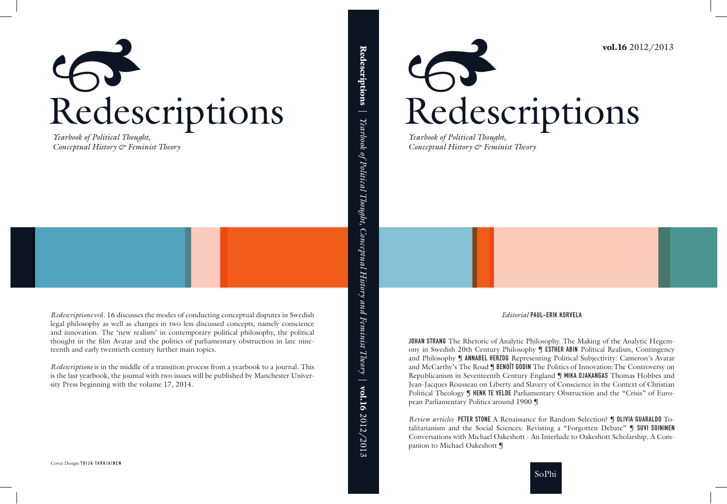# Redescriptions  $\frac{1}{8}$  Redescriptions r r

*Yearbook of Political Thought, Conceptual History & Feminist Theory* Redescriptions*Yearbook of Political Thought, Conceptual History and Feminist Theory* | vol.16 2012/2013 vol.16 2012/2013

*Yearbook of Political Thought, Conceptual History & Feminist Theory*

#### *Redescriptions* vol. 16 discusses the modes of conducting conceptual disputes in Swedish legal philosophy as well as changes in two less discussed concepts, namely conscience and innovation. The 'new realism' in contemporary political philosophy, the political thought in the film Avatar and the politics of parliamentary obstruction in late nineteenth and early twentieth century further main topics.

*Redescriptions* is in the middle of a transition process from a yearbook to a journal. This is the last yearbook, the journal with two issues will be published by Manchester University Press beginning with the volume 17, 2014.

#### *Editorial* Paul-Erik Korvela

Johan Strang The Rhetoric of Analytic Philosophy. The Making of the Analytic Hegemony in Swedish 20th Century Philosophy ¶ Esther Abin Political Realism, Contingency and Philosophy J ANNABEL HERZOG Representing Political Subjectivity: Cameron's Avatar and McCarthy's The Road **J BENOÎT GODIN** The Politics of Innovation: The Controversy on Republicanism in Seventeenth Century England ¶ Mika Ojakangas Thomas Hobbes and Jean-Jacques Rousseau on Liberty and Slavery of Conscience in the Context of Christian Political Theology  $\P$  HENK TE VELDE Parliamentary Obstruction and the "Crisis" of European Parliamentary Politics around 1900 ¶

*Review articles* PETER STONE A Renaissance for Random Selection? **¶ OLIVIA GUARALDO** Totalitarianism and the Social Sciences: Revisting a "Forgotten Debate" **J SUVI SOININEN** Conversations with Michael Oakeshott - An Interlude to Oakeshott Scholarship. A Companion to Michael Oakeshott ¶

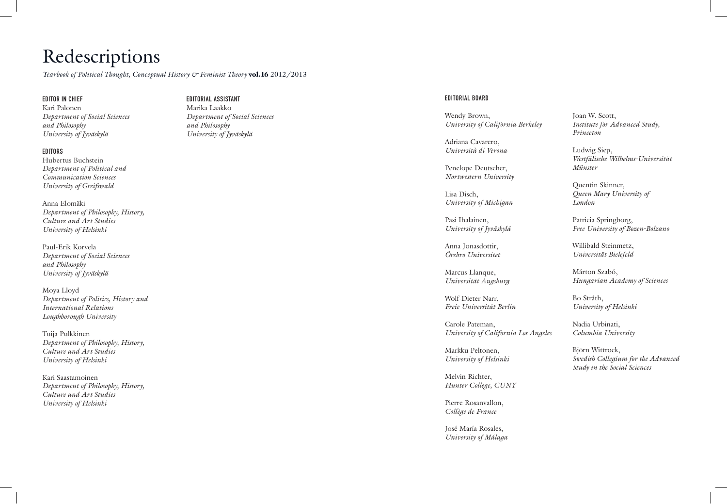## Redescriptions

*Yearbook of Political Thought, Conceptual History & Feminist Theory* vol . 1 6 2012/2013

#### Edi tor in Chief

Kari Palonen *Department of Social Sciences and Philosophy University of Jyväskylä*

#### Editors

Hubertus Buchstein *Department of Political and Communication Sciences University of Greifswald*

Anna Elomäki *Department of Philosophy, History, Culture and Art Studies University of Helsinki*

Paul-Erik Korvela *Department of Social Sciences and Philosophy University of Jyväskylä*

Moya Lloyd *Department of Politics, History and International Relations Loughborough University*

Tuija Pulkkinen *Department of Philosophy, History, Culture and Art Studies University of Helsinki*

Kari Saastamoinen *Department of Philosophy, History, Culture and Art Studies University of Helsinki*

EDITORIAL ASSISTAN l Marika Laakko *Department of Social Sciences and Philosophy University of Jyväskylä*

#### edi torial board

Wendy Brown, *University of California Berkeley*

Adriana Cavarero, *Università di Verona*

Penelope Deutscher, *Nortwestern University*

Lisa Disch, *University of Michigan*

Pasi Ihalainen, *University of Jyväskylä*

Anna Jonasdottir, *Örebro Universitet*

Marcus Llanque, *Universität Augsburg*

Wolf-Dieter Narr, *Freie Universität Berlin*

Carole Pateman, *University of California Los Angeles*

Markku Peltonen, *University of Helsinki*

Melvin Richter, *Hunter College, CUNY*

Pierre Rosanvallon, *Collège de France*

José María Rosales, *University of Málaga* Joan W. Scott, *Institute for Advanced Study, Princeton*

Ludwig Siep, *Westfälische Wilhelms-Universität Münster*

Quentin Skinner, *Queen Mary University of London*

Patricia Springborg, *Free University of Bozen-Bolzano*

Willibald Steinmetz, *Universität Bielefeld*

Márton Szabó, *Hungarian Academy of Sciences*

Bo Stråth, *University of Helsinki*

Nadia Urbinati, *Columbia University*

Björn Wittrock, *Swedish Collegium for the Advanced Study in the Social Sciences*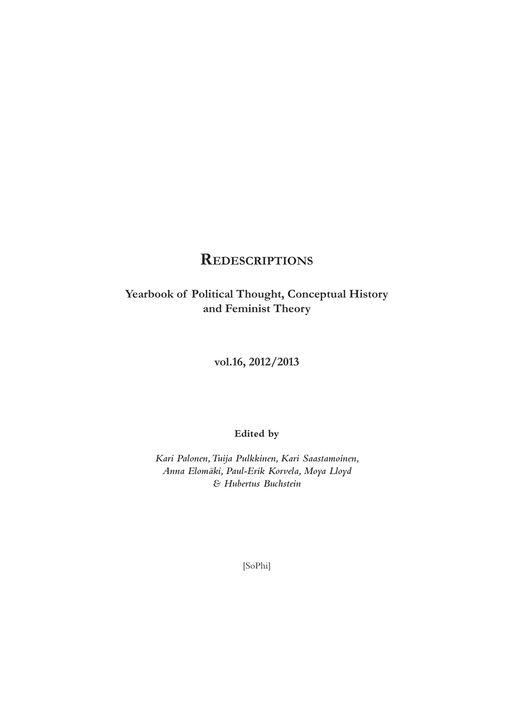## **REDESCRIPTIONS**

## **Yearbook of Political Thought, Conceptual History and Feminist Theory**

**vol.16, 2012/2013**

**Edited by**

*Kari Palonen, Tuija Pulkkinen, Kari Saastamoinen, Anna Elomäki, Paul-Erik Korvela, Moya Lloyd & Hubertus Buchstein*

[SoPhi]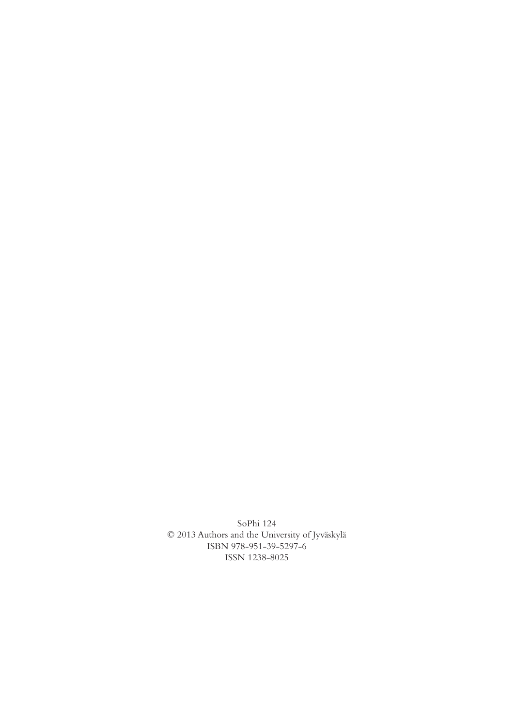SoPhi 124 © 2013 Authors and the University of Jyväskylä ISBN 978-951-39-5297-6 ISSN 1238-8025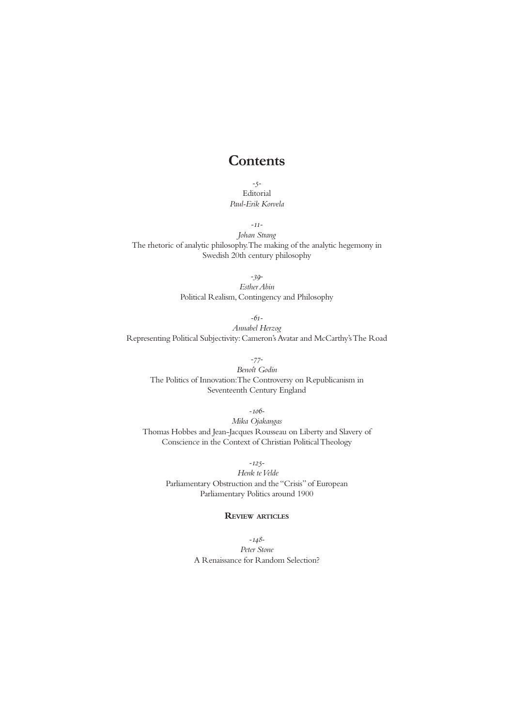## **Contents**

*-5-* Editorial *Paul-Erik Korvela*

*-11-*

*Johan Strang* The rhetoric of analytic philosophy. The making of the analytic hegemony in Swedish 20th century philosophy

> *-39- Esther Abin*

Political Realism, Contingency and Philosophy

*-61-*

*Annabel Herzog* Representing Political Subjectivity: Cameron's Avatar and McCarthy's The Road

*-77- Benoît Godin* The Politics of Innovation:The Controversy on Republicanism in Seventeenth Century England

*-106-*

*Mika Ojakangas* Thomas Hobbes and Jean-Jacques Rousseau on Liberty and Slavery of Conscience in the Context of Christian Political Theology

*-125-*

 *Henk te Velde* Parliamentary Obstruction and the "Crisis" of European Parliamentary Politics around 1900

#### **REVIEW ARTICLES**

*-148- Peter Stone* A Renaissance for Random Selection?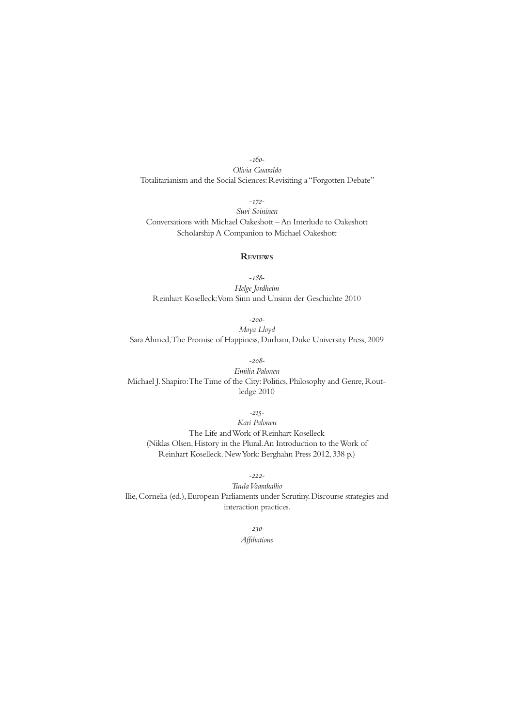*-160- Olivia Guaraldo* Totalitarianism and the Social Sciences: Revisiting a "Forgotten Debate"

*-172-*

*Suvi Soininen* Conversations with Michael Oakeshott – An Interlude to Oakeshott Scholarship A Companion to Michael Oakeshott

#### **REVIEWS**

*-188- Helge Jordheim* Reinhart Koselleck: Vom Sinn und Unsinn der Geschichte 2010

> *-200- Moya Lloyd*

Sara Ahmed, The Promise of Happiness, Durham, Duke University Press, 2009

*-208-*

*Emilia Palonen* Michael J. Shapiro: The Time of the City: Politics, Philosophy and Genre, Routledge 2010

*-215-*

*Kari Palonen* The Life and Work of Reinhart Koselleck (Niklas Olsen, History in the Plural. An Introduction to the Work of Reinhart Koselleck. New York: Berghahn Press 2012, 338 p.)

*-222-*

*Tuula Vaarakallio* Ilie, Cornelia (ed.), European Parliaments under Scrutiny. Discourse strategies and interaction practices.

> *-230- Affi liations*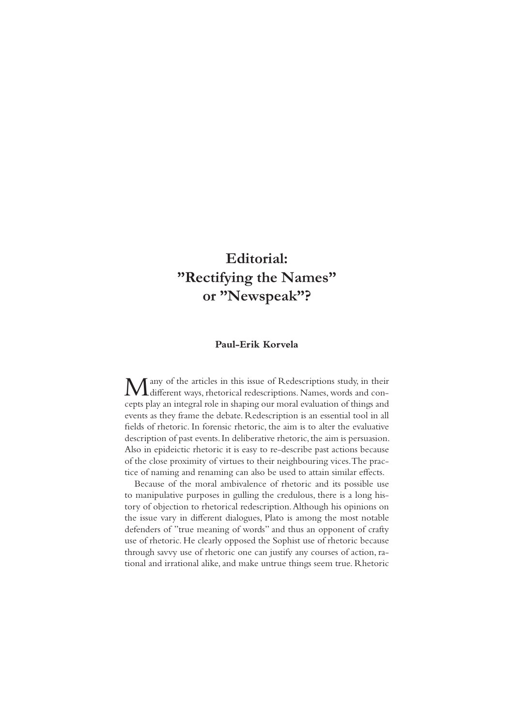## **Editorial: "Rectifying the Names" or "Newspeak"?**

#### **Paul-Erik Korvela**

Many of the articles in this issue of Redescriptions study, in their<br>different ways, rhetorical redescriptions. Names, words and concepts play an integral role in shaping our moral evaluation of things and events as they frame the debate. Redescription is an essential tool in all fields of rhetoric. In forensic rhetoric, the aim is to alter the evaluative description of past events. In deliberative rhetoric, the aim is persuasion. Also in epideictic rhetoric it is easy to re-describe past actions because of the close proximity of virtues to their neighbouring vices. The practice of naming and renaming can also be used to attain similar effects.

Because of the moral ambivalence of rhetoric and its possible use to manipulative purposes in gulling the credulous, there is a long history of objection to rhetorical redescription. Although his opinions on the issue vary in different dialogues, Plato is among the most notable defenders of "true meaning of words" and thus an opponent of crafty use of rhetoric. He clearly opposed the Sophist use of rhetoric because through savvy use of rhetoric one can justify any courses of action, rational and irrational alike, and make untrue things seem true. Rhetoric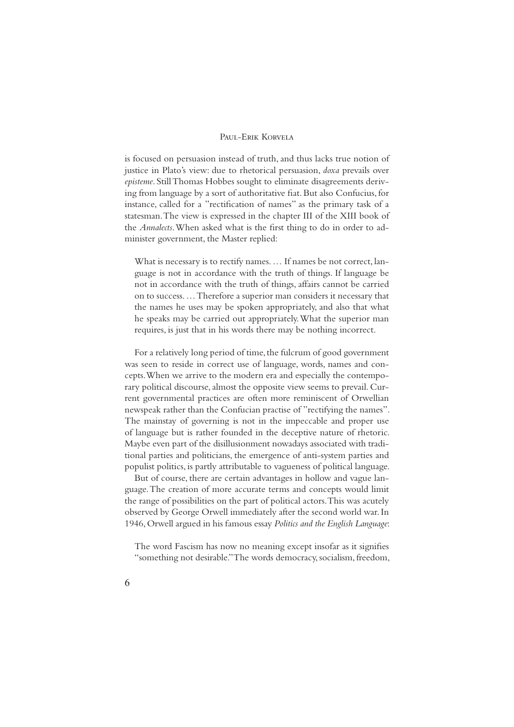#### Paul-Erik Korvela

is focused on persuasion instead of truth, and thus lacks true notion of justice in Plato's view: due to rhetorical persuasion, *doxa* prevails over *episteme*. Still Thomas Hobbes sought to eliminate disagreements deriving from language by a sort of authoritative fiat. But also Confucius, for instance, called for a "rectification of names" as the primary task of a statesman. The view is expressed in the chapter III of the XIII book of the *Annalects*. When asked what is the first thing to do in order to administer government, the Master replied:

What is necessary is to rectify names. … If names be not correct, language is not in accordance with the truth of things. If language be not in accordance with the truth of things, affairs cannot be carried on to success. … Therefore a superior man considers it necessary that the names he uses may be spoken appropriately, and also that what he speaks may be carried out appropriately. What the superior man requires, is just that in his words there may be nothing incorrect.

For a relatively long period of time, the fulcrum of good government was seen to reside in correct use of language, words, names and concepts. When we arrive to the modern era and especially the contemporary political discourse, almost the opposite view seems to prevail. Current governmental practices are often more reminiscent of Orwellian newspeak rather than the Confucian practise of "rectifying the names". The mainstay of governing is not in the impeccable and proper use of language but is rather founded in the deceptive nature of rhetoric. Maybe even part of the disillusionment nowadays associated with traditional parties and politicians, the emergence of anti-system parties and populist politics, is partly attributable to vagueness of political language.

But of course, there are certain advantages in hollow and vague language. The creation of more accurate terms and concepts would limit the range of possibilities on the part of political actors. This was acutely observed by George Orwell immediately after the second world war. In 1946, Orwell argued in his famous essay *Politics and the English Language*:

The word Fascism has now no meaning except insofar as it signifies "something not desirable." The words democracy, socialism, freedom,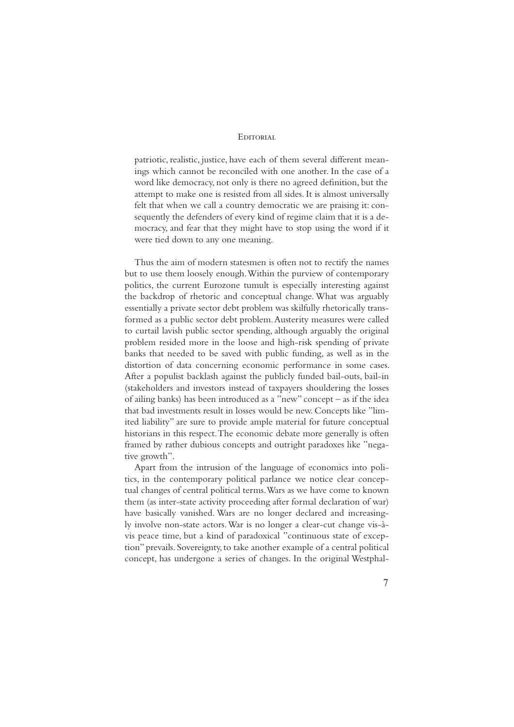#### EDITORIAL

patriotic, realistic, justice, have each of them several different meanings which cannot be reconciled with one another. In the case of a word like democracy, not only is there no agreed definition, but the attempt to make one is resisted from all sides. It is almost universally felt that when we call a country democratic we are praising it: consequently the defenders of every kind of regime claim that it is a democracy, and fear that they might have to stop using the word if it were tied down to any one meaning.

Thus the aim of modern statesmen is often not to rectify the names but to use them loosely enough. Within the purview of contemporary politics, the current Eurozone tumult is especially interesting against the backdrop of rhetoric and conceptual change. What was arguably essentially a private sector debt problem was skilfully rhetorically transformed as a public sector debt problem. Austerity measures were called to curtail lavish public sector spending, although arguably the original problem resided more in the loose and high-risk spending of private banks that needed to be saved with public funding, as well as in the distortion of data concerning economic performance in some cases. After a populist backlash against the publicly funded bail-outs, bail-in (stakeholders and investors instead of taxpayers shouldering the losses of ailing banks) has been introduced as a "new" concept – as if the idea that bad investments result in losses would be new. Concepts like "limited liability" are sure to provide ample material for future conceptual historians in this respect. The economic debate more generally is often framed by rather dubious concepts and outright paradoxes like "negative growth".

Apart from the intrusion of the language of economics into politics, in the contemporary political parlance we notice clear conceptual changes of central political terms. Wars as we have come to known them (as inter-state activity proceeding after formal declaration of war) have basically vanished. Wars are no longer declared and increasingly involve non-state actors. War is no longer a clear-cut change vis-àvis peace time, but a kind of paradoxical "continuous state of exception" prevails. Sovereignty, to take another example of a central political concept, has undergone a series of changes. In the original Westphal-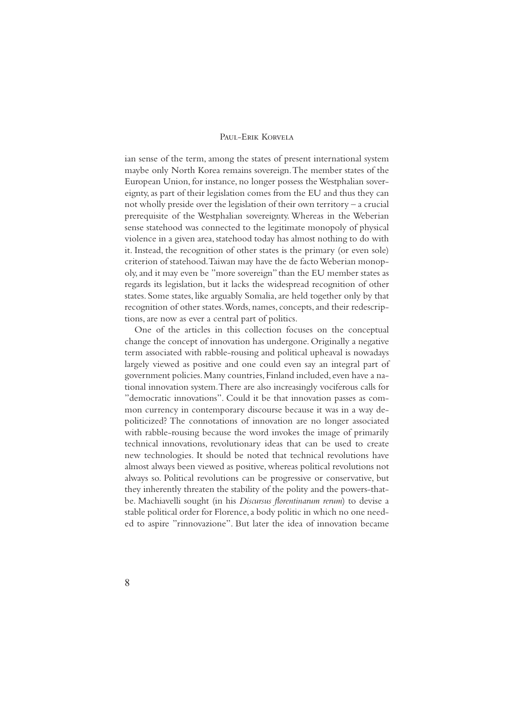#### Paul-Erik Korvela

ian sense of the term, among the states of present international system maybe only North Korea remains sovereign. The member states of the European Union, for instance, no longer possess the Westphalian sovereignty, as part of their legislation comes from the EU and thus they can not wholly preside over the legislation of their own territory – a crucial prerequisite of the Westphalian sovereignty. Whereas in the Weberian sense statehood was connected to the legitimate monopoly of physical violence in a given area, statehood today has almost nothing to do with it. Instead, the recognition of other states is the primary (or even sole) criterion of statehood. Taiwan may have the de facto Weberian monopoly, and it may even be "more sovereign" than the EU member states as regards its legislation, but it lacks the widespread recognition of other states. Some states, like arguably Somalia, are held together only by that recognition of other states. Words, names, concepts, and their redescriptions, are now as ever a central part of politics.

One of the articles in this collection focuses on the conceptual change the concept of innovation has undergone. Originally a negative term associated with rabble-rousing and political upheaval is nowadays largely viewed as positive and one could even say an integral part of government policies. Many countries, Finland included, even have a national innovation system. There are also increasingly vociferous calls for "democratic innovations". Could it be that innovation passes as common currency in contemporary discourse because it was in a way depoliticized? The connotations of innovation are no longer associated with rabble-rousing because the word invokes the image of primarily technical innovations, revolutionary ideas that can be used to create new technologies. It should be noted that technical revolutions have almost always been viewed as positive, whereas political revolutions not always so. Political revolutions can be progressive or conservative, but they inherently threaten the stability of the polity and the powers-thatbe. Machiavelli sought (in his *Discursus florentinarum rerum*) to devise a stable political order for Florence, a body politic in which no one needed to aspire "rinnovazione". But later the idea of innovation became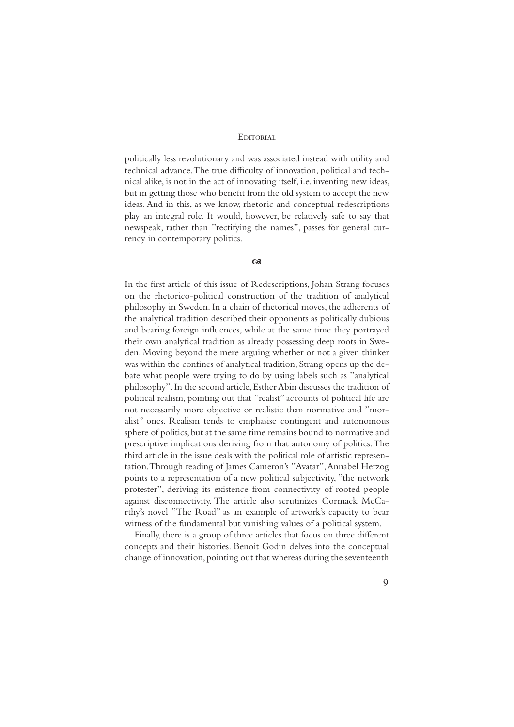#### EDITORIAL

politically less revolutionary and was associated instead with utility and technical advance. The true difficulty of innovation, political and technical alike, is not in the act of innovating itself, i.e. inventing new ideas, but in getting those who benefit from the old system to accept the new ideas. And in this, as we know, rhetoric and conceptual redescriptions play an integral role. It would, however, be relatively safe to say that newspeak, rather than "rectifying the names", passes for general currency in contemporary politics.

#### $\infty$

In the first article of this issue of Redescriptions, Johan Strang focuses on the rhetorico-political construction of the tradition of analytical philosophy in Sweden. In a chain of rhetorical moves, the adherents of the analytical tradition described their opponents as politically dubious and bearing foreign influences, while at the same time they portrayed their own analytical tradition as already possessing deep roots in Sweden. Moving beyond the mere arguing whether or not a given thinker was within the confines of analytical tradition, Strang opens up the debate what people were trying to do by using labels such as "analytical philosophy". In the second article, Esther Abin discusses the tradition of political realism, pointing out that "realist" accounts of political life are not necessarily more objective or realistic than normative and "moralist" ones. Realism tends to emphasise contingent and autonomous sphere of politics, but at the same time remains bound to normative and prescriptive implications deriving from that autonomy of politics. The third article in the issue deals with the political role of artistic representation. Through reading of James Cameron's "Avatar", Annabel Herzog points to a representation of a new political subjectivity, "the network protester", deriving its existence from connectivity of rooted people against disconnectivity. The article also scrutinizes Cormack McCarthy's novel "The Road" as an example of artwork's capacity to bear witness of the fundamental but vanishing values of a political system.

Finally, there is a group of three articles that focus on three different concepts and their histories. Benoit Godin delves into the conceptual change of innovation, pointing out that whereas during the seventeenth

 $\overline{Q}$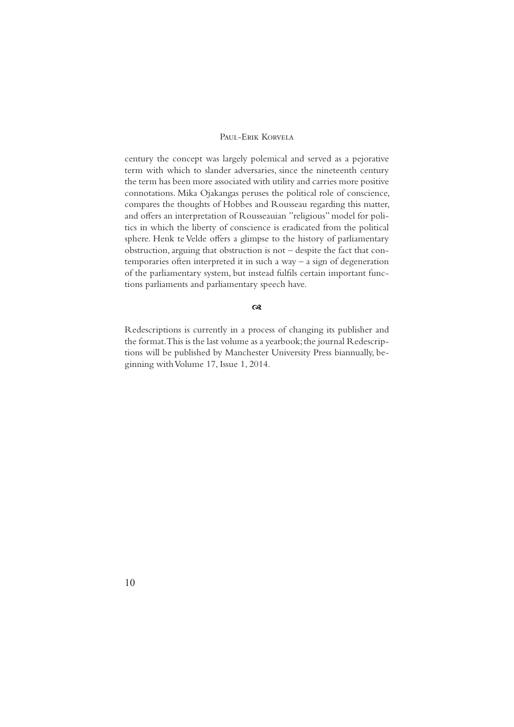#### Paul-Erik Korvela

century the concept was largely polemical and served as a pejorative term with which to slander adversaries, since the nineteenth century the term has been more associated with utility and carries more positive connotations. Mika Ojakangas peruses the political role of conscience, compares the thoughts of Hobbes and Rousseau regarding this matter, and offers an interpretation of Rousseauian "religious" model for politics in which the liberty of conscience is eradicated from the political sphere. Henk te Velde offers a glimpse to the history of parliamentary obstruction, arguing that obstruction is not – despite the fact that contemporaries often interpreted it in such a way – a sign of degeneration of the parliamentary system, but instead fulfils certain important functions parliaments and parliamentary speech have.

#### $\alpha$

Redescriptions is currently in a process of changing its publisher and the format. This is the last volume as a yearbook; the journal Redescriptions will be published by Manchester University Press biannually, beginning with Volume 17, Issue 1, 2014.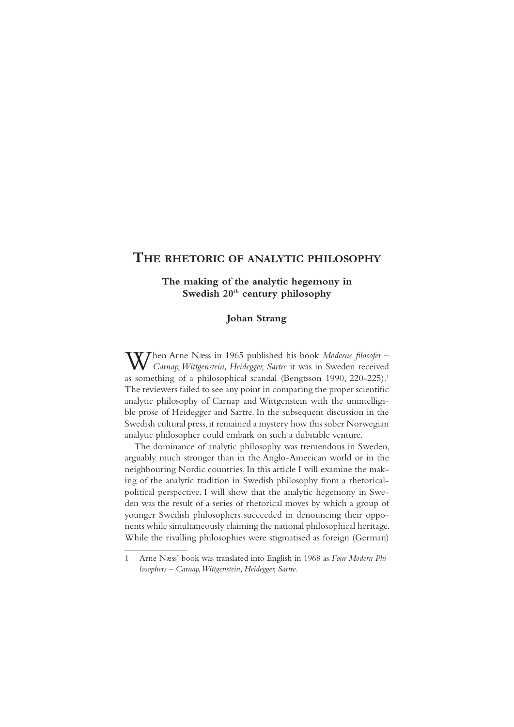## **THE RHETORIC OF ANALYTIC PHILOSOPHY**

#### **The making of the analytic hegemony in Swedish 20th century philosophy**

#### **Johan Strang**

When Arne Næss in 1965 published his book *Moderne filosofer* – *Carnap, Wittgenstein, Heidegger, Sartre* it was in Sweden received as something of a philosophical scandal (Bengtsson 1990, 220-225).1 The reviewers failed to see any point in comparing the proper scientific analytic philosophy of Carnap and Wittgenstein with the unintelligible prose of Heidegger and Sartre. In the subsequent discussion in the Swedish cultural press, it remained a mystery how this sober Norwegian analytic philosopher could embark on such a dubitable venture.

The dominance of analytic philosophy was tremendous in Sweden, arguably much stronger than in the Anglo-American world or in the neighbouring Nordic countries. In this article I will examine the making of the analytic tradition in Swedish philosophy from a rhetoricalpolitical perspective. I will show that the analytic hegemony in Sweden was the result of a series of rhetorical moves by which a group of younger Swedish philosophers succeeded in denouncing their opponents while simultaneously claiming the national philosophical heritage. While the rivalling philosophies were stigmatised as foreign (German)

<sup>1</sup> Arne Næss' book was translated into English in 1968 as *Four Modern Philosophers – Carnap, Wittgenstein, Heidegger, Sartre*.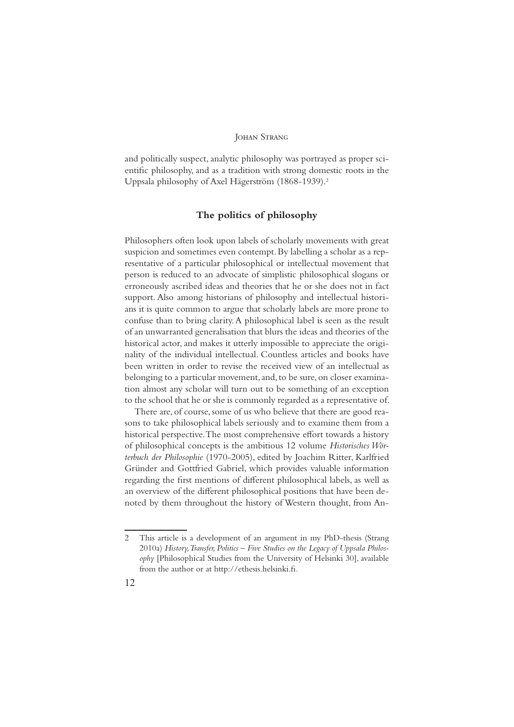and politically suspect, analytic philosophy was portrayed as proper scientific philosophy, and as a tradition with strong domestic roots in the Uppsala philosophy of Axel Hägerström (1868-1939).<sup>2</sup>

#### **The politics of philosophy**

Philosophers often look upon labels of scholarly movements with great suspicion and sometimes even contempt. By labelling a scholar as a representative of a particular philosophical or intellectual movement that person is reduced to an advocate of simplistic philosophical slogans or erroneously ascribed ideas and theories that he or she does not in fact support. Also among historians of philosophy and intellectual historians it is quite common to argue that scholarly labels are more prone to confuse than to bring clarity. A philosophical label is seen as the result of an unwarranted generalisation that blurs the ideas and theories of the historical actor, and makes it utterly impossible to appreciate the originality of the individual intellectual. Countless articles and books have been written in order to revise the received view of an intellectual as belonging to a particular movement, and, to be sure, on closer examination almost any scholar will turn out to be something of an exception to the school that he or she is commonly regarded as a representative of.

There are, of course, some of us who believe that there are good reasons to take philosophical labels seriously and to examine them from a historical perspective. The most comprehensive effort towards a history of philosophical concepts is the ambitious 12 volume *Historisches Wörterbuch der Philosophie* (1970-2005), edited by Joachim Ritter, Karlfried Gründer and Gottfried Gabriel, which provides valuable information regarding the first mentions of different philosophical labels, as well as an overview of the different philosophical positions that have been denoted by them throughout the history of Western thought, from An-

<sup>2</sup> This article is a development of an argument in my PhD-thesis (Strang 2010a) *History, Transfer, Politics – Five Studies on the Legacy of Uppsala Philosophy* [Philosophical Studies from the University of Helsinki 30], available from the author or at http://ethesis.helsinki.fi.

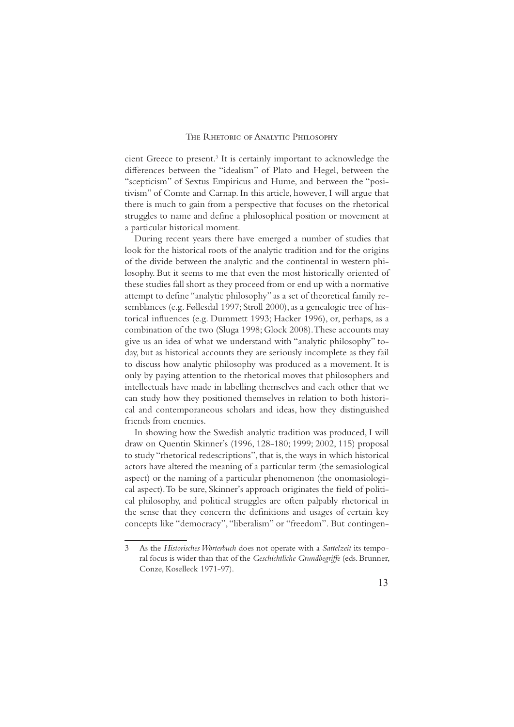cient Greece to present.3 It is certainly important to acknowledge the differences between the "idealism" of Plato and Hegel, between the "scepticism" of Sextus Empiricus and Hume, and between the "positivism" of Comte and Carnap. In this article, however, I will argue that there is much to gain from a perspective that focuses on the rhetorical struggles to name and define a philosophical position or movement at a particular historical moment.

During recent years there have emerged a number of studies that look for the historical roots of the analytic tradition and for the origins of the divide between the analytic and the continental in western philosophy. But it seems to me that even the most historically oriented of these studies fall short as they proceed from or end up with a normative attempt to define "analytic philosophy" as a set of theoretical family resemblances (e.g. Føllesdal 1997; Stroll 2000), as a genealogic tree of historical influences (e.g. Dummett 1993; Hacker 1996), or, perhaps, as a combination of the two (Sluga 1998; Glock 2008). These accounts may give us an idea of what we understand with "analytic philosophy" today, but as historical accounts they are seriously incomplete as they fail to discuss how analytic philosophy was produced as a movement. It is only by paying attention to the rhetorical moves that philosophers and intellectuals have made in labelling themselves and each other that we can study how they positioned themselves in relation to both historical and contemporaneous scholars and ideas, how they distinguished friends from enemies.

In showing how the Swedish analytic tradition was produced, I will draw on Quentin Skinner's (1996, 128-180; 1999; 2002, 115) proposal to study "rhetorical redescriptions", that is, the ways in which historical actors have altered the meaning of a particular term (the semasiological aspect) or the naming of a particular phenomenon (the onomasiological aspect). To be sure, Skinner's approach originates the field of political philosophy, and political struggles are often palpably rhetorical in the sense that they concern the definitions and usages of certain key concepts like "democracy", "liberalism" or "freedom". But contingen-

<sup>3</sup> As the *Historisches Wörterbuch* does not operate with a *Sattelzeit* its temporal focus is wider than that of the *Geschichtliche Grundbegriffe* (eds. Brunner, Conze, Koselleck 1971-97).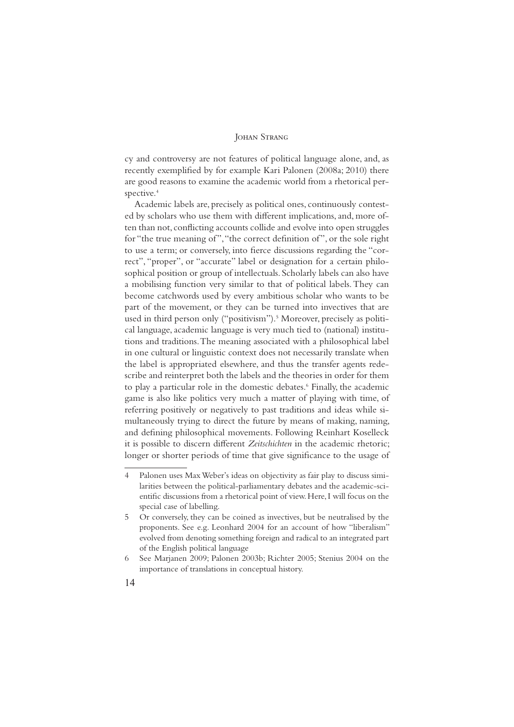cy and controversy are not features of political language alone, and, as recently exemplified by for example Kari Palonen (2008a; 2010) there are good reasons to examine the academic world from a rhetorical perspective.<sup>4</sup>

Academic labels are, precisely as political ones, continuously contested by scholars who use them with different implications, and, more often than not, conflicting accounts collide and evolve into open struggles for "the true meaning of", "the correct definition of", or the sole right to use a term; or conversely, into fierce discussions regarding the "correct", "proper", or "accurate" label or designation for a certain philosophical position or group of intellectuals. Scholarly labels can also have a mobilising function very similar to that of political labels. They can become catchwords used by every ambitious scholar who wants to be part of the movement, or they can be turned into invectives that are used in third person only ("positivism").<sup>5</sup> Moreover, precisely as political language, academic language is very much tied to (national) institutions and traditions. The meaning associated with a philosophical label in one cultural or linguistic context does not necessarily translate when the label is appropriated elsewhere, and thus the transfer agents redescribe and reinterpret both the labels and the theories in order for them to play a particular role in the domestic debates.<sup>6</sup> Finally, the academic game is also like politics very much a matter of playing with time, of referring positively or negatively to past traditions and ideas while simultaneously trying to direct the future by means of making, naming, and defining philosophical movements. Following Reinhart Koselleck it is possible to discern different *Zeitschichten* in the academic rhetoric; longer or shorter periods of time that give significance to the usage of

<sup>4</sup> Palonen uses Max Weber's ideas on objectivity as fair play to discuss similarities between the political-parliamentary debates and the academic-scientific discussions from a rhetorical point of view. Here, I will focus on the special case of labelling.

<sup>5</sup> Or conversely, they can be coined as invectives, but be neutralised by the proponents. See e.g. Leonhard 2004 for an account of how "liberalism" evolved from denoting something foreign and radical to an integrated part of the English political language

<sup>6</sup> See Marjanen 2009; Palonen 2003b; Richter 2005; Stenius 2004 on the importance of translations in conceptual history.

<sup>14</sup>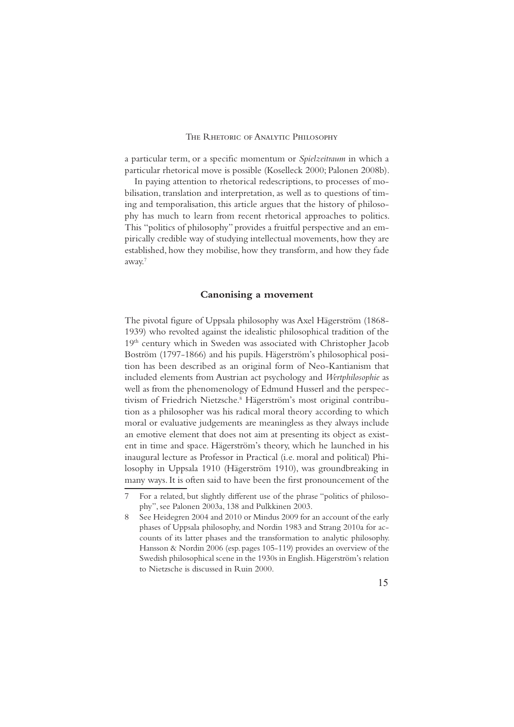a particular term, or a specific momentum or *Spielzeitraum* in which a particular rhetorical move is possible (Koselleck 2000; Palonen 2008b).

In paying attention to rhetorical redescriptions, to processes of mobilisation, translation and interpretation, as well as to questions of timing and temporalisation, this article argues that the history of philosophy has much to learn from recent rhetorical approaches to politics. This "politics of philosophy" provides a fruitful perspective and an empirically credible way of studying intellectual movements, how they are established, how they mobilise, how they transform, and how they fade away.7

#### **Canonising a movement**

The pivotal figure of Uppsala philosophy was Axel Hägerström (1868-1939) who revolted against the idealistic philosophical tradition of the  $19<sup>th</sup>$  century which in Sweden was associated with Christopher Jacob Boström (1797-1866) and his pupils. Hägerström's philosophical position has been described as an original form of Neo-Kantianism that included elements from Austrian act psychology and *Wertphilosophie* as well as from the phenomenology of Edmund Husserl and the perspectivism of Friedrich Nietzsche.<sup>8</sup> Hägerström's most original contribution as a philosopher was his radical moral theory according to which moral or evaluative judgements are meaningless as they always include an emotive element that does not aim at presenting its object as existent in time and space. Hägerström's theory, which he launched in his inaugural lecture as Professor in Practical (i.e. moral and political) Philosophy in Uppsala 1910 (Hägerström 1910), was groundbreaking in many ways. It is often said to have been the first pronouncement of the

<sup>7</sup> For a related, but slightly different use of the phrase "politics of philosophy", see Palonen 2003a, 138 and Pulkkinen 2003.

<sup>8</sup> See Heidegren 2004 and 2010 or Mindus 2009 for an account of the early phases of Uppsala philosophy, and Nordin 1983 and Strang 2010a for accounts of its latter phases and the transformation to analytic philosophy. Hansson & Nordin 2006 (esp. pages 105-119) provides an overview of the Swedish philosophical scene in the 1930s in English. Hägerström's relation to Nietzsche is discussed in Ruin 2000.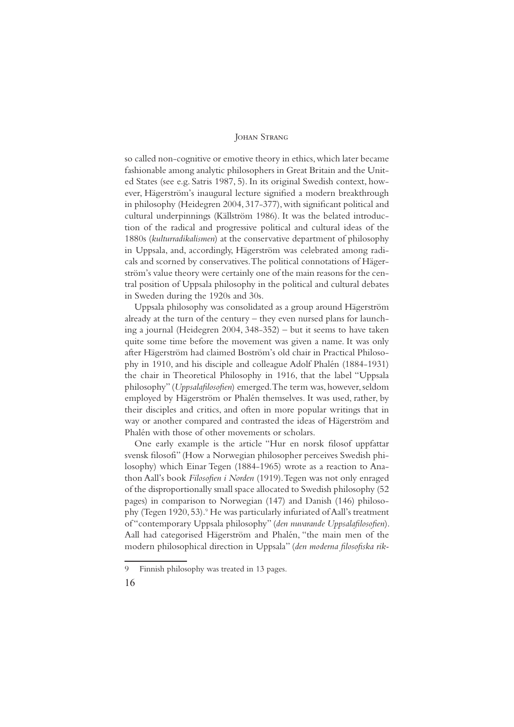so called non-cognitive or emotive theory in ethics, which later became fashionable among analytic philosophers in Great Britain and the United States (see e.g. Satris 1987, 5). In its original Swedish context, however, Hägerström's inaugural lecture signified a modern breakthrough in philosophy (Heidegren 2004, 317-377), with significant political and cultural underpinnings (Källström 1986). It was the belated introduction of the radical and progressive political and cultural ideas of the 1880s (*kulturradikalismen*) at the conservative department of philosophy in Uppsala, and, accordingly, Hägerström was celebrated among radicals and scorned by conservatives. The political connotations of Hägerström's value theory were certainly one of the main reasons for the central position of Uppsala philosophy in the political and cultural debates in Sweden during the 1920s and 30s.

Uppsala philosophy was consolidated as a group around Hägerström already at the turn of the century – they even nursed plans for launching a journal (Heidegren 2004, 348-352) – but it seems to have taken quite some time before the movement was given a name. It was only after Hägerström had claimed Boström's old chair in Practical Philosophy in 1910, and his disciple and colleague Adolf Phalén (1884-1931) the chair in Theoretical Philosophy in 1916, that the label "Uppsala philosophy" (*Uppsalafilosofien*) emerged. The term was, however, seldom employed by Hägerström or Phalén themselves. It was used, rather, by their disciples and critics, and often in more popular writings that in way or another compared and contrasted the ideas of Hägerström and Phalén with those of other movements or scholars.

One early example is the article "Hur en norsk filosof uppfattar svensk filosofi" (How a Norwegian philosopher perceives Swedish philosophy) which Einar Tegen (1884-1965) wrote as a reaction to Anathon Aall's book Filosofien i Norden (1919). Tegen was not only enraged of the disproportionally small space allocated to Swedish philosophy (52 pages) in comparison to Norwegian (147) and Danish (146) philosophy (Tegen 1920, 53).<sup>9</sup> He was particularly infuriated of Aall's treatment of "contemporary Uppsala philosophy" (den nuvarande Uppsalafilosofien). Aall had categorised Hägerström and Phalén, "the main men of the modern philosophical direction in Uppsala" (den moderna filosofiska rik-

<sup>9</sup> Finnish philosophy was treated in 13 pages.

<sup>16</sup>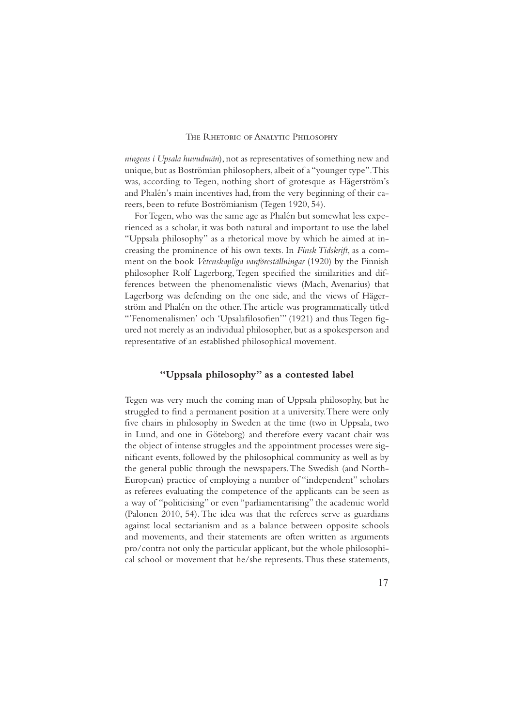*ningens i Upsala huvudmän*), not as representatives of something new and unique, but as Boströmian philosophers, albeit of a "younger type". This was, according to Tegen, nothing short of grotesque as Hägerström's and Phalén's main incentives had, from the very beginning of their careers, been to refute Boströmianism (Tegen 1920, 54).

For Tegen, who was the same age as Phalén but somewhat less experienced as a scholar, it was both natural and important to use the label "Uppsala philosophy" as a rhetorical move by which he aimed at increasing the prominence of his own texts. In *Finsk Tidskrift*, as a comment on the book *Vetenskapliga vanföreställningar* (1920) by the Finnish philosopher Rolf Lagerborg, Tegen specified the similarities and differences between the phenomenalistic views (Mach, Avenarius) that Lagerborg was defending on the one side, and the views of Hägerström and Phalén on the other. The article was programmatically titled "'Fenomenalismen' och 'Upsalafilosofien'" (1921) and thus Tegen figured not merely as an individual philosopher, but as a spokesperson and representative of an established philosophical movement.

#### **"Uppsala philosophy" as a contested label**

Tegen was very much the coming man of Uppsala philosophy, but he struggled to find a permanent position at a university. There were only five chairs in philosophy in Sweden at the time (two in Uppsala, two in Lund, and one in Göteborg) and therefore every vacant chair was the object of intense struggles and the appointment processes were significant events, followed by the philosophical community as well as by the general public through the newspapers. The Swedish (and North-European) practice of employing a number of "independent" scholars as referees evaluating the competence of the applicants can be seen as a way of "politicising" or even "parliamentarising" the academic world (Palonen 2010, 54). The idea was that the referees serve as guardians against local sectarianism and as a balance between opposite schools and movements, and their statements are often written as arguments pro/contra not only the particular applicant, but the whole philosophical school or movement that he/she represents. Thus these statements,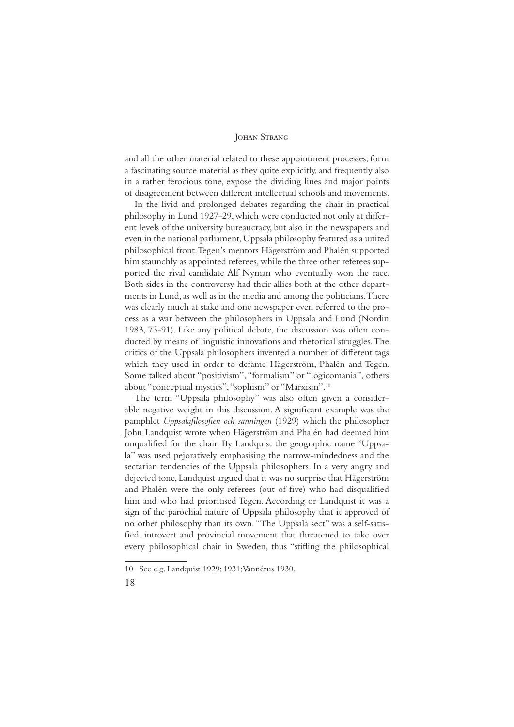and all the other material related to these appointment processes, form a fascinating source material as they quite explicitly, and frequently also in a rather ferocious tone, expose the dividing lines and major points of disagreement between different intellectual schools and movements.

In the livid and prolonged debates regarding the chair in practical philosophy in Lund 1927-29, which were conducted not only at different levels of the university bureaucracy, but also in the newspapers and even in the national parliament, Uppsala philosophy featured as a united philosophical front. Tegen's mentors Hägerström and Phalén supported him staunchly as appointed referees, while the three other referees supported the rival candidate Alf Nyman who eventually won the race. Both sides in the controversy had their allies both at the other departments in Lund, as well as in the media and among the politicians. There was clearly much at stake and one newspaper even referred to the process as a war between the philosophers in Uppsala and Lund (Nordin 1983, 73-91). Like any political debate, the discussion was often conducted by means of linguistic innovations and rhetorical struggles. The critics of the Uppsala philosophers invented a number of different tags which they used in order to defame Hägerström, Phalén and Tegen. Some talked about "positivism", "formalism" or "logicomania", others about "conceptual mystics", "sophism" or "Marxism".10

The term "Uppsala philosophy" was also often given a considerable negative weight in this discussion. A significant example was the pamphlet *Uppsalafilosofien och sanningen* (1929) which the philosopher John Landquist wrote when Hägerström and Phalén had deemed him unqualified for the chair. By Landquist the geographic name "Uppsala" was used pejoratively emphasising the narrow-mindedness and the sectarian tendencies of the Uppsala philosophers. In a very angry and dejected tone, Landquist argued that it was no surprise that Hägerström and Phalén were the only referees (out of five) who had disqualified him and who had prioritised Tegen. According or Landquist it was a sign of the parochial nature of Uppsala philosophy that it approved of no other philosophy than its own. "The Uppsala sect" was a self-satisfied, introvert and provincial movement that threatened to take over every philosophical chair in Sweden, thus "stifling the philosophical

<sup>10</sup> See e.g. Landquist 1929; 1931; Vannérus 1930.

<sup>18</sup>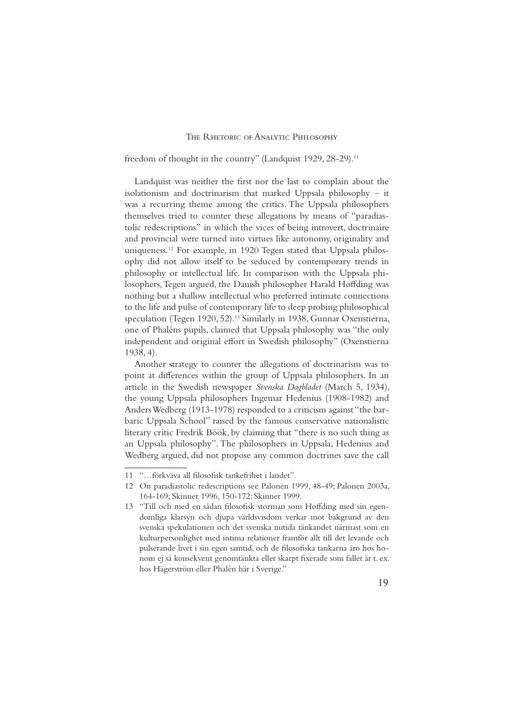freedom of thought in the country" (Landquist 1929, 28-29).<sup>11</sup>

Landquist was neither the first nor the last to complain about the isolationism and doctrinarism that marked Uppsala philosophy – it was a recurring theme among the critics. The Uppsala philosophers themselves tried to counter these allegations by means of "paradiastolic redescriptions" in which the vices of being introvert, doctrinaire and provincial were turned into virtues like autonomy, originality and uniqueness.12 For example, in 1920 Tegen stated that Uppsala philosophy did not allow itself to be seduced by contemporary trends in philosophy or intellectual life. In comparison with the Uppsala philosophers, Tegen argued, the Danish philosopher Harald Høffding was nothing but a shallow intellectual who preferred intimate connections to the life and pulse of contemporary life to deep probing philosophical speculation (Tegen 1920, 52).<sup>13</sup> Similarly in 1938, Gunnar Oxenstierna, one of Phaléns pupils, claimed that Uppsala philosophy was "the only independent and original effort in Swedish philosophy" (Oxenstierna 1938, 4).

Another strategy to counter the allegations of doctrinarism was to point at differences within the group of Uppsala philosophers. In an article in the Swedish newspaper *Svenska Dagbladet* (March 5, 1934), the young Uppsala philosophers Ingemar Hedenius (1908-1982) and Anders Wedberg (1913-1978) responded to a criticism against "the barbaric Uppsala School" raised by the famous conservative nationalistic literary critic Fredrik Böök, by claiming that "there is no such thing as an Uppsala philosophy". The philosophers in Uppsala, Hedenius and Wedberg argued, did not propose any common doctrines save the call

<sup>11 &</sup>quot;...förkväva all filosofisk tankefrihet i landet".

<sup>12</sup> On paradiastolic redescriptions see Palonen 1999, 48-49; Palonen 2003a, 164-169; Skinner 1996, 150-172; Skinner 1999.

<sup>13 &</sup>quot;Till och med en sådan filosofisk storman som Høffding med sin egendomliga klarsyn och djupa världsvisdom verkar mot bakgrund av den svenska spekulationen och det svenska nutida tänkandet närmast som en kulturpersonlighet med intima relationer framför allt till det levande och pulserande livet i sin egen samtid, och de filosofiska tankarna äro hos honom ej så konsekvent genomtänkta eller skarpt fixerade som fallet är t. ex. hos Hägerström eller Phalén här i Sverige."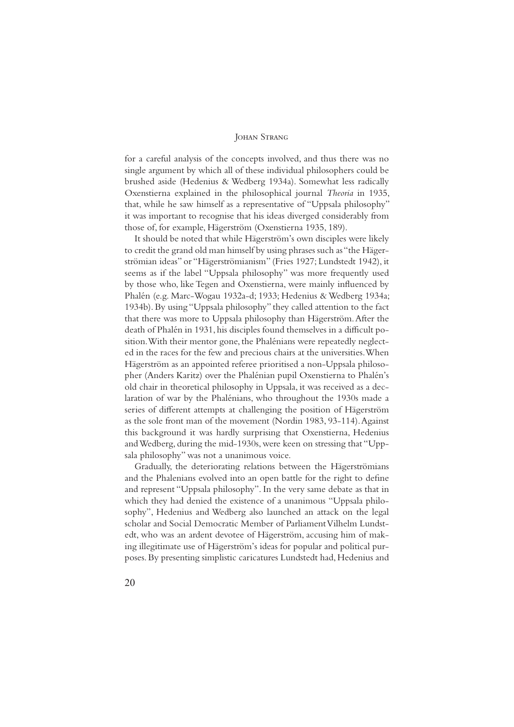for a careful analysis of the concepts involved, and thus there was no single argument by which all of these individual philosophers could be brushed aside (Hedenius & Wedberg 1934a). Somewhat less radically Oxenstierna explained in the philosophical journal *Theoria* in 1935, that, while he saw himself as a representative of "Uppsala philosophy" it was important to recognise that his ideas diverged considerably from those of, for example, Hägerström (Oxenstierna 1935, 189).

It should be noted that while Hägerström's own disciples were likely to credit the grand old man himself by using phrases such as "the Hägerströmian ideas" or "Hägerströmianism" (Fries 1927; Lundstedt 1942), it seems as if the label "Uppsala philosophy" was more frequently used by those who, like Tegen and Oxenstierna, were mainly influenced by Phalén (e.g. Marc-Wogau 1932a-d; 1933; Hedenius & Wedberg 1934a; 1934b). By using "Uppsala philosophy" they called attention to the fact that there was more to Uppsala philosophy than Hägerström. After the death of Phalén in 1931, his disciples found themselves in a difficult position. With their mentor gone, the Phalénians were repeatedly neglected in the races for the few and precious chairs at the universities. When Hägerström as an appointed referee prioritised a non-Uppsala philosopher (Anders Karitz) over the Phalénian pupil Oxenstierna to Phalén's old chair in theoretical philosophy in Uppsala, it was received as a declaration of war by the Phalénians, who throughout the 1930s made a series of different attempts at challenging the position of Hägerström as the sole front man of the movement (Nordin 1983, 93-114). Against this background it was hardly surprising that Oxenstierna, Hedenius and Wedberg, during the mid-1930s, were keen on stressing that "Uppsala philosophy" was not a unanimous voice.

Gradually, the deteriorating relations between the Hägerströmians and the Phalenians evolved into an open battle for the right to define and represent "Uppsala philosophy". In the very same debate as that in which they had denied the existence of a unanimous "Uppsala philosophy", Hedenius and Wedberg also launched an attack on the legal scholar and Social Democratic Member of Parliament Vilhelm Lundstedt, who was an ardent devotee of Hägerström, accusing him of making illegitimate use of Hägerström's ideas for popular and political purposes. By presenting simplistic caricatures Lundstedt had, Hedenius and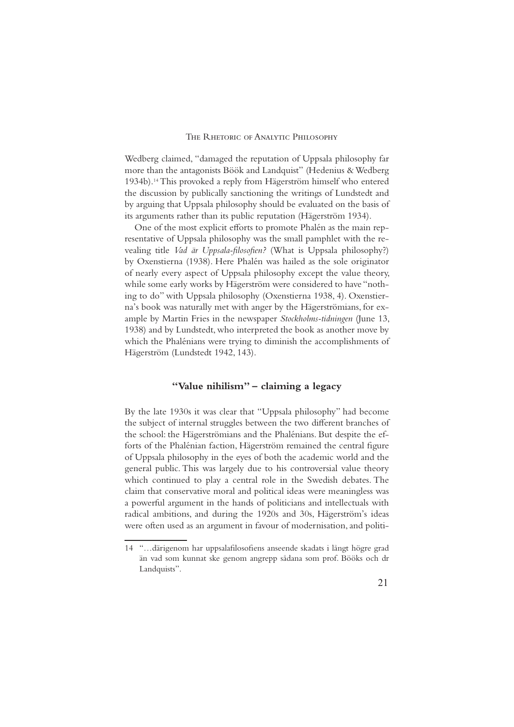Wedberg claimed, "damaged the reputation of Uppsala philosophy far more than the antagonists Böök and Landquist" (Hedenius & Wedberg 1934b).14 This provoked a reply from Hägerström himself who entered the discussion by publically sanctioning the writings of Lundstedt and by arguing that Uppsala philosophy should be evaluated on the basis of its arguments rather than its public reputation (Hägerström 1934).

One of the most explicit efforts to promote Phalén as the main representative of Uppsala philosophy was the small pamphlet with the revealing title *Vad är Uppsala-filosofien?* (What is Uppsala philosophy?) by Oxenstierna (1938). Here Phalén was hailed as the sole originator of nearly every aspect of Uppsala philosophy except the value theory, while some early works by Hägerström were considered to have "nothing to do" with Uppsala philosophy (Oxenstierna 1938, 4). Oxenstierna's book was naturally met with anger by the Hägerströmians, for example by Martin Fries in the newspaper *Stockholms-tidningen* (June 13, 1938) and by Lundstedt, who interpreted the book as another move by which the Phalénians were trying to diminish the accomplishments of Hägerström (Lundstedt 1942, 143).

#### **"Value nihilism" – claiming a legacy**

By the late 1930s it was clear that "Uppsala philosophy" had become the subject of internal struggles between the two different branches of the school: the Hägerströmians and the Phalénians. But despite the efforts of the Phalénian faction, Hägerström remained the central figure of Uppsala philosophy in the eyes of both the academic world and the general public. This was largely due to his controversial value theory which continued to play a central role in the Swedish debates. The claim that conservative moral and political ideas were meaningless was a powerful argument in the hands of politicians and intellectuals with radical ambitions, and during the 1920s and 30s, Hägerström's ideas were often used as an argument in favour of modernisation, and politi-

<sup>14 &</sup>quot;…därigenom har uppsalafilosofiens anseende skadats i långt högre grad än vad som kunnat ske genom angrepp sådana som prof. Bööks och dr Landquists".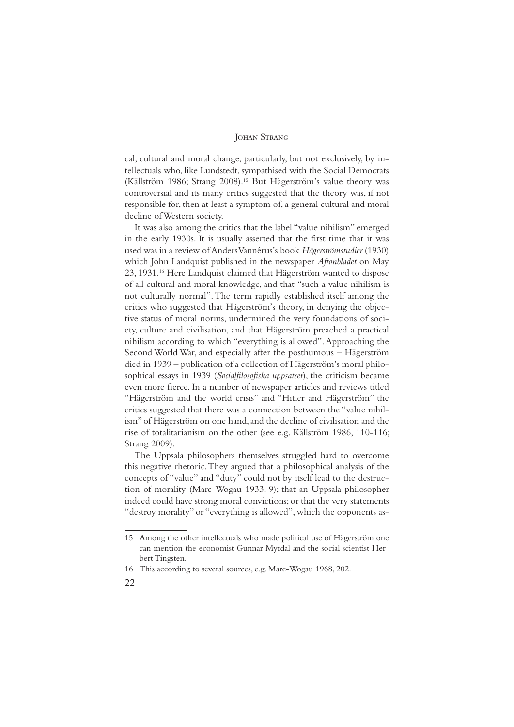cal, cultural and moral change, particularly, but not exclusively, by intellectuals who, like Lundstedt, sympathised with the Social Democrats (Källström 1986; Strang 2008).15 But Hägerström's value theory was controversial and its many critics suggested that the theory was, if not responsible for, then at least a symptom of, a general cultural and moral decline of Western society.

It was also among the critics that the label "value nihilism" emerged in the early 1930s. It is usually asserted that the first time that it was used was in a review of Anders Vannérus's book *Hägerströmstudier* (1930) which John Landquist published in the newspaper *Aftonbladet* on May 23, 1931.16 Here Landquist claimed that Hägerström wanted to dispose of all cultural and moral knowledge, and that "such a value nihilism is not culturally normal". The term rapidly established itself among the critics who suggested that Hägerström's theory, in denying the objective status of moral norms, undermined the very foundations of society, culture and civilisation, and that Hägerström preached a practical nihilism according to which "everything is allowed". Approaching the Second World War, and especially after the posthumous – Hägerström died in 1939 – publication of a collection of Hägerström's moral philosophical essays in 1939 (*Socialfilosofiska uppsatser*), the criticism became even more fierce. In a number of newspaper articles and reviews titled "Hägerström and the world crisis" and "Hitler and Hägerström" the critics suggested that there was a connection between the "value nihilism" of Hägerström on one hand, and the decline of civilisation and the rise of totalitarianism on the other (see e.g. Källström 1986, 110-116; Strang 2009).

The Uppsala philosophers themselves struggled hard to overcome this negative rhetoric. They argued that a philosophical analysis of the concepts of "value" and "duty" could not by itself lead to the destruction of morality (Marc-Wogau 1933, 9); that an Uppsala philosopher indeed could have strong moral convictions; or that the very statements "destroy morality" or "everything is allowed", which the opponents as-

<sup>15</sup> Among the other intellectuals who made political use of Hägerström one can mention the economist Gunnar Myrdal and the social scientist Herbert Tingsten.

<sup>16</sup> This according to several sources, e.g. Marc-Wogau 1968, 202.

<sup>22</sup>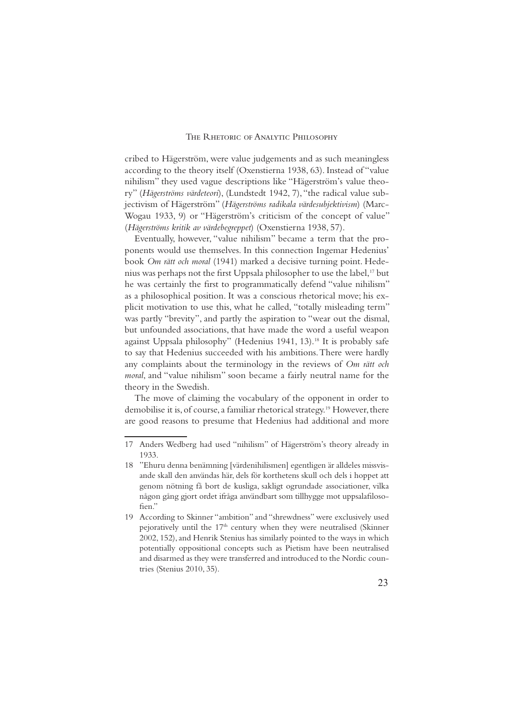cribed to Hägerström, were value judgements and as such meaningless according to the theory itself (Oxenstierna 1938, 63). Instead of "value nihilism" they used vague descriptions like "Hägerström's value theory" (*Hägerströms värdeteori*), (Lundstedt 1942, 7), "the radical value subjectivism of Hägerström" (*Hägerströms radikala värdesubjektivism*) (Marc-Wogau 1933, 9) or "Hägerström's criticism of the concept of value" (*Hägerströms kritik av värdebegreppet*) (Oxenstierna 1938, 57).

Eventually, however, "value nihilism" became a term that the proponents would use themselves. In this connection Ingemar Hedenius' book *Om rätt och moral* (1941) marked a decisive turning point. Hedenius was perhaps not the first Uppsala philosopher to use the label,<sup>17</sup> but he was certainly the first to programmatically defend "value nihilism" as a philosophical position. It was a conscious rhetorical move; his explicit motivation to use this, what he called, "totally misleading term" was partly "brevity", and partly the aspiration to "wear out the dismal, but unfounded associations, that have made the word a useful weapon against Uppsala philosophy" (Hedenius 1941, 13).<sup>18</sup> It is probably safe to say that Hedenius succeeded with his ambitions. There were hardly any complaints about the terminology in the reviews of *Om rätt och moral*, and "value nihilism" soon became a fairly neutral name for the theory in the Swedish.

The move of claiming the vocabulary of the opponent in order to demobilise it is, of course, a familiar rhetorical strategy.19 However, there are good reasons to presume that Hedenius had additional and more

<sup>19</sup> According to Skinner "ambition" and "shrewdness" were exclusively used pejoratively until the 17<sup>th</sup> century when they were neutralised (Skinner 2002, 152), and Henrik Stenius has similarly pointed to the ways in which potentially oppositional concepts such as Pietism have been neutralised and disarmed as they were transferred and introduced to the Nordic countries (Stenius 2010, 35).



<sup>17</sup> Anders Wedberg had used "nihilism" of Hägerström's theory already in 1933.

<sup>18 &</sup>quot;Ehuru denna benämning [värdenihilismen] egentligen är alldeles missvisande skall den användas här, dels för korthetens skull och dels i hoppet att genom nötning få bort de kusliga, sakligt ogrundade associationer, vilka någon gång gjort ordet ifråga användbart som tillhygge mot uppsalafilosofien."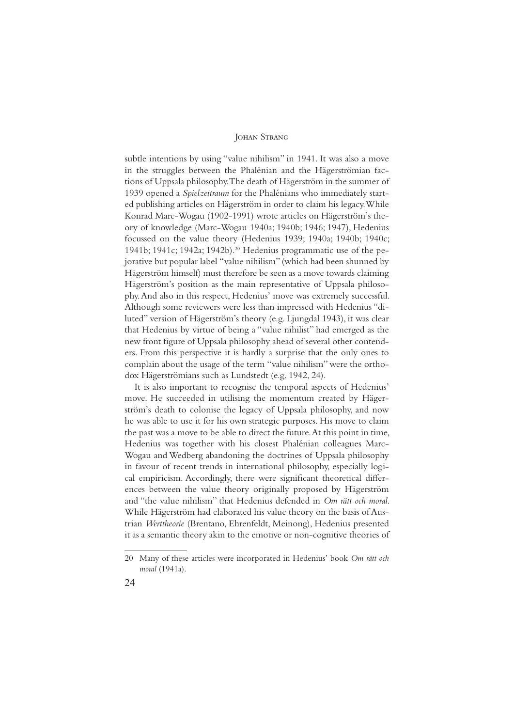subtle intentions by using "value nihilism" in 1941. It was also a move in the struggles between the Phalénian and the Hägerströmian factions of Uppsala philosophy. The death of Hägerström in the summer of 1939 opened a *Spielzeitraum* for the Phalénians who immediately started publishing articles on Hägerström in order to claim his legacy. While Konrad Marc-Wogau (1902-1991) wrote articles on Hägerström's theory of knowledge (Marc-Wogau 1940a; 1940b; 1946; 1947), Hedenius focussed on the value theory (Hedenius 1939; 1940a; 1940b; 1940c; 1941b; 1941c; 1942a; 1942b).20 Hedenius programmatic use of the pejorative but popular label "value nihilism" (which had been shunned by Hägerström himself) must therefore be seen as a move towards claiming Hägerström's position as the main representative of Uppsala philosophy. And also in this respect, Hedenius' move was extremely successful. Although some reviewers were less than impressed with Hedenius "diluted" version of Hägerström's theory (e.g. Ljungdal 1943), it was clear that Hedenius by virtue of being a "value nihilist" had emerged as the new front figure of Uppsala philosophy ahead of several other contenders. From this perspective it is hardly a surprise that the only ones to complain about the usage of the term "value nihilism" were the orthodox Hägerströmians such as Lundstedt (e.g. 1942, 24).

It is also important to recognise the temporal aspects of Hedenius' move. He succeeded in utilising the momentum created by Hägerström's death to colonise the legacy of Uppsala philosophy, and now he was able to use it for his own strategic purposes. His move to claim the past was a move to be able to direct the future. At this point in time, Hedenius was together with his closest Phalénian colleagues Marc-Wogau and Wedberg abandoning the doctrines of Uppsala philosophy in favour of recent trends in international philosophy, especially logical empiricism. Accordingly, there were significant theoretical differences between the value theory originally proposed by Hägerström and "the value nihilism" that Hedenius defended in *Om rätt och moral*. While Hägerström had elaborated his value theory on the basis of Austrian *Werttheorie* (Brentano, Ehrenfeldt, Meinong), Hedenius presented it as a semantic theory akin to the emotive or non-cognitive theories of

<sup>20</sup> Many of these articles were incorporated in Hedenius' book *Om rätt och moral* (1941a).

 $24$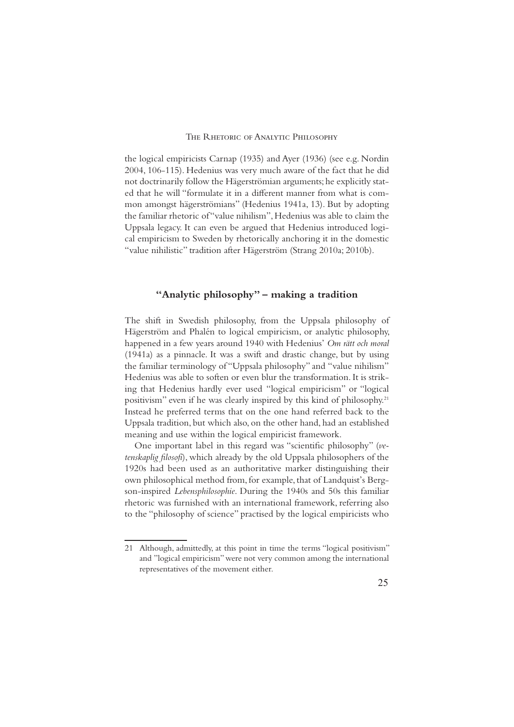the logical empiricists Carnap (1935) and Ayer (1936) (see e.g. Nordin 2004, 106-115). Hedenius was very much aware of the fact that he did not doctrinarily follow the Hägerströmian arguments; he explicitly stated that he will "formulate it in a different manner from what is common amongst hägerströmians" (Hedenius 1941a, 13). But by adopting the familiar rhetoric of "value nihilism", Hedenius was able to claim the Uppsala legacy. It can even be argued that Hedenius introduced logical empiricism to Sweden by rhetorically anchoring it in the domestic "value nihilistic" tradition after Hägerström (Strang 2010a; 2010b).

#### **"Analytic philosophy" – making a tradition**

The shift in Swedish philosophy, from the Uppsala philosophy of Hägerström and Phalén to logical empiricism, or analytic philosophy, happened in a few years around 1940 with Hedenius' *Om rätt och moral*  (1941a) as a pinnacle. It was a swift and drastic change, but by using the familiar terminology of "Uppsala philosophy" and "value nihilism" Hedenius was able to soften or even blur the transformation. It is striking that Hedenius hardly ever used "logical empiricism" or "logical positivism" even if he was clearly inspired by this kind of philosophy.<sup>21</sup> Instead he preferred terms that on the one hand referred back to the Uppsala tradition, but which also, on the other hand, had an established meaning and use within the logical empiricist framework.

One important label in this regard was "scientific philosophy" (vetenskaplig filosofi), which already by the old Uppsala philosophers of the 1920s had been used as an authoritative marker distinguishing their own philosophical method from, for example, that of Landquist's Bergson-inspired *Lebensphilosophie*. During the 1940s and 50s this familiar rhetoric was furnished with an international framework, referring also to the "philosophy of science" practised by the logical empiricists who

<sup>21</sup> Although, admittedly, at this point in time the terms "logical positivism" and "logical empiricism" were not very common among the international representatives of the movement either.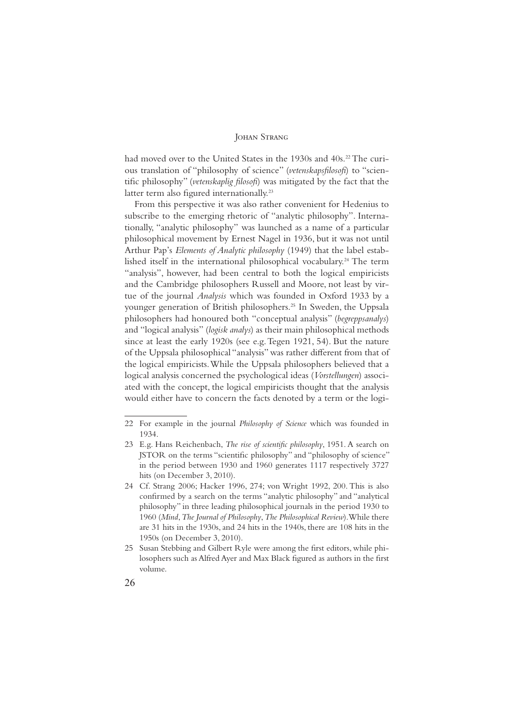had moved over to the United States in the 1930s and 40s.<sup>22</sup> The curious translation of "philosophy of science" (*vetenskapsfilosofi*) to "scientific philosophy" (*vetenskaplig filosofi*) was mitigated by the fact that the latter term also figured internationally.<sup>23</sup>

From this perspective it was also rather convenient for Hedenius to subscribe to the emerging rhetoric of "analytic philosophy". Internationally, "analytic philosophy" was launched as a name of a particular philosophical movement by Ernest Nagel in 1936, but it was not until Arthur Pap's *Elements of Analytic philosophy* (1949) that the label established itself in the international philosophical vocabulary.24 The term "analysis", however, had been central to both the logical empiricists and the Cambridge philosophers Russell and Moore, not least by virtue of the journal *Analysis* which was founded in Oxford 1933 by a younger generation of British philosophers.25 In Sweden, the Uppsala philosophers had honoured both "conceptual analysis" (*begreppsanalys*) and "logical analysis" (*logisk analys*) as their main philosophical methods since at least the early 1920s (see e.g. Tegen 1921, 54). But the nature of the Uppsala philosophical "analysis" was rather different from that of the logical empiricists. While the Uppsala philosophers believed that a logical analysis concerned the psychological ideas (*Vorstellungen*) associated with the concept, the logical empiricists thought that the analysis would either have to concern the facts denoted by a term or the logi-

<sup>22</sup> For example in the journal *Philosophy of Science* which was founded in 1934.

<sup>23</sup> E.g. Hans Reichenbach, *The rise of scientific philosophy*, 1951. A search on JSTOR on the terms "scientific philosophy" and "philosophy of science" in the period between 1930 and 1960 generates 1117 respectively 3727 hits (on December 3, 2010).

<sup>24</sup> Cf. Strang 2006; Hacker 1996, 274; von Wright 1992, 200. This is also confirmed by a search on the terms "analytic philosophy" and "analytical philosophy" in three leading philosophical journals in the period 1930 to 1960 (*Mind*, *The Journal of Philosophy*, *The Philosophical Review*). While there are 31 hits in the 1930s, and 24 hits in the 1940s, there are 108 hits in the 1950s (on December 3, 2010).

<sup>25</sup> Susan Stebbing and Gilbert Ryle were among the first editors, while philosophers such as Alfred Ayer and Max Black figured as authors in the first volume.

<sup>26</sup>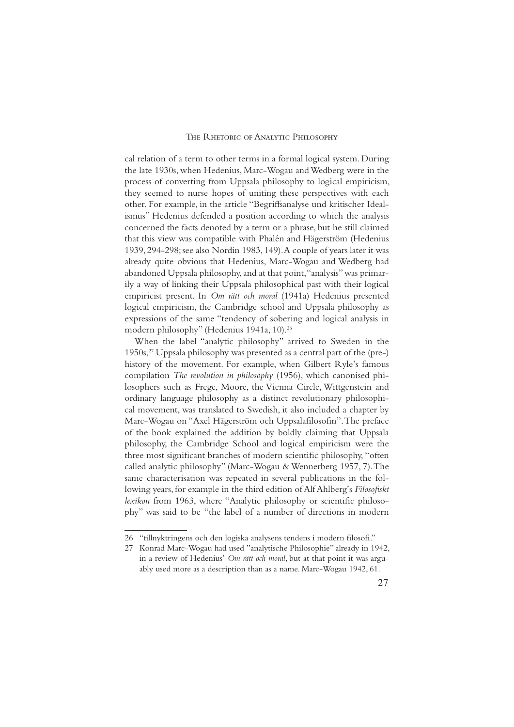cal relation of a term to other terms in a formal logical system. During the late 1930s, when Hedenius, Marc-Wogau and Wedberg were in the process of converting from Uppsala philosophy to logical empiricism, they seemed to nurse hopes of uniting these perspectives with each other. For example, in the article "Begriffsanalyse und kritischer Idealismus" Hedenius defended a position according to which the analysis concerned the facts denoted by a term or a phrase, but he still claimed that this view was compatible with Phalén and Hägerström (Hedenius 1939, 294-298; see also Nordin 1983, 149). A couple of years later it was already quite obvious that Hedenius, Marc-Wogau and Wedberg had abandoned Uppsala philosophy, and at that point, "analysis" was primarily a way of linking their Uppsala philosophical past with their logical empiricist present. In *Om rätt och moral* (1941a) Hedenius presented logical empiricism, the Cambridge school and Uppsala philosophy as expressions of the same "tendency of sobering and logical analysis in modern philosophy" (Hedenius 1941a, 10).<sup>26</sup>

When the label "analytic philosophy" arrived to Sweden in the  $1950s$ ,<sup>27</sup> Uppsala philosophy was presented as a central part of the (pre-) history of the movement. For example, when Gilbert Ryle's famous compilation *The revolution in philosophy* (1956), which canonised philosophers such as Frege, Moore, the Vienna Circle, Wittgenstein and ordinary language philosophy as a distinct revolutionary philosophical movement, was translated to Swedish, it also included a chapter by Marc-Wogau on "Axel Hägerström och Uppsalafilosofin". The preface of the book explained the addition by boldly claiming that Uppsala philosophy, the Cambridge School and logical empiricism were the three most significant branches of modern scientific philosophy, "often called analytic philosophy" (Marc-Wogau & Wennerberg 1957, 7). The same characterisation was repeated in several publications in the following years, for example in the third edition of Alf Ahlberg's Filosofiskt *lexikon* from 1963, where "Analytic philosophy or scientific philosophy" was said to be "the label of a number of directions in modern

<sup>26 &</sup>quot;tillnyktringens och den logiska analysens tendens i modern filosofi."

<sup>27</sup> Konrad Marc-Wogau had used "analytische Philosophie" already in 1942, in a review of Hedenius' *Om rätt och moral*, but at that point it was arguably used more as a description than as a name. Marc-Wogau 1942, 61.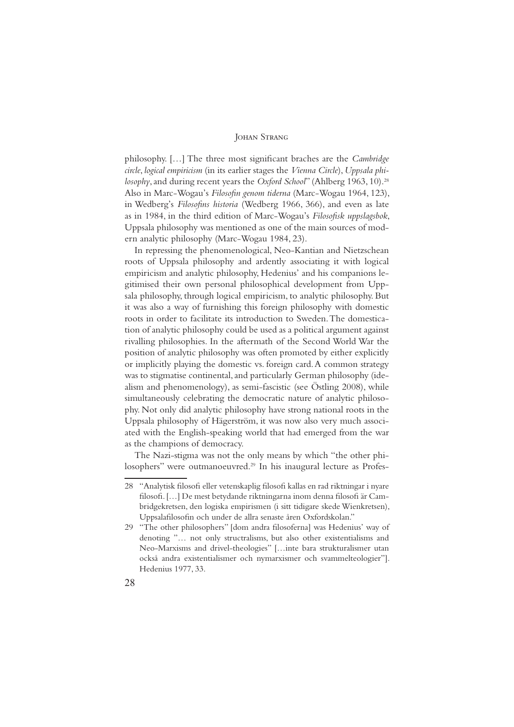philosophy. [...] The three most significant braches are the *Cambridge circle*, *logical empiricism* (in its earlier stages the *Vienna Circle*), *Uppsala philosophy*, and during recent years the *Oxford School*" (Ahlberg 1963, 10).<sup>28</sup> Also in Marc-Wogau's *Filosofin genom tiderna* (Marc-Wogau 1964, 123), in Wedberg's *Filosofins historia* (Wedberg 1966, 366), and even as late as in 1984, in the third edition of Marc-Wogau's Filosofisk uppslagsbok, Uppsala philosophy was mentioned as one of the main sources of modern analytic philosophy (Marc-Wogau 1984, 23).

In repressing the phenomenological, Neo-Kantian and Nietzschean roots of Uppsala philosophy and ardently associating it with logical empiricism and analytic philosophy, Hedenius' and his companions legitimised their own personal philosophical development from Uppsala philosophy, through logical empiricism, to analytic philosophy. But it was also a way of furnishing this foreign philosophy with domestic roots in order to facilitate its introduction to Sweden. The domestication of analytic philosophy could be used as a political argument against rivalling philosophies. In the aftermath of the Second World War the position of analytic philosophy was often promoted by either explicitly or implicitly playing the domestic vs. foreign card. A common strategy was to stigmatise continental, and particularly German philosophy (idealism and phenomenology), as semi-fascistic (see Östling 2008), while simultaneously celebrating the democratic nature of analytic philosophy. Not only did analytic philosophy have strong national roots in the Uppsala philosophy of Hägerström, it was now also very much associated with the English-speaking world that had emerged from the war as the champions of democracy.

The Nazi-stigma was not the only means by which "the other philosophers" were outmanoeuvred.<sup>29</sup> In his inaugural lecture as Profes-

<sup>28 &</sup>quot;Analytisk filosofi eller vetenskaplig filosofi kallas en rad riktningar i nyare filosofi. [...] De mest betydande riktningarna inom denna filosofi är Cambridgekretsen, den logiska empirismen (i sitt tidigare skede Wienkretsen), Uppsalafilosofin och under de allra senaste åren Oxfordskolan."

<sup>29 &</sup>quot;The other philosophers" [dom andra filosoferna] was Hedenius' way of denoting "… not only structralisms, but also other existentialisms and Neo-Marxisms and drivel-theologies" […inte bara strukturalismer utan också andra existentialismer och nymarxismer och svammelteologier"]. Hedenius 1977, 33.

<sup>28</sup>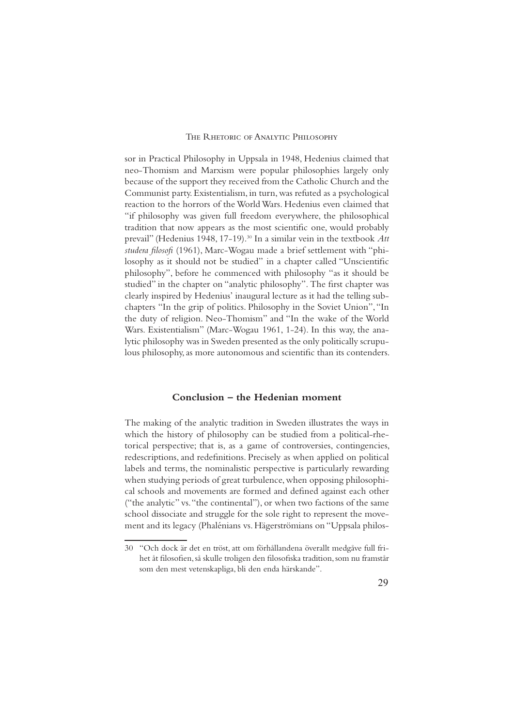sor in Practical Philosophy in Uppsala in 1948, Hedenius claimed that neo-Thomism and Marxism were popular philosophies largely only because of the support they received from the Catholic Church and the Communist party. Existentialism, in turn, was refuted as a psychological reaction to the horrors of the World Wars. Hedenius even claimed that "if philosophy was given full freedom everywhere, the philosophical tradition that now appears as the most scientific one, would probably prevail" (Hedenius 1948, 17-19).<sup>30</sup> In a similar vein in the textbook Att *studera fi losofi* (1961), Marc-Wogau made a brief settlement with "philosophy as it should not be studied" in a chapter called "Unscientific philosophy", before he commenced with philosophy "as it should be studied" in the chapter on "analytic philosophy". The first chapter was clearly inspired by Hedenius' inaugural lecture as it had the telling subchapters "In the grip of politics. Philosophy in the Soviet Union", "In the duty of religion. Neo-Thomism" and "In the wake of the World Wars. Existentialism" (Marc-Wogau 1961, 1-24). In this way, the analytic philosophy was in Sweden presented as the only politically scrupulous philosophy, as more autonomous and scientific than its contenders.

#### **Conclusion – the Hedenian moment**

The making of the analytic tradition in Sweden illustrates the ways in which the history of philosophy can be studied from a political-rhetorical perspective; that is, as a game of controversies, contingencies, redescriptions, and redefinitions. Precisely as when applied on political labels and terms, the nominalistic perspective is particularly rewarding when studying periods of great turbulence, when opposing philosophical schools and movements are formed and defined against each other ("the analytic" vs. "the continental"), or when two factions of the same school dissociate and struggle for the sole right to represent the movement and its legacy (Phalénians vs. Hägerströmians on "Uppsala philos-

<sup>30 &</sup>quot;Och dock är det en tröst, att om förhållandena överallt medgåve full frihet åt filosofien, så skulle troligen den filosofiska tradition, som nu framstår som den mest vetenskapliga, bli den enda härskande".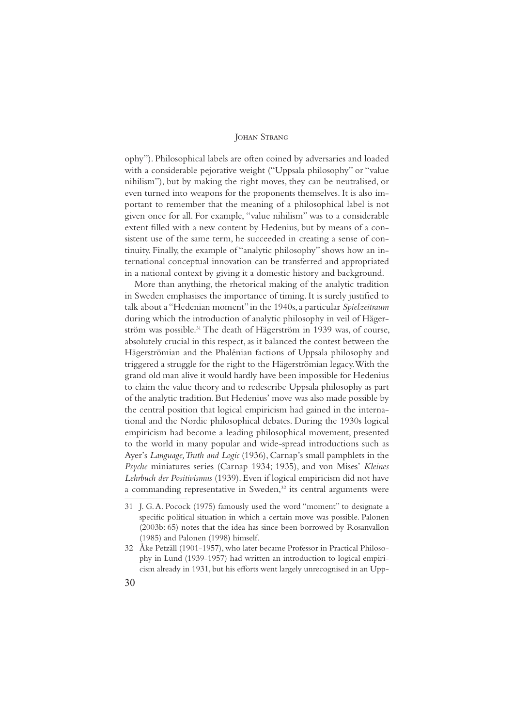ophy"). Philosophical labels are often coined by adversaries and loaded with a considerable pejorative weight ("Uppsala philosophy" or "value nihilism"), but by making the right moves, they can be neutralised, or even turned into weapons for the proponents themselves. It is also important to remember that the meaning of a philosophical label is not given once for all. For example, "value nihilism" was to a considerable extent filled with a new content by Hedenius, but by means of a consistent use of the same term, he succeeded in creating a sense of continuity. Finally, the example of "analytic philosophy" shows how an international conceptual innovation can be transferred and appropriated in a national context by giving it a domestic history and background.

More than anything, the rhetorical making of the analytic tradition in Sweden emphasises the importance of timing. It is surely justified to talk about a "Hedenian moment" in the 1940s, a particular *Spielzeitraum* during which the introduction of analytic philosophy in veil of Hägerström was possible.31 The death of Hägerström in 1939 was, of course, absolutely crucial in this respect, as it balanced the contest between the Hägerströmian and the Phalénian factions of Uppsala philosophy and triggered a struggle for the right to the Hägerströmian legacy. With the grand old man alive it would hardly have been impossible for Hedenius to claim the value theory and to redescribe Uppsala philosophy as part of the analytic tradition. But Hedenius' move was also made possible by the central position that logical empiricism had gained in the international and the Nordic philosophical debates. During the 1930s logical empiricism had become a leading philosophical movement, presented to the world in many popular and wide-spread introductions such as Ayer's *Language, Truth and Logic* (1936), Carnap's small pamphlets in the *Psyche* miniatures series (Carnap 1934; 1935), and von Mises' *Kleines Lehrbuch der Positivismus* (1939). Even if logical empiricism did not have a commanding representative in Sweden,<sup>32</sup> its central arguments were

<sup>31</sup> J. G. A. Pocock (1975) famously used the word "moment" to designate a specific political situation in which a certain move was possible. Palonen (2003b: 65) notes that the idea has since been borrowed by Rosanvallon (1985) and Palonen (1998) himself.

<sup>32</sup> Åke Petzäll (1901-1957), who later became Professor in Practical Philosophy in Lund (1939-1957) had written an introduction to logical empiricism already in 1931, but his efforts went largely unrecognised in an Upp-

<sup>30</sup>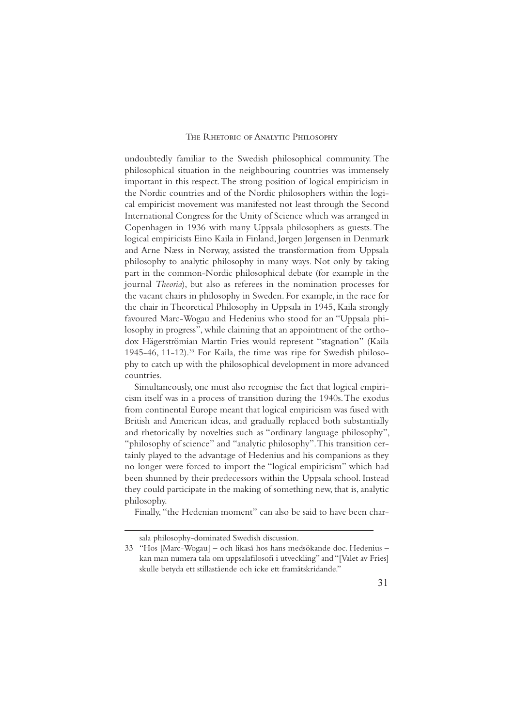undoubtedly familiar to the Swedish philosophical community. The philosophical situation in the neighbouring countries was immensely important in this respect. The strong position of logical empiricism in the Nordic countries and of the Nordic philosophers within the logical empiricist movement was manifested not least through the Second International Congress for the Unity of Science which was arranged in Copenhagen in 1936 with many Uppsala philosophers as guests. The logical empiricists Eino Kaila in Finland, Jørgen Jørgensen in Denmark and Arne Næss in Norway, assisted the transformation from Uppsala philosophy to analytic philosophy in many ways. Not only by taking part in the common-Nordic philosophical debate (for example in the journal *Theoria*), but also as referees in the nomination processes for the vacant chairs in philosophy in Sweden. For example, in the race for the chair in Theoretical Philosophy in Uppsala in 1945, Kaila strongly favoured Marc-Wogau and Hedenius who stood for an "Uppsala philosophy in progress", while claiming that an appointment of the orthodox Hägerströmian Martin Fries would represent "stagnation" (Kaila 1945-46, 11-12).<sup>33</sup> For Kaila, the time was ripe for Swedish philosophy to catch up with the philosophical development in more advanced countries.

Simultaneously, one must also recognise the fact that logical empiricism itself was in a process of transition during the 1940s. The exodus from continental Europe meant that logical empiricism was fused with British and American ideas, and gradually replaced both substantially and rhetorically by novelties such as "ordinary language philosophy", "philosophy of science" and "analytic philosophy". This transition certainly played to the advantage of Hedenius and his companions as they no longer were forced to import the "logical empiricism" which had been shunned by their predecessors within the Uppsala school. Instead they could participate in the making of something new, that is, analytic philosophy.

Finally, "the Hedenian moment" can also be said to have been char-

sala philosophy-dominated Swedish discussion.

<sup>33 &</sup>quot;Hos [Marc-Wogau] – och likaså hos hans medsökande doc. Hedenius – kan man numera tala om uppsalafilosofi i utveckling" and "[Valet av Fries] skulle betyda ett stillastående och icke ett framåtskridande."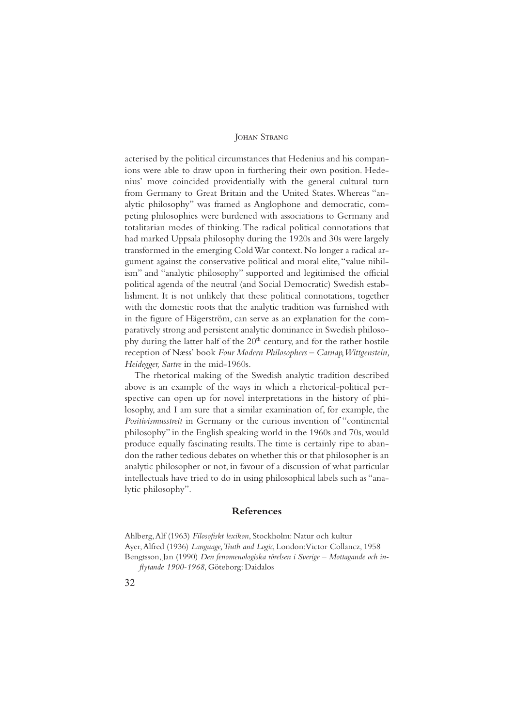acterised by the political circumstances that Hedenius and his companions were able to draw upon in furthering their own position. Hedenius' move coincided providentially with the general cultural turn from Germany to Great Britain and the United States. Whereas "analytic philosophy" was framed as Anglophone and democratic, competing philosophies were burdened with associations to Germany and totalitarian modes of thinking. The radical political connotations that had marked Uppsala philosophy during the 1920s and 30s were largely transformed in the emerging Cold War context. No longer a radical argument against the conservative political and moral elite, "value nihilism" and "analytic philosophy" supported and legitimised the official political agenda of the neutral (and Social Democratic) Swedish establishment. It is not unlikely that these political connotations, together with the domestic roots that the analytic tradition was furnished with in the figure of Hägerström, can serve as an explanation for the comparatively strong and persistent analytic dominance in Swedish philosophy during the latter half of the  $20<sup>th</sup>$  century, and for the rather hostile reception of Næss' book *Four Modern Philosophers – Carnap, Wittgenstein, Heidegger, Sartre* in the mid-1960s.

The rhetorical making of the Swedish analytic tradition described above is an example of the ways in which a rhetorical-political perspective can open up for novel interpretations in the history of philosophy, and I am sure that a similar examination of, for example, the *Positivismusstreit* in Germany or the curious invention of "continental philosophy" in the English speaking world in the 1960s and 70s, would produce equally fascinating results. The time is certainly ripe to abandon the rather tedious debates on whether this or that philosopher is an analytic philosopher or not, in favour of a discussion of what particular intellectuals have tried to do in using philosophical labels such as "analytic philosophy".

#### **References**

Ahlberg, Alf (1963) *Filosofiskt lexikon*, Stockholm: Natur och kultur Ayer, Alfred (1936) *Language, Truth and Logic*, London: Victor Collancz, 1958 Bengtsson, Jan (1990) *Den fenomenologiska rörelsen i Sverige – Mottagande och infl ytande 1900-1968*, Göteborg: Daidalos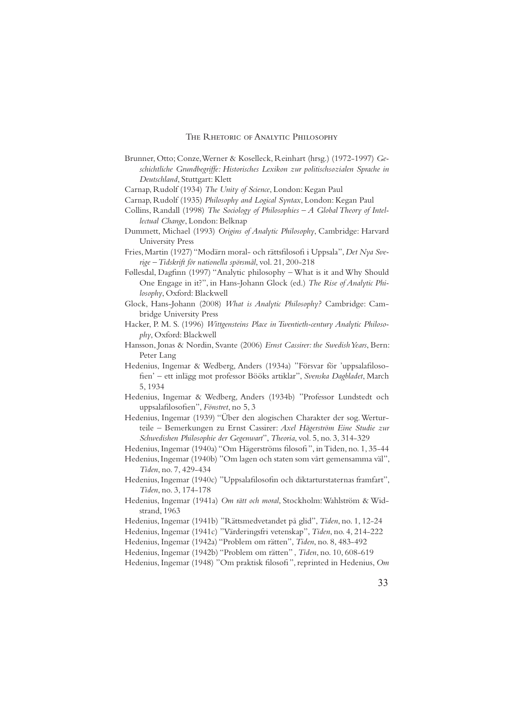Brunner, Otto; Conze, Werner & Koselleck, Reinhart (hrsg.) (1972-1997) *Ge*schichtliche Grundbegriffe: Historisches Lexikon zur politischsozialen Sprache in *Deutschland*, Stuttgart: Klett

Carnap, Rudolf (1934) *The Unity of Science*, London: Kegan Paul

- Collins, Randall (1998) *The Sociology of Philosophies A Global Theory of Intellectual Change*, London: Belknap
- Dummett, Michael (1993) *Origins of Analytic Philosophy*, Cambridge: Harvard University Press
- Fries, Martin (1927) "Modärn moral- och rättsfilosofi i Uppsala", *Det Nya Sverige – Tidskrift för nationella spörsmål*, vol. 21, 200-218
- Føllesdal, Dagfinn (1997) "Analytic philosophy What is it and Why Should One Engage in it?", in Hans-Johann Glock (ed.) *The Rise of Analytic Philosophy*, Oxford: Blackwell
- Glock, Hans-Johann (2008) *What is Analytic Philosophy?* Cambridge: Cambridge University Press
- Hacker, P. M. S. (1996) *Wittgensteins Place in Twentieth-century Analytic Philosophy*, Oxford: Blackwell
- Hansson, Jonas & Nordin, Svante (2006) *Ernst Cassirer: the Swedish Years*, Bern: Peter Lang
- Hedenius, Ingemar & Wedberg, Anders (1934a) "Försvar för 'uppsalafilosofien' – ett inlägg mot professor Bööks artiklar", *Svenska Dagbladet*, March 5, 1934
- Hedenius, Ingemar & Wedberg, Anders (1934b) "Professor Lundstedt och uppsalafilosofien", *Fönstret*, no 5, 3
- Hedenius, Ingemar (1939) "Über den alogischen Charakter der sog. Werturteile – Bemerkungen zu Ernst Cassirer: *Axel Hägerström Eine Studie zur Schwedishen Philosophie der Gegenwart*", *Theoria*, vol. 5, no. 3, 314-329
- Hedenius, Ingemar (1940a) "Om Hägerströms filosofi", in Tiden, no. 1, 35-44 Hedenius, Ingemar (1940b) "Om lagen och staten som vårt gemensamma väl",

*Tiden*, no. 7, 429-434

- Hedenius, Ingemar (1940c) "Uppsalafilosofin och diktarturstaternas framfart", *Tiden*, no. 3, 174-178
- Hedenius, Ingemar (1941a) *Om rätt och moral*, Stockholm: Wahlström & Widstrand, 1963

- Hedenius, Ingemar (1941c) "Värderingsfri vetenskap", *Tiden*, no. 4, 214-222
- Hedenius, Ingemar (1942a) "Problem om rätten", *Tiden*, no. 8, 483-492
- Hedenius, Ingemar (1942b) "Problem om rätten" , *Tiden*, no. 10, 608-619
- Hedenius, Ingemar (1948) "Om praktisk filosofi", reprinted in Hedenius, Om

Carnap, Rudolf (1935) *Philosophy and Logical Syntax*, London: Kegan Paul

Hedenius, Ingemar (1941b) "Rättsmedvetandet på glid", *Tiden*, no. 1, 12-24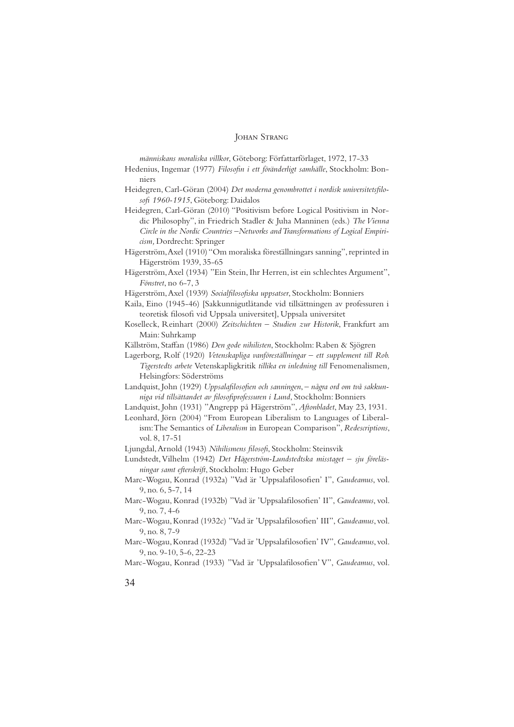*människans moraliska villkor*, Göteborg: Författarförlaget, 1972, 17-33

- Hedenius, Ingemar (1977) *Filosofin i ett föränderligt samhälle*, Stockholm: Bonniers
- Heidegren, Carl-Göran (2004) Det moderna genombrottet i nordisk universitetsfilo*sofi 1960-1915*, Göteborg: Daidalos
- Heidegren, Carl-Göran (2010) "Positivism before Logical Positivism in Nordic Philosophy", in Friedrich Stadler & Juha Manninen (eds.) *The Vienna Circle in the Nordic Countries –Networks and Transformations of Logical Empiricism,* Dordrecht: Springer
- Hägerström, Axel (1910) "Om moraliska föreställningars sanning", reprinted in Hägerström 1939, 35-65
- Hägerström, Axel (1934) "Ein Stein, Ihr Herren, ist ein schlechtes Argument", *Fönstret*, no 6-7, 3
- Hägerström, Axel (1939) Socialfilosofiska uppsatser, Stockholm: Bonniers
- Kaila, Eino (1945-46) [Sakkunnigutlåtande vid tillsättningen av professuren i teoretisk filosofi vid Uppsala universitet], Uppsala universitet
- Koselleck, Reinhart (2000) *Zeitschichten Studien zur Historik*, Frankfurt am Main: Suhrkamp
- Källström, Staffan (1986) *Den gode nihilisten*, Stockholm: Raben & Sjögren
- Lagerborg, Rolf (1920) *Vetenskapliga vanföreställningar ett supplement till Rob. Tigerstedts arbete* Vetenskapligkritik *tillika en inledning till* Fenomenalismen*,*  Helsingfors: Söderströms
- Landquist, John (1929) Uppsalafilosofien och sanningen, några ord om två sakkun*niga vid tillsättandet av fi losofi professuren i Lund*, Stockholm: Bonniers
- Landquist, John (1931) "Angrepp på Hägerström", *Aftonbladet*, May 23, 1931.
- Leonhard, Jörn (2004) "From European Liberalism to Languages of Liberalism: The Semantics of *Liberalism* in European Comparison", *Redescriptions*, vol. 8, 17-51

Ljungdal, Arnold (1943) *Nihilismens filosofi*, Stockholm: Steinsvik

- Lundstedt, Vilhelm (1942) *Det Hägerström-Lundstedtska misstaget sju föreläsningar samt efterskrift*, Stockholm: Hugo Geber
- Marc-Wogau, Konrad (1932a) "Vad är 'Uppsalafilosofien' I", *Gaudeamus*, vol. 9, no. 6, 5-7, 14
- Marc-Wogau, Konrad (1932b) "Vad är 'Uppsalafilosofien' II", *Gaudeamus*, vol. 9, no. 7, 4-6
- Marc-Wogau, Konrad (1932c) "Vad är 'Uppsalafilosofien' III", *Gaudeamus*, vol. 9, no. 8, 7-9
- Marc-Wogau, Konrad (1932d) "Vad är 'Uppsalafilosofien' IV", *Gaudeamus*, vol. 9, no. 9-10, 5-6, 22-23

Marc-Wogau, Konrad (1933) "Vad är 'Uppsalafilosofien' V", *Gaudeamus*, vol.

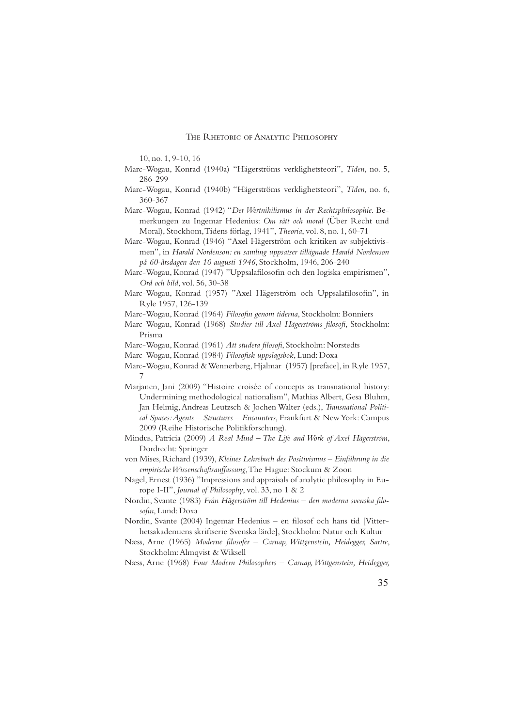#### The Rhetoric of Analytic Philosophy

10, no. 1, 9-10, 16

- Marc-Wogau, Konrad (1940a) "Hägerströms verklighetsteori", *Tiden*, no. 5, 286-299
- Marc-Wogau, Konrad (1940b) "Hägerströms verklighetsteori", *Tiden*, no. 6, 360-367
- Marc-Wogau, Konrad (1942) "*Der Wertnihilismus in der Rechtsphilosophie*. Bemerkungen zu Ingemar Hedenius: *Om rätt och moral* (Über Recht und Moral), Stockhom, Tidens förlag, 1941", *Theoria*, vol. 8, no. 1, 60-71
- Marc-Wogau, Konrad (1946) "Axel Hägerström och kritiken av subjektivismen", in *Harald Nordenson: en samling uppsatser tillägnade Harald Nordenson på 60-årsdagen den 10 augusti 1946*, Stockholm, 1946, 206-240
- Marc-Wogau, Konrad (1947) "Uppsalafilosofin och den logiska empirismen", *Ord och bild*, vol. 56, 30-38
- Marc-Wogau, Konrad (1957) "Axel Hägerström och Uppsalafilosofin", in Ryle 1957, 126-139
- Marc-Wogau, Konrad (1964) *Filosofin genom tiderna*, Stockholm: Bonniers
- Marc-Wogau, Konrad (1968) Studier till Axel Hägerströms filosofi, Stockholm: Prisma
- Marc-Wogau, Konrad (1961) Att studera filosofi, Stockholm: Norstedts

Marc-Wogau, Konrad (1984) *Filosofi sk uppslagsbok*, Lund: Doxa

- Marc-Wogau, Konrad & Wennerberg, Hjalmar (1957) [preface], in Ryle 1957, 7
- Marjanen, Jani (2009) "Histoire croisée of concepts as transnational history: Undermining methodological nationalism", Mathias Albert, Gesa Bluhm, Jan Helmig, Andreas Leutzsch & Jochen Walter (eds.), *Transnational Political Spaces: Agents – Structures – Encounters*, Frankfurt & New York: Campus 2009 (Reihe Historische Politikforschung).
- Mindus, Patricia (2009) *A Real Mind The Life and Work of Axel Hägerström*, Dordrecht: Springer
- von Mises, Richard (1939), *Kleines Lehrebuch des Positivismus Einführung in die empirische Wissenschaftsauff assung*, The Hague: Stockum & Zoon
- Nagel, Ernest (1936) "Impressions and appraisals of analytic philosophy in Europe I-II", *Journal of Philosophy*, vol. 33, no 1 & 2
- Nordin, Svante (1983) Från Hägerström till Hedenius den moderna svenska filosofin, Lund: Doxa
- Nordin, Svante (2004) Ingemar Hedenius en filosof och hans tid [Vitterhetsakademiens skriftserie Svenska lärde], Stockholm: Natur och Kultur
- Næss, Arne (1965) *Moderne filosofer Carnap, Wittgenstein, Heidegger, Sartre,* Stockholm: Almqvist & Wiksell

Næss, Arne (1968) *Four Modern Philosophers – Carnap, Wittgenstein, Heidegger,*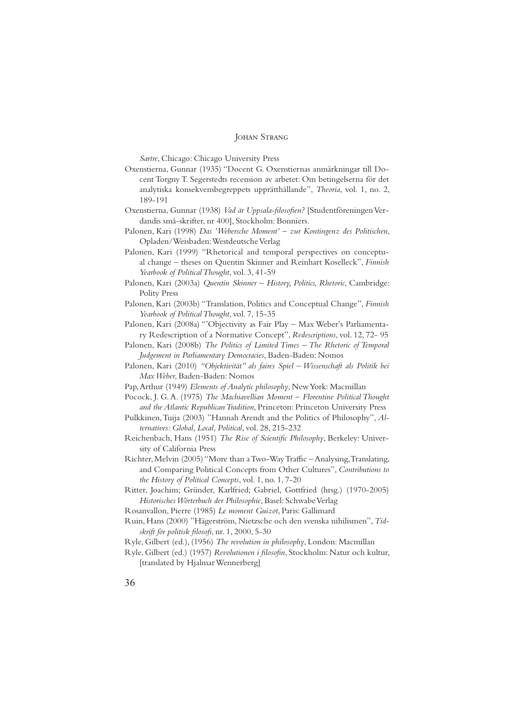#### JOHAN STRANG

*Sartre*, Chicago: Chicago University Press

- Oxenstierna, Gunnar (1935) "Docent G. Oxenstiernas anmärkningar till Docent Torgny T. Segerstedts recension av arbetet: Om betingelserna för det analytiska konsekvensbegreppets upprätthållande", *Theoria*, vol. 1, no. 2, 189-191
- Oxenstierna, Gunnar (1938) *Vad är Uppsala-filosofien?* [Studentföreningen Verdandis små-skrifter, nr 400], Stockholm: Bonniers.
- Palonen, Kari (1998) *Das 'Webersche Moment' zur Kontingenz des Politischen*, Opladen/Weisbaden: Westdeutsche Verlag
- Palonen, Kari (1999) "Rhetorical and temporal perspectives on conceptual change – theses on Quentin Skinner and Reinhart Koselleck", *Finnish Yearbook of Political Thought*, vol. 3, 41-59
- Palonen, Kari (2003a) *Quentin Skinner History, Politics, Rhetoric*, Cambridge: Polity Press
- Palonen, Kari (2003b) "Translation, Politics and Conceptual Change", *Finnish Yearbook of Political Thought*, vol. 7, 15-35
- Palonen, Kari (2008a) "'Objectivity as Fair Play Max Weber's Parliamentary Redescription of a Normative Concept", *Redescriptions*, vol. 12, 72- 95
- Palonen, Kari (2008b) *The Politics of Limited Times The Rhetoric of Temporal Judgement in Parliamentary Democracies*, Baden-Baden: Nomos
- Palonen, Kari (2010) *"Objektivität" als faires Spiel Wissenschaft als Politik bei Max Weber*, Baden-Baden: Nomos
- Pap, Arthur (1949) *Elements of Analytic philosophy*, New York: Macmillan
- Pocock, J. G. A. (1975) *The Machiavellian Moment Florentine Political Thought and the Atlantic Republican Tradition*, Princeton: Princeton University Press
- Pulkkinen, Tuija (2003) "Hannah Arendt and the Politics of Philosophy", *Alternatives: Global, Local, Political*, vol. 28, 215-232
- Reichenbach, Hans (1951) *The Rise of Scientifi c Philosophy*, Berkeley: University of California Press
- Richter, Melvin (2005) "More than a Two-Way Traffic Analysing, Translating, and Comparing Political Concepts from Other Cultures", *Contributions to the History of Political Concepts*, vol. 1, no. 1, 7-20
- Ritter, Joachim; Gründer, Karlfried; Gabriel, Gottfried (hrsg.) (1970-2005) *Historisches Wörterbuch der Philosophie*, Basel: Schwabe Verlag
- Rosanvallon, Pierre (1985) *Le moment Guizot*, Paris: Gallimard
- Ruin, Hans (2000) "Hägerström, Nietzsche och den svenska nihilismen", *Tidskrift för politisk fi losofi* , nr. 1, 2000, 5-30
- Ryle, Gilbert (ed.), (1956) *The revolution in philosophy*, London: Macmillan
- Ryle, Gilbert (ed.) (1957) *Revolutionen i filosofin*, Stockholm: Natur och kultur, [translated by Hjalmar Wennerberg]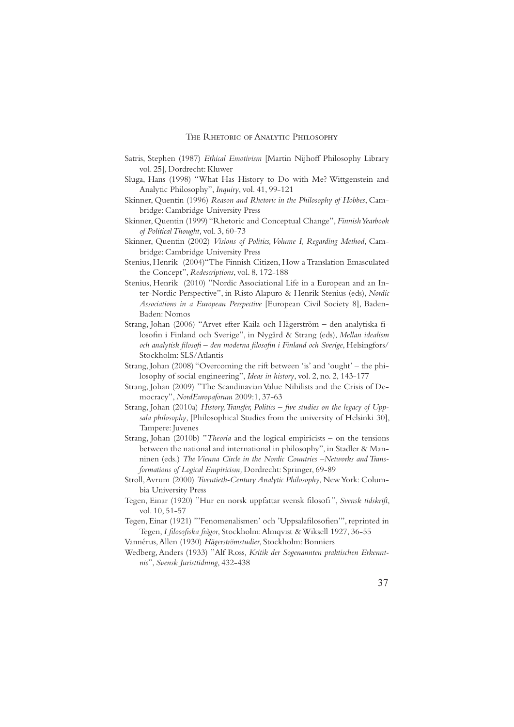#### The Rhetoric of Analytic Philosophy

- Satris, Stephen (1987) *Ethical Emotivism* [Martin Nijhoff Philosophy Library vol. 25], Dordrecht: Kluwer
- Sluga, Hans (1998) "What Has History to Do with Me? Wittgenstein and Analytic Philosophy", *Inquiry*, vol. 41, 99-121
- Skinner, Quentin (1996) *Reason and Rhetoric in the Philosophy of Hobbes*, Cambridge: Cambridge University Press
- Skinner, Quentin (1999) "Rhetoric and Conceptual Change", *Finnish Yearbook of Political Thought,* vol. 3, 60-73
- Skinner, Quentin (2002) *Visions of Politics, Volume I, Regarding Method*, Cambridge: Cambridge University Press
- Stenius, Henrik (2004)"The Finnish Citizen, How a Translation Emasculated the Concept", *Redescriptions*, vol. 8, 172-188
- Stenius, Henrik (2010) "Nordic Associational Life in a European and an Inter-Nordic Perspective", in Risto Alapuro & Henrik Stenius (eds), *Nordic Associations in a European Perspective* [European Civil Society 8], Baden-Baden: Nomos
- Strang, Johan (2006) "Arvet efter Kaila och Hägerström den analytiska filosofin i Finland och Sverige", in Nygård & Strang (eds), *Mellan idealism och analytisk fi losofi – den moderna fi losofi n i Finland och Sverige*, Helsingfors/ Stockholm: SLS/Atlantis
- Strang, Johan (2008) "Overcoming the rift between 'is' and 'ought' the philosophy of social engineering", *Ideas in history*, vol. 2, no. 2, 143-177
- Strang, Johan (2009) "The Scandinavian Value Nihilists and the Crisis of Democracy", *NordEuropaforum* 2009:1, 37-63
- Strang, Johan (2010a) *History, Transfer, Politics five studies on the legacy of Uppsala philosophy*, [Philosophical Studies from the university of Helsinki 30], Tampere: Juvenes
- Strang, Johan (2010b) "*Theoria* and the logical empiricists on the tensions between the national and international in philosophy", in Stadler & Manninen (eds.) *The Vienna Circle in the Nordic Countries –Networks and Transformations of Logical Empiricism,* Dordrecht: Springer, 69-89
- Stroll, Avrum (2000) *Twentieth-Century Analytic Philosophy*, New York: Columbia University Press
- Tegen, Einar (1920) "Hur en norsk uppfattar svensk filosofi", *Svensk tidskrift*, vol. 10, 51-57
- Tegen, Einar (1921) "'Fenomenalismen' och 'Uppsalafilosofien'", reprinted in Tegen, *I filosofiska frågor*, Stockholm: Almqvist & Wiksell 1927, 36-55
- Vannérus, Allen (1930) *Hägerströmstudier*, Stockholm: Bonniers
- Wedberg, Anders (1933) "Alf Ross*, Kritik der Sogenannten praktischen Erkenntnis*", *Svensk Juristtidning*, 432-438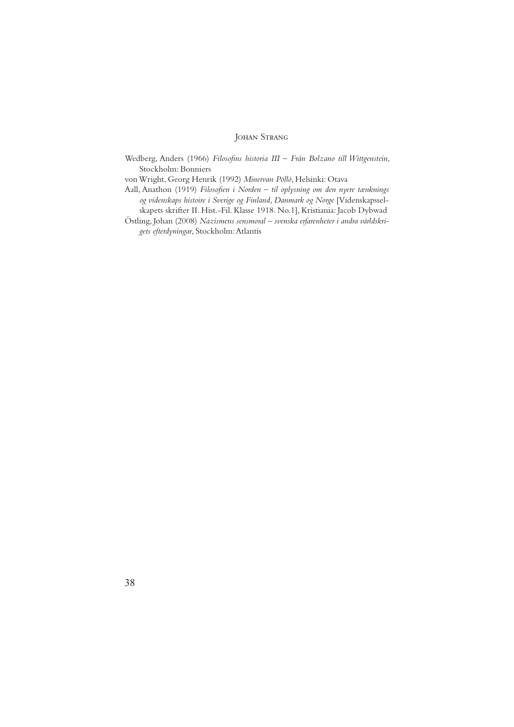# JOHAN STRANG

Wedberg, Anders (1966) *Filosofins historia III – Från Bolzano till Wittgenstein*, Stockholm: Bonniers

von Wright, Georg Henrik (1992) *Minervan Pöllö*, Helsinki: Otava

Aall, Anathon (1919) *Filosofien i Norden – til oplysning om den nyere tænknings og videnskaps histoire i Sverige og Finland, Danmark og Norge* [Videnskapsselskapets skrifter II. Hist.-Fil. Klasse 1918. No.1], Kristiania: Jacob Dybwad

Östling, Johan (2008) *Nazismens sensmoral – svenska erfarenheter i andra världskrigets efterdyningar*, Stockholm: Atlantis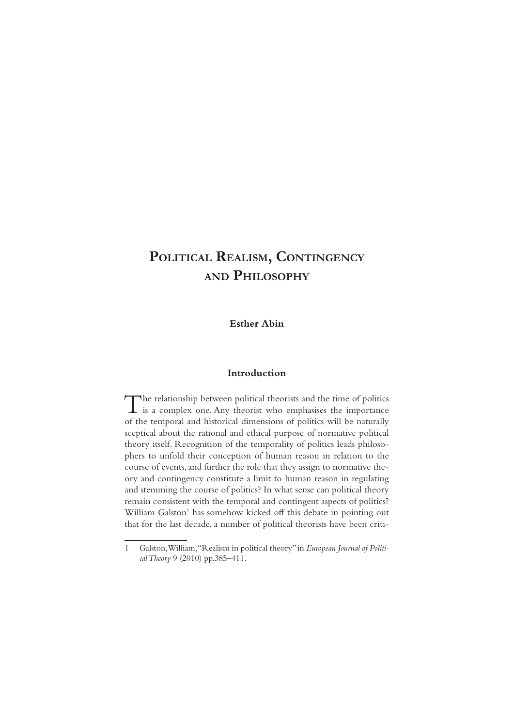# **POLITICAL REALISM, CONTINGENCY AND PHILOSOPHY**

**Esther Abin**

# **Introduction**

The relationship between political theorists and the time of politics is a complex one. Any theorist who emphasises the importance  $\mathcal{L}$ of the temporal and historical dimensions of politics will be naturally sceptical about the rational and ethical purpose of normative political theory itself. Recognition of the temporality of politics leads philosophers to unfold their conception of human reason in relation to the course of events, and further the role that they assign to normative theory and contingency constitute a limit to human reason in regulating and stemming the course of politics? In what sense can political theory remain consistent with the temporal and contingent aspects of politics? William Galston<sup>1</sup> has somehow kicked off this debate in pointing out that for the last decade, a number of political theorists have been criti-

<sup>1</sup> Galston, William, "Realism in political theory" in *European Journal of Political Theory* 9 (2010) pp.385–411.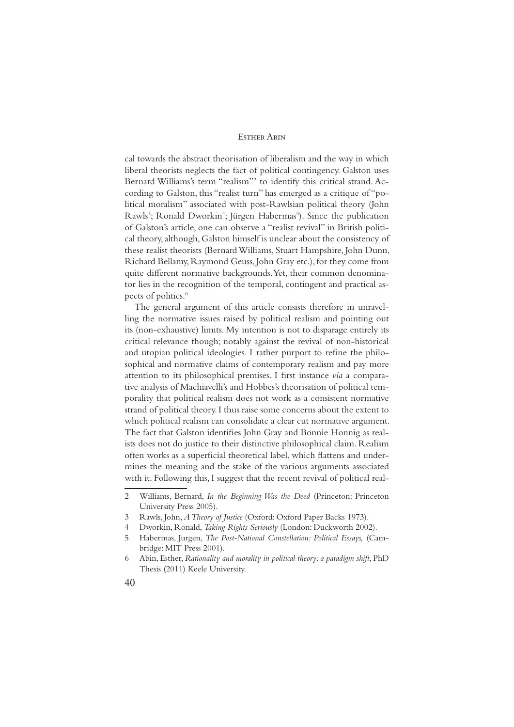cal towards the abstract theorisation of liberalism and the way in which liberal theorists neglects the fact of political contingency. Galston uses Bernard Williams's term "realism"2 to identify this critical strand. According to Galston, this "realist turn" has emerged as a critique of "political moralism" associated with post-Rawlsian political theory (John Rawls<sup>3</sup>; Ronald Dworkin<sup>4</sup>; Jürgen Habermas<sup>5</sup>). Since the publication of Galston's article, one can observe a "realist revival" in British political theory, although, Galston himself is unclear about the consistency of these realist theorists (Bernard Williams, Stuart Hampshire, John Dunn, Richard Bellamy, Raymond Geuss, John Gray etc.), for they come from quite different normative backgrounds. Yet, their common denominator lies in the recognition of the temporal, contingent and practical aspects of politics.<sup>6</sup>

The general argument of this article consists therefore in unravelling the normative issues raised by political realism and pointing out its (non-exhaustive) limits. My intention is not to disparage entirely its critical relevance though; notably against the revival of non-historical and utopian political ideologies. I rather purport to refine the philosophical and normative claims of contemporary realism and pay more attention to its philosophical premises. I first instance *via* a comparative analysis of Machiavelli's and Hobbes's theorisation of political temporality that political realism does not work as a consistent normative strand of political theory. I thus raise some concerns about the extent to which political realism can consolidate a clear cut normative argument. The fact that Galston identifies John Gray and Bonnie Honnig as realists does not do justice to their distinctive philosophical claim. Realism often works as a superficial theoretical label, which flattens and undermines the meaning and the stake of the various arguments associated with it. Following this, I suggest that the recent revival of political real-

<sup>2</sup> Williams, Bernard, *In the Beginning Was the Deed* (Princeton: Princeton University Press 2005).

<sup>3</sup> Rawls, John, *A Theory of Justice* (Oxford: Oxford Paper Backs 1973).

<sup>4</sup> Dworkin, Ronald, *Taking Rights Seriously* (London: Duckworth 2002).

<sup>5</sup> Habermas, Jurgen, *The Post-National Constellation: Political Essays,* (Cambridge: MIT Press 2001).

<sup>6</sup> Abin, Esther, *Rationality and morality in political theory: a paradigm shift*, PhD Thesis (2011) Keele University.

<sup>40</sup>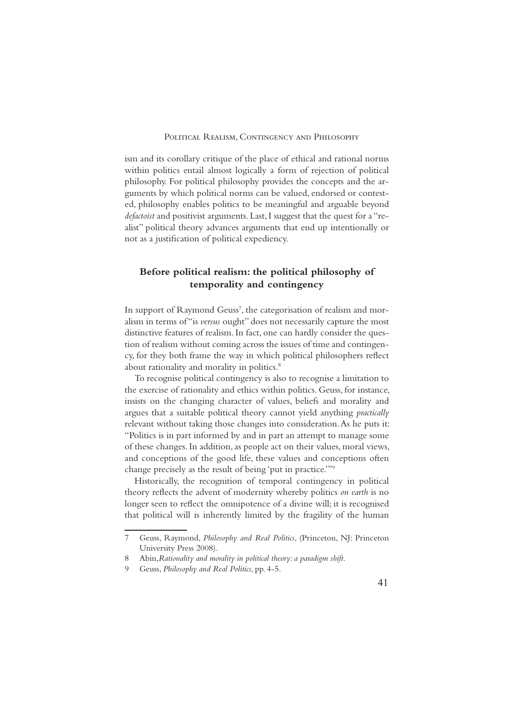### Political Realism, Contingency and Philosophy

ism and its corollary critique of the place of ethical and rational norms within politics entail almost logically a form of rejection of political philosophy. For political philosophy provides the concepts and the arguments by which political norms can be valued, endorsed or contested, philosophy enables politics to be meaningful and arguable beyond *defactoist* and positivist arguments. Last, I suggest that the quest for a "realist" political theory advances arguments that end up intentionally or not as a justification of political expediency.

# **Before political realism: the political philosophy of temporality and contingency**

In support of Raymond Geuss<sup>7</sup>, the categorisation of realism and moralism in terms of "is *versus* ought" does not necessarily capture the most distinctive features of realism. In fact, one can hardly consider the question of realism without coming across the issues of time and contingency, for they both frame the way in which political philosophers reflect about rationality and morality in politics.<sup>8</sup>

To recognise political contingency is also to recognise a limitation to the exercise of rationality and ethics within politics. Geuss, for instance, insists on the changing character of values, beliefs and morality and argues that a suitable political theory cannot yield anything *practically* relevant without taking those changes into consideration. As he puts it: "Politics is in part informed by and in part an attempt to manage some of these changes. In addition, as people act on their values, moral views, and conceptions of the good life, these values and conceptions often change precisely as the result of being 'put in practice.'"9

Historically, the recognition of temporal contingency in political theory reflects the advent of modernity whereby politics *on earth* is no longer seen to reflect the omnipotence of a divine will; it is recognised that political will is inherently limited by the fragility of the human

<sup>7</sup> Geuss, Raymond, *Philosophy and Real Politics*, (Princeton, NJ: Princeton University Press 2008).

<sup>8</sup> Abin,*Rationality and morality in political theory: a paradigm shift.*

<sup>9</sup> Geuss, *Philosophy and Real Politics*, pp. 4-5.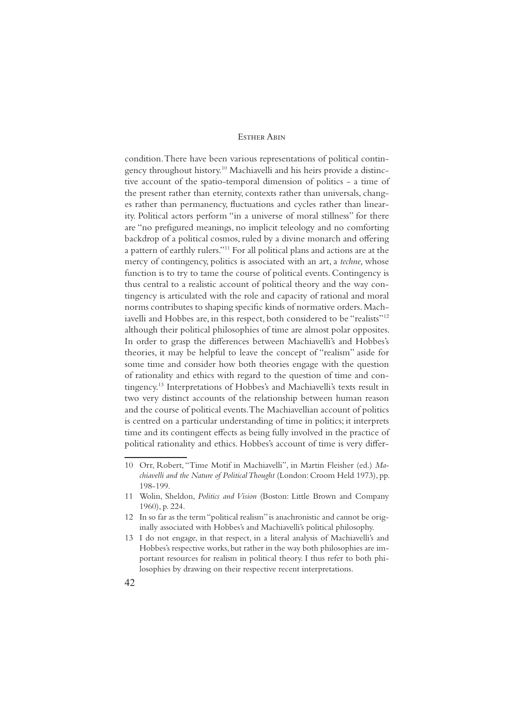condition. There have been various representations of political contingency throughout history.10 Machiavelli and his heirs provide a distinctive account of the spatio-temporal dimension of politics - a time of the present rather than eternity, contexts rather than universals, changes rather than permanency, fluctuations and cycles rather than linearity. Political actors perform "in a universe of moral stillness" for there are "no prefigured meanings, no implicit teleology and no comforting backdrop of a political cosmos, ruled by a divine monarch and offering a pattern of earthly rulers."11 For all political plans and actions are at the mercy of contingency, politics is associated with an art, a *techne,* whose function is to try to tame the course of political events. Contingency is thus central to a realistic account of political theory and the way contingency is articulated with the role and capacity of rational and moral norms contributes to shaping specific kinds of normative orders. Machiavelli and Hobbes are, in this respect, both considered to be "realists"<sup>12</sup> although their political philosophies of time are almost polar opposites. In order to grasp the differences between Machiavelli's and Hobbes's theories, it may be helpful to leave the concept of "realism" aside for some time and consider how both theories engage with the question of rationality and ethics with regard to the question of time and contingency.13 Interpretations of Hobbes's and Machiavelli's texts result in two very distinct accounts of the relationship between human reason and the course of political events. The Machiavellian account of politics is centred on a particular understanding of time in politics; it interprets time and its contingent effects as being fully involved in the practice of political rationality and ethics. Hobbes's account of time is very differ-

<sup>10</sup> Orr, Robert, "Time Motif in Machiavelli", in Martin Fleisher (ed.) *Machiavelli and the Nature of Political Thought* (London: Croom Held 1973), pp. 198-199.

<sup>11</sup> Wolin, Sheldon, *Politics and Vision* (Boston: Little Brown and Company 1960), p. 224.

<sup>12</sup> In so far as the term "political realism" is anachronistic and cannot be originally associated with Hobbes's and Machiavelli's political philosophy.

<sup>13</sup> I do not engage, in that respect, in a literal analysis of Machiavelli's and Hobbes's respective works, but rather in the way both philosophies are important resources for realism in political theory. I thus refer to both philosophies by drawing on their respective recent interpretations.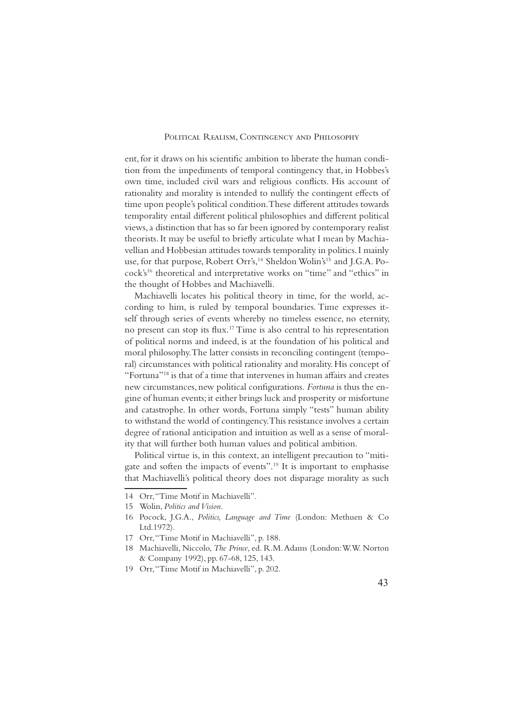### Political Realism, Contingency and Philosophy

ent, for it draws on his scientific ambition to liberate the human condition from the impediments of temporal contingency that, in Hobbes's own time, included civil wars and religious conflicts. His account of rationality and morality is intended to nullify the contingent effects of time upon people's political condition. These different attitudes towards temporality entail different political philosophies and different political views, a distinction that has so far been ignored by contemporary realist theorists. It may be useful to briefly articulate what I mean by Machiavellian and Hobbesian attitudes towards temporality in politics. I mainly use, for that purpose, Robert Orr's,<sup>14</sup> Sheldon Wolin's<sup>15</sup> and J.G.A. Pocock's<sup>16</sup> theoretical and interpretative works on "time" and "ethics" in the thought of Hobbes and Machiavelli.

Machiavelli locates his political theory in time, for the world, according to him, is ruled by temporal boundaries. Time expresses itself through series of events whereby no timeless essence, no eternity, no present can stop its flux.<sup>17</sup> Time is also central to his representation of political norms and indeed, is at the foundation of his political and moral philosophy. The latter consists in reconciling contingent (temporal) circumstances with political rationality and morality. His concept of "Fortuna"<sup>18</sup> is that of a time that intervenes in human affairs and creates new circumstances, new political configurations. Fortuna is thus the engine of human events; it either brings luck and prosperity or misfortune and catastrophe. In other words, Fortuna simply "tests" human ability to withstand the world of contingency. This resistance involves a certain degree of rational anticipation and intuition as well as a sense of morality that will further both human values and political ambition.

Political virtue is, in this context, an intelligent precaution to "mitigate and soften the impacts of events".19 It is important to emphasise that Machiavelli's political theory does not disparage morality as such

- 17 Orr, "Time Motif in Machiavelli", p. 188.
- 18 Machiavelli, Niccolo, *The Prince*, ed. R.M. Adams (London: W.W. Norton & Company 1992), pp. 67-68, 125, 143.
- 19 Orr, "Time Motif in Machiavelli", p. 202.

<sup>14</sup> Orr, "Time Motif in Machiavelli".

<sup>15</sup> Wolin, *Politics and Vision*.

<sup>16</sup> Pocock, J.G.A., *Politics, Language and Time* (London: Methuen & Co Ltd.1972).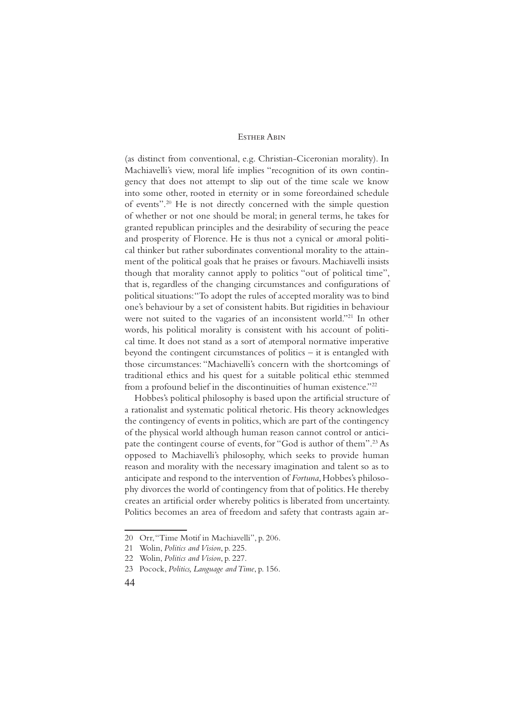(as distinct from conventional, e.g. Christian-Ciceronian morality). In Machiavelli's view, moral life implies "recognition of its own contingency that does not attempt to slip out of the time scale we know into some other, rooted in eternity or in some foreordained schedule of events".20 He is not directly concerned with the simple question of whether or not one should be moral; in general terms, he takes for granted republican principles and the desirability of securing the peace and prosperity of Florence. He is thus not a cynical or *a*moral political thinker but rather subordinates conventional morality to the attainment of the political goals that he praises or favours. Machiavelli insists though that morality cannot apply to politics "out of political time", that is, regardless of the changing circumstances and configurations of political situations: "To adopt the rules of accepted morality was to bind one's behaviour by a set of consistent habits. But rigidities in behaviour were not suited to the vagaries of an inconsistent world."21 In other words, his political morality is consistent with his account of political time. It does not stand as a sort of *a*temporal normative imperative beyond the contingent circumstances of politics – it is entangled with those circumstances: "Machiavelli's concern with the shortcomings of traditional ethics and his quest for a suitable political ethic stemmed from a profound belief in the discontinuities of human existence."22

Hobbes's political philosophy is based upon the artificial structure of a rationalist and systematic political rhetoric. His theory acknowledges the contingency of events in politics, which are part of the contingency of the physical world although human reason cannot control or anticipate the contingent course of events, for "God is author of them".<sup>23</sup> As opposed to Machiavelli's philosophy, which seeks to provide human reason and morality with the necessary imagination and talent so as to anticipate and respond to the intervention of *Fortuna*, Hobbes's philosophy divorces the world of contingency from that of politics. He thereby creates an artificial order whereby politics is liberated from uncertainty. Politics becomes an area of freedom and safety that contrasts again ar-

<sup>20</sup> Orr, "Time Motif in Machiavelli", p. 206.

<sup>21</sup> Wolin, *Politics and Vision*, p. 225.

<sup>22</sup> Wolin, *Politics and Vision*, p. 227.

<sup>23</sup> Pocock, *Politics, Language and Time*, p. 156.

<sup>44</sup>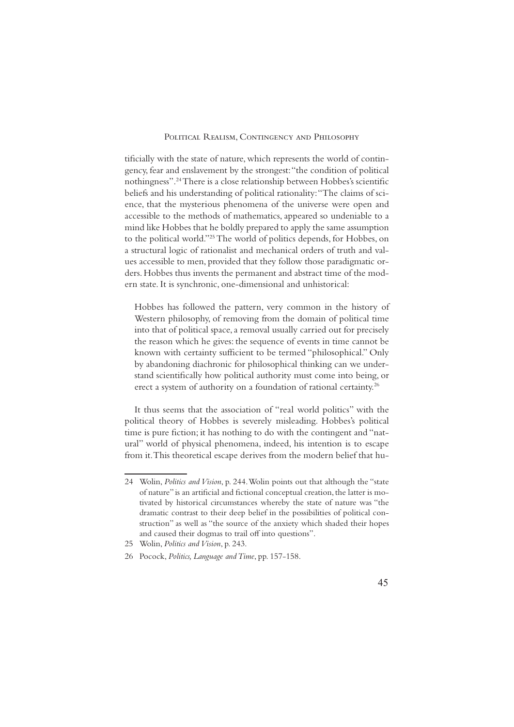### Political Realism, Contingency and Philosophy

tificially with the state of nature, which represents the world of contingency, fear and enslavement by the strongest: "the condition of political nothingness".<sup>24</sup> There is a close relationship between Hobbes's scientific beliefs and his understanding of political rationality: "The claims of science, that the mysterious phenomena of the universe were open and accessible to the methods of mathematics, appeared so undeniable to a mind like Hobbes that he boldly prepared to apply the same assumption to the political world."25 The world of politics depends, for Hobbes, on a structural logic of rationalist and mechanical orders of truth and values accessible to men, provided that they follow those paradigmatic orders. Hobbes thus invents the permanent and abstract time of the modern state. It is synchronic, one-dimensional and unhistorical:

Hobbes has followed the pattern, very common in the history of Western philosophy, of removing from the domain of political time into that of political space, a removal usually carried out for precisely the reason which he gives: the sequence of events in time cannot be known with certainty sufficient to be termed "philosophical." Only by abandoning diachronic for philosophical thinking can we understand scientifically how political authority must come into being, or erect a system of authority on a foundation of rational certainty.<sup>26</sup>

It thus seems that the association of "real world politics" with the political theory of Hobbes is severely misleading. Hobbes's political time is pure fiction; it has nothing to do with the contingent and "natural" world of physical phenomena, indeed, his intention is to escape from it. This theoretical escape derives from the modern belief that hu-

<sup>24</sup> Wolin, *Politics and Vision*, p. 244. Wolin points out that although the "state of nature" is an artificial and fictional conceptual creation, the latter is motivated by historical circumstances whereby the state of nature was "the dramatic contrast to their deep belief in the possibilities of political construction" as well as "the source of the anxiety which shaded their hopes and caused their dogmas to trail off into questions".

<sup>25</sup> Wolin, *Politics and Vision*, p. 243.

<sup>26</sup> Pocock, *Politics, Language and Time*, pp. 157-158.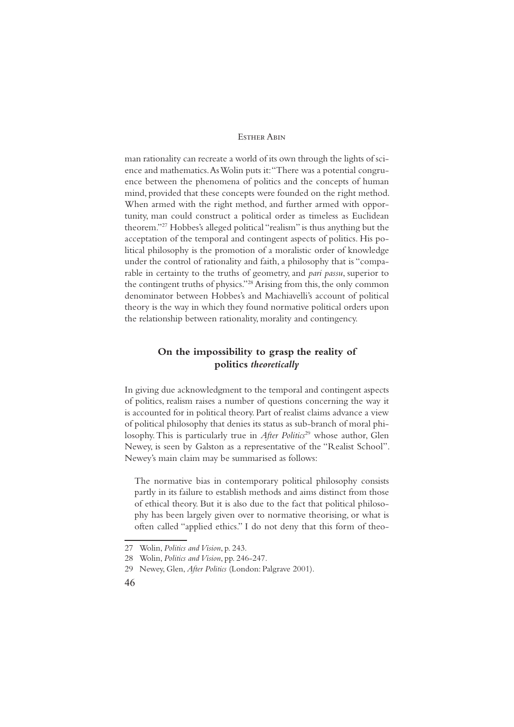man rationality can recreate a world of its own through the lights of science and mathematics. As Wolin puts it: "There was a potential congruence between the phenomena of politics and the concepts of human mind, provided that these concepts were founded on the right method. When armed with the right method, and further armed with opportunity, man could construct a political order as timeless as Euclidean theorem."27 Hobbes's alleged political "realism" is thus anything but the acceptation of the temporal and contingent aspects of politics. His political philosophy is the promotion of a moralistic order of knowledge under the control of rationality and faith, a philosophy that is "comparable in certainty to the truths of geometry, and *pari passu*, superior to the contingent truths of physics."28 Arising from this, the only common denominator between Hobbes's and Machiavelli's account of political theory is the way in which they found normative political orders upon the relationship between rationality, morality and contingency.

# **On the impossibility to grasp the reality of politics** *theoretically*

In giving due acknowledgment to the temporal and contingent aspects of politics, realism raises a number of questions concerning the way it is accounted for in political theory. Part of realist claims advance a view of political philosophy that denies its status as sub-branch of moral philosophy. This is particularly true in *After Politics*<sup>29</sup> whose author, Glen Newey, is seen by Galston as a representative of the "Realist School". Newey's main claim may be summarised as follows:

The normative bias in contemporary political philosophy consists partly in its failure to establish methods and aims distinct from those of ethical theory. But it is also due to the fact that political philosophy has been largely given over to normative theorising, or what is often called "applied ethics." I do not deny that this form of theo-

<sup>27</sup> Wolin, *Politics and Vision*, p. 243.

<sup>28</sup> Wolin, *Politics and Vision*, pp. 246-247.

<sup>29</sup> Newey, Glen, *After Politics* (London: Palgrave 2001).

<sup>46</sup>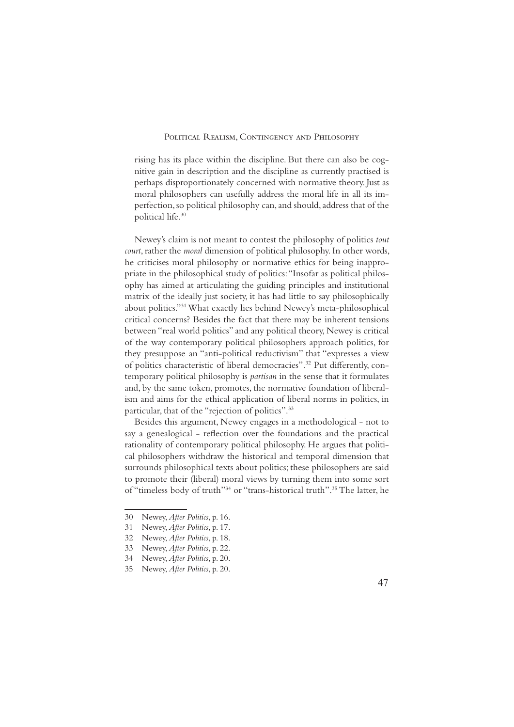### Political Realism, Contingency and Philosophy

rising has its place within the discipline. But there can also be cognitive gain in description and the discipline as currently practised is perhaps disproportionately concerned with normative theory. Just as moral philosophers can usefully address the moral life in all its imperfection, so political philosophy can, and should, address that of the political life.30

Newey's claim is not meant to contest the philosophy of politics *tout court*, rather the *moral* dimension of political philosophy. In other words, he criticises moral philosophy or normative ethics for being inappropriate in the philosophical study of politics: "Insofar as political philosophy has aimed at articulating the guiding principles and institutional matrix of the ideally just society, it has had little to say philosophically about politics."31 What exactly lies behind Newey's meta-philosophical critical concerns? Besides the fact that there may be inherent tensions between "real world politics" and any political theory, Newey is critical of the way contemporary political philosophers approach politics, for they presuppose an "anti-political reductivism" that "expresses a view of politics characteristic of liberal democracies".<sup>32</sup> Put differently, contemporary political philosophy is *partisan* in the sense that it formulates and, by the same token, promotes, the normative foundation of liberalism and aims for the ethical application of liberal norms in politics, in particular, that of the "rejection of politics".33

Besides this argument, Newey engages in a methodological - not to say a genealogical - reflection over the foundations and the practical rationality of contemporary political philosophy. He argues that political philosophers withdraw the historical and temporal dimension that surrounds philosophical texts about politics; these philosophers are said to promote their (liberal) moral views by turning them into some sort of "timeless body of truth"34 or "trans-historical truth".35 The latter, he

<sup>30</sup> Newey, *After Politics*, p. 16.

<sup>31</sup> Newey, *After Politics*, p. 17.

<sup>32</sup> Newey, *After Politics*, p. 18.

<sup>33</sup> Newey, *After Politics*, p. 22.

<sup>34</sup> Newey, *After Politics*, p. 20.

<sup>35</sup> Newey, *After Politics*, p. 20.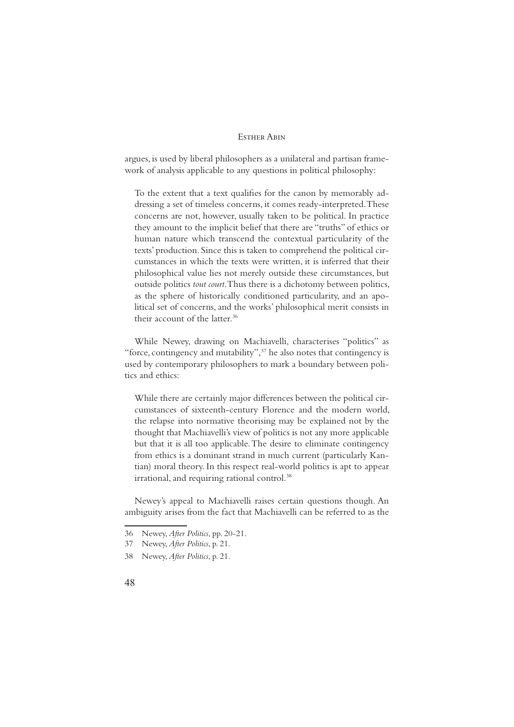argues, is used by liberal philosophers as a unilateral and partisan framework of analysis applicable to any questions in political philosophy:

To the extent that a text qualifies for the canon by memorably addressing a set of timeless concerns, it comes ready-interpreted. These concerns are not, however, usually taken to be political. In practice they amount to the implicit belief that there are "truths" of ethics or human nature which transcend the contextual particularity of the texts' production. Since this is taken to comprehend the political circumstances in which the texts were written, it is inferred that their philosophical value lies not merely outside these circumstances, but outside politics *tout court*. Thus there is a dichotomy between politics, as the sphere of historically conditioned particularity, and an apolitical set of concerns, and the works' philosophical merit consists in their account of the latter.36

While Newey, drawing on Machiavelli, characterises "politics" as "force, contingency and mutability", $37$  he also notes that contingency is used by contemporary philosophers to mark a boundary between politics and ethics:

While there are certainly major differences between the political circumstances of sixteenth-century Florence and the modern world, the relapse into normative theorising may be explained not by the thought that Machiavelli's view of politics is not any more applicable but that it is all too applicable. The desire to eliminate contingency from ethics is a dominant strand in much current (particularly Kantian) moral theory. In this respect real-world politics is apt to appear irrational, and requiring rational control.<sup>38</sup>

Newey's appeal to Machiavelli raises certain questions though. An ambiguity arises from the fact that Machiavelli can be referred to as the

37 Newey, *After Politics*, p. 21.

<sup>36</sup> Newey, *After Politics*, pp. 20-21.

<sup>38</sup> Newey, *After Politics*, p. 21.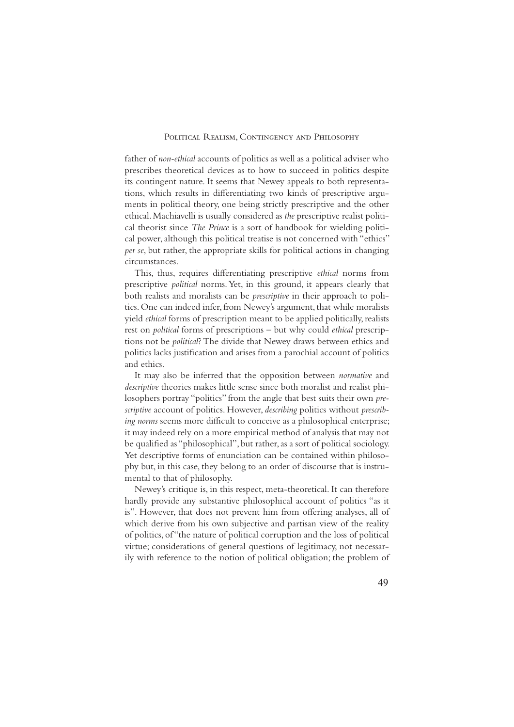### POLITICAL REALISM, CONTINGENCY AND PHILOSOPHY

father of *non-ethical* accounts of politics as well as a political adviser who prescribes theoretical devices as to how to succeed in politics despite its contingent nature. It seems that Newey appeals to both representations, which results in differentiating two kinds of prescriptive arguments in political theory, one being strictly prescriptive and the other ethical. Machiavelli is usually considered as *the* prescriptive realist political theorist since *The Prince* is a sort of handbook for wielding political power, although this political treatise is not concerned with "ethics" *per se*, but rather, the appropriate skills for political actions in changing circumstances.

This, thus, requires differentiating prescriptive *ethical* norms from prescriptive *political* norms. Yet, in this ground, it appears clearly that both realists and moralists can be *prescriptive* in their approach to politics. One can indeed infer, from Newey's argument, that while moralists yield *ethical* forms of prescription meant to be applied politically, realists rest on *political* forms of prescriptions – but why could *ethical* prescriptions not be *political*? The divide that Newey draws between ethics and politics lacks justification and arises from a parochial account of politics and ethics.

It may also be inferred that the opposition between *normative* and *descriptive* theories makes little sense since both moralist and realist philosophers portray "politics" from the angle that best suits their own *prescriptive* account of politics. However, *describing* politics without *prescribing norms* seems more difficult to conceive as a philosophical enterprise; it may indeed rely on a more empirical method of analysis that may not be qualified as "philosophical", but rather, as a sort of political sociology. Yet descriptive forms of enunciation can be contained within philosophy but, in this case, they belong to an order of discourse that is instrumental to that of philosophy.

Newey's critique is, in this respect, meta-theoretical. It can therefore hardly provide any substantive philosophical account of politics "as it is". However, that does not prevent him from offering analyses, all of which derive from his own subjective and partisan view of the reality of politics, of "the nature of political corruption and the loss of political virtue; considerations of general questions of legitimacy, not necessarily with reference to the notion of political obligation; the problem of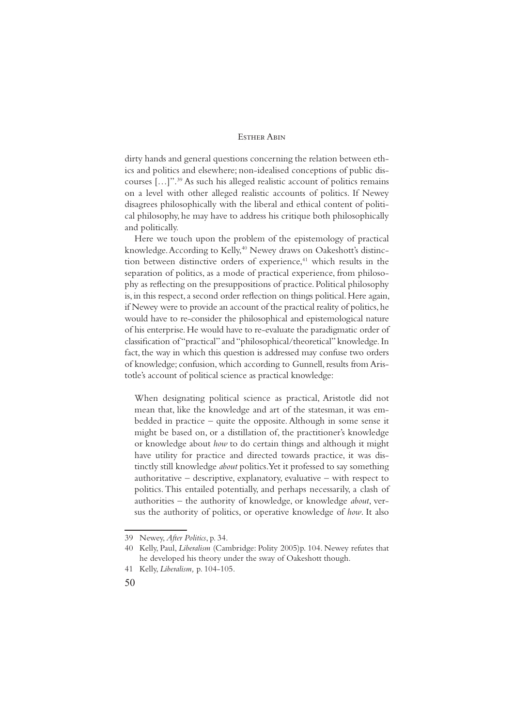dirty hands and general questions concerning the relation between ethics and politics and elsewhere; non-idealised conceptions of public discourses […]".39 As such his alleged realistic account of politics remains on a level with other alleged realistic accounts of politics. If Newey disagrees philosophically with the liberal and ethical content of political philosophy, he may have to address his critique both philosophically and politically.

Here we touch upon the problem of the epistemology of practical knowledge. According to Kelly,<sup>40</sup> Newey draws on Oakeshott's distinction between distinctive orders of experience,<sup>41</sup> which results in the separation of politics, as a mode of practical experience, from philosophy as refl ecting on the presuppositions of practice. Political philosophy is, in this respect, a second order reflection on things political. Here again, if Newey were to provide an account of the practical reality of politics, he would have to re-consider the philosophical and epistemological nature of his enterprise. He would have to re-evaluate the paradigmatic order of classification of "practical" and "philosophical/theoretical" knowledge. In fact, the way in which this question is addressed may confuse two orders of knowledge; confusion, which according to Gunnell, results from Aristotle's account of political science as practical knowledge:

When designating political science as practical, Aristotle did not mean that, like the knowledge and art of the statesman, it was embedded in practice – quite the opposite. Although in some sense it might be based on, or a distillation of, the practitioner's knowledge or knowledge about *how* to do certain things and although it might have utility for practice and directed towards practice, it was distinctly still knowledge *about* politics. Yet it professed to say something authoritative – descriptive, explanatory, evaluative – with respect to politics. This entailed potentially, and perhaps necessarily, a clash of authorities – the authority of knowledge, or knowledge *about*, versus the authority of politics, or operative knowledge of *how*. It also

<sup>39</sup> Newey, *After Politics*, p. 34.

<sup>40</sup> Kelly, Paul, *Liberalism* (Cambridge: Polity 2005)p. 104. Newey refutes that he developed his theory under the sway of Oakeshott though.

<sup>41</sup> Kelly, *Liberalism,* p. 104-105.

<sup>50</sup>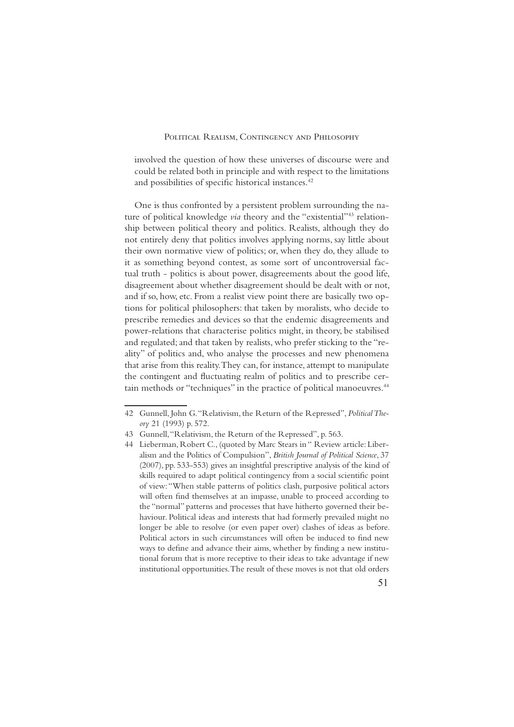### Political Realism, Contingency and Philosophy

involved the question of how these universes of discourse were and could be related both in principle and with respect to the limitations and possibilities of specific historical instances.<sup>42</sup>

One is thus confronted by a persistent problem surrounding the nature of political knowledge *via* theory and the "existential"<sup>43</sup> relationship between political theory and politics. Realists, although they do not entirely deny that politics involves applying norms, say little about their own normative view of politics; or, when they do, they allude to it as something beyond contest, as some sort of uncontroversial factual truth - politics is about power, disagreements about the good life, disagreement about whether disagreement should be dealt with or not, and if so, how, etc. From a realist view point there are basically two options for political philosophers: that taken by moralists, who decide to prescribe remedies and devices so that the endemic disagreements and power-relations that characterise politics might, in theory, be stabilised and regulated; and that taken by realists, who prefer sticking to the "reality" of politics and, who analyse the processes and new phenomena that arise from this reality. They can, for instance, attempt to manipulate the contingent and fluctuating realm of politics and to prescribe certain methods or "techniques" in the practice of political manoeuvres.<sup>44</sup>

<sup>42</sup> Gunnell, John G. "Relativism, the Return of the Repressed", *Political Theory* 21 (1993) p. 572.

<sup>43</sup> Gunnell, "Relativism, the Return of the Repressed", p. 563.

<sup>44</sup> Lieberman, Robert C., (quoted by Marc Stears in " Review article: Liberalism and the Politics of Compulsion", *British Journal of Political Science*, 37 (2007), pp. 533-553) gives an insightful prescriptive analysis of the kind of skills required to adapt political contingency from a social scientific point of view: "When stable patterns of politics clash, purposive political actors will often find themselves at an impasse, unable to proceed according to the "normal" patterns and processes that have hitherto governed their behaviour. Political ideas and interests that had formerly prevailed might no longer be able to resolve (or even paper over) clashes of ideas as before. Political actors in such circumstances will often be induced to find new ways to define and advance their aims, whether by finding a new institutional forum that is more receptive to their ideas to take advantage if new institutional opportunities. The result of these moves is not that old orders

<sup>51</sup>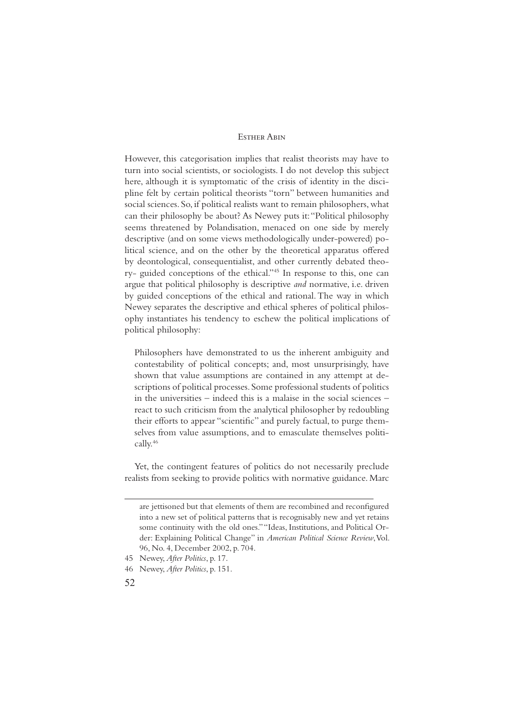However, this categorisation implies that realist theorists may have to turn into social scientists, or sociologists. I do not develop this subject here, although it is symptomatic of the crisis of identity in the discipline felt by certain political theorists "torn" between humanities and social sciences. So, if political realists want to remain philosophers, what can their philosophy be about? As Newey puts it: "Political philosophy seems threatened by Polandisation, menaced on one side by merely descriptive (and on some views methodologically under-powered) political science, and on the other by the theoretical apparatus offered by deontological, consequentialist, and other currently debated theory- guided conceptions of the ethical."45 In response to this, one can argue that political philosophy is descriptive *and* normative, i.e. driven by guided conceptions of the ethical and rational. The way in which Newey separates the descriptive and ethical spheres of political philosophy instantiates his tendency to eschew the political implications of political philosophy:

Philosophers have demonstrated to us the inherent ambiguity and contestability of political concepts; and, most unsurprisingly, have shown that value assumptions are contained in any attempt at descriptions of political processes. Some professional students of politics in the universities – indeed this is a malaise in the social sciences – react to such criticism from the analytical philosopher by redoubling their efforts to appear "scientific" and purely factual, to purge themselves from value assumptions, and to emasculate themselves politically.46

Yet, the contingent features of politics do not necessarily preclude realists from seeking to provide politics with normative guidance. Marc

<sup>46</sup> Newey, *After Politics*, p. 151.



are jettisoned but that elements of them are recombined and reconfigured into a new set of political patterns that is recognisably new and yet retains some continuity with the old ones." "Ideas, Institutions, and Political Order: Explaining Political Change" in *American Political Science Review*, Vol. 96, No. 4, December 2002, p. 704.

<sup>45</sup> Newey, *After Politics*, p. 17.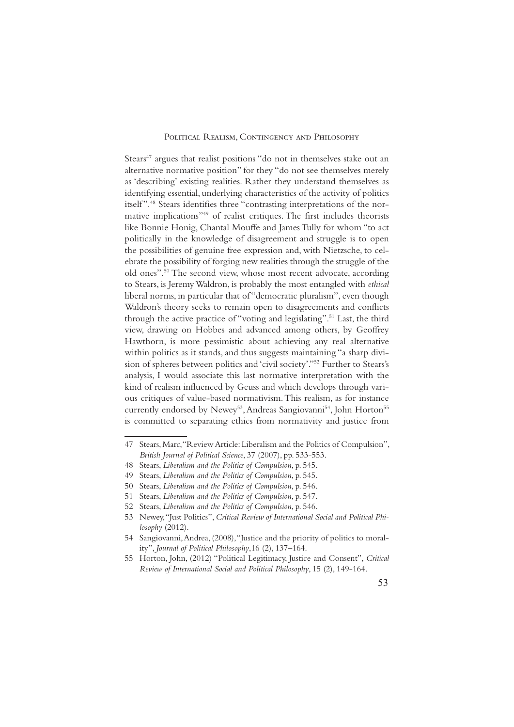### Political Realism, Contingency and Philosophy

Stears<sup>47</sup> argues that realist positions "do not in themselves stake out an alternative normative position" for they "do not see themselves merely as 'describing' existing realities. Rather they understand themselves as identifying essential, underlying characteristics of the activity of politics itself".<sup>48</sup> Stears identifies three "contrasting interpretations of the normative implications"<sup>49</sup> of realist critiques. The first includes theorists like Bonnie Honig, Chantal Mouffe and James Tully for whom "to act politically in the knowledge of disagreement and struggle is to open the possibilities of genuine free expression and, with Nietzsche, to celebrate the possibility of forging new realities through the struggle of the old ones".50 The second view, whose most recent advocate, according to Stears, is Jeremy Waldron, is probably the most entangled with *ethical* liberal norms, in particular that of "democratic pluralism", even though Waldron's theory seeks to remain open to disagreements and conflicts through the active practice of "voting and legislating".51 Last, the third view, drawing on Hobbes and advanced among others, by Geoffrey Hawthorn, is more pessimistic about achieving any real alternative within politics as it stands, and thus suggests maintaining "a sharp division of spheres between politics and 'civil society'."52 Further to Stears's analysis, I would associate this last normative interpretation with the kind of realism influenced by Geuss and which develops through various critiques of value-based normativism. This realism, as for instance currently endorsed by Newey<sup>53</sup>, Andreas Sangiovanni<sup>54</sup>, John Horton<sup>55</sup> is committed to separating ethics from normativity and justice from

<sup>47</sup> Stears, Marc, "Review Article: Liberalism and the Politics of Compulsion", *British Journal of Political Science*, 37 (2007), pp. 533-553.

<sup>48</sup> Stears, *Liberalism and the Politics of Compulsion*, p. 545.

<sup>49</sup> Stears, *Liberalism and the Politics of Compulsion*, p. 545.

<sup>50</sup> Stears, *Liberalism and the Politics of Compulsion*, p. 546.

<sup>51</sup> Stears, *Liberalism and the Politics of Compulsion*, p. 547.

<sup>52</sup> Stears, *Liberalism and the Politics of Compulsion*, p. 546.

<sup>53</sup> Newey, "Just Politics", *Critical Review of International Social and Political Philosophy* (2012).

<sup>54</sup> Sangiovanni, Andrea, (2008), "Justice and the priority of politics to morality", *Journal of Political Philosophy*,16 (2), 137–164.

<sup>55</sup> Horton, John, (2012) "Political Legitimacy, Justice and Consent", *Critical Review of International Social and Political Philosophy*, 15 (2), 149-164.

<sup>53</sup>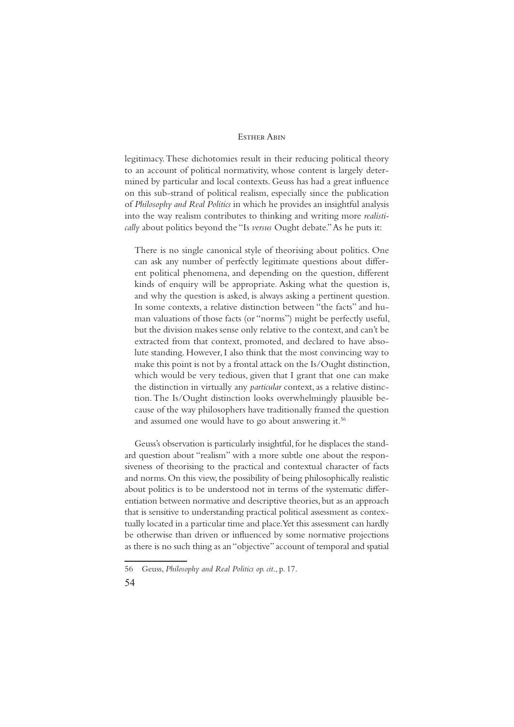legitimacy. These dichotomies result in their reducing political theory to an account of political normativity, whose content is largely determined by particular and local contexts. Geuss has had a great influence on this sub-strand of political realism, especially since the publication of *Philosophy and Real Politics* in which he provides an insightful analysis into the way realism contributes to thinking and writing more *realistically* about politics beyond the "Is *versus* Ought debate." As he puts it:

There is no single canonical style of theorising about politics. One can ask any number of perfectly legitimate questions about different political phenomena, and depending on the question, different kinds of enquiry will be appropriate. Asking what the question is, and why the question is asked, is always asking a pertinent question. In some contexts, a relative distinction between "the facts" and human valuations of those facts (or "norms") might be perfectly useful, but the division makes sense only relative to the context, and can't be extracted from that context, promoted, and declared to have absolute standing. However, I also think that the most convincing way to make this point is not by a frontal attack on the Is/Ought distinction, which would be very tedious, given that I grant that one can make the distinction in virtually any *particular* context, as a relative distinction. The Is/Ought distinction looks overwhelmingly plausible because of the way philosophers have traditionally framed the question and assumed one would have to go about answering it.<sup>56</sup>

Geuss's observation is particularly insightful, for he displaces the standard question about "realism" with a more subtle one about the responsiveness of theorising to the practical and contextual character of facts and norms. On this view, the possibility of being philosophically realistic about politics is to be understood not in terms of the systematic differentiation between normative and descriptive theories, but as an approach that is sensitive to understanding practical political assessment as contextually located in a particular time and place. Yet this assessment can hardly be otherwise than driven or influenced by some normative projections as there is no such thing as an "objective" account of temporal and spatial

<sup>56</sup> Geuss, *Philosophy and Real Politics op. cit*., p. 17.

<sup>54</sup>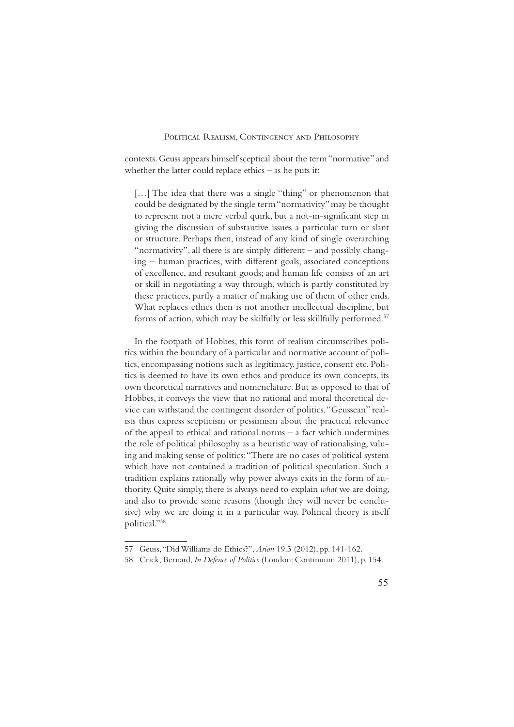### POLITICAL REALISM, CONTINGENCY AND PHILOSOPHY

contexts. Geuss appears himself sceptical about the term "normative" and whether the latter could replace ethics – as he puts it:

[...] The idea that there was a single "thing" or phenomenon that could be designated by the single term "normativity" may be thought to represent not a mere verbal quirk, but a not-in-significant step in giving the discussion of substantive issues a particular turn or slant or structure. Perhaps then, instead of any kind of single overarching "normativity", all there is are simply different – and possibly changing – human practices, with different goals, associated conceptions of excellence, and resultant goods; and human life consists of an art or skill in negotiating a way through, which is partly constituted by these practices, partly a matter of making use of them of other ends. What replaces ethics then is not another intellectual discipline, but forms of action, which may be skilfully or less skillfully performed.57

In the footpath of Hobbes, this form of realism circumscribes politics within the boundary of a particular and normative account of politics, encompassing notions such as legitimacy, justice, consent etc. Politics is deemed to have its own ethos and produce its own concepts, its own theoretical narratives and nomenclature. But as opposed to that of Hobbes, it conveys the view that no rational and moral theoretical device can withstand the contingent disorder of politics. "Geussean" realists thus express scepticism or pessimism about the practical relevance of the appeal to ethical and rational norms – a fact which undermines the role of political philosophy as a heuristic way of rationalising, valuing and making sense of politics: "There are no cases of political system which have not contained a tradition of political speculation. Such a tradition explains rationally why power always exits in the form of authority. Quite simply, there is always need to explain *what* we are doing, and also to provide some reasons (though they will never be conclusive) why we are doing it in a particular way. Political theory is itself political."58

<sup>57</sup> Geuss, "Did Williams do Ethics?", *Arion* 19.3 (2012), pp. 141-162.

<sup>58</sup> Crick, Bernard, *In Defence of Politics* (London: Continuum 2011), p. 154.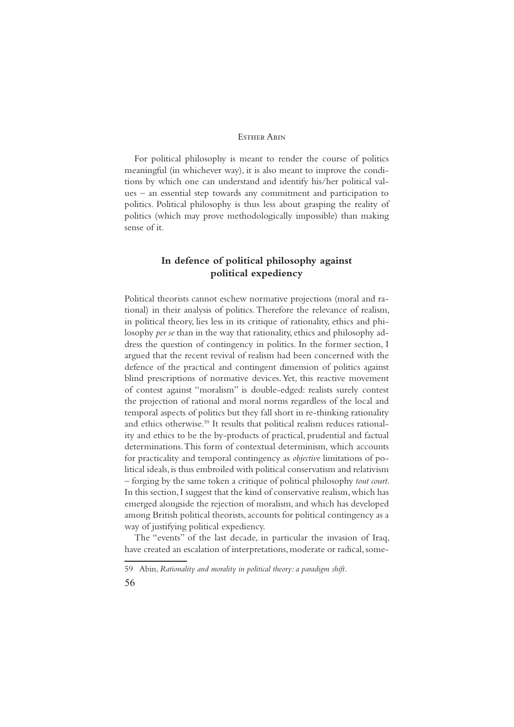For political philosophy is meant to render the course of politics meaningful (in whichever way), it is also meant to improve the conditions by which one can understand and identify his/her political values – an essential step towards any commitment and participation to politics. Political philosophy is thus less about grasping the reality of politics (which may prove methodologically impossible) than making sense of it.

# **In defence of political philosophy against political expediency**

Political theorists cannot eschew normative projections (moral and rational) in their analysis of politics. Therefore the relevance of realism, in political theory, lies less in its critique of rationality, ethics and philosophy *per se* than in the way that rationality, ethics and philosophy address the question of contingency in politics. In the former section, I argued that the recent revival of realism had been concerned with the defence of the practical and contingent dimension of politics against blind prescriptions of normative devices. Yet, this reactive movement of contest against "moralism" is double-edged: realists surely contest the projection of rational and moral norms regardless of the local and temporal aspects of politics but they fall short in re-thinking rationality and ethics otherwise.59 It results that political realism reduces rationality and ethics to be the by-products of practical, prudential and factual determinations. This form of contextual determinism, which accounts for practicality and temporal contingency as *objective* limitations of political ideals, is thus embroiled with political conservatism and relativism – forging by the same token a critique of political philosophy *tout court*. In this section, I suggest that the kind of conservative realism, which has emerged alongside the rejection of moralism, and which has developed among British political theorists, accounts for political contingency as a way of justifying political expediency.

The "events" of the last decade, in particular the invasion of Iraq, have created an escalation of interpretations, moderate or radical, some-

<sup>59</sup> Abin, *Rationality and morality in political theory: a paradigm shift.*

<sup>56</sup>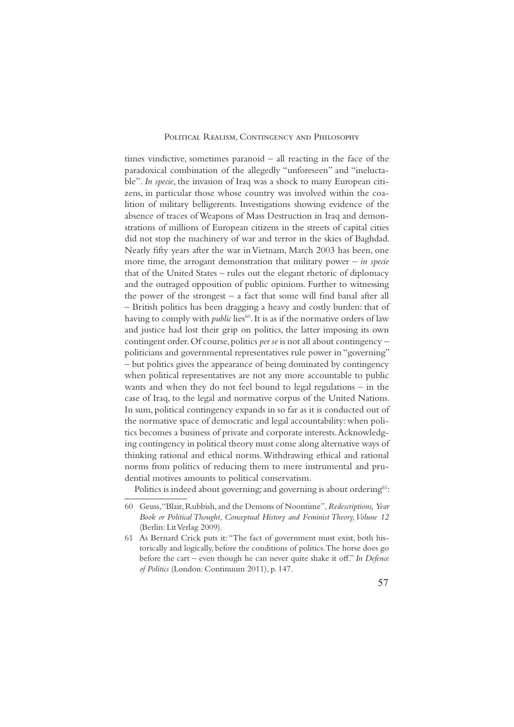### Political Realism, Contingency and Philosophy

times vindictive, sometimes paranoid – all reacting in the face of the paradoxical combination of the allegedly "unforeseen" and "ineluctable". *In specie*, the invasion of Iraq was a shock to many European citizens, in particular those whose country was involved within the coalition of military belligerents. Investigations showing evidence of the absence of traces of Weapons of Mass Destruction in Iraq and demonstrations of millions of European citizens in the streets of capital cities did not stop the machinery of war and terror in the skies of Baghdad. Nearly fifty years after the war in Vietnam, March 2003 has been, one more time, the arrogant demonstration that military power – *in specie* that of the United States – rules out the elegant rhetoric of diplomacy and the outraged opposition of public opinions. Further to witnessing the power of the strongest  $-$  a fact that some will find banal after all – British politics has been dragging a heavy and costly burden: that of having to comply with *public* lies<sup>60</sup>. It is as if the normative orders of law and justice had lost their grip on politics, the latter imposing its own contingent order. Of course, politics *per se* is not all about contingency – politicians and governmental representatives rule power in "governing" – but politics gives the appearance of being dominated by contingency when political representatives are not any more accountable to public wants and when they do not feel bound to legal regulations – in the case of Iraq, to the legal and normative corpus of the United Nations. In sum, political contingency expands in so far as it is conducted out of the normative space of democratic and legal accountability: when politics becomes a business of private and corporate interests. Acknowledging contingency in political theory must come along alternative ways of thinking rational and ethical norms. Withdrawing ethical and rational norms from politics of reducing them to mere instrumental and prudential motives amounts to political conservatism.

Politics is indeed about governing; and governing is about ordering<sup>61</sup>:

<sup>60</sup> Geuss, "Blair, Rubbish, and the Demons of Noontime", *Redescriptions, Year Book or Political Thought, Conceptual History and Feminist Theory, Volune 12*  (Berlin: Lit Verlag 2009).

<sup>61</sup> As Bernard Crick puts it: "The fact of government must exist, both historically and logically, before the conditions of politics. The horse does go before the cart – even though he can never quite shake it off." In Defence *of Politics* (London: Continuum 2011), p. 147.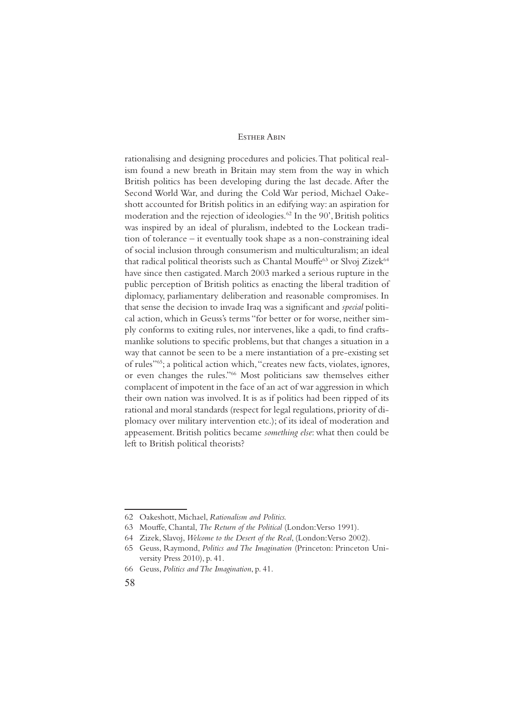rationalising and designing procedures and policies. That political realism found a new breath in Britain may stem from the way in which British politics has been developing during the last decade. After the Second World War, and during the Cold War period, Michael Oakeshott accounted for British politics in an edifying way: an aspiration for moderation and the rejection of ideologies.<sup>62</sup> In the 90', British politics was inspired by an ideal of pluralism, indebted to the Lockean tradition of tolerance – it eventually took shape as a non-constraining ideal of social inclusion through consumerism and multiculturalism; an ideal that radical political theorists such as Chantal Mouffe<sup>63</sup> or Slvoj Zizek<sup>64</sup> have since then castigated. March 2003 marked a serious rupture in the public perception of British politics as enacting the liberal tradition of diplomacy, parliamentary deliberation and reasonable compromises. In that sense the decision to invade Iraq was a significant and *special* political action, which in Geuss's terms "for better or for worse, neither simply conforms to exiting rules, nor intervenes, like a qadi, to find craftsmanlike solutions to specific problems, but that changes a situation in a way that cannot be seen to be a mere instantiation of a pre-existing set of rules"65; a political action which, "creates new facts, violates, ignores, or even changes the rules."66 Most politicians saw themselves either complacent of impotent in the face of an act of war aggression in which their own nation was involved. It is as if politics had been ripped of its rational and moral standards (respect for legal regulations, priority of diplomacy over military intervention etc.); of its ideal of moderation and appeasement. British politics became *something else*: what then could be left to British political theorists?

<sup>62</sup> Oakeshott, Michael, *Rationalism and Politics.*

<sup>63</sup> Mouffe, Chantal, *The Return of the Political* (London: Verso 1991).

<sup>64</sup> Zizek, Slavoj, *Welcome to the Desert of the Real*, (London: Verso 2002).

<sup>65</sup> Geuss, Raymond, *Politics and The Imagination* (Princeton: Princeton University Press 2010), p. 41.

<sup>66</sup> Geuss, *Politics and The Imagination*, p. 41.

<sup>58</sup>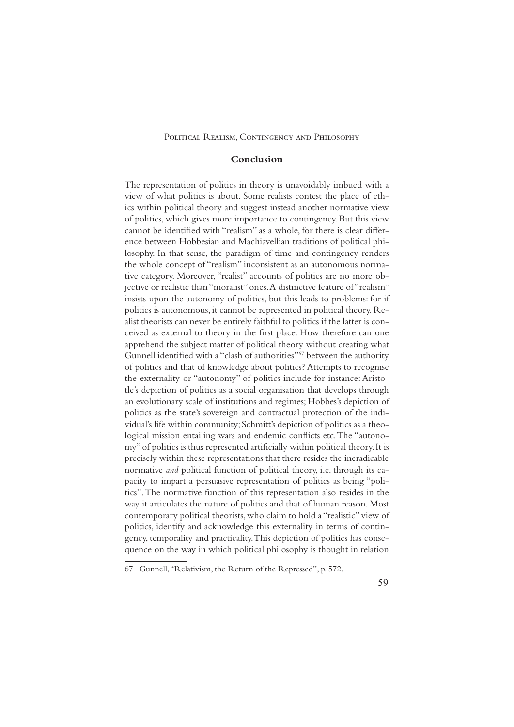### POLITICAL REALISM, CONTINGENCY AND PHILOSOPHY

### **Conclusion**

The representation of politics in theory is unavoidably imbued with a view of what politics is about. Some realists contest the place of ethics within political theory and suggest instead another normative view of politics, which gives more importance to contingency. But this view cannot be identified with "realism" as a whole, for there is clear difference between Hobbesian and Machiavellian traditions of political philosophy. In that sense, the paradigm of time and contingency renders the whole concept of "realism" inconsistent as an autonomous normative category. Moreover, "realist" accounts of politics are no more objective or realistic than "moralist" ones. A distinctive feature of "realism" insists upon the autonomy of politics, but this leads to problems: for if politics is autonomous, it cannot be represented in political theory. Realist theorists can never be entirely faithful to politics if the latter is conceived as external to theory in the first place. How therefore can one apprehend the subject matter of political theory without creating what Gunnell identified with a "clash of authorities"<sup>67</sup> between the authority of politics and that of knowledge about politics? Attempts to recognise the externality or "autonomy" of politics include for instance: Aristotle's depiction of politics as a social organisation that develops through an evolutionary scale of institutions and regimes; Hobbes's depiction of politics as the state's sovereign and contractual protection of the individual's life within community; Schmitt's depiction of politics as a theological mission entailing wars and endemic conflicts etc. The "autonomy" of politics is thus represented artificially within political theory. It is precisely within these representations that there resides the ineradicable normative *and* political function of political theory, i.e. through its capacity to impart a persuasive representation of politics as being "politics". The normative function of this representation also resides in the way it articulates the nature of politics and that of human reason. Most contemporary political theorists, who claim to hold a "realistic" view of politics, identify and acknowledge this externality in terms of contingency, temporality and practicality. This depiction of politics has consequence on the way in which political philosophy is thought in relation

<sup>67</sup> Gunnell, "Relativism, the Return of the Repressed", p. 572.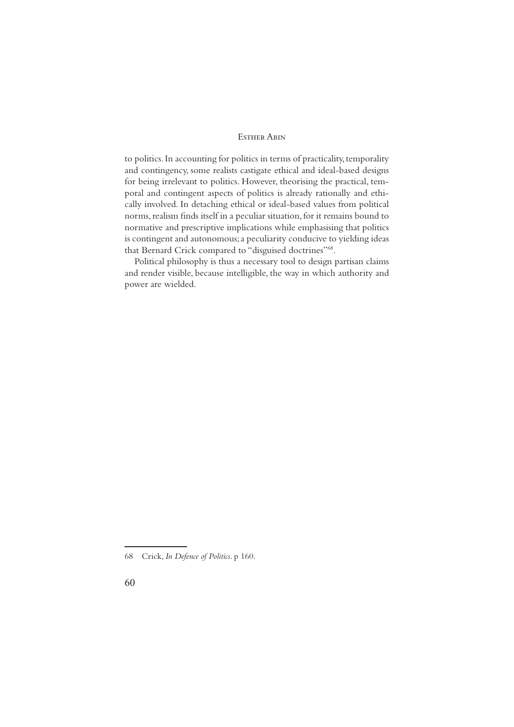to politics. In accounting for politics in terms of practicality, temporality and contingency, some realists castigate ethical and ideal-based designs for being irrelevant to politics. However, theorising the practical, temporal and contingent aspects of politics is already rationally and ethically involved. In detaching ethical or ideal-based values from political norms, realism finds itself in a peculiar situation, for it remains bound to normative and prescriptive implications while emphasising that politics is contingent and autonomous; a peculiarity conducive to yielding ideas that Bernard Crick compared to "disguised doctrines"<sup>68</sup>.

Political philosophy is thus a necessary tool to design partisan claims and render visible, because intelligible, the way in which authority and power are wielded.

68 Crick, *In Defence of Politics*. p 160.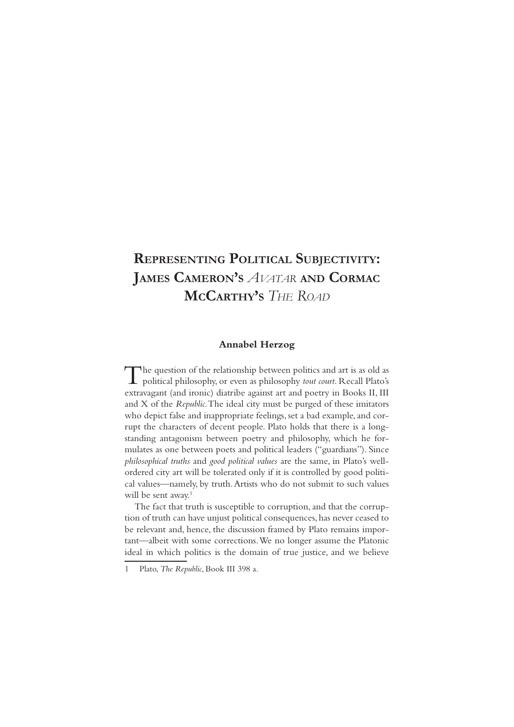# **REPRESENTING POLITICAL SUBJECTIVITY: JAMES CAMERON'S** *AVATAR* **AND CORMAC MCCARTHY'S** *THE ROAD*

# **Annabel Herzog**

The question of the relationship between politics and art is as old as political philosophy, or even as philosophy *tout court*. Recall Plato's extravagant (and ironic) diatribe against art and poetry in Books II, III and X of the *Republic*. The ideal city must be purged of these imitators who depict false and inappropriate feelings, set a bad example, and corrupt the characters of decent people. Plato holds that there is a longstanding antagonism between poetry and philosophy, which he formulates as one between poets and political leaders ("guardians"). Since *philosophical truths* and *good political values* are the same, in Plato's wellordered city art will be tolerated only if it is controlled by good political values—namely, by truth. Artists who do not submit to such values will be sent away.<sup>1</sup>

The fact that truth is susceptible to corruption, and that the corruption of truth can have unjust political consequences, has never ceased to be relevant and, hence, the discussion framed by Plato remains important—albeit with some corrections. We no longer assume the Platonic ideal in which politics is the domain of true justice, and we believe

<sup>1</sup> Plato, *The Republic*, Book III 398 a.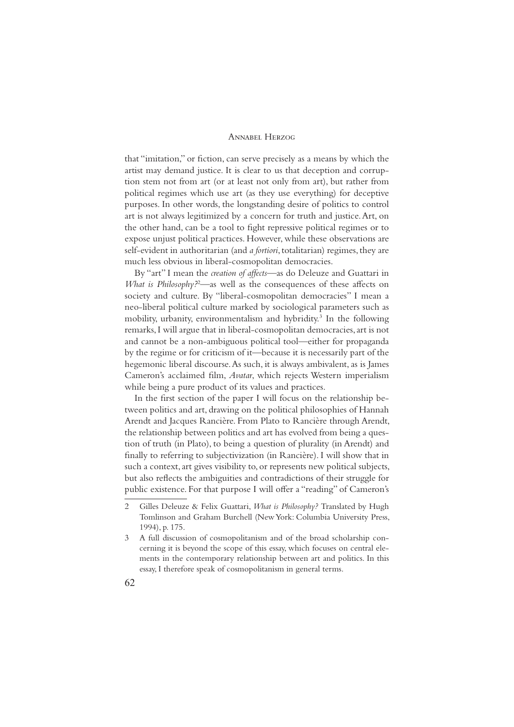# Annabel Herzog

that "imitation," or fiction, can serve precisely as a means by which the artist may demand justice. It is clear to us that deception and corruption stem not from art (or at least not only from art), but rather from political regimes which use art (as they use everything) for deceptive purposes. In other words, the longstanding desire of politics to control art is not always legitimized by a concern for truth and justice. Art, on the other hand, can be a tool to fight repressive political regimes or to expose unjust political practices. However, while these observations are self-evident in authoritarian (and *a fortiori*, totalitarian) regimes, they are much less obvious in liberal-cosmopolitan democracies.

By "art" I mean the *creation of affects*—as do Deleuze and Guattari in *What is Philosophy?*<sup>2</sup>—as well as the consequences of these affects on society and culture. By "liberal-cosmopolitan democracies" I mean a neo-liberal political culture marked by sociological parameters such as mobility, urbanity, environmentalism and hybridity.<sup>3</sup> In the following remarks, I will argue that in liberal-cosmopolitan democracies, art is not and cannot be a non-ambiguous political tool—either for propaganda by the regime or for criticism of it—because it is necessarily part of the hegemonic liberal discourse. As such, it is always ambivalent, as is James Cameron's acclaimed film, *Avatar*, which rejects Western imperialism while being a pure product of its values and practices.

In the first section of the paper I will focus on the relationship between politics and art, drawing on the political philosophies of Hannah Arendt and Jacques Rancière. From Plato to Rancière through Arendt, the relationship between politics and art has evolved from being a question of truth (in Plato), to being a question of plurality (in Arendt) and finally to referring to subjectivization (in Rancière). I will show that in such a context, art gives visibility to, or represents new political subjects, but also reflects the ambiguities and contradictions of their struggle for public existence. For that purpose I will offer a "reading" of Cameron's

<sup>2</sup> Gilles Deleuze & Felix Guattari, *What is Philosophy?* Translated by Hugh Tomlinson and Graham Burchell (New York: Columbia University Press, 1994), p. 175.

<sup>3</sup> A full discussion of cosmopolitanism and of the broad scholarship concerning it is beyond the scope of this essay, which focuses on central elements in the contemporary relationship between art and politics. In this essay, I therefore speak of cosmopolitanism in general terms.

<sup>62</sup>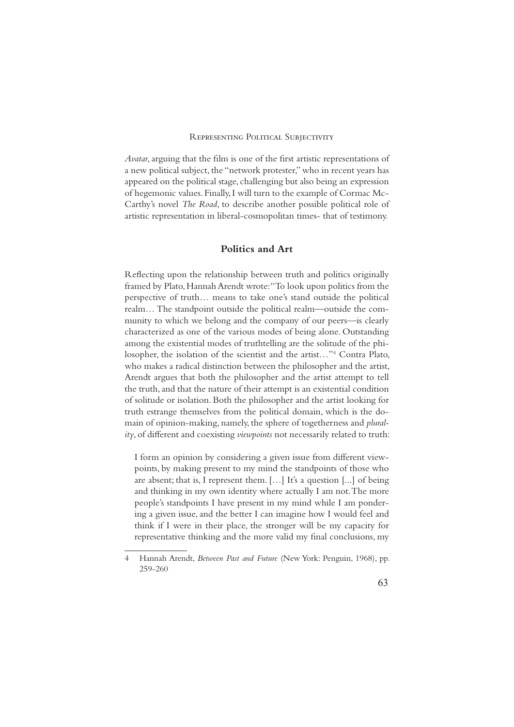### Representing Political Subjectivity

*Avatar*, arguing that the film is one of the first artistic representations of a new political subject, the "network protester," who in recent years has appeared on the political stage, challenging but also being an expression of hegemonic values. Finally, I will turn to the example of Cormac Mc-Carthy's novel *The Road*, to describe another possible political role of artistic representation in liberal-cosmopolitan times- that of testimony.

# **Politics and Art**

Reflecting upon the relationship between truth and politics originally framed by Plato, Hannah Arendt wrote: "To look upon politics from the perspective of truth… means to take one's stand outside the political realm… The standpoint outside the political realm—outside the community to which we belong and the company of our peers—is clearly characterized as one of the various modes of being alone. Outstanding among the existential modes of truthtelling are the solitude of the philosopher, the isolation of the scientist and the artist…"4 Contra Plato, who makes a radical distinction between the philosopher and the artist, Arendt argues that both the philosopher and the artist attempt to tell the truth, and that the nature of their attempt is an existential condition of solitude or isolation. Both the philosopher and the artist looking for truth estrange themselves from the political domain, which is the domain of opinion-making, namely, the sphere of togetherness and *plurality*, of different and coexisting *viewpoints* not necessarily related to truth:

I form an opinion by considering a given issue from different viewpoints, by making present to my mind the standpoints of those who are absent; that is, I represent them. […] It's a question [...] of being and thinking in my own identity where actually I am not. The more people's standpoints I have present in my mind while I am pondering a given issue, and the better I can imagine how I would feel and think if I were in their place, the stronger will be my capacity for representative thinking and the more valid my final conclusions, my

<sup>4</sup> Hannah Arendt, *Between Past and Future* (New York: Penguin, 1968), pp. 259-260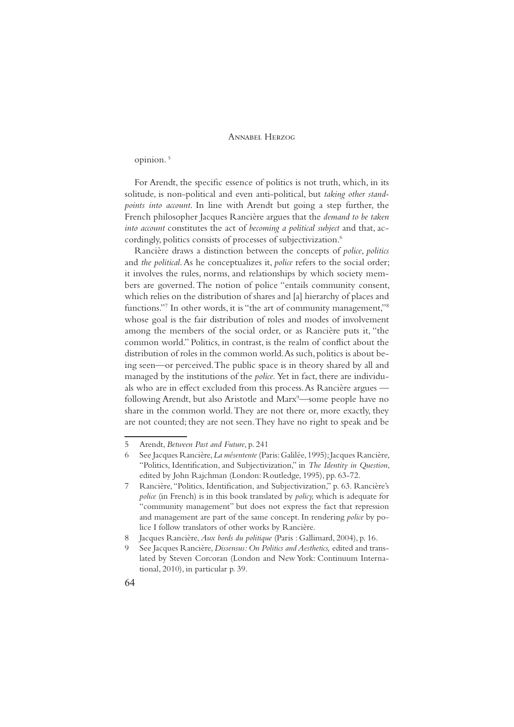### Annabel Herzog

### opinion. 5

For Arendt, the specific essence of politics is not truth, which, in its solitude, is non-political and even anti-political, but *taking other standpoints into account*. In line with Arendt but going a step further, the French philosopher Jacques Rancière argues that the *demand to be taken into account* constitutes the act of *becoming a political subject* and that, accordingly, politics consists of processes of subjectivization.<sup>6</sup>

Rancière draws a distinction between the concepts of *police*, *politics* and *the political*. As he conceptualizes it, *police* refers to the social order; it involves the rules, norms, and relationships by which society members are governed. The notion of police "entails community consent, which relies on the distribution of shares and [a] hierarchy of places and functions."7 In other words, it is "the art of community management,"8 whose goal is the fair distribution of roles and modes of involvement among the members of the social order, or as Rancière puts it, "the common world." Politics, in contrast, is the realm of conflict about the distribution of roles in the common world. As such, politics is about being seen—or perceived. The public space is in theory shared by all and managed by the institutions of the *police.* Yet in fact, there are individuals who are in effect excluded from this process. As Rancière argues following Arendt, but also Aristotle and Marx<sup>9</sup>—some people have no share in the common world. They are not there or, more exactly, they are not counted; they are not seen. They have no right to speak and be

<sup>9</sup> See Jacques Rancière, *Dissensus: On Politics and Aesthetics,* edited and translated by Steven Corcoran (London and New York: Continuum International, 2010), in particular p. 39.



<sup>5</sup> Arendt, *Between Past and Future*, p. 241

<sup>6</sup> See Jacques Rancière, *La mésentente* (Paris: Galilée, 1995); Jacques Rancière, "Politics, Identification, and Subjectivization," in *The Identity in Question*, edited by John Rajchman (London: Routledge, 1995), pp. 63-72.

<sup>7</sup> Rancière, "Politics, Identification, and Subjectivization," p. 63. Rancière's *police* (in French) is in this book translated by *policy,* which is adequate for "community management" but does not express the fact that repression and management are part of the same concept. In rendering *police* by police I follow translators of other works by Rancière.

<sup>8</sup> Jacques Rancière, *Aux bords du politique* (Paris : Gallimard, 2004), p. 16.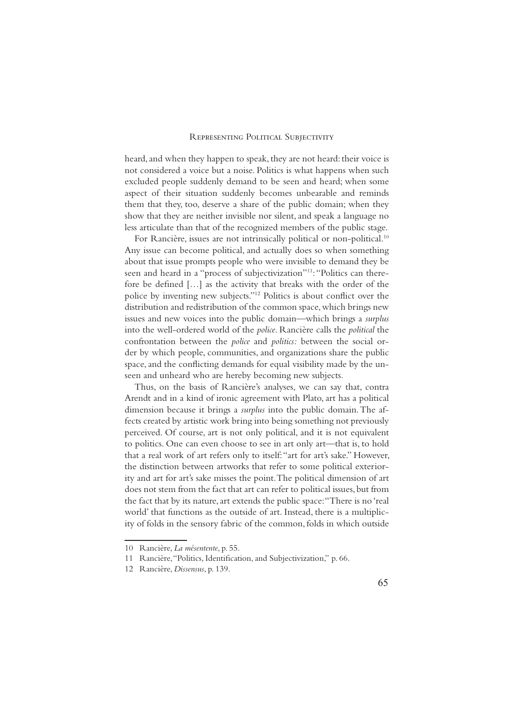### Representing Political Subjectivity

heard, and when they happen to speak, they are not heard: their voice is not considered a voice but a noise. Politics is what happens when such excluded people suddenly demand to be seen and heard; when some aspect of their situation suddenly becomes unbearable and reminds them that they, too, deserve a share of the public domain; when they show that they are neither invisible nor silent, and speak a language no less articulate than that of the recognized members of the public stage.

For Rancière, issues are not intrinsically political or non-political.<sup>10</sup> Any issue can become political, and actually does so when something about that issue prompts people who were invisible to demand they be seen and heard in a "process of subjectivization"<sup>11</sup>: "Politics can therefore be defined [...] as the activity that breaks with the order of the police by inventing new subjects."<sup>12</sup> Politics is about conflict over the distribution and redistribution of the common space, which brings new issues and new voices into the public domain—which brings a *surplus* into the well-ordered world of the *police*. Rancière calls the *political* the confrontation between the *police* and *politics:* between the social order by which people, communities, and organizations share the public space, and the conflicting demands for equal visibility made by the unseen and unheard who are hereby becoming new subjects*.* 

Thus, on the basis of Rancière's analyses, we can say that, contra Arendt and in a kind of ironic agreement with Plato, art has a political dimension because it brings a *surplus* into the public domain. The affects created by artistic work bring into being something not previously perceived. Of course, art is not only political, and it is not equivalent to politics. One can even choose to see in art only art—that is, to hold that a real work of art refers only to itself: "art for art's sake." However, the distinction between artworks that refer to some political exteriority and art for art's sake misses the point. The political dimension of art does not stem from the fact that art can refer to political issues, but from the fact that by its nature, art extends the public space: "There is no 'real world' that functions as the outside of art. Instead, there is a multiplicity of folds in the sensory fabric of the common, folds in which outside

<sup>10</sup> Rancière, *La mésentente*, p. 55.

<sup>11</sup> Rancière, "Politics, Identification, and Subjectivization," p. 66.

<sup>12</sup> Rancière, *Dissensus*, p. 139.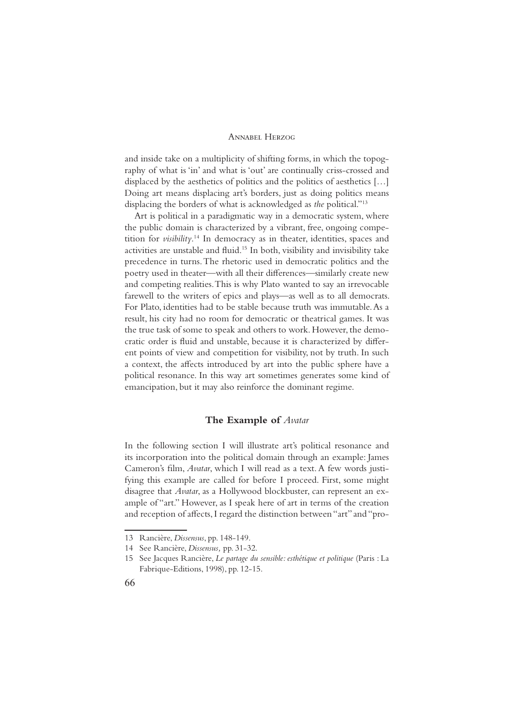### Annabel Herzog

and inside take on a multiplicity of shifting forms, in which the topography of what is 'in' and what is 'out' are continually criss-crossed and displaced by the aesthetics of politics and the politics of aesthetics […] Doing art means displacing art's borders, just as doing politics means displacing the borders of what is acknowledged as *the* political."13

Art is political in a paradigmatic way in a democratic system, where the public domain is characterized by a vibrant, free, ongoing competition for *visibility*. 14 In democracy as in theater, identities, spaces and activities are unstable and fluid.<sup>15</sup> In both, visibility and invisibility take precedence in turns. The rhetoric used in democratic politics and the poetry used in theater—with all their differences—similarly create new and competing realities. This is why Plato wanted to say an irrevocable farewell to the writers of epics and plays—as well as to all democrats. For Plato, identities had to be stable because truth was immutable. As a result, his city had no room for democratic or theatrical games. It was the true task of some to speak and others to work. However, the democratic order is fluid and unstable, because it is characterized by different points of view and competition for visibility, not by truth. In such a context, the affects introduced by art into the public sphere have a political resonance. In this way art sometimes generates some kind of emancipation, but it may also reinforce the dominant regime.

# **The Example of** *Avatar*

In the following section I will illustrate art's political resonance and its incorporation into the political domain through an example: James Cameron's film, *Avatar*, which I will read as a text. A few words justifying this example are called for before I proceed. First, some might disagree that *Avatar*, as a Hollywood blockbuster, can represent an example of "art." However, as I speak here of art in terms of the creation and reception of affects, I regard the distinction between "art" and "pro-

<sup>13</sup> Rancière, *Dissensus*, pp. 148-149.

<sup>14</sup> See Rancière, *Dissensus,* pp. 31-32.

<sup>15</sup> See Jacques Rancière, *Le partage du sensible: esthétique et politique* (Paris : La Fabrique-Editions, 1998), pp. 12-15.

<sup>66</sup>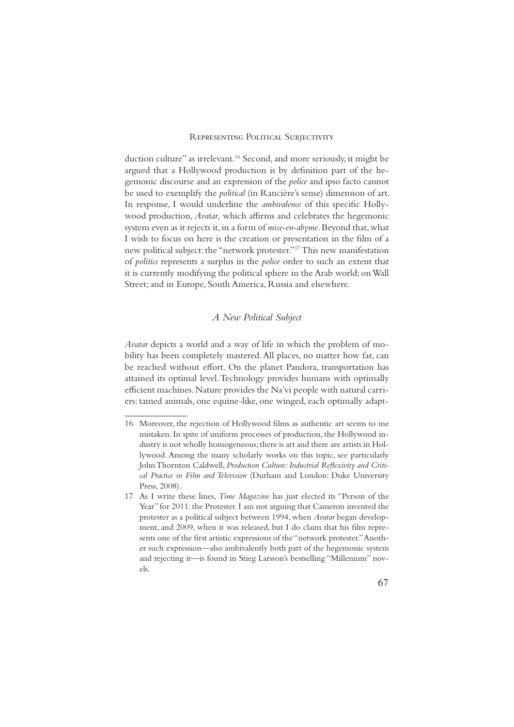### Representing Political Subjectivity

duction culture" as irrelevant.<sup>16</sup> Second, and more seriously, it might be argued that a Hollywood production is by definition part of the hegemonic discourse and an expression of the *police* and ipso facto cannot be used to exemplify the *political* (in Rancière's sense) dimension of art. In response, I would underline the *ambivalence* of this specific Hollywood production, *Avatar*, which affirms and celebrates the hegemonic system even as it rejects it, in a form of *mise-en-abyme*. Beyond that, what I wish to focus on here is the creation or presentation in the film of a new political subject: the "network protester."17 This new manifestation of *politics* represents a surplus in the *police* order to such an extent that it is currently modifying the political sphere in the Arab world; on Wall Street; and in Europe, South America, Russia and elsewhere.

# *A New Political Subject*

*Avatar* depicts a world and a way of life in which the problem of mobility has been completely mastered. All places, no matter how far, can be reached without effort. On the planet Pandora, transportation has attained its optimal level. Technology provides humans with optimally efficient machines. Nature provides the Na'vi people with natural carriers: tamed animals, one equine-like, one winged, each optimally adapt-

<sup>16</sup> Moreover, the rejection of Hollywood films as authentic art seems to me mistaken. In spite of uniform processes of production, the Hollywood industry is not wholly homogeneous; there is art and there are artists in Hollywood. Among the many scholarly works on this topic, see particularly John Thornton Caldwell, *Production Culture: Industrial Reflexivity and Critical Practice in Film and Television* (Durham and London: Duke University Press, 2008).

<sup>17</sup> As I write these lines, *Time Magazine* has just elected its "Person of the Year" for 2011: the Protester. I am not arguing that Cameron invented the protester as a political subject between 1994, when *Avatar* began development, and 2009, when it was released, but I do claim that his film represents one of the first artistic expressions of the "network protester." Another such expression—also ambivalently both part of the hegemonic system and rejecting it—is found in Stieg Larsson's bestselling "Millenium" novels.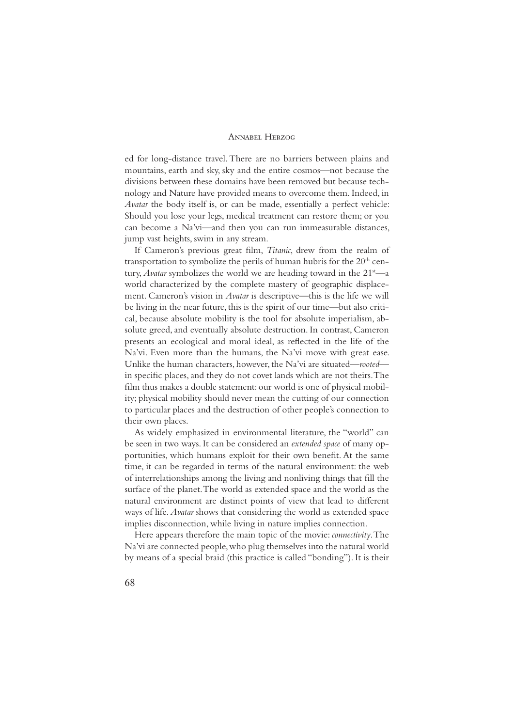### Annabel Herzog

ed for long-distance travel. There are no barriers between plains and mountains, earth and sky, sky and the entire cosmos—not because the divisions between these domains have been removed but because technology and Nature have provided means to overcome them. Indeed, in *Avatar* the body itself is, or can be made, essentially a perfect vehicle: Should you lose your legs, medical treatment can restore them; or you can become a Na'vi—and then you can run immeasurable distances, jump vast heights, swim in any stream.

If Cameron's previous great film, *Titanic*, drew from the realm of transportation to symbolize the perils of human hubris for the  $20<sup>th</sup>$  century, *Avatar* symbolizes the world we are heading toward in the 21<sup>st</sup>—a world characterized by the complete mastery of geographic displacement. Cameron's vision in *Avatar* is descriptive—this is the life we will be living in the near future, this is the spirit of our time—but also critical, because absolute mobility is the tool for absolute imperialism, absolute greed, and eventually absolute destruction. In contrast, Cameron presents an ecological and moral ideal, as reflected in the life of the Na'vi. Even more than the humans, the Na'vi move with great ease. Unlike the human characters, however, the Na'vi are situated—*rooted* in specific places, and they do not covet lands which are not theirs. The film thus makes a double statement: our world is one of physical mobility; physical mobility should never mean the cutting of our connection to particular places and the destruction of other people's connection to their own places.

As widely emphasized in environmental literature, the "world" can be seen in two ways. It can be considered an *extended space* of many opportunities, which humans exploit for their own benefit. At the same time, it can be regarded in terms of the natural environment: the web of interrelationships among the living and nonliving things that fill the surface of the planet. The world as extended space and the world as the natural environment are distinct points of view that lead to different ways of life. *Avatar* shows that considering the world as extended space implies disconnection, while living in nature implies connection.

Here appears therefore the main topic of the movie: *connectivity*. The Na'vi are connected people, who plug themselves into the natural world by means of a special braid (this practice is called "bonding"). It is their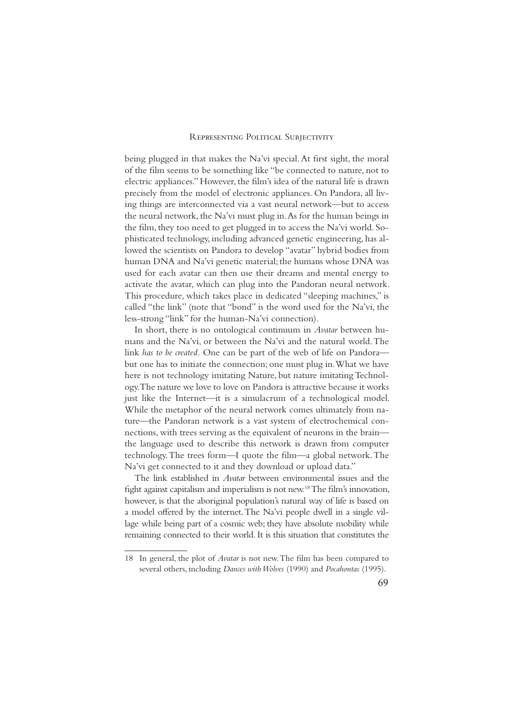### Representing Political Subjectivity

being plugged in that makes the Na'vi special. At first sight, the moral of the film seems to be something like "be connected to nature, not to electric appliances." However, the film's idea of the natural life is drawn precisely from the model of electronic appliances. On Pandora, all living things are interconnected via a vast neural network—but to access the neural network, the Na'vi must plug in. As for the human beings in the film, they too need to get plugged in to access the Na'vi world. Sophisticated technology, including advanced genetic engineering, has allowed the scientists on Pandora to develop "avatar" hybrid bodies from human DNA and Na'vi genetic material; the humans whose DNA was used for each avatar can then use their dreams and mental energy to activate the avatar, which can plug into the Pandoran neural network. This procedure, which takes place in dedicated "sleeping machines," is called "the link" (note that "bond" is the word used for the Na'vi, the less-strong "link" for the human-Na'vi connection).

In short, there is no ontological continuum in *Avatar* between humans and the Na'vi, or between the Na'vi and the natural world. The link *has to be created.* One can be part of the web of life on Pandora but one has to initiate the connection; one must plug in. What we have here is not technology imitating Nature, but nature imitating Technology. The nature we love to love on Pandora is attractive because it works just like the Internet—it is a simulacrum of a technological model. While the metaphor of the neural network comes ultimately from nature—the Pandoran network is a vast system of electrochemical connections, with trees serving as the equivalent of neurons in the brain the language used to describe this network is drawn from computer technology. The trees form—I quote the film—a global network. The Na'vi get connected to it and they download or upload data."

The link established in *Avatar* between environmental issues and the fight against capitalism and imperialism is not new.<sup>18</sup> The film's innovation, however, is that the aboriginal population's natural way of life is based on a model offered by the internet. The Na'vi people dwell in a single village while being part of a cosmic web; they have absolute mobility while remaining connected to their world. It is this situation that constitutes the

<sup>18</sup> In general, the plot of *Avatar* is not new. The film has been compared to several others, including *Dances with Wolves* (1990) and *Pocahontas* (1995).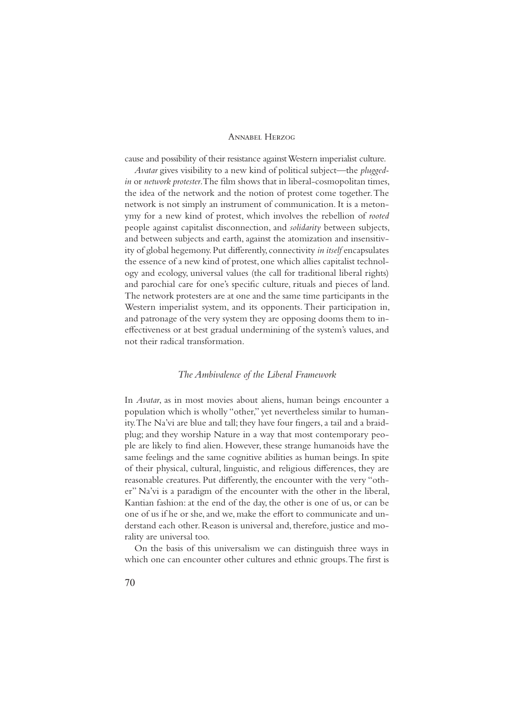### Annabel Herzog

cause and possibility of their resistance against Western imperialist culture.

*Avatar* gives visibility to a new kind of political subject—the *pluggedin* or *network protester*. The film shows that in liberal-cosmopolitan times, the idea of the network and the notion of protest come together. The network is not simply an instrument of communication. It is a metonymy for a new kind of protest, which involves the rebellion of *rooted* people against capitalist disconnection, and *solidarity* between subjects, and between subjects and earth, against the atomization and insensitivity of global hegemony. Put differently, connectivity *in itself* encapsulates the essence of a new kind of protest, one which allies capitalist technology and ecology, universal values (the call for traditional liberal rights) and parochial care for one's specific culture, rituals and pieces of land. The network protesters are at one and the same time participants in the Western imperialist system, and its opponents. Their participation in, and patronage of the very system they are opposing dooms them to ineffectiveness or at best gradual undermining of the system's values, and not their radical transformation.

### *The Ambivalence of the Liberal Framework*

In *Avatar*, as in most movies about aliens, human beings encounter a population which is wholly "other," yet nevertheless similar to humanity. The Na'vi are blue and tall; they have four fingers, a tail and a braidplug; and they worship Nature in a way that most contemporary people are likely to find alien. However, these strange humanoids have the same feelings and the same cognitive abilities as human beings. In spite of their physical, cultural, linguistic, and religious differences, they are reasonable creatures. Put differently, the encounter with the very "other" Na'vi is a paradigm of the encounter with the other in the liberal, Kantian fashion: at the end of the day, the other is one of us, or can be one of us if he or she, and we, make the effort to communicate and understand each other. Reason is universal and, therefore, justice and morality are universal too.

On the basis of this universalism we can distinguish three ways in which one can encounter other cultures and ethnic groups. The first is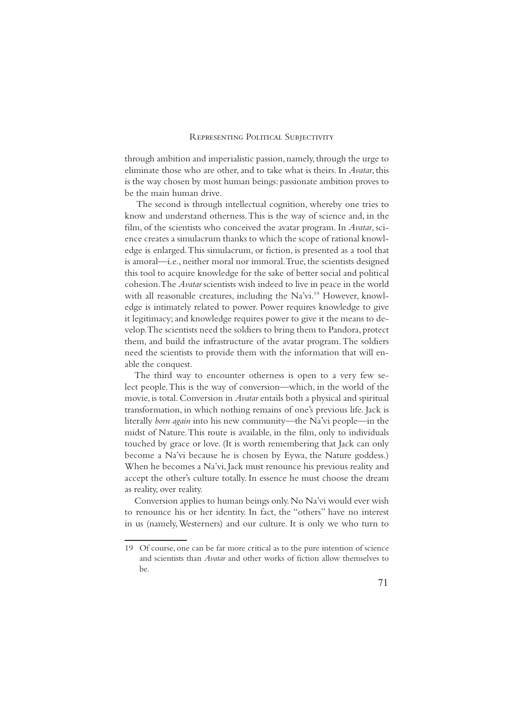#### Representing Political Subjectivity

through ambition and imperialistic passion, namely, through the urge to eliminate those who are other, and to take what is theirs. In *Avatar*, this is the way chosen by most human beings: passionate ambition proves to be the main human drive.

 The second is through intellectual cognition, whereby one tries to know and understand otherness. This is the way of science and, in the film, of the scientists who conceived the avatar program. In *Avatar*, science creates a simulacrum thanks to which the scope of rational knowledge is enlarged. This simulacrum, or fiction, is presented as a tool that is amoral—i.e., neither moral nor immoral. True, the scientists designed this tool to acquire knowledge for the sake of better social and political cohesion. The *Avatar* scientists wish indeed to live in peace in the world with all reasonable creatures, including the Na'vi.<sup>19</sup> However, knowledge is intimately related to power. Power requires knowledge to give it legitimacy; and knowledge requires power to give it the means to develop. The scientists need the soldiers to bring them to Pandora, protect them, and build the infrastructure of the avatar program. The soldiers need the scientists to provide them with the information that will enable the conquest.

The third way to encounter otherness is open to a very few select people. This is the way of conversion—which, in the world of the movie, is total. Conversion in *Avatar* entails both a physical and spiritual transformation, in which nothing remains of one's previous life. Jack is literally *born again* into his new community—the Na'vi people—in the midst of Nature. This route is available, in the film, only to individuals touched by grace or love. (It is worth remembering that Jack can only become a Na'vi because he is chosen by Eywa, the Nature goddess.) When he becomes a Na'vi, Jack must renounce his previous reality and accept the other's culture totally. In essence he must choose the dream as reality, over reality.

Conversion applies to human beings only. No Na'vi would ever wish to renounce his or her identity. In fact, the "others" have no interest in us (namely, Westerners) and our culture. It is only we who turn to

<sup>19</sup> Of course, one can be far more critical as to the pure intention of science and scientists than *Avatar* and other works of fiction allow themselves to  $he$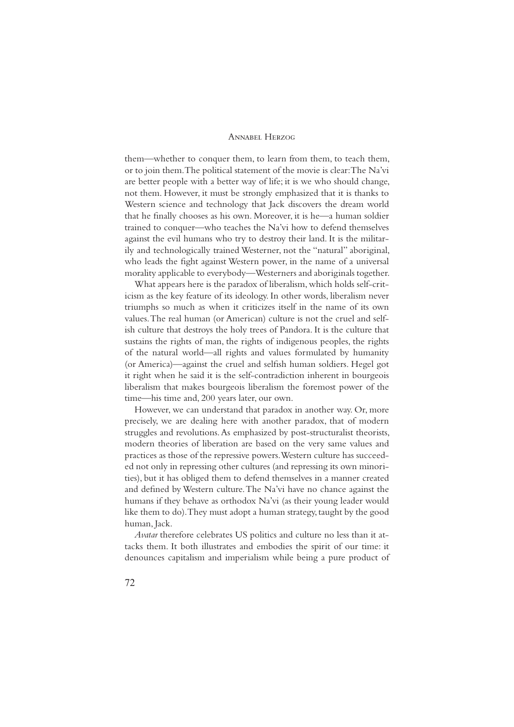# Annabel Herzog

them—whether to conquer them, to learn from them, to teach them, or to join them. The political statement of the movie is clear: The Na'vi are better people with a better way of life; it is we who should change, not them. However, it must be strongly emphasized that it is thanks to Western science and technology that Jack discovers the dream world that he finally chooses as his own. Moreover, it is he—a human soldier trained to conquer—who teaches the Na'vi how to defend themselves against the evil humans who try to destroy their land. It is the militarily and technologically trained Westerner, not the "natural" aboriginal, who leads the fight against Western power, in the name of a universal morality applicable to everybody—Westerners and aboriginals together.

What appears here is the paradox of liberalism, which holds self-criticism as the key feature of its ideology. In other words, liberalism never triumphs so much as when it criticizes itself in the name of its own values. The real human (or American) culture is not the cruel and selfish culture that destroys the holy trees of Pandora. It is the culture that sustains the rights of man, the rights of indigenous peoples, the rights of the natural world—all rights and values formulated by humanity (or America)—against the cruel and selfish human soldiers. Hegel got it right when he said it is the self-contradiction inherent in bourgeois liberalism that makes bourgeois liberalism the foremost power of the time—his time and, 200 years later, our own.

However, we can understand that paradox in another way. Or, more precisely, we are dealing here with another paradox, that of modern struggles and revolutions. As emphasized by post-structuralist theorists, modern theories of liberation are based on the very same values and practices as those of the repressive powers. Western culture has succeeded not only in repressing other cultures (and repressing its own minorities), but it has obliged them to defend themselves in a manner created and defined by Western culture. The Na'vi have no chance against the humans if they behave as orthodox Na'vi (as their young leader would like them to do). They must adopt a human strategy, taught by the good human, Jack.

*Avatar* therefore celebrates US politics and culture no less than it attacks them. It both illustrates and embodies the spirit of our time: it denounces capitalism and imperialism while being a pure product of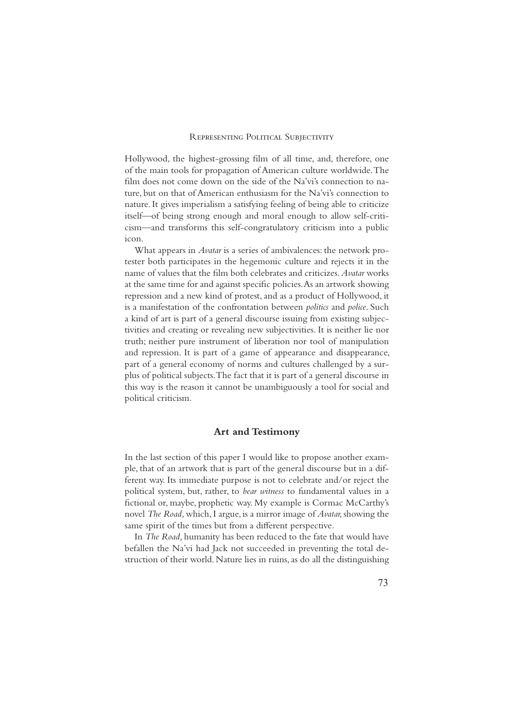# Representing Political Subjectivity

Hollywood, the highest-grossing film of all time, and, therefore, one of the main tools for propagation of American culture worldwide. The film does not come down on the side of the Na'vi's connection to nature, but on that of American enthusiasm for the Na'vi's connection to nature. It gives imperialism a satisfying feeling of being able to criticize itself—of being strong enough and moral enough to allow self-criticism—and transforms this self-congratulatory criticism into a public icon.

What appears in *Avatar* is a series of ambivalences: the network protester both participates in the hegemonic culture and rejects it in the name of values that the film both celebrates and criticizes. *Avatar* works at the same time for and against specific policies. As an artwork showing repression and a new kind of protest, and as a product of Hollywood, it is a manifestation of the confrontation between *politics* and *police*. Such a kind of art is part of a general discourse issuing from existing subjectivities and creating or revealing new subjectivities. It is neither lie nor truth; neither pure instrument of liberation nor tool of manipulation and repression. It is part of a game of appearance and disappearance, part of a general economy of norms and cultures challenged by a surplus of political subjects. The fact that it is part of a general discourse in this way is the reason it cannot be unambiguously a tool for social and political criticism.

# **Art and Testimony**

In the last section of this paper I would like to propose another example, that of an artwork that is part of the general discourse but in a different way. Its immediate purpose is not to celebrate and/or reject the political system, but, rather, to *bear witness* to fundamental values in a fictional or, maybe, prophetic way. My example is Cormac McCarthy's novel *The Road,* which, I argue, is a mirror image of *Avatar,* showing the same spirit of the times but from a different perspective.

In *The Road,* humanity has been reduced to the fate that would have befallen the Na'vi had Jack not succeeded in preventing the total destruction of their world. Nature lies in ruins, as do all the distinguishing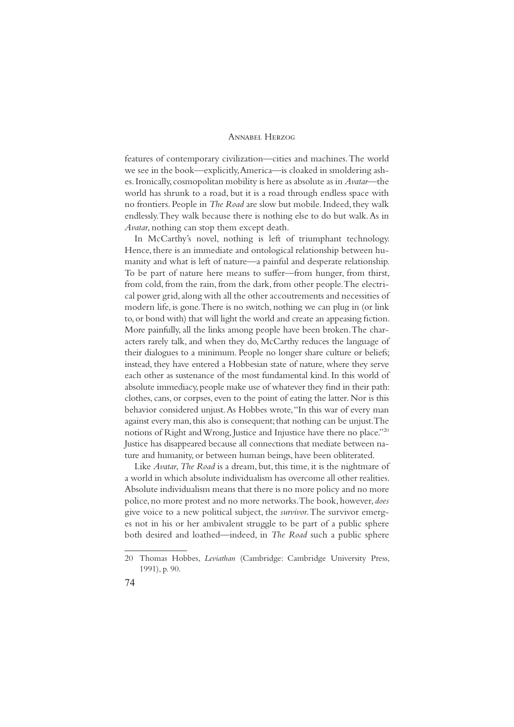# Annabel Herzog

features of contemporary civilization—cities and machines. The world we see in the book—explicitly, America—is cloaked in smoldering ashes. Ironically, cosmopolitan mobility is here as absolute as in *Avatar*—the world has shrunk to a road, but it is a road through endless space with no frontiers. People in *The Road* are slow but mobile. Indeed, they walk endlessly. They walk because there is nothing else to do but walk. As in *Avatar*, nothing can stop them except death.

In McCarthy's novel, nothing is left of triumphant technology. Hence, there is an immediate and ontological relationship between humanity and what is left of nature—a painful and desperate relationship. To be part of nature here means to suffer—from hunger, from thirst, from cold, from the rain, from the dark, from other people. The electrical power grid, along with all the other accoutrements and necessities of modern life, is gone. There is no switch, nothing we can plug in (or link to, or bond with) that will light the world and create an appeasing fiction. More painfully, all the links among people have been broken. The characters rarely talk, and when they do, McCarthy reduces the language of their dialogues to a minimum. People no longer share culture or beliefs; instead, they have entered a Hobbesian state of nature, where they serve each other as sustenance of the most fundamental kind. In this world of absolute immediacy, people make use of whatever they find in their path: clothes, cans, or corpses, even to the point of eating the latter. Nor is this behavior considered unjust. As Hobbes wrote, "In this war of every man against every man, this also is consequent; that nothing can be unjust. The notions of Right and Wrong, Justice and Injustice have there no place."20 Justice has disappeared because all connections that mediate between nature and humanity, or between human beings, have been obliterated.

Like *Avatar*, *The Road* is a dream, but, this time, it is the nightmare of a world in which absolute individualism has overcome all other realities. Absolute individualism means that there is no more policy and no more police, no more protest and no more networks. The book, however, *does* give voice to a new political subject, the *survivor*. The survivor emerges not in his or her ambivalent struggle to be part of a public sphere both desired and loathed—indeed, in *The Road* such a public sphere

<sup>20</sup> Thomas Hobbes, *Leviathan* (Cambridge: Cambridge University Press, 1991), p. 90.

<sup>74</sup>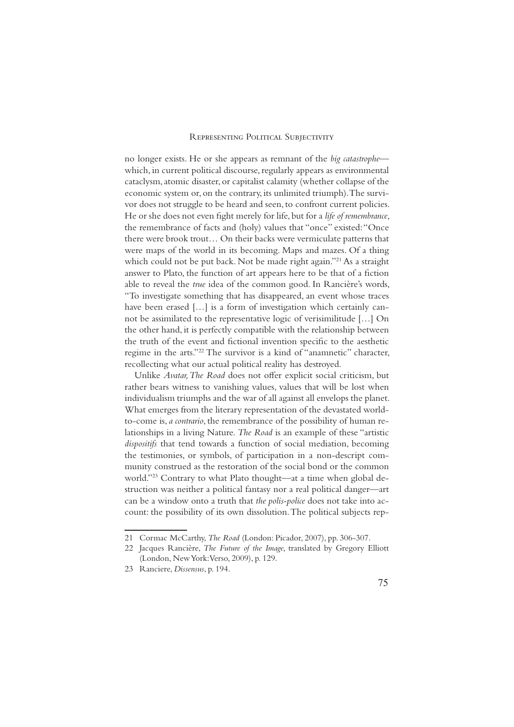# Representing Political Subjectivity

no longer exists. He or she appears as remnant of the *big catastrophe* which, in current political discourse, regularly appears as environmental cataclysm, atomic disaster, or capitalist calamity (whether collapse of the economic system or, on the contrary, its unlimited triumph). The survivor does not struggle to be heard and seen, to confront current policies. He or she does not even fight merely for life, but for a *life of remembrance*, the remembrance of facts and (holy) values that "once" existed: "Once there were brook trout… On their backs were vermiculate patterns that were maps of the world in its becoming. Maps and mazes. Of a thing which could not be put back. Not be made right again."<sup>21</sup> As a straight answer to Plato, the function of art appears here to be that of a fiction able to reveal the *true* idea of the common good. In Rancière's words, "To investigate something that has disappeared, an event whose traces have been erased […] is a form of investigation which certainly cannot be assimilated to the representative logic of verisimilitude […] On the other hand, it is perfectly compatible with the relationship between the truth of the event and fictional invention specific to the aesthetic regime in the arts."22 The survivor is a kind of "anamnetic" character, recollecting what our actual political reality has destroyed.

Unlike *Avatar, The Road* does not offer explicit social criticism, but rather bears witness to vanishing values, values that will be lost when individualism triumphs and the war of all against all envelops the planet. What emerges from the literary representation of the devastated worldto-come is, *a contrario*, the remembrance of the possibility of human relationships in a living Nature. *The Road* is an example of these "artistic *dispositifs* that tend towards a function of social mediation, becoming the testimonies, or symbols, of participation in a non-descript community construed as the restoration of the social bond or the common world."23 Contrary to what Plato thought—at a time when global destruction was neither a political fantasy nor a real political danger—art can be a window onto a truth that *the polis-police* does not take into account: the possibility of its own dissolution. The political subjects rep-

<sup>21</sup> Cormac McCarthy, *The Road* (London: Picador, 2007), pp. 306-307.

<sup>22</sup> Jacques Rancière, *The Future of the Image,* translated by Gregory Elliott (London, New York: Verso, 2009), p. 129.

<sup>23</sup> Ranciere, *Dissensus*, p. 194.

<sup>75</sup>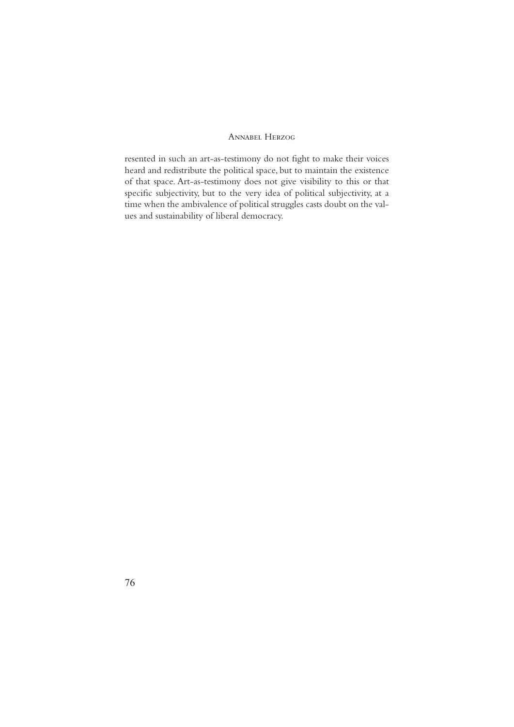# Annabel Herzog

resented in such an art-as-testimony do not fight to make their voices heard and redistribute the political space, but to maintain the existence of that space. Art-as-testimony does not give visibility to this or that specific subjectivity, but to the very idea of political subjectivity, at a time when the ambivalence of political struggles casts doubt on the values and sustainability of liberal democracy.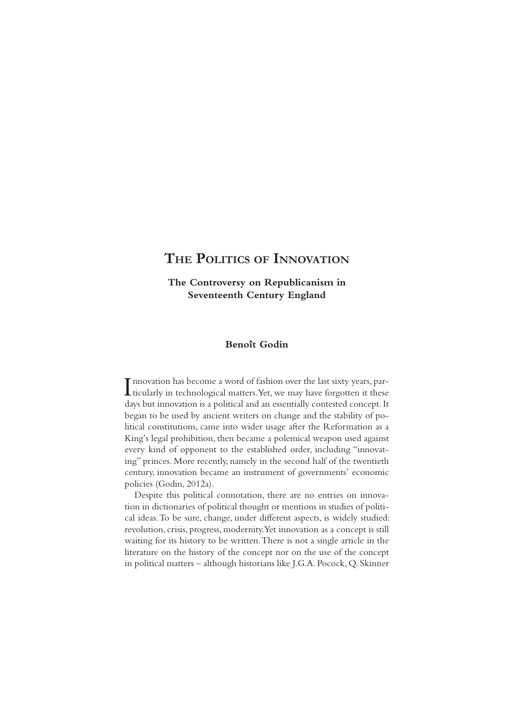# **THE POLITICS OF INNOVATION**

# **The Controversy on Republicanism in Seventeenth Century England**

# **Benoît Godin**

Innovation has become a word of fashion over the last sixty years, particularly in technological matters. Yet, we may have forgotten it these nnovation has become a word of fashion over the last sixty years, pardays but innovation is a political and an essentially contested concept. It began to be used by ancient writers on change and the stability of political constitutions, came into wider usage after the Reformation as a King's legal prohibition, then became a polemical weapon used against every kind of opponent to the established order, including "innovating" princes. More recently, namely in the second half of the twentieth century, innovation became an instrument of governments' economic policies (Godin, 2012a).

Despite this political connotation, there are no entries on innovation in dictionaries of political thought or mentions in studies of political ideas. To be sure, change, under different aspects, is widely studied: revolution, crisis, progress, modernity. Yet innovation as a concept is still waiting for its history to be written. There is not a single article in the literature on the history of the concept nor on the use of the concept in political matters – although historians like J.G.A. Pocock, Q. Skinner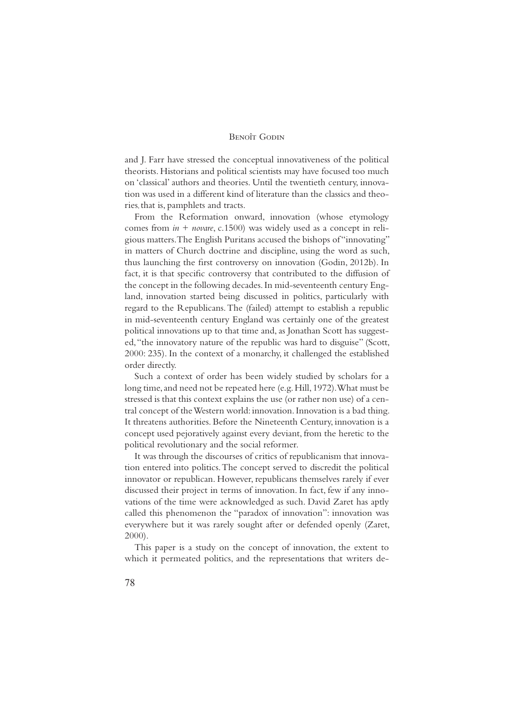and J. Farr have stressed the conceptual innovativeness of the political theorists. Historians and political scientists may have focused too much on 'classical' authors and theories. Until the twentieth century, innovation was used in a different kind of literature than the classics and theories, that is, pamphlets and tracts.

From the Reformation onward, innovation (whose etymology comes from *in* + *novare*, c.1500) was widely used as a concept in religious matters. The English Puritans accused the bishops of "innovating" in matters of Church doctrine and discipline, using the word as such, thus launching the first controversy on innovation (Godin, 2012b). In fact, it is that specific controversy that contributed to the diffusion of the concept in the following decades. In mid-seventeenth century England, innovation started being discussed in politics, particularly with regard to the Republicans. The (failed) attempt to establish a republic in mid-seventeenth century England was certainly one of the greatest political innovations up to that time and, as Jonathan Scott has suggested, "the innovatory nature of the republic was hard to disguise" (Scott, 2000: 235). In the context of a monarchy, it challenged the established order directly.

Such a context of order has been widely studied by scholars for a long time, and need not be repeated here (e.g. Hill, 1972). What must be stressed is that this context explains the use (or rather non use) of a central concept of the Western world: innovation. Innovation is a bad thing. It threatens authorities. Before the Nineteenth Century, innovation is a concept used pejoratively against every deviant, from the heretic to the political revolutionary and the social reformer.

It was through the discourses of critics of republicanism that innovation entered into politics. The concept served to discredit the political innovator or republican. However, republicans themselves rarely if ever discussed their project in terms of innovation. In fact, few if any innovations of the time were acknowledged as such. David Zaret has aptly called this phenomenon the "paradox of innovation": innovation was everywhere but it was rarely sought after or defended openly (Zaret, 2000).

This paper is a study on the concept of innovation, the extent to which it permeated politics, and the representations that writers de-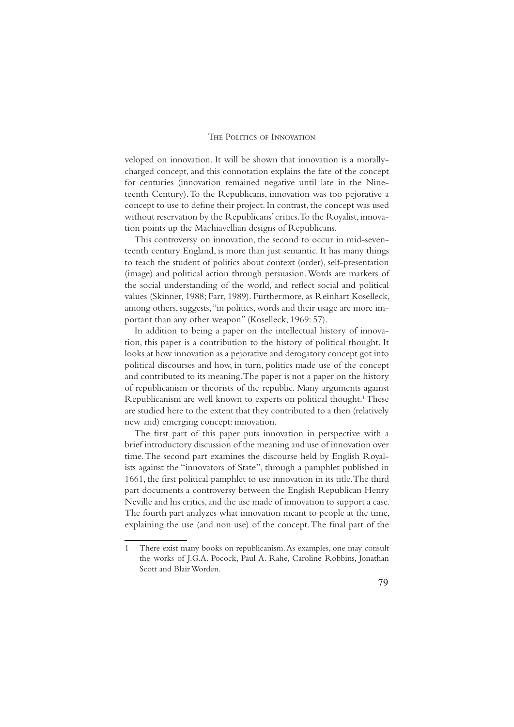# THE POLITICS OF INNOVATION

veloped on innovation. It will be shown that innovation is a morallycharged concept, and this connotation explains the fate of the concept for centuries (innovation remained negative until late in the Nineteenth Century). To the Republicans, innovation was too pejorative a concept to use to define their project. In contrast, the concept was used without reservation by the Republicans' critics. To the Royalist, innovation points up the Machiavellian designs of Republicans.

This controversy on innovation, the second to occur in mid-seventeenth century England, is more than just semantic. It has many things to teach the student of politics about context (order), self-presentation (image) and political action through persuasion. Words are markers of the social understanding of the world, and reflect social and political values (Skinner, 1988; Farr, 1989). Furthermore, as Reinhart Koselleck, among others, suggests, "in politics, words and their usage are more important than any other weapon" (Koselleck, 1969: 57).

In addition to being a paper on the intellectual history of innovation, this paper is a contribution to the history of political thought. It looks at how innovation as a pejorative and derogatory concept got into political discourses and how, in turn, politics made use of the concept and contributed to its meaning. The paper is not a paper on the history of republicanism or theorists of the republic. Many arguments against Republicanism are well known to experts on political thought.<sup>1</sup> These are studied here to the extent that they contributed to a then (relatively new and) emerging concept: innovation.

The first part of this paper puts innovation in perspective with a brief introductory discussion of the meaning and use of innovation over time. The second part examines the discourse held by English Royalists against the "innovators of State", through a pamphlet published in 1661, the first political pamphlet to use innovation in its title. The third part documents a controversy between the English Republican Henry Neville and his critics, and the use made of innovation to support a case. The fourth part analyzes what innovation meant to people at the time, explaining the use (and non use) of the concept. The final part of the

<sup>1</sup> There exist many books on republicanism. As examples, one may consult the works of J.G.A. Pocock, Paul A. Rahe, Caroline Robbins, Jonathan Scott and Blair Worden.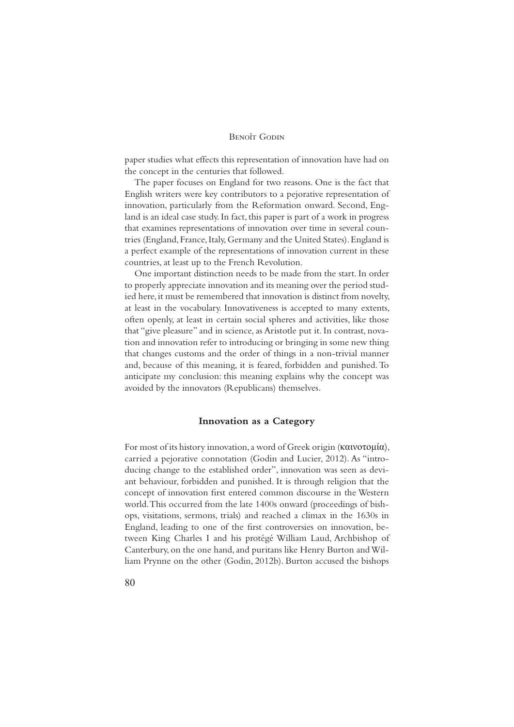paper studies what effects this representation of innovation have had on the concept in the centuries that followed.

The paper focuses on England for two reasons. One is the fact that English writers were key contributors to a pejorative representation of innovation, particularly from the Reformation onward. Second, England is an ideal case study. In fact, this paper is part of a work in progress that examines representations of innovation over time in several countries (England, France, Italy, Germany and the United States). England is a perfect example of the representations of innovation current in these countries, at least up to the French Revolution.

One important distinction needs to be made from the start. In order to properly appreciate innovation and its meaning over the period studied here, it must be remembered that innovation is distinct from novelty, at least in the vocabulary. Innovativeness is accepted to many extents, often openly, at least in certain social spheres and activities, like those that "give pleasure" and in science, as Aristotle put it. In contrast, novation and innovation refer to introducing or bringing in some new thing that changes customs and the order of things in a non-trivial manner and, because of this meaning, it is feared, forbidden and punished. To anticipate my conclusion: this meaning explains why the concept was avoided by the innovators (Republicans) themselves.

#### **Innovation as a Category**

For most of its history innovation, a word of Greek origin (καινοτομία), carried a pejorative connotation (Godin and Lucier, 2012). As "introducing change to the established order", innovation was seen as deviant behaviour, forbidden and punished. It is through religion that the concept of innovation first entered common discourse in the Western world. This occurred from the late 1400s onward (proceedings of bishops, visitations, sermons, trials) and reached a climax in the 1630s in England, leading to one of the first controversies on innovation, between King Charles I and his protégé William Laud, Archbishop of Canterbury, on the one hand, and puritans like Henry Burton and William Prynne on the other (Godin, 2012b). Burton accused the bishops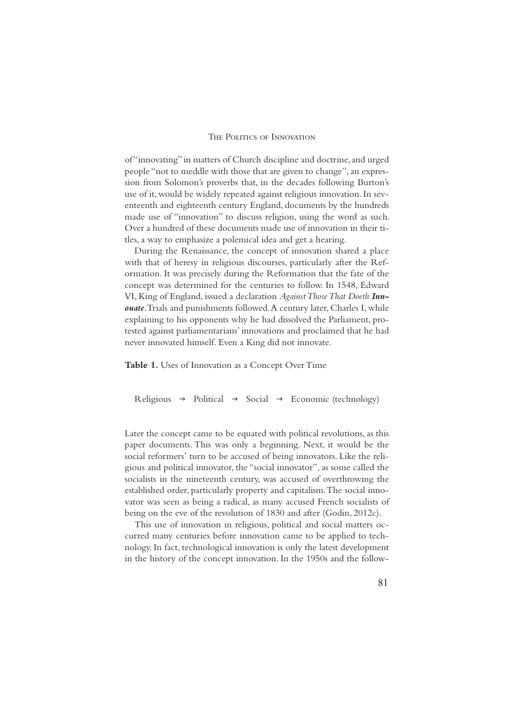of "innovating" in matters of Church discipline and doctrine, and urged people "not to meddle with those that are given to change", an expression from Solomon's proverbs that, in the decades following Burton's use of it, would be widely repeated against religious innovation. In seventeenth and eighteenth century England, documents by the hundreds made use of "innovation" to discuss religion, using the word as such. Over a hundred of these documents made use of innovation in their titles, a way to emphasize a polemical idea and get a hearing.

During the Renaissance, the concept of innovation shared a place with that of heresy in religious discourses, particularly after the Reformation. It was precisely during the Reformation that the fate of the concept was determined for the centuries to follow. In 1548, Edward VI, King of England, issued a declaration *Against Those That Doeth Innouate*. Trials and punishments followed. A century later, Charles I, while explaining to his opponents why he had dissolved the Parliament, protested against parliamentarians' innovations and proclaimed that he had never innovated himself. Even a King did not innovate.

Table 1. Uses of Innovation as a Concept Over Time

Religious  $\rightarrow$  Political  $\rightarrow$  Social  $\rightarrow$  Economic (technology)

Later the concept came to be equated with political revolutions, as this paper documents. This was only a beginning. Next, it would be the social reformers' turn to be accused of being innovators. Like the religious and political innovator, the "social innovator", as some called the socialists in the nineteenth century, was accused of overthrowing the established order, particularly property and capitalism. The social innovator was seen as being a radical, as many accused French socialists of being on the eve of the revolution of 1830 and after (Godin, 2012c).

This use of innovation in religious, political and social matters occurred many centuries before innovation came to be applied to technology. In fact, technological innovation is only the latest development in the history of the concept innovation. In the 1950s and the follow-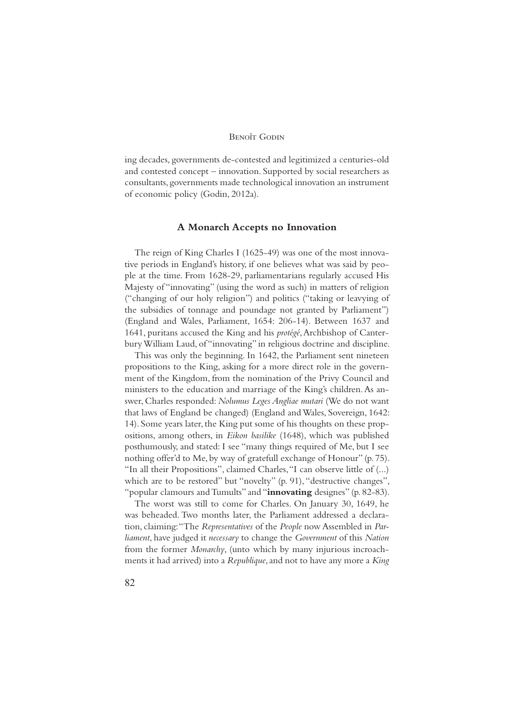# **BENOÎT GODIN**

ing decades, governments de-contested and legitimized a centuries-old and contested concept – innovation. Supported by social researchers as consultants, governments made technological innovation an instrument of economic policy (Godin, 2012a).

# **A Monarch Accepts no Innovation**

The reign of King Charles I (1625-49) was one of the most innovative periods in England's history, if one believes what was said by people at the time. From 1628-29, parliamentarians regularly accused His Majesty of "innovating" (using the word as such) in matters of religion ("changing of our holy religion") and politics ("taking or leavying of the subsidies of tonnage and poundage not granted by Parliament") (England and Wales, Parliament, 1654: 206-14). Between 1637 and 1641, puritans accused the King and his *protégé*, Archbishop of Canterbury William Laud, of "innovating" in religious doctrine and discipline.

This was only the beginning. In 1642, the Parliament sent nineteen propositions to the King, asking for a more direct role in the government of the Kingdom, from the nomination of the Privy Council and ministers to the education and marriage of the King's children. As answer, Charles responded: *Nolumus Leges Angliae mutari* (We do not want that laws of England be changed) (England and Wales, Sovereign, 1642: 14). Some years later, the King put some of his thoughts on these propositions, among others, in *Eikon basilike* (1648), which was published posthumously, and stated: I see "many things required of Me, but I see nothing offer'd to Me, by way of gratefull exchange of Honour" (p. 75). "In all their Propositions", claimed Charles, "I can observe little of (...) which are to be restored" but "novelty" (p. 91), "destructive changes", "popular clamours and Tumults" and "**innovating** designes" (p. 82-83).

The worst was still to come for Charles. On January 30, 1649, he was beheaded. Two months later, the Parliament addressed a declaration, claiming: "The *Representatives* of the *People* now Assembled in *Parliament*, have judged it *necessary* to change the *Government* of this *Nation* from the former *Monarchy*, (unto which by many injurious incroachments it had arrived) into a *Republique*, and not to have any more a *King*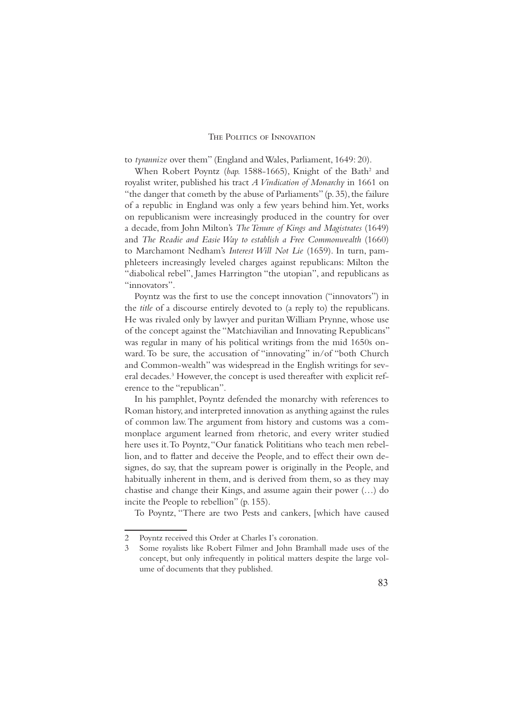to *tyrannize* over them" (England and Wales, Parliament, 1649: 20).

When Robert Poyntz (bap. 1588-1665), Knight of the Bath<sup>2</sup> and royalist writer, published his tract *A Vindication of Monarchy* in 1661 on "the danger that cometh by the abuse of Parliaments" (p. 35), the failure of a republic in England was only a few years behind him. Yet, works on republicanism were increasingly produced in the country for over a decade, from John Milton's *The Tenure of Kings and Magistrates* (1649) and *The Readie and Easie Way to establish a Free Commonwealth* (1660) to Marchamont Nedham's *Interest Will Not Lie* (1659). In turn, pamphleteers increasingly leveled charges against republicans: Milton the "diabolical rebel", James Harrington "the utopian", and republicans as "innovators".

Poyntz was the first to use the concept innovation ("innovators") in the *title* of a discourse entirely devoted to (a reply to) the republicans. He was rivaled only by lawyer and puritan William Prynne, whose use of the concept against the "Matchiavilian and Innovating Republicans" was regular in many of his political writings from the mid 1650s onward. To be sure, the accusation of "innovating" in/of "both Church and Common-wealth" was widespread in the English writings for several decades.<sup>3</sup> However, the concept is used thereafter with explicit reference to the "republican".

In his pamphlet, Poyntz defended the monarchy with references to Roman history, and interpreted innovation as anything against the rules of common law. The argument from history and customs was a commonplace argument learned from rhetoric, and every writer studied here uses it. To Poyntz, "Our fanatick Polititians who teach men rebellion, and to flatter and deceive the People, and to effect their own designes, do say, that the supream power is originally in the People, and habitually inherent in them, and is derived from them, so as they may chastise and change their Kings, and assume again their power (…) do incite the People to rebellion" (p. 155).

To Poyntz, "There are two Pests and cankers, [which have caused

Poyntz received this Order at Charles I's coronation.

<sup>3</sup> Some royalists like Robert Filmer and John Bramhall made uses of the concept, but only infrequently in political matters despite the large volume of documents that they published.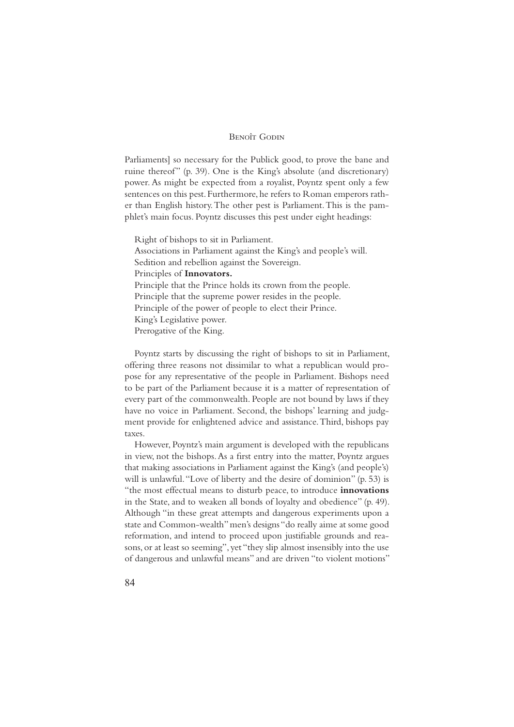Parliaments] so necessary for the Publick good, to prove the bane and ruine thereof" (p. 39). One is the King's absolute (and discretionary) power. As might be expected from a royalist, Poyntz spent only a few sentences on this pest. Furthermore, he refers to Roman emperors rather than English history. The other pest is Parliament. This is the pamphlet's main focus. Poyntz discusses this pest under eight headings:

Right of bishops to sit in Parliament.

Associations in Parliament against the King's and people's will. Sedition and rebellion against the Sovereign. Principles of **Innovators.** Principle that the Prince holds its crown from the people. Principle that the supreme power resides in the people. Principle of the power of people to elect their Prince. King's Legislative power. Prerogative of the King.

Poyntz starts by discussing the right of bishops to sit in Parliament, offering three reasons not dissimilar to what a republican would propose for any representative of the people in Parliament. Bishops need to be part of the Parliament because it is a matter of representation of every part of the commonwealth. People are not bound by laws if they have no voice in Parliament. Second, the bishops' learning and judgment provide for enlightened advice and assistance. Third, bishops pay taxes.

However, Poyntz's main argument is developed with the republicans in view, not the bishops. As a first entry into the matter, Poyntz argues that making associations in Parliament against the King's (and people's) will is unlawful. "Love of liberty and the desire of dominion" (p. 53) is "the most effectual means to disturb peace, to introduce **innovations** in the State, and to weaken all bonds of loyalty and obedience" (p. 49). Although "in these great attempts and dangerous experiments upon a state and Common-wealth" men's designs "do really aime at some good reformation, and intend to proceed upon justifiable grounds and reasons, or at least so seeming", yet "they slip almost insensibly into the use of dangerous and unlawful means" and are driven "to violent motions"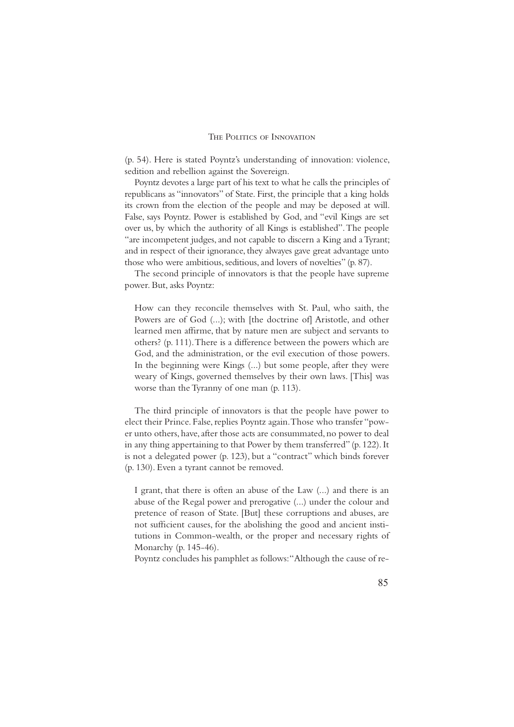(p. 54). Here is stated Poyntz's understanding of innovation: violence, sedition and rebellion against the Sovereign.

Poyntz devotes a large part of his text to what he calls the principles of republicans as "innovators" of State. First, the principle that a king holds its crown from the election of the people and may be deposed at will. False, says Poyntz. Power is established by God, and "evil Kings are set over us, by which the authority of all Kings is established". The people "are incompetent judges, and not capable to discern a King and a Tyrant; and in respect of their ignorance, they alwayes gave great advantage unto those who were ambitious, seditious, and lovers of novelties" (p. 87).

The second principle of innovators is that the people have supreme power. But, asks Poyntz:

How can they reconcile themselves with St. Paul, who saith, the Powers are of God (...); with [the doctrine of] Aristotle, and other learned men affirme, that by nature men are subject and servants to others? (p. 111). There is a difference between the powers which are God, and the administration, or the evil execution of those powers. In the beginning were Kings (...) but some people, after they were weary of Kings, governed themselves by their own laws. [This] was worse than the Tyranny of one man (p. 113).

The third principle of innovators is that the people have power to elect their Prince. False, replies Poyntz again. Those who transfer "power unto others, have, after those acts are consummated, no power to deal in any thing appertaining to that Power by them transferred" (p. 122). It is not a delegated power (p. 123), but a "contract" which binds forever (p. 130). Even a tyrant cannot be removed.

I grant, that there is often an abuse of the Law (...) and there is an abuse of the Regal power and prerogative (...) under the colour and pretence of reason of State. [But] these corruptions and abuses, are not sufficient causes, for the abolishing the good and ancient institutions in Common-wealth, or the proper and necessary rights of Monarchy (p. 145-46).

Poyntz concludes his pamphlet as follows: "Although the cause of re-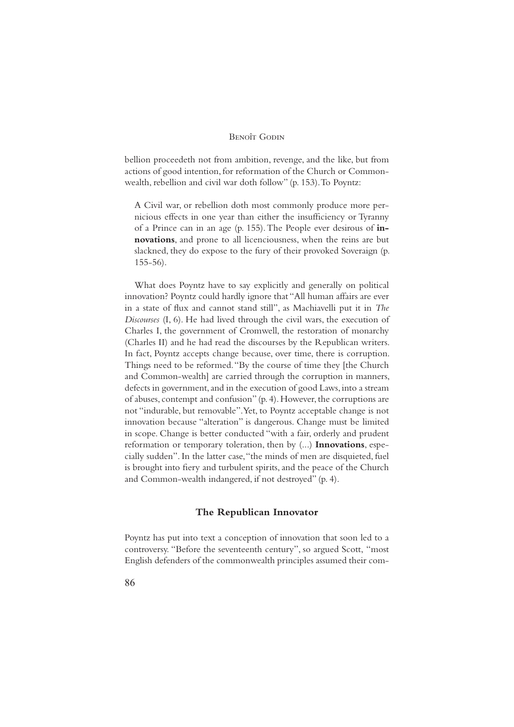bellion proceedeth not from ambition, revenge, and the like, but from actions of good intention, for reformation of the Church or Commonwealth, rebellion and civil war doth follow" (p. 153). To Poyntz:

A Civil war, or rebellion doth most commonly produce more pernicious effects in one year than either the insufficiency or Tyranny of a Prince can in an age (p. 155). The People ever desirous of **innovations**, and prone to all licenciousness, when the reins are but slackned, they do expose to the fury of their provoked Soveraign (p. 155-56).

What does Poyntz have to say explicitly and generally on political innovation? Poyntz could hardly ignore that "All human affairs are ever in a state of flux and cannot stand still", as Machiavelli put it in *The Discourses* (I, 6). He had lived through the civil wars, the execution of Charles I, the government of Cromwell, the restoration of monarchy (Charles II) and he had read the discourses by the Republican writers. In fact, Poyntz accepts change because, over time, there is corruption. Things need to be reformed. "By the course of time they [the Church and Common-wealth] are carried through the corruption in manners, defects in government, and in the execution of good Laws, into a stream of abuses, contempt and confusion" (p. 4). However, the corruptions are not "indurable, but removable". Yet, to Poyntz acceptable change is not innovation because "alteration" is dangerous. Change must be limited in scope. Change is better conducted "with a fair, orderly and prudent reformation or temporary toleration, then by (...) **Innovations**, especially sudden". In the latter case, "the minds of men are disquieted, fuel is brought into fiery and turbulent spirits, and the peace of the Church and Common-wealth indangered, if not destroyed" (p. 4).

# **The Republican Innovator**

Poyntz has put into text a conception of innovation that soon led to a controversy. "Before the seventeenth century", so argued Scott, "most English defenders of the commonwealth principles assumed their com-

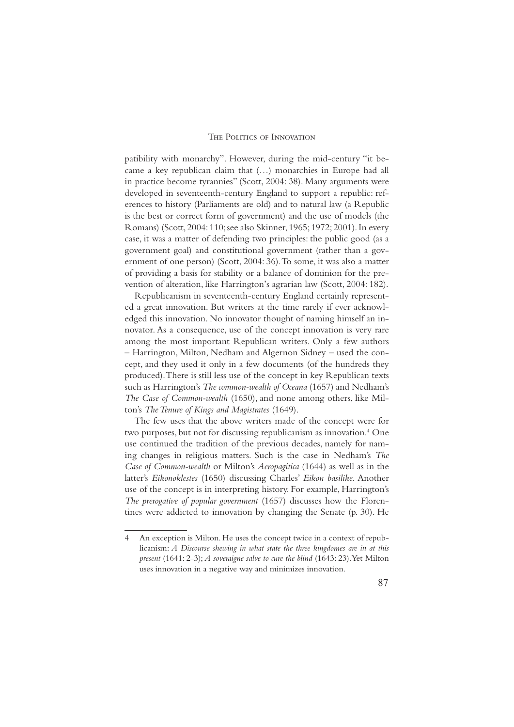patibility with monarchy". However, during the mid-century "it became a key republican claim that (…) monarchies in Europe had all in practice become tyrannies" (Scott, 2004: 38). Many arguments were developed in seventeenth-century England to support a republic: references to history (Parliaments are old) and to natural law (a Republic is the best or correct form of government) and the use of models (the Romans) (Scott, 2004: 110; see also Skinner, 1965; 1972; 2001). In every case, it was a matter of defending two principles: the public good (as a government goal) and constitutional government (rather than a government of one person) (Scott, 2004: 36). To some, it was also a matter of providing a basis for stability or a balance of dominion for the prevention of alteration, like Harrington's agrarian law (Scott, 2004: 182).

Republicanism in seventeenth-century England certainly represented a great innovation. But writers at the time rarely if ever acknowledged this innovation. No innovator thought of naming himself an innovator. As a consequence, use of the concept innovation is very rare among the most important Republican writers. Only a few authors – Harrington, Milton, Nedham and Algernon Sidney – used the concept, and they used it only in a few documents (of the hundreds they produced). There is still less use of the concept in key Republican texts such as Harrington's *The common-wealth of Oceana* (1657) and Nedham's *The Case of Common-wealth* (1650), and none among others, like Milton's *The Tenure of Kings and Magistrates* (1649).

The few uses that the above writers made of the concept were for two purposes, but not for discussing republicanism as innovation.<sup>4</sup> One use continued the tradition of the previous decades, namely for naming changes in religious matters. Such is the case in Nedham's *The Case of Common-wealth* or Milton's *Aeropagitica* (1644) as well as in the latter's *Eikonoklestes* (1650) discussing Charles' *Eikon basilike.* Another use of the concept is in interpreting history. For example, Harrington's *The prerogative of popular government* (1657) discusses how the Florentines were addicted to innovation by changing the Senate (p. 30). He

An exception is Milton. He uses the concept twice in a context of republicanism: *A Discourse shewing in what state the three kingdomes are in at this present* (1641: 2-3); *A soveraigne salve to cure the blind* (1643: 23). Yet Milton uses innovation in a negative way and minimizes innovation.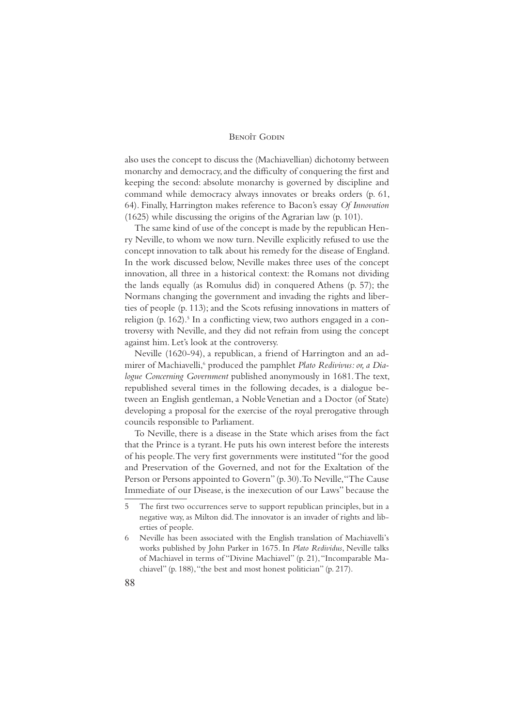# **BENOÎT GODIN**

also uses the concept to discuss the (Machiavellian) dichotomy between monarchy and democracy, and the difficulty of conquering the first and keeping the second: absolute monarchy is governed by discipline and command while democracy always innovates or breaks orders (p. 61, 64). Finally, Harrington makes reference to Bacon's essay *Of Innovation* (1625) while discussing the origins of the Agrarian law (p. 101).

The same kind of use of the concept is made by the republican Henry Neville, to whom we now turn. Neville explicitly refused to use the concept innovation to talk about his remedy for the disease of England. In the work discussed below, Neville makes three uses of the concept innovation, all three in a historical context: the Romans not dividing the lands equally (as Romulus did) in conquered Athens (p. 57); the Normans changing the government and invading the rights and liberties of people (p. 113); and the Scots refusing innovations in matters of religion (p. 162).<sup>5</sup> In a conflicting view, two authors engaged in a controversy with Neville, and they did not refrain from using the concept against him. Let's look at the controversy.

Neville (1620-94), a republican, a friend of Harrington and an admirer of Machiavelli,<sup>6</sup> produced the pamphlet Plato Redivivus: or, a Dia*logue Concerning Government* published anonymously in 1681. The text, republished several times in the following decades, is a dialogue between an English gentleman, a Noble Venetian and a Doctor (of State) developing a proposal for the exercise of the royal prerogative through councils responsible to Parliament.

To Neville, there is a disease in the State which arises from the fact that the Prince is a tyrant. He puts his own interest before the interests of his people. The very first governments were instituted "for the good and Preservation of the Governed, and not for the Exaltation of the Person or Persons appointed to Govern" (p. 30). To Neville, "The Cause Immediate of our Disease, is the inexecution of our Laws" because the

<sup>5</sup> The first two occurrences serve to support republican principles, but in a negative way, as Milton did. The innovator is an invader of rights and liberties of people.

<sup>6</sup> Neville has been associated with the English translation of Machiavelli's works published by John Parker in 1675. In *Plato Redividus*, Neville talks of Machiavel in terms of "Divine Machiavel" (p. 21), "Incomparable Machiavel" (p. 188), "the best and most honest politician" (p. 217).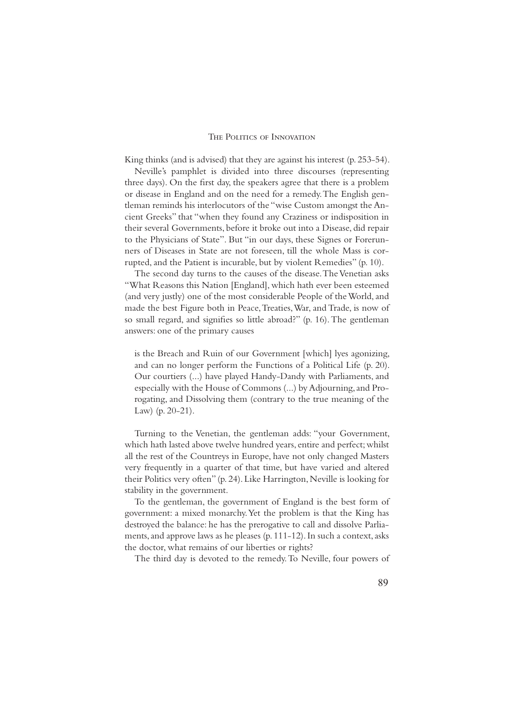# THE POLITICS OF INNOVATION

King thinks (and is advised) that they are against his interest (p. 253-54).

Neville's pamphlet is divided into three discourses (representing three days). On the first day, the speakers agree that there is a problem or disease in England and on the need for a remedy. The English gentleman reminds his interlocutors of the "wise Custom amongst the Ancient Greeks" that "when they found any Craziness or indisposition in their several Governments, before it broke out into a Disease, did repair to the Physicians of State". But "in our days, these Signes or Forerunners of Diseases in State are not foreseen, till the whole Mass is corrupted, and the Patient is incurable, but by violent Remedies" (p. 10).

The second day turns to the causes of the disease. The Venetian asks "What Reasons this Nation [England], which hath ever been esteemed (and very justly) one of the most considerable People of the World, and made the best Figure both in Peace, Treaties, War, and Trade, is now of so small regard, and signifies so little abroad?" (p. 16). The gentleman answers: one of the primary causes

is the Breach and Ruin of our Government [which] lyes agonizing, and can no longer perform the Functions of a Political Life (p. 20). Our courtiers (...) have played Handy-Dandy with Parliaments, and especially with the House of Commons (...) by Adjourning, and Prorogating, and Dissolving them (contrary to the true meaning of the Law) (p. 20-21).

Turning to the Venetian, the gentleman adds: "your Government, which hath lasted above twelve hundred years, entire and perfect; whilst all the rest of the Countreys in Europe, have not only changed Masters very frequently in a quarter of that time, but have varied and altered their Politics very often" (p. 24). Like Harrington, Neville is looking for stability in the government.

To the gentleman, the government of England is the best form of government: a mixed monarchy. Yet the problem is that the King has destroyed the balance: he has the prerogative to call and dissolve Parliaments, and approve laws as he pleases (p. 111-12). In such a context, asks the doctor, what remains of our liberties or rights?

The third day is devoted to the remedy. To Neville, four powers of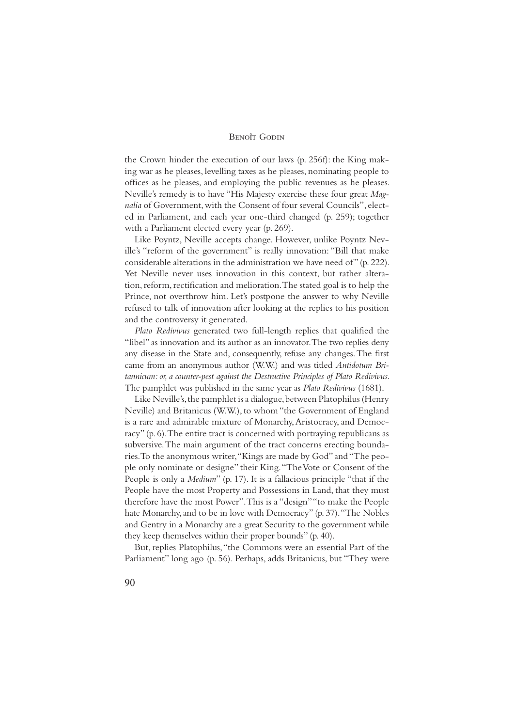# **BENOÎT GODIN**

the Crown hinder the execution of our laws (p. 256f): the King making war as he pleases, levelling taxes as he pleases, nominating people to offices as he pleases, and employing the public revenues as he pleases. Neville's remedy is to have "His Majesty exercise these four great *Magnalia* of Government, with the Consent of four several Councils", elected in Parliament, and each year one-third changed (p. 259); together with a Parliament elected every year (p. 269).

Like Poyntz, Neville accepts change. However, unlike Poyntz Neville's "reform of the government" is really innovation: "Bill that make considerable alterations in the administration we have need of" (p. 222). Yet Neville never uses innovation in this context, but rather alteration, reform, rectification and melioration. The stated goal is to help the Prince, not overthrow him. Let's postpone the answer to why Neville refused to talk of innovation after looking at the replies to his position and the controversy it generated.

Plato Redivivus generated two full-length replies that qualified the "libel" as innovation and its author as an innovator. The two replies deny any disease in the State and, consequently, refuse any changes. The first came from an anonymous author (W.W.) and was titled *Antidotum Britannicum: or, a counter-pest against the Destructive Principles of Plato Redivivus*. The pamphlet was published in the same year as *Plato Redivivus* (1681).

Like Neville's, the pamphlet is a dialogue, between Platophilus (Henry Neville) and Britanicus (W.W.), to whom "the Government of England is a rare and admirable mixture of Monarchy, Aristocracy, and Democracy" (p. 6). The entire tract is concerned with portraying republicans as subversive. The main argument of the tract concerns erecting boundaries. To the anonymous writer, "Kings are made by God" and "The people only nominate or designe" their King. "The Vote or Consent of the People is only a *Medium*" (p. 17). It is a fallacious principle "that if the People have the most Property and Possessions in Land, that they must therefore have the most Power". This is a "design" "to make the People hate Monarchy, and to be in love with Democracy" (p. 37). "The Nobles and Gentry in a Monarchy are a great Security to the government while they keep themselves within their proper bounds" (p. 40).

But, replies Platophilus, "the Commons were an essential Part of the Parliament" long ago (p. 56). Perhaps, adds Britanicus, but "They were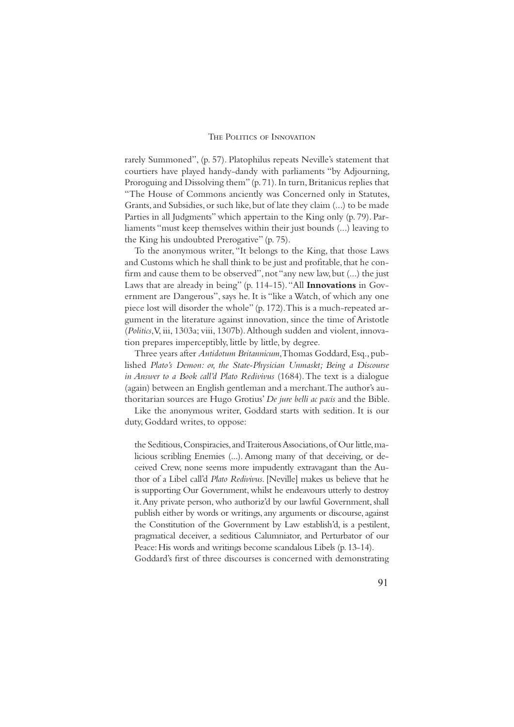# THE POLITICS OF INNOVATION

rarely Summoned", (p. 57). Platophilus repeats Neville's statement that courtiers have played handy-dandy with parliaments "by Adjourning, Proroguing and Dissolving them" (p. 71). In turn, Britanicus replies that "The House of Commons anciently was Concerned only in Statutes, Grants, and Subsidies, or such like, but of late they claim (...) to be made Parties in all Judgments" which appertain to the King only (p. 79). Parliaments "must keep themselves within their just bounds (...) leaving to the King his undoubted Prerogative" (p. 75).

To the anonymous writer, "It belongs to the King, that those Laws and Customs which he shall think to be just and profitable, that he confirm and cause them to be observed", not "any new law, but (...) the just Laws that are already in being" (p. 114-15). "All **Innovations** in Government are Dangerous", says he. It is "like a Watch, of which any one piece lost will disorder the whole" (p. 172). This is a much-repeated argument in the literature against innovation, since the time of Aristotle (*Politics*, V, iii, 1303a; viii, 1307b). Although sudden and violent, innovation prepares imperceptibly, little by little, by degree.

Three years after *Antidotum Britannicum*, Thomas Goddard, Esq., published *Plato's Demon: or, the State-Physician Unmaskt; Being a Discourse in Answer to a Book call'd Plato Redivivus* (1684). The text is a dialogue (again) between an English gentleman and a merchant. The author's authoritarian sources are Hugo Grotius' *De jure belli ac pacis* and the Bible.

Like the anonymous writer, Goddard starts with sedition. It is our duty, Goddard writes, to oppose:

the Seditious, Conspiracies, and Traiterous Associations, of Our little, malicious scribling Enemies (...). Among many of that deceiving, or deceived Crew, none seems more impudently extravagant than the Author of a Libel call'd *Plato Redivivus*. [Neville] makes us believe that he is supporting Our Government, whilst he endeavours utterly to destroy it. Any private person, who authoriz'd by our lawful Government, shall publish either by words or writings, any arguments or discourse, against the Constitution of the Government by Law establish'd, is a pestilent, pragmatical deceiver, a seditious Calumniator, and Perturbator of our Peace: His words and writings become scandalous Libels (p. 13-14).

Goddard's first of three discourses is concerned with demonstrating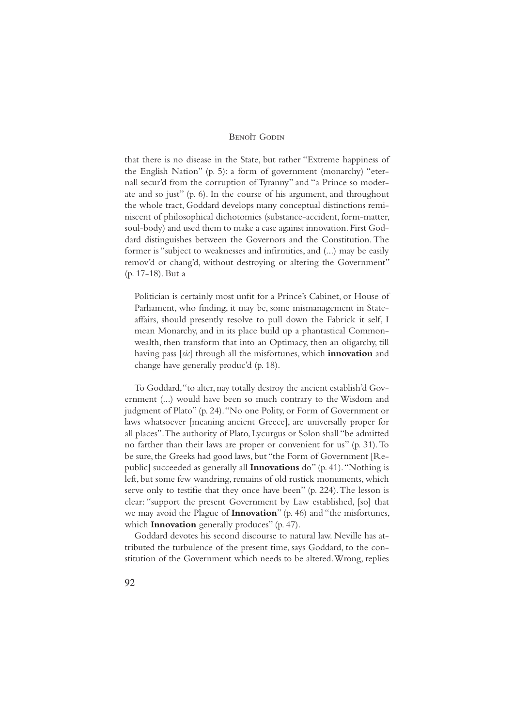that there is no disease in the State, but rather "Extreme happiness of the English Nation" (p. 5): a form of government (monarchy) "eternall secur'd from the corruption of Tyranny" and "a Prince so moderate and so just" (p. 6). In the course of his argument, and throughout the whole tract, Goddard develops many conceptual distinctions reminiscent of philosophical dichotomies (substance-accident, form-matter, soul-body) and used them to make a case against innovation. First Goddard distinguishes between the Governors and the Constitution. The former is "subject to weaknesses and infirmities, and (...) may be easily remov'd or chang'd, without destroying or altering the Government" (p. 17-18). But a

Politician is certainly most unfit for a Prince's Cabinet, or House of Parliament, who finding, it may be, some mismanagement in Stateaffairs, should presently resolve to pull down the Fabrick it self, I mean Monarchy, and in its place build up a phantastical Commonwealth, then transform that into an Optimacy, then an oligarchy, till having pass [*sic*] through all the misfortunes, which **innovation** and change have generally produc'd (p. 18).

To Goddard, "to alter, nay totally destroy the ancient establish'd Government (...) would have been so much contrary to the Wisdom and judgment of Plato" (p. 24). "No one Polity, or Form of Government or laws whatsoever [meaning ancient Greece], are universally proper for all places". The authority of Plato, Lycurgus or Solon shall "be admitted no farther than their laws are proper or convenient for us" (p. 31). To be sure, the Greeks had good laws, but "the Form of Government [Republic] succeeded as generally all **Innovations** do" (p. 41). "Nothing is left, but some few wandring, remains of old rustick monuments, which serve only to testifie that they once have been" (p. 224). The lesson is clear: "support the present Government by Law established, [so] that we may avoid the Plague of **Innovation**" (p. 46) and "the misfortunes, which **Innovation** generally produces" (p. 47).

Goddard devotes his second discourse to natural law. Neville has attributed the turbulence of the present time, says Goddard, to the constitution of the Government which needs to be altered. Wrong, replies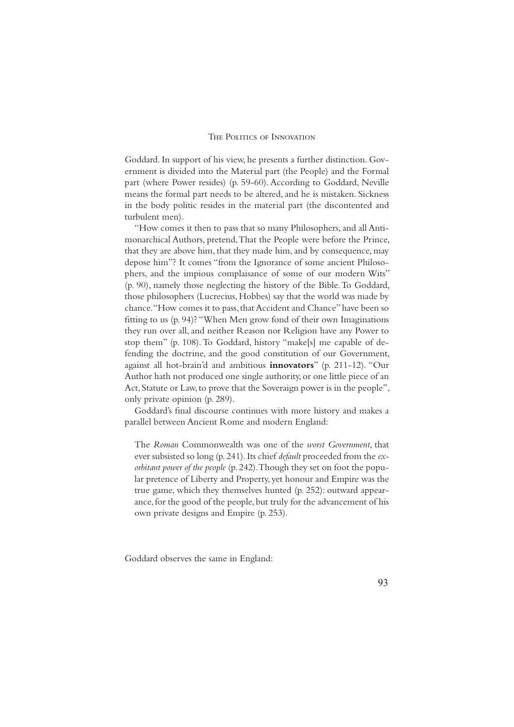Goddard. In support of his view, he presents a further distinction. Government is divided into the Material part (the People) and the Formal part (where Power resides) (p. 59-60). According to Goddard, Neville means the formal part needs to be altered, and he is mistaken. Sickness in the body politic resides in the material part (the discontented and turbulent men).

"How comes it then to pass that so many Philosophers, and all Antimonarchical Authors, pretend, That the People were before the Prince, that they are above him, that they made him, and by consequence, may depose him"? It comes "from the Ignorance of some ancient Philosophers, and the impious complaisance of some of our modern Wits" (p. 90), namely those neglecting the history of the Bible. To Goddard, those philosophers (Lucrecius, Hobbes) say that the world was made by chance. "How comes it to pass, that Accident and Chance" have been so fitting to us (p. 94)? "When Men grow fond of their own Imaginations they run over all, and neither Reason nor Religion have any Power to stop them" (p. 108). To Goddard, history "make[s] me capable of defending the doctrine, and the good constitution of our Government, against all hot-brain'd and ambitious **innovators**" (p. 211-12). "Our Author hath not produced one single authority, or one little piece of an Act, Statute or Law, to prove that the Soveraign power is in the people", only private opinion (p. 289).

Goddard's final discourse continues with more history and makes a parallel between Ancient Rome and modern England:

The *Roman* Commonwealth was one of the *worst Government*, that ever subsisted so long (p. 241). Its chief *default* proceeded from the *exorbitant power of the people* (p. 242). Though they set on foot the popular pretence of Liberty and Property, yet honour and Empire was the true game, which they themselves hunted (p. 252): outward appearance, for the good of the people, but truly for the advancement of his own private designs and Empire (p. 253).

Goddard observes the same in England: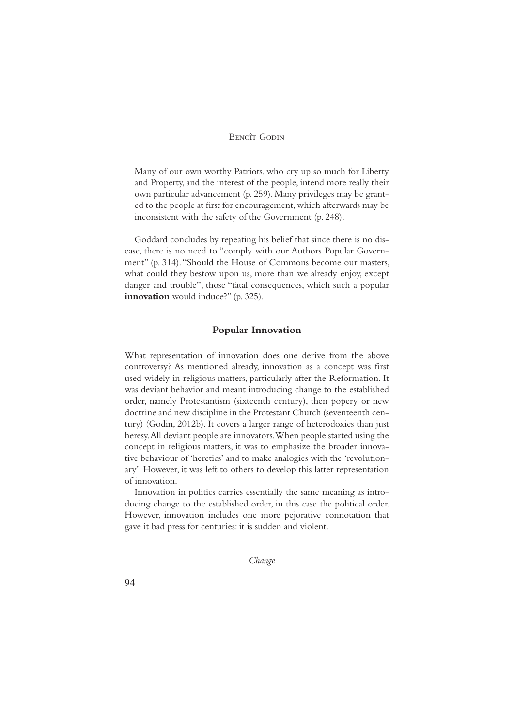Many of our own worthy Patriots, who cry up so much for Liberty and Property, and the interest of the people, intend more really their own particular advancement (p. 259). Many privileges may be granted to the people at first for encouragement, which afterwards may be inconsistent with the safety of the Government (p. 248).

Goddard concludes by repeating his belief that since there is no disease, there is no need to "comply with our Authors Popular Government" (p. 314). "Should the House of Commons become our masters, what could they bestow upon us, more than we already enjoy, except danger and trouble", those "fatal consequences, which such a popular **innovation** would induce?" (p. 325).

# **Popular Innovation**

What representation of innovation does one derive from the above controversy? As mentioned already, innovation as a concept was first used widely in religious matters, particularly after the Reformation. It was deviant behavior and meant introducing change to the established order, namely Protestantism (sixteenth century), then popery or new doctrine and new discipline in the Protestant Church (seventeenth century) (Godin, 2012b). It covers a larger range of heterodoxies than just heresy. All deviant people are innovators. When people started using the concept in religious matters, it was to emphasize the broader innovative behaviour of 'heretics' and to make analogies with the 'revolutionary'. However, it was left to others to develop this latter representation of innovation.

Innovation in politics carries essentially the same meaning as introducing change to the established order, in this case the political order. However, innovation includes one more pejorative connotation that gave it bad press for centuries: it is sudden and violent.

*Change*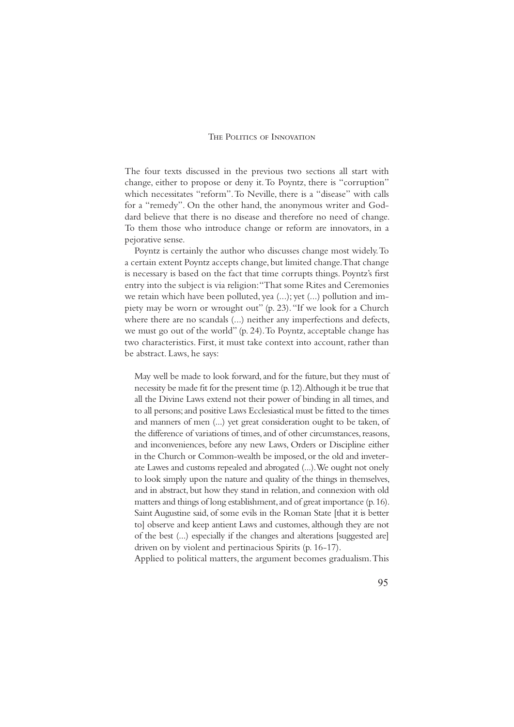The four texts discussed in the previous two sections all start with change, either to propose or deny it. To Poyntz, there is "corruption" which necessitates "reform". To Neville, there is a "disease" with calls for a "remedy". On the other hand, the anonymous writer and Goddard believe that there is no disease and therefore no need of change. To them those who introduce change or reform are innovators, in a pejorative sense.

Poyntz is certainly the author who discusses change most widely. To a certain extent Poyntz accepts change, but limited change. That change is necessary is based on the fact that time corrupts things. Poyntz's first entry into the subject is via religion: "That some Rites and Ceremonies we retain which have been polluted, yea (...); yet (...) pollution and impiety may be worn or wrought out" (p. 23). "If we look for a Church where there are no scandals (...) neither any imperfections and defects, we must go out of the world" (p. 24). To Poyntz, acceptable change has two characteristics. First, it must take context into account, rather than be abstract. Laws, he says:

May well be made to look forward, and for the future, but they must of necessity be made fit for the present time (p. 12). Although it be true that all the Divine Laws extend not their power of binding in all times, and to all persons; and positive Laws Ecclesiastical must be fitted to the times and manners of men (...) yet great consideration ought to be taken, of the difference of variations of times, and of other circumstances, reasons, and inconveniences, before any new Laws, Orders or Discipline either in the Church or Common-wealth be imposed, or the old and inveterate Lawes and customs repealed and abrogated (...). We ought not onely to look simply upon the nature and quality of the things in themselves, and in abstract, but how they stand in relation, and connexion with old matters and things of long establishment, and of great importance (p. 16). Saint Augustine said, of some evils in the Roman State [that it is better to] observe and keep antient Laws and customes, although they are not of the best (...) especially if the changes and alterations [suggested are] driven on by violent and pertinacious Spirits (p. 16-17).

Applied to political matters, the argument becomes gradualism. This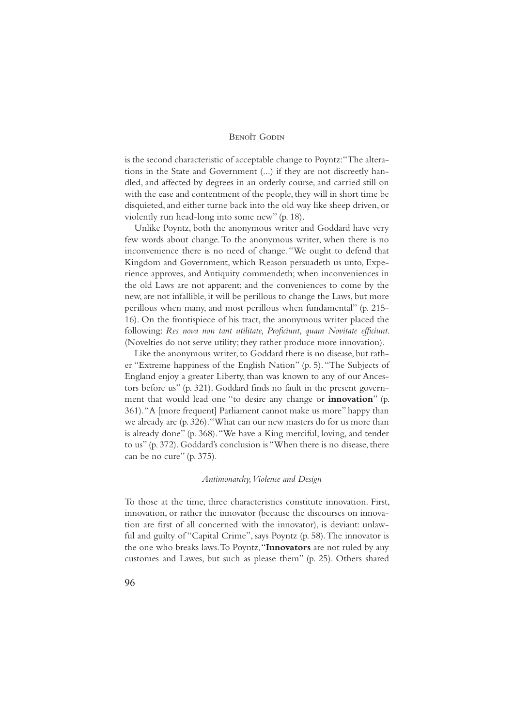is the second characteristic of acceptable change to Poyntz: "The alterations in the State and Government (...) if they are not discreetly handled, and affected by degrees in an orderly course, and carried still on with the ease and contentment of the people, they will in short time be disquieted, and either turne back into the old way like sheep driven, or violently run head-long into some new" (p. 18).

Unlike Poyntz, both the anonymous writer and Goddard have very few words about change. To the anonymous writer, when there is no inconvenience there is no need of change. "We ought to defend that Kingdom and Government, which Reason persuadeth us unto, Experience approves, and Antiquity commendeth; when inconveniences in the old Laws are not apparent; and the conveniences to come by the new, are not infallible, it will be perillous to change the Laws, but more perillous when many, and most perillous when fundamental" (p. 215- 16). On the frontispiece of his tract, the anonymous writer placed the following: Res nova non tant utilitate, Proficiunt, quam Novitate efficiunt. (Novelties do not serve utility; they rather produce more innovation).

Like the anonymous writer, to Goddard there is no disease, but rather "Extreme happiness of the English Nation" (p. 5). "The Subjects of England enjoy a greater Liberty, than was known to any of our Ancestors before us" (p. 321). Goddard finds no fault in the present government that would lead one "to desire any change or **innovation**" (p. 361). "A [more frequent] Parliament cannot make us more" happy than we already are (p. 326). "What can our new masters do for us more than is already done" (p. 368). "We have a King merciful, loving, and tender to us" (p. 372). Goddard's conclusion is "When there is no disease, there can be no cure" (p. 375).

#### *Antimonarchy, Violence and Design*

To those at the time, three characteristics constitute innovation. First, innovation, or rather the innovator (because the discourses on innovation are first of all concerned with the innovator), is deviant: unlawful and guilty of "Capital Crime", says Poyntz (p. 58). The innovator is the one who breaks laws. To Poyntz, "**Innovators** are not ruled by any customes and Lawes, but such as please them" (p. 25). Others shared

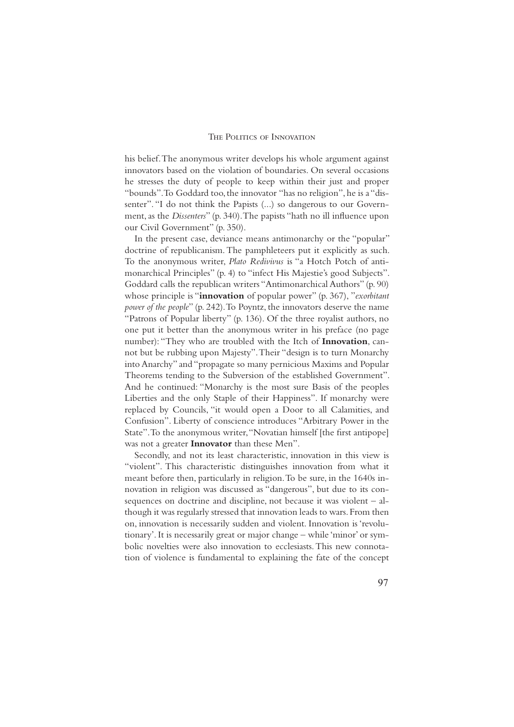his belief. The anonymous writer develops his whole argument against innovators based on the violation of boundaries. On several occasions he stresses the duty of people to keep within their just and proper "bounds". To Goddard too, the innovator "has no religion", he is a "dissenter". "I do not think the Papists (...) so dangerous to our Government, as the *Dissenters*" (p. 340). The papists "hath no ill influence upon our Civil Government" (p. 350).

In the present case, deviance means antimonarchy or the "popular" doctrine of republicanism. The pamphleteers put it explicitly as such. To the anonymous writer, *Plato Redivivus* is "a Hotch Potch of antimonarchical Principles" (p. 4) to "infect His Majestie's good Subjects". Goddard calls the republican writers "Antimonarchical Authors" (p. 90) whose principle is "**innovation** of popular power" (p. 367), "*exorbitant power of the people*" (p. 242). To Poyntz, the innovators deserve the name "Patrons of Popular liberty" (p. 136). Of the three royalist authors, no one put it better than the anonymous writer in his preface (no page number): "They who are troubled with the Itch of **Innovation**, cannot but be rubbing upon Majesty". Their "design is to turn Monarchy into Anarchy" and "propagate so many pernicious Maxims and Popular Theorems tending to the Subversion of the established Government". And he continued: "Monarchy is the most sure Basis of the peoples Liberties and the only Staple of their Happiness". If monarchy were replaced by Councils, "it would open a Door to all Calamities, and Confusion". Liberty of conscience introduces "Arbitrary Power in the State". To the anonymous writer, "Novatian himself [the first antipope] was not a greater **Innovator** than these Men".

Secondly, and not its least characteristic, innovation in this view is "violent". This characteristic distinguishes innovation from what it meant before then, particularly in religion. To be sure, in the 1640s innovation in religion was discussed as "dangerous", but due to its consequences on doctrine and discipline, not because it was violent – although it was regularly stressed that innovation leads to wars. From then on, innovation is necessarily sudden and violent. Innovation is 'revolutionary'. It is necessarily great or major change – while 'minor' or symbolic novelties were also innovation to ecclesiasts. This new connotation of violence is fundamental to explaining the fate of the concept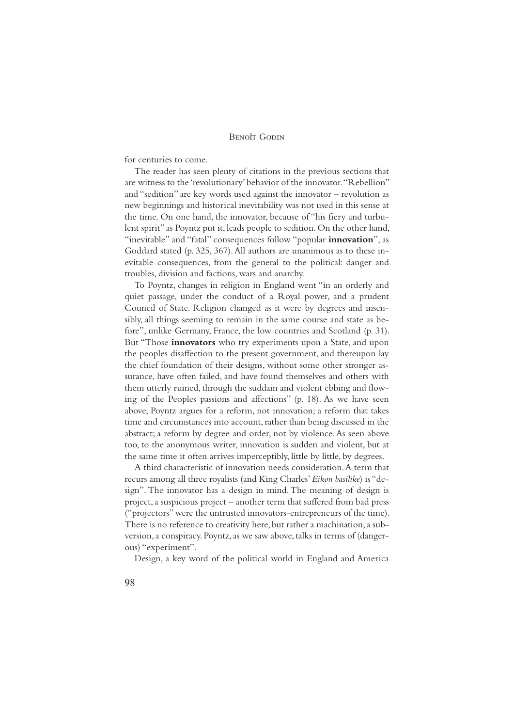for centuries to come.

The reader has seen plenty of citations in the previous sections that are witness to the 'revolutionary' behavior of the innovator. "Rebellion" and "sedition" are key words used against the innovator – revolution as new beginnings and historical inevitability was not used in this sense at the time. On one hand, the innovator, because of "his fiery and turbulent spirit" as Poyntz put it, leads people to sedition. On the other hand, "inevitable" and "fatal" consequences follow "popular **innovation**", as Goddard stated (p. 325, 367). All authors are unanimous as to these inevitable consequences, from the general to the political: danger and troubles, division and factions, wars and anarchy.

To Poyntz, changes in religion in England went "in an orderly and quiet passage, under the conduct of a Royal power, and a prudent Council of State. Religion changed as it were by degrees and insensibly, all things seeming to remain in the same course and state as before", unlike Germany, France, the low countries and Scotland (p. 31). But "Those **innovators** who try experiments upon a State, and upon the peoples disaffection to the present government, and thereupon lay the chief foundation of their designs, without some other stronger assurance, have often failed, and have found themselves and others with them utterly ruined, through the suddain and violent ebbing and flowing of the Peoples passions and affections" (p. 18). As we have seen above, Poyntz argues for a reform, not innovation; a reform that takes time and circumstances into account, rather than being discussed in the abstract; a reform by degree and order, not by violence. As seen above too, to the anonymous writer, innovation is sudden and violent, but at the same time it often arrives imperceptibly, little by little, by degrees.

A third characteristic of innovation needs consideration. A term that recurs among all three royalists (and King Charles' *Eikon basilike*) is "design". The innovator has a design in mind. The meaning of design is project, a suspicious project – another term that suffered from bad press ("projectors" were the untrusted innovators-entrepreneurs of the time). There is no reference to creativity here, but rather a machination, a subversion, a conspiracy. Poyntz, as we saw above, talks in terms of (dangerous) "experiment".

Design, a key word of the political world in England and America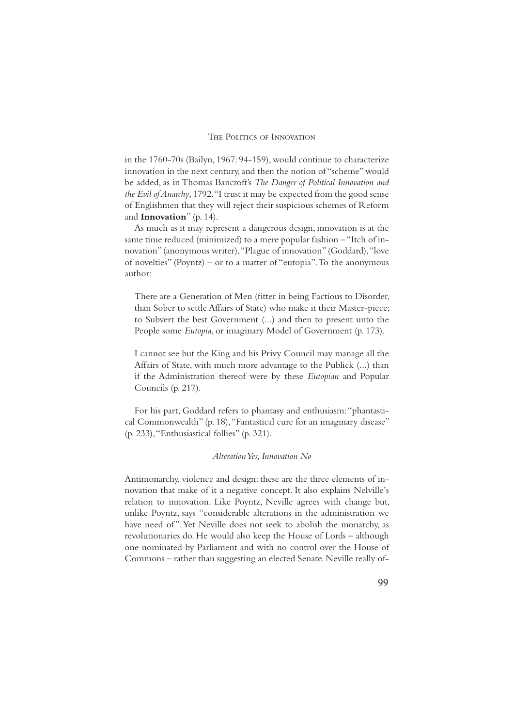# THE POLITICS OF INNOVATION

in the 1760-70s (Bailyn, 1967: 94-159), would continue to characterize innovation in the next century, and then the notion of "scheme" would be added, as in Thomas Bancroft's *The Danger of Political Innovation and the Evil of Anarchy*, 1792. "I trust it may be expected from the good sense of Englishmen that they will reject their suspicious schemes of Reform and **Innovation**" (p. 14).

As much as it may represent a dangerous design, innovation is at the same time reduced (minimized) to a mere popular fashion – "Itch of innovation" (anonymous writer), "Plague of innovation" (Goddard), "love of novelties" (Poyntz) – or to a matter of "eutopia". To the anonymous author:

There are a Generation of Men (fitter in being Factious to Disorder, than Sober to settle Affairs of State) who make it their Master-piece; to Subvert the best Government (...) and then to present unto the People some *Eutopia*, or imaginary Model of Government (p. 173).

I cannot see but the King and his Privy Council may manage all the Affairs of State, with much more advantage to the Publick (...) than if the Administration thereof were by these *Eutopian* and Popular Councils (p. 217).

For his part, Goddard refers to phantasy and enthusiasm: "phantastical Commonwealth" (p. 18), "Fantastical cure for an imaginary disease" (p. 233), "Enthusiastical follies" (p. 321).

#### *Alteration Yes, Innovation No*

Antimonarchy, violence and design: these are the three elements of innovation that make of it a negative concept. It also explains Nelville's relation to innovation. Like Poyntz, Neville agrees with change but, unlike Poyntz, says "considerable alterations in the administration we have need of". Yet Neville does not seek to abolish the monarchy, as revolutionaries do. He would also keep the House of Lords – although one nominated by Parliament and with no control over the House of Commons – rather than suggesting an elected Senate. Neville really of-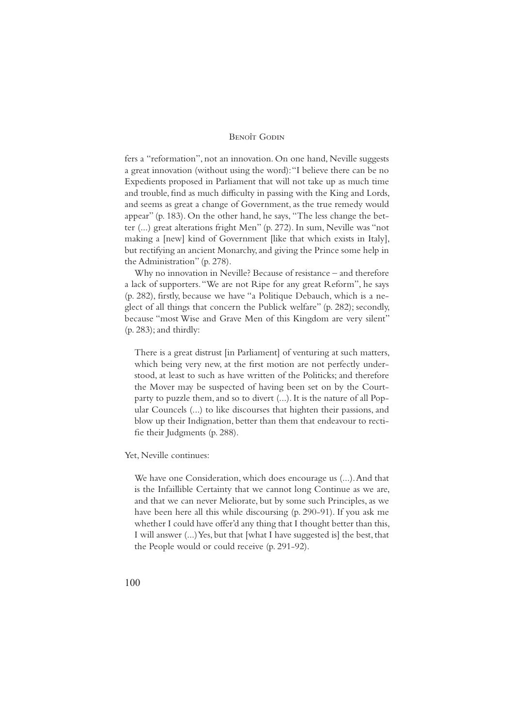fers a "reformation", not an innovation. On one hand, Neville suggests a great innovation (without using the word): "I believe there can be no Expedients proposed in Parliament that will not take up as much time and trouble, find as much difficulty in passing with the King and Lords, and seems as great a change of Government, as the true remedy would appear" (p. 183). On the other hand, he says, "The less change the better (...) great alterations fright Men" (p. 272). In sum, Neville was "not making a [new] kind of Government [like that which exists in Italy], but rectifying an ancient Monarchy, and giving the Prince some help in the Administration" (p. 278).

Why no innovation in Neville? Because of resistance – and therefore a lack of supporters. "We are not Ripe for any great Reform", he says (p. 282), firstly, because we have "a Politique Debauch, which is a neglect of all things that concern the Publick welfare" (p. 282); secondly, because "most Wise and Grave Men of this Kingdom are very silent" (p. 283); and thirdly:

There is a great distrust [in Parliament] of venturing at such matters, which being very new, at the first motion are not perfectly understood, at least to such as have written of the Politicks; and therefore the Mover may be suspected of having been set on by the Courtparty to puzzle them, and so to divert (...). It is the nature of all Popular Councels (...) to like discourses that highten their passions, and blow up their Indignation, better than them that endeavour to rectifie their Judgments (p. 288).

Yet, Neville continues:

We have one Consideration, which does encourage us (...). And that is the Infaillible Certainty that we cannot long Continue as we are, and that we can never Meliorate, but by some such Principles, as we have been here all this while discoursing (p. 290-91). If you ask me whether I could have offer'd any thing that I thought better than this, I will answer (...) Yes, but that [what I have suggested is] the best, that the People would or could receive (p. 291-92).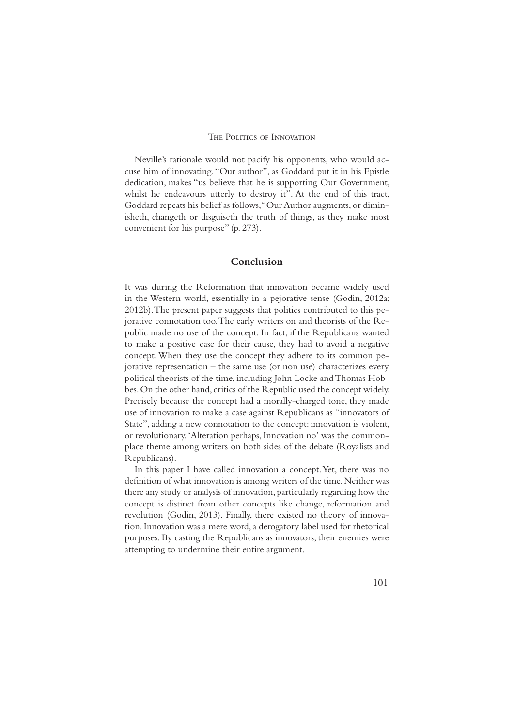Neville's rationale would not pacify his opponents, who would accuse him of innovating. "Our author", as Goddard put it in his Epistle dedication, makes "us believe that he is supporting Our Government, whilst he endeavours utterly to destroy it". At the end of this tract, Goddard repeats his belief as follows, "Our Author augments, or diminisheth, changeth or disguiseth the truth of things, as they make most convenient for his purpose" (p. 273).

# **Conclusion**

It was during the Reformation that innovation became widely used in the Western world, essentially in a pejorative sense (Godin, 2012a; 2012b). The present paper suggests that politics contributed to this pejorative connotation too. The early writers on and theorists of the Republic made no use of the concept. In fact, if the Republicans wanted to make a positive case for their cause, they had to avoid a negative concept. When they use the concept they adhere to its common pejorative representation – the same use (or non use) characterizes every political theorists of the time, including John Locke and Thomas Hobbes. On the other hand, critics of the Republic used the concept widely. Precisely because the concept had a morally-charged tone, they made use of innovation to make a case against Republicans as "innovators of State", adding a new connotation to the concept: innovation is violent, or revolutionary. 'Alteration perhaps, Innovation no' was the commonplace theme among writers on both sides of the debate (Royalists and Republicans).

In this paper I have called innovation a concept. Yet, there was no definition of what innovation is among writers of the time. Neither was there any study or analysis of innovation, particularly regarding how the concept is distinct from other concepts like change, reformation and revolution (Godin, 2013). Finally, there existed no theory of innovation. Innovation was a mere word, a derogatory label used for rhetorical purposes. By casting the Republicans as innovators, their enemies were attempting to undermine their entire argument.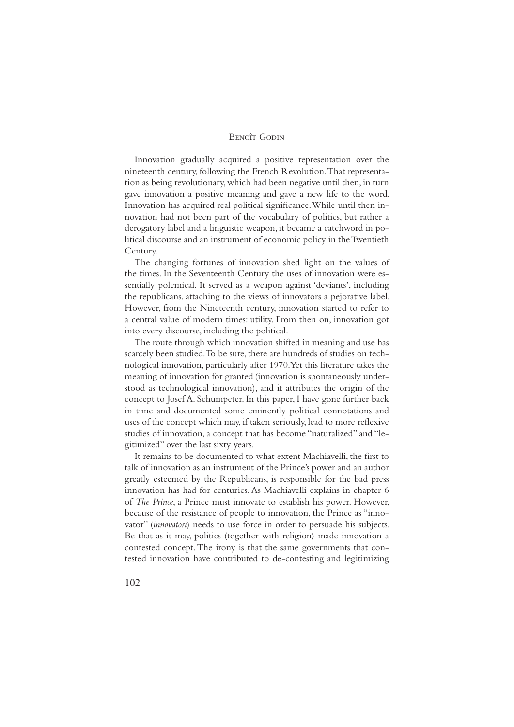Innovation gradually acquired a positive representation over the nineteenth century, following the French Revolution. That representation as being revolutionary, which had been negative until then, in turn gave innovation a positive meaning and gave a new life to the word. Innovation has acquired real political significance. While until then innovation had not been part of the vocabulary of politics, but rather a derogatory label and a linguistic weapon, it became a catchword in political discourse and an instrument of economic policy in the Twentieth Century.

The changing fortunes of innovation shed light on the values of the times. In the Seventeenth Century the uses of innovation were essentially polemical. It served as a weapon against 'deviants', including the republicans, attaching to the views of innovators a pejorative label. However, from the Nineteenth century, innovation started to refer to a central value of modern times: utility. From then on, innovation got into every discourse, including the political.

The route through which innovation shifted in meaning and use has scarcely been studied. To be sure, there are hundreds of studies on technological innovation, particularly after 1970. Yet this literature takes the meaning of innovation for granted (innovation is spontaneously understood as technological innovation), and it attributes the origin of the concept to Josef A. Schumpeter. In this paper, I have gone further back in time and documented some eminently political connotations and uses of the concept which may, if taken seriously, lead to more reflexive studies of innovation, a concept that has become "naturalized" and "legitimized" over the last sixty years.

It remains to be documented to what extent Machiavelli, the first to talk of innovation as an instrument of the Prince's power and an author greatly esteemed by the Republicans, is responsible for the bad press innovation has had for centuries. As Machiavelli explains in chapter 6 of *The Prince*, a Prince must innovate to establish his power. However, because of the resistance of people to innovation, the Prince as "innovator" (*innovatori*) needs to use force in order to persuade his subjects. Be that as it may, politics (together with religion) made innovation a contested concept. The irony is that the same governments that contested innovation have contributed to de-contesting and legitimizing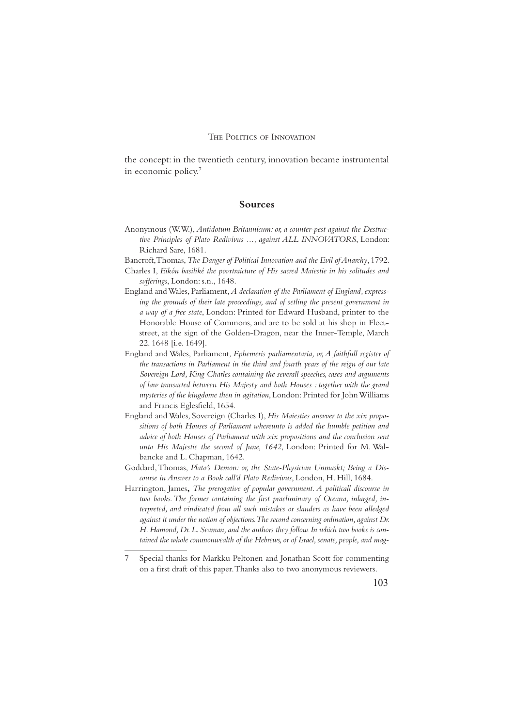#### THE POLITICS OF INNOVATION

the concept: in the twentieth century, innovation became instrumental in economic policy.7

#### **Sources**

- Anonymous (W.W.), *Antidotum Britannicum: or, a counter-pest against the Destructive Principles of Plato Redivivus ..., against ALL INNOVATORS*, London: Richard Sare, 1681.
- Bancroft, Thomas, *The Danger of Political Innovation and the Evil of Anarchy*, 1792.
- Charles I, *Eikón basiliké the povrtraicture of His sacred Maiestie in his solitudes and svff erings*, London: s.n., 1648.
- England and Wales, Parliament, *A declaration of the Parliament of England, expressing the grounds of their late proceedings, and of setling the present government in a way of a free state*, London: Printed for Edward Husband, printer to the Honorable House of Commons, and are to be sold at his shop in Fleetstreet, at the sign of the Golden-Dragon, near the Inner-Temple, March 22. 1648 [i.e. 1649].
- England and Wales, Parliament, *Ephemeris parliamentaria, or, A faithfull register of the transactions in Parliament in the third and fourth years of the reign of our late Sovereign Lord, King Charles containing the severall speeches, cases and arguments of law transacted between His Majesty and both Houses : together with the grand mysteries of the kingdome then in agitation*, London: Printed for John Williams and Francis Eglesfield, 1654.
- England and Wales, Sovereign (Charles I), *His Maiesties ansvver to the xix propositions of both Houses of Parliament whereunto is added the humble petition and advice of both Houses of Parliament with xix propositions and the conclusion sent unto His Majestie the second of June, 1642*, London: Printed for M. Walbancke and L. Chapman, 1642.
- Goddard, Thomas, *Plato's Demon: or, the State-Physician Unmaskt; Being a Discourse in Answer to a Book call'd Plato Redivivus*, London, H. Hill, 1684.
- Harrington, James**,** *The prerogative of popular government. A politicall discourse in*  two books. The former containing the first praeliminary of Oceana, inlarged, in*terpreted, and vindicated from all such mistakes or slanders as have been alledged against it under the notion of objections. The second concerning ordination, against Dr. H. Hamond, Dr. L. Seaman, and the authors they follow. In which two books is contained the whole commonwealth of the Hebrews, or of Israel, senate, people, and mag-*

<sup>7</sup> Special thanks for Markku Peltonen and Jonathan Scott for commenting on a first draft of this paper. Thanks also to two anonymous reviewers.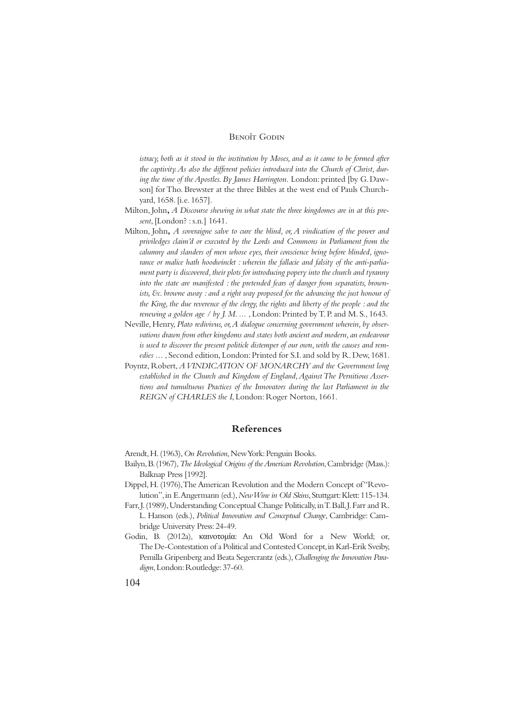#### **BENOÎT GODIN**

*istracy, both as it stood in the institution by Moses, and as it came to be formed after*  the captivity. As also the different policies introduced into the Church of Christ, dur*ing the time of the Apostles. By James Harrington.* London: printed [by G. Dawson] for Tho. Brewster at the three Bibles at the west end of Pauls Churchyard, 1658. [i.e. 1657].

- Milton, John**,** *A Discourse shewing in what state the three kingdomes are in at this present*, [London? : s.n.] 1641.
- Milton, John**,** *A soveraigne salve to cure the blind, or, A vindication of the power and priviledges claim'd or executed by the Lords and Commons in Parliament from the calumny and slanders of men whose eyes, their conscience being before blinded, ignorance or malice hath hoodwinckt : wherein the fallacie and falsity of the anti-parliament party is discovered, their plots for introducing popery into the church and tyranny into the state are manifested : the pretended fears of danger from separatists, brownists, &c. browne away : and a right way proposed for the advancing the just honour of the King, the due reverence of the clergy, the rights and liberty of the people : and the renewing a golden age / by J. M. ...* , London: Printed by T. P. and M. S., 1643.
- Neville, Henry, *Plato redivivus, or, A dialogue concerning government wherein, by observations drawn from other kingdoms and states both ancient and modern, an endeavour is used to discover the present politick distemper of our own, with the causes and remedies ...* , Second edition, London: Printed for S.I. and sold by R. Dew, 1681.
- Poyntz, Robert, *A VINDICATION OF MONARCHY and the Government long established in the Church and Kingdom of England, Against The Pernitious Assertions and tumultuous Practices of the Innovators during the last Parliament in the REIGN of CHARLES the I*, London: Roger Norton, 1661.

# **References**

- Arendt, H. (1963), *On Revolution*, New York: Penguin Books.
- Bailyn, B. (1967), *The Ideological Origins of the American Revolution*, Cambridge (Mass.): Balknap Press [1992].
- Dippel, H. (1976), The American Revolution and the Modern Concept of "Revolution", in E. Angermann (ed.), *New Wine in Old Skins*, Stuttgart: Klett: 115-134.
- Farr, J. (1989), Understanding Conceptual Change Politically, in T. Ball, J. Farr and R. L. Hanson (eds.), *Political Innovation and Conceptual Change*, Cambridge: Cambridge University Press: 24-49.
- Godin, B. (2012a), καινοτομία: An Old Word for a New World; or, The De-Contestation of a Political and Contested Concept, in Karl-Erik Sveiby, Pemilla Gripenberg and Beata Segercrantz (eds.), *Challenging the Innovation Paradigm*, London: Routledge: 37-60.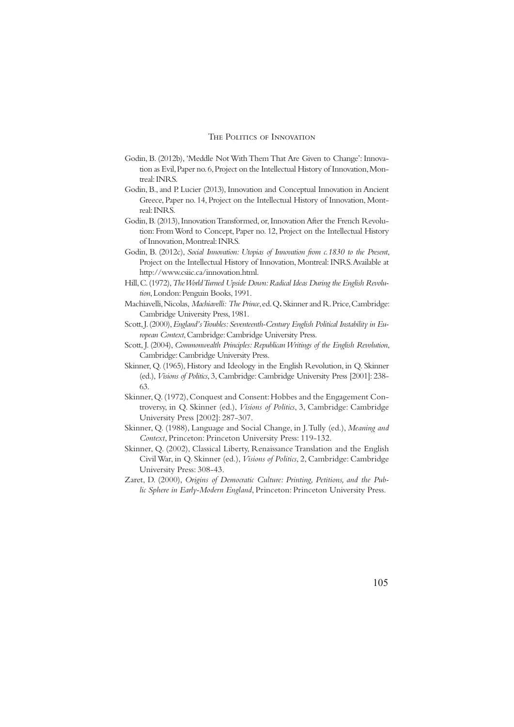- Godin, B. (2012b), 'Meddle Not With Them That Are Given to Change': Innovation as Evil, Paper no. 6, Project on the Intellectual History of Innovation, Montreal: INRS.
- Godin, B., and P. Lucier (2013), Innovation and Conceptual Innovation in Ancient Greece, Paper no. 14, Project on the Intellectual History of Innovation, Montreal: INRS.
- Godin, B. (2013), Innovation Transformed, or, Innovation After the French Revolution: From Word to Concept, Paper no. 12, Project on the Intellectual History of Innovation, Montreal: INRS.
- Godin, B. (2012c), *Social Innovation: Utopias of Innovation from c.1830 to the Present*, Project on the Intellectual History of Innovation, Montreal: INRS. Available at http://www.csiic.ca/innovation.html.
- Hill, C. (1972), *The World Turned Upside Down: Radical Ideas During the English Revolution*, London: Penguin Books, 1991.
- Machiavelli, Nicolas, *Machiavelli: The Prince*, ed. Q**.** Skinner and R. Price, Cambridge: Cambridge University Press, 1981.
- Scott, J. (2000), *England's Troubles: Seventeenth-Century English Political Instability in European Context*, Cambridge: Cambridge University Press.
- Scott, J. (2004), *Commonwealth Principles: Republican Writings of the English Revolution*, Cambridge: Cambridge University Press.
- Skinner, Q. (1965), History and Ideology in the English Revolution, in Q. Skinner (ed.), *Visions of Politics*, 3, Cambridge: Cambridge University Press [2001]: 238- 63.
- Skinner, Q. (1972), Conquest and Consent: Hobbes and the Engagement Controversy, in Q. Skinner (ed.), *Visions of Politics*, 3, Cambridge: Cambridge University Press [2002]: 287-307.
- Skinner, Q. (1988), Language and Social Change, in J. Tully (ed.), *Meaning and Context*, Princeton: Princeton University Press: 119-132.
- Skinner, Q. (2002), Classical Liberty, Renaissance Translation and the English Civil War, in Q. Skinner (ed.), *Visions of Politics*, 2, Cambridge: Cambridge University Press: 308-43.
- Zaret, D. (2000), *Origins of Democratic Culture: Printing, Petitions, and the Public Sphere in Early-Modern England*, Princeton: Princeton University Press.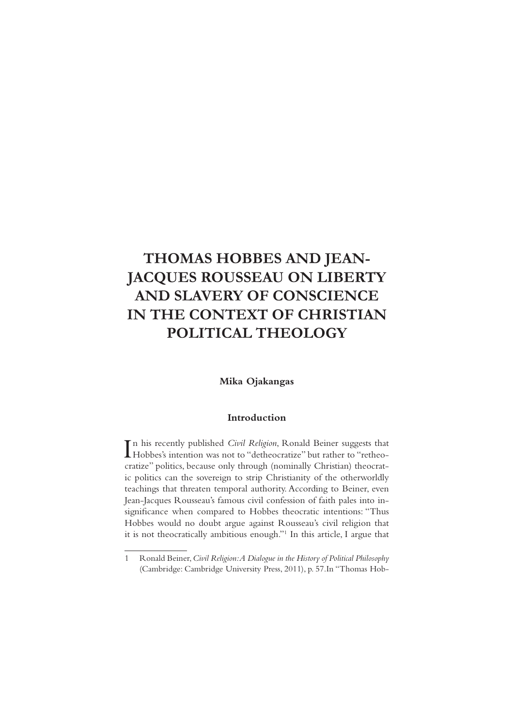# **THOMAS HOBBES AND JEAN-JACQUES ROUSSEAU ON LIBERTY AND SLAVERY OF CONSCIENCE IN THE CONTEXT OF CHRISTIAN POLITICAL THEOLOGY**

# **Mika Ojakangas**

# **Introduction**

In his recently published *Civil Religion*, Ronald Beiner suggests that<br>Hobbes's intention was not to "detheocratize" but rather to "retheon his recently published *Civil Religion*, Ronald Beiner suggests that cratize" politics, because only through (nominally Christian) theocratic politics can the sovereign to strip Christianity of the otherworldly teachings that threaten temporal authority. According to Beiner, even Jean-Jacques Rousseau's famous civil confession of faith pales into insignificance when compared to Hobbes theocratic intentions: "Thus Hobbes would no doubt argue against Rousseau's civil religion that it is not theocratically ambitious enough."1 In this article, I argue that

<sup>1</sup> Ronald Beiner, *Civil Religion: A Dialogue in the History of Political Philosophy* (Cambridge: Cambridge University Press, 2011), p. 57.In "Thomas Hob-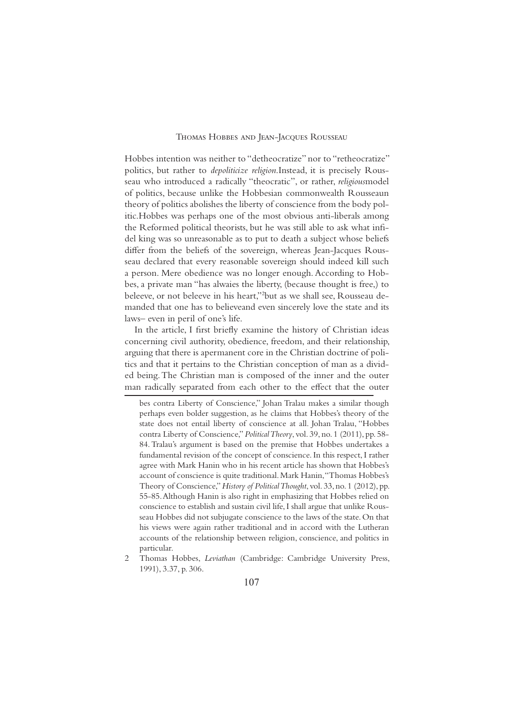Hobbes intention was neither to "detheocratize" nor to "retheocratize" politics, but rather to *depoliticize religion*.Instead, it is precisely Rousseau who introduced a radically "theocratic", or rather, *religious*model of politics, because unlike the Hobbesian commonwealth Rousseaun theory of politics abolishes the liberty of conscience from the body politic.Hobbes was perhaps one of the most obvious anti-liberals among the Reformed political theorists, but he was still able to ask what infidel king was so unreasonable as to put to death a subject whose beliefs differ from the beliefs of the sovereign, whereas Jean-Jacques Rousseau declared that every reasonable sovereign should indeed kill such a person. Mere obedience was no longer enough. According to Hobbes, a private man "has alwaies the liberty, (because thought is free,) to beleeve, or not beleeve in his heart,"2 but as we shall see, Rousseau demanded that one has to believeand even sincerely love the state and its laws– even in peril of one's life.

In the article, I first briefly examine the history of Christian ideas concerning civil authority, obedience, freedom, and their relationship, arguing that there is apermanent core in the Christian doctrine of politics and that it pertains to the Christian conception of man as a divided being. The Christian man is composed of the inner and the outer man radically separated from each other to the effect that the outer

2 Thomas Hobbes, *Leviathan* (Cambridge: Cambridge University Press, 1991), 3.37, p. 306.

bes contra Liberty of Conscience," Johan Tralau makes a similar though perhaps even bolder suggestion, as he claims that Hobbes's theory of the state does not entail liberty of conscience at all. Johan Tralau, "Hobbes contra Liberty of Conscience," *Political Theory*, vol. 39, no. 1 (2011), pp. 58- 84. Tralau's argument is based on the premise that Hobbes undertakes a fundamental revision of the concept of conscience. In this respect, I rather agree with Mark Hanin who in his recent article has shown that Hobbes's account of conscience is quite traditional. Mark Hanin, "Thomas Hobbes's Theory of Conscience," *History of Political Thought*, vol. 33, no. 1 (2012), pp. 55-85. Although Hanin is also right in emphasizing that Hobbes relied on conscience to establish and sustain civil life, I shall argue that unlike Rousseau Hobbes did not subjugate conscience to the laws of the state. On that his views were again rather traditional and in accord with the Lutheran accounts of the relationship between religion, conscience, and politics in particular.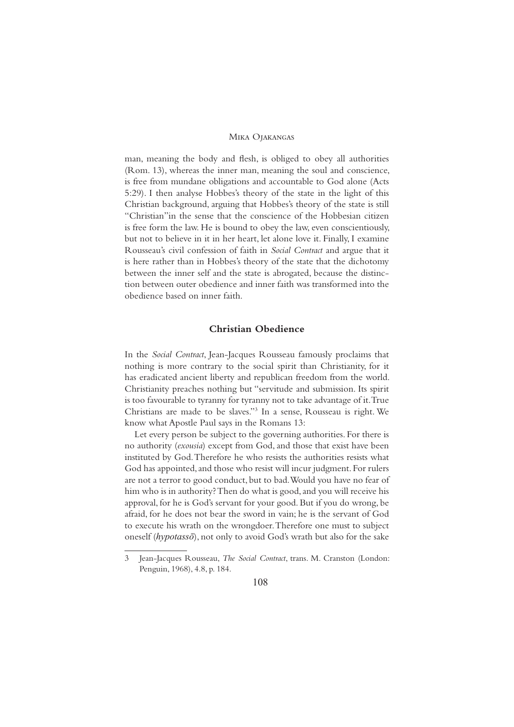man, meaning the body and flesh, is obliged to obey all authorities (Rom. 13), whereas the inner man, meaning the soul and conscience, is free from mundane obligations and accountable to God alone (Acts 5:29). I then analyse Hobbes's theory of the state in the light of this Christian background, arguing that Hobbes's theory of the state is still "Christian"in the sense that the conscience of the Hobbesian citizen is free form the law. He is bound to obey the law, even conscientiously, but not to believe in it in her heart, let alone love it. Finally, I examine Rousseau's civil confession of faith in *Social Contract* and argue that it is here rather than in Hobbes's theory of the state that the dichotomy between the inner self and the state is abrogated, because the distinction between outer obedience and inner faith was transformed into the obedience based on inner faith.

# **Christian Obedience**

In the *Social Contract*, Jean-Jacques Rousseau famously proclaims that nothing is more contrary to the social spirit than Christianity, for it has eradicated ancient liberty and republican freedom from the world. Christianity preaches nothing but "servitude and submission. Its spirit is too favourable to tyranny for tyranny not to take advantage of it. True Christians are made to be slaves."3 In a sense, Rousseau is right. We know what Apostle Paul says in the Romans 13:

Let every person be subject to the governing authorities. For there is no authority (*exousia*) except from God, and those that exist have been instituted by God. Therefore he who resists the authorities resists what God has appointed, and those who resist will incur judgment. For rulers are not a terror to good conduct, but to bad. Would you have no fear of him who is in authority? Then do what is good, and you will receive his approval, for he is God's servant for your good. But if you do wrong, be afraid, for he does not bear the sword in vain; he is the servant of God to execute his wrath on the wrongdoer. Therefore one must to subject oneself (*hypotassō*), not only to avoid God's wrath but also for the sake

<sup>3</sup> Jean-Jacques Rousseau, *The Social Contract*, trans. M. Cranston (London: Penguin, 1968), 4.8, p. 184.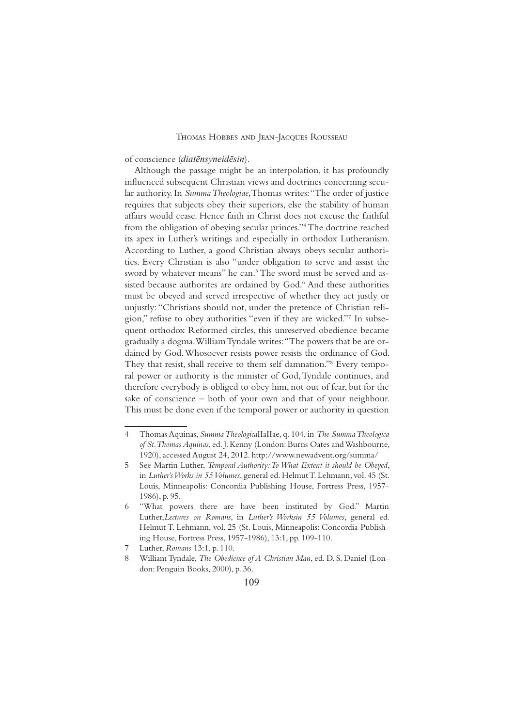## of conscience (*diatēnsyneidēsin*).

Although the passage might be an interpolation, it has profoundly influenced subsequent Christian views and doctrines concerning secular authority. In *Summa Theologiae*, Thomas writes: "The order of justice requires that subjects obey their superiors, else the stability of human affairs would cease. Hence faith in Christ does not excuse the faithful from the obligation of obeying secular princes."4 The doctrine reached its apex in Luther's writings and especially in orthodox Lutheranism. According to Luther, a good Christian always obeys secular authorities. Every Christian is also "under obligation to serve and assist the sword by whatever means" he can.<sup>5</sup> The sword must be served and assisted because authorites are ordained by God.<sup>6</sup> And these authorities must be obeyed and served irrespective of whether they act justly or unjustly: "Christians should not, under the pretence of Christian religion," refuse to obey authorities "even if they are wicked."7 In subsequent orthodox Reformed circles, this unreserved obedience became gradually a dogma. William Tyndale writes: "The powers that be are ordained by God. Whosoever resists power resists the ordinance of God. They that resist, shall receive to them self damnation."8 Every temporal power or authority is the minister of God, Tyndale continues, and therefore everybody is obliged to obey him, not out of fear, but for the sake of conscience – both of your own and that of your neighbour. This must be done even if the temporal power or authority in question

<sup>4</sup> Thomas Aquinas, *Summa Theologica*IIaIIae, q. 104, in *The Summa Theologica of St. Thomas Aquinas*, ed. J. Kenny (London: Burns Oates and Washbourne, 1920), accessed August 24, 2012. http://www.newadvent.org/summa/

<sup>5</sup> See Martin Luther, *Temporal Authority: To What Extent it should be Obeyed*, in *Luther's Works in 55 Volumes*, general ed. Helmut T. Lehmann, vol. 45 (St. Louis, Minneapolis: Concordia Publishing House, Fortress Press, 1957- 1986), p. 95.

<sup>6 &</sup>quot;What powers there are have been instituted by God." Martin Luther,*Lectures on Romans*, in *Luther's Worksin 55 Volumes*, general ed. Helmut T. Lehmann, vol. 25 (St. Louis, Minneapolis: Concordia Publishing House, Fortress Press, 1957-1986), 13:1, pp. 109-110.

<sup>7</sup> Luther, *Romans* 13:1, p. 110.

<sup>8</sup> William Tyndale, *The Obedience of A Christian Man*, ed. D. S. Daniel (London: Penguin Books, 2000), p. 36.

<sup>109</sup>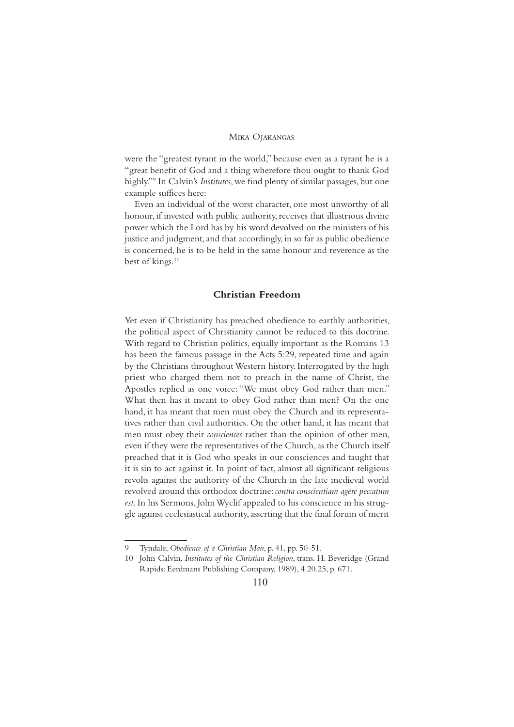were the "greatest tyrant in the world," because even as a tyrant he is a "great benefit of God and a thing wherefore thou ought to thank God highly."<sup>9</sup> In Calvin's *Institutes*, we find plenty of similar passages, but one example suffices here:

Even an individual of the worst character, one most unworthy of all honour, if invested with public authority, receives that illustrious divine power which the Lord has by his word devolved on the ministers of his justice and judgment, and that accordingly, in so far as public obedience is concerned, he is to be held in the same honour and reverence as the best of kings.10

# **Christian Freedom**

Yet even if Christianity has preached obedience to earthly authorities, the political aspect of Christianity cannot be reduced to this doctrine. With regard to Christian politics, equally important as the Romans 13 has been the famous passage in the Acts 5:29, repeated time and again by the Christians throughout Western history. Interrogated by the high priest who charged them not to preach in the name of Christ, the Apostles replied as one voice: "We must obey God rather than men." What then has it meant to obey God rather than men? On the one hand, it has meant that men must obey the Church and its representatives rather than civil authorities. On the other hand, it has meant that men must obey their *consciences* rather than the opinion of other men, even if they were the representatives of the Church, as the Church itself preached that it is God who speaks in our consciences and taught that it is sin to act against it. In point of fact, almost all significant religious revolts against the authority of the Church in the late medieval world revolved around this orthodox doctrine: *contra conscientiam agere peccatum est*. In his Sermons, John Wyclif appealed to his conscience in his struggle against ecclesiastical authority, asserting that the final forum of merit

<sup>9</sup> Tyndale, *Obedience of a Christian Man*, p. 41, pp. 50-51.

<sup>10</sup> John Calvin, *Institutes of the Christian Religion*, trans. H. Beveridge (Grand Rapids: Eerdmans Publishing Company, 1989), 4.20.25, p. 671.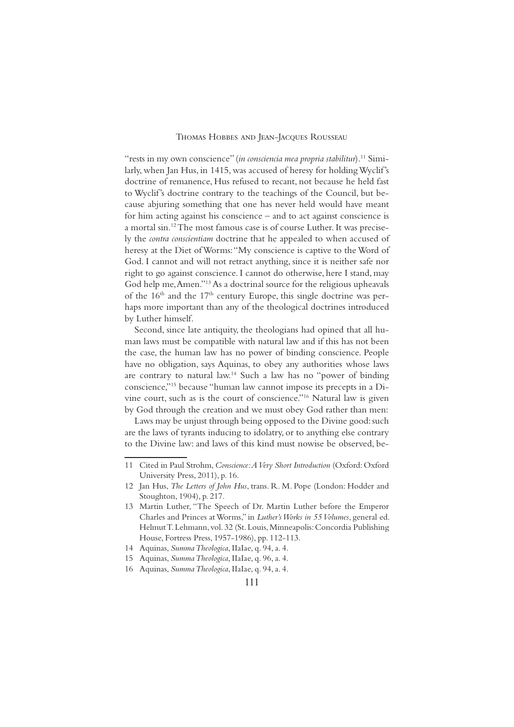"rests in my own conscience" (*in consciencia mea propria stabilitur*).<sup>11</sup> Similarly, when Jan Hus, in 1415, was accused of heresy for holding Wyclif's doctrine of remanence, Hus refused to recant, not because he held fast to Wyclif's doctrine contrary to the teachings of the Council, but because abjuring something that one has never held would have meant for him acting against his conscience – and to act against conscience is a mortal sin.12 The most famous case is of course Luther. It was precisely the *contra conscientiam* doctrine that he appealed to when accused of heresy at the Diet of Worms: "My conscience is captive to the Word of God. I cannot and will not retract anything, since it is neither safe nor right to go against conscience. I cannot do otherwise, here I stand, may God help me, Amen."13 As a doctrinal source for the religious upheavals of the  $16<sup>th</sup>$  and the  $17<sup>th</sup>$  century Europe, this single doctrine was perhaps more important than any of the theological doctrines introduced by Luther himself.

Second, since late antiquity, the theologians had opined that all human laws must be compatible with natural law and if this has not been the case, the human law has no power of binding conscience. People have no obligation, says Aquinas, to obey any authorities whose laws are contrary to natural law.14 Such a law has no "power of binding conscience,"15 because "human law cannot impose its precepts in a Divine court, such as is the court of conscience."16 Natural law is given by God through the creation and we must obey God rather than men:

Laws may be unjust through being opposed to the Divine good: such are the laws of tyrants inducing to idolatry, or to anything else contrary to the Divine law: and laws of this kind must nowise be observed, be-

<sup>11</sup> Cited in Paul Strohm, *Conscience: A Very Short Introduction* (Oxford: Oxford University Press, 2011), p. 16.

<sup>12</sup> Jan Hus, *The Letters of John Hus*, trans. R. M. Pope (London: Hodder and Stoughton, 1904), p. 217.

<sup>13</sup> Martin Luther, "The Speech of Dr. Martin Luther before the Emperor Charles and Princes at Worms," in *Luther's Works in 55 Volumes*, general ed. Helmut T. Lehmann, vol. 32 (St. Louis, Minneapolis: Concordia Publishing House, Fortress Press, 1957-1986), pp. 112-113.

<sup>14</sup> Aquinas, *Summa Theologica*, IIaIae, q. 94, a. 4.

<sup>15</sup> Aquinas, *Summa Theologica*, IIaIae, q. 96, a. 4.

<sup>16</sup> Aquinas, *Summa Theologica*, IIaIae, q. 94, a. 4.

<sup>111</sup>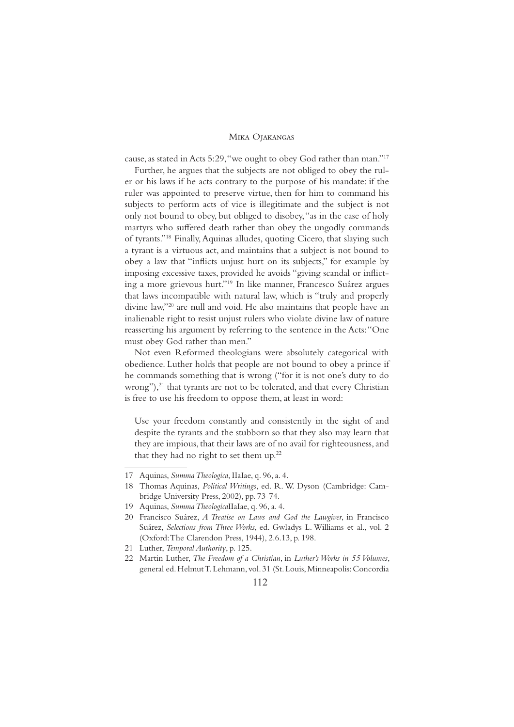cause, as stated in Acts 5:29, "we ought to obey God rather than man."17

Further, he argues that the subjects are not obliged to obey the ruler or his laws if he acts contrary to the purpose of his mandate: if the ruler was appointed to preserve virtue, then for him to command his subjects to perform acts of vice is illegitimate and the subject is not only not bound to obey, but obliged to disobey, "as in the case of holy martyrs who suffered death rather than obey the ungodly commands of tyrants."18 Finally, Aquinas alludes, quoting Cicero, that slaying such a tyrant is a virtuous act, and maintains that a subject is not bound to obey a law that "inflicts unjust hurt on its subjects," for example by imposing excessive taxes, provided he avoids "giving scandal or inflicting a more grievous hurt."19 In like manner, Francesco Suárez argues that laws incompatible with natural law, which is "truly and properly divine law,"20 are null and void. He also maintains that people have an inalienable right to resist unjust rulers who violate divine law of nature reasserting his argument by referring to the sentence in the Acts: "One must obey God rather than men."

Not even Reformed theologians were absolutely categorical with obedience. Luther holds that people are not bound to obey a prince if he commands something that is wrong ("for it is not one's duty to do wrong"), $^{21}$  that tyrants are not to be tolerated, and that every Christian is free to use his freedom to oppose them, at least in word:

Use your freedom constantly and consistently in the sight of and despite the tyrants and the stubborn so that they also may learn that they are impious, that their laws are of no avail for righteousness, and that they had no right to set them up.<sup>22</sup>

<sup>17</sup> Aquinas, *Summa Theologica*, IIaIae, q. 96, a. 4.

<sup>18</sup> Thomas Aquinas, *Political Writings*, ed. R. W. Dyson (Cambridge: Cambridge University Press, 2002), pp. 73-74.

<sup>19</sup> Aquinas, *Summa Theologica*IIaIae, q. 96, a. 4.

<sup>20</sup> Francisco Suárez, *A Treatise on Laws and God the Lawgiver*, in Francisco Suárez, *Selections from Three Works*, ed. Gwladys L. Williams et al., vol. 2 (Oxford: The Clarendon Press, 1944), 2.6.13, p. 198.

<sup>21</sup> Luther, *Temporal Authority*, p. 125.

<sup>22</sup> Martin Luther, *The Freedom of a Christian*, in *Luther's Works in 55 Volumes*, general ed. Helmut T. Lehmann, vol. 31 (St. Louis, Minneapolis: Concordia

<sup>112</sup>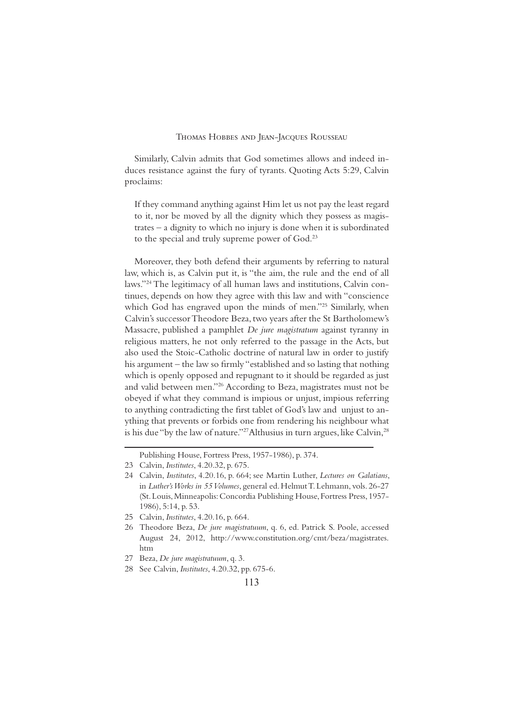Similarly, Calvin admits that God sometimes allows and indeed induces resistance against the fury of tyrants. Quoting Acts 5:29, Calvin proclaims:

If they command anything against Him let us not pay the least regard to it, nor be moved by all the dignity which they possess as magistrates – a dignity to which no injury is done when it is subordinated to the special and truly supreme power of God.<sup>23</sup>

Moreover, they both defend their arguments by referring to natural law, which is, as Calvin put it, is "the aim, the rule and the end of all laws."24 The legitimacy of all human laws and institutions, Calvin continues, depends on how they agree with this law and with "conscience which God has engraved upon the minds of men."<sup>25</sup> Similarly, when Calvin's successor Theodore Beza, two years after the St Bartholomew's Massacre, published a pamphlet *De jure magistratum* against tyranny in religious matters, he not only referred to the passage in the Acts, but also used the Stoic-Catholic doctrine of natural law in order to justify his argument – the law so firmly "established and so lasting that nothing which is openly opposed and repugnant to it should be regarded as just and valid between men."26 According to Beza, magistrates must not be obeyed if what they command is impious or unjust, impious referring to anything contradicting the first tablet of God's law and unjust to anything that prevents or forbids one from rendering his neighbour what is his due "by the law of nature."<sup>27</sup>Althusius in turn argues, like Calvin,<sup>28</sup>

Publishing House, Fortress Press, 1957-1986), p. 374.

<sup>23</sup> Calvin, *Institutes*, 4.20.32, p. 675.

<sup>24</sup> Calvin, *Institutes*, 4.20.16, p. 664; see Martin Luther, *Lectures on Galatians*, in *Luther's Works in 55 Volumes*, general ed. Helmut T. Lehmann, vols. 26-27 (St. Louis, Minneapolis: Concordia Publishing House, Fortress Press, 1957- 1986), 5:14, p. 53.

<sup>25</sup> Calvin, *Institutes*, 4.20.16, p. 664.

<sup>26</sup> Theodore Beza, *De jure magistratuum*, q. 6, ed. Patrick S. Poole, accessed August 24, 2012, http://www.constitution.org/cmt/beza/magistrates. htm

<sup>27</sup> Beza, *De jure magistratuum*, q. 3.

<sup>28</sup> See Calvin, *Institutes*, 4.20.32, pp. 675-6.

<sup>113</sup>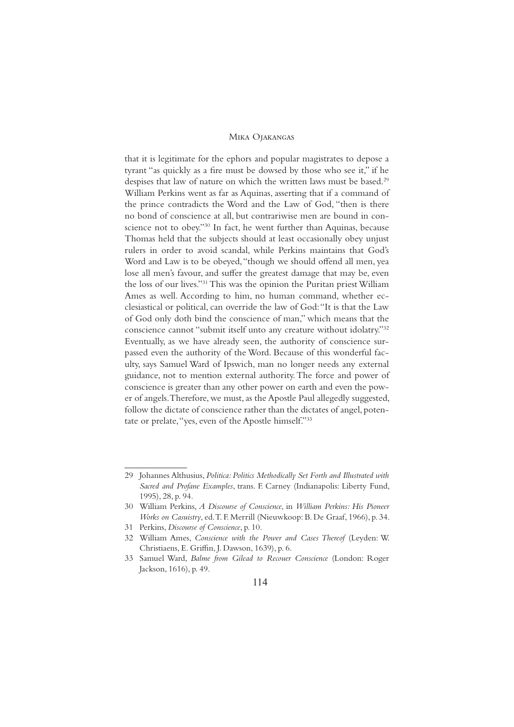that it is legitimate for the ephors and popular magistrates to depose a tyrant "as quickly as a fire must be dowsed by those who see it," if he despises that law of nature on which the written laws must be based.<sup>29</sup> William Perkins went as far as Aquinas, asserting that if a command of the prince contradicts the Word and the Law of God, "then is there no bond of conscience at all, but contrariwise men are bound in conscience not to obey."30 In fact, he went further than Aquinas, because Thomas held that the subjects should at least occasionally obey unjust rulers in order to avoid scandal, while Perkins maintains that God's Word and Law is to be obeyed, "though we should offend all men, yea lose all men's favour, and suffer the greatest damage that may be, even the loss of our lives."31 This was the opinion the Puritan priest William Ames as well. According to him, no human command, whether ecclesiastical or political, can override the law of God: "It is that the Law of God only doth bind the conscience of man," which means that the conscience cannot "submit itself unto any creature without idolatry."32 Eventually, as we have already seen, the authority of conscience surpassed even the authority of the Word. Because of this wonderful faculty, says Samuel Ward of Ipswich, man no longer needs any external guidance, not to mention external authority. The force and power of conscience is greater than any other power on earth and even the power of angels. Therefore, we must, as the Apostle Paul allegedly suggested, follow the dictate of conscience rather than the dictates of angel, potentate or prelate, "yes, even of the Apostle himself."33

<sup>29</sup> Johannes Althusius, *Politica: Politics Methodically Set Forth and Illustrated with Sacred and Profane Examples*, trans. F. Carney (Indianapolis: Liberty Fund, 1995), 28, p. 94.

<sup>30</sup> William Perkins, *A Discourse of Conscience*, in *William Perkins: His Pioneer Works on Casuistry*, ed. T. F. Merrill (Nieuwkoop: B. De Graaf, 1966), p. 34.

<sup>31</sup> Perkins, *Discourse of Conscience*, p. 10.

<sup>32</sup> William Ames, *Conscience with the Power and Cases Thereof* (Leyden: W. Christiaens, E. Griffin, J. Dawson, 1639), p. 6.

<sup>33</sup> Samuel Ward, *Balme from Gilead to Recouer Conscience* (London: Roger Jackson, 1616), p. 49.

<sup>114</sup>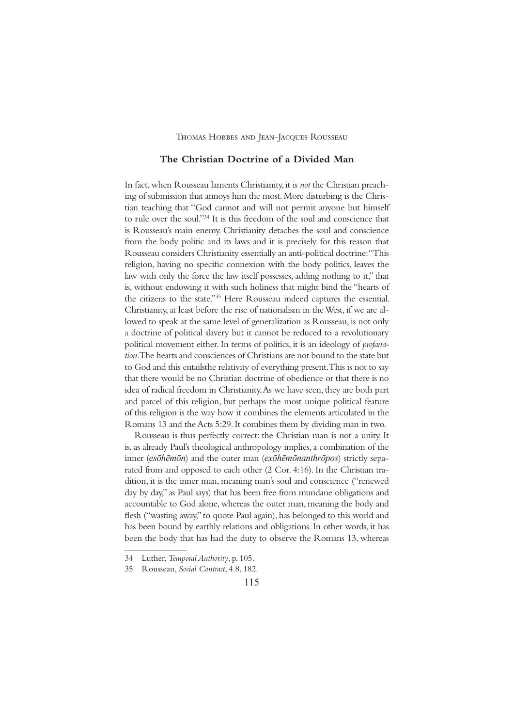# **The Christian Doctrine of a Divided Man**

In fact, when Rousseau laments Christianity, it is *not* the Christian preaching of submission that annoys him the most. More disturbing is the Christian teaching that "God cannot and will not permit anyone but himself to rule over the soul."34 It is this freedom of the soul and conscience that is Rousseau's main enemy. Christianity detaches the soul and conscience from the body politic and its laws and it is precisely for this reason that Rousseau considers Christianity essentially an anti-political doctrine: "This religion, having no specific connexion with the body politics, leaves the law with only the force the law itself possesses, adding nothing to it," that is, without endowing it with such holiness that might bind the "hearts of the citizens to the state."35 Here Rousseau indeed captures the essential. Christianity, at least before the rise of nationalism in the West, if we are allowed to speak at the same level of generalization as Rousseau, is not only a doctrine of political slavery but it cannot be reduced to a revolutionary political movement either. In terms of politics, it is an ideology of *profanation*. The hearts and consciences of Christians are not bound to the state but to God and this entailsthe relativity of everything present. This is not to say that there would be no Christian doctrine of obedience or that there is no idea of radical freedom in Christianity. As we have seen, they are both part and parcel of this religion, but perhaps the most unique political feature of this religion is the way how it combines the elements articulated in the Romans 13 and the Acts 5:29. It combines them by dividing man in two.

Rousseau is thus perfectly correct: the Christian man is not a unity. It is, as already Paul's theological anthropology implies, a combination of the inner (*esōhēmōn*) and the outer man (*exōhēmōnanthrōpos*) strictly separated from and opposed to each other (2 Cor. 4:16). In the Christian tradition, it is the inner man, meaning man's soul and conscience ("renewed day by day," as Paul says) that has been free from mundane obligations and accountable to God alone, whereas the outer man, meaning the body and flesh ("wasting away," to quote Paul again), has belonged to this world and has been bound by earthly relations and obligations. In other words, it has been the body that has had the duty to observe the Romans 13, whereas

<sup>34</sup> Luther, *Temporal Authority*, p. 105.

<sup>35</sup> Rousseau, *Social Contract*, 4.8, 182.

<sup>115</sup>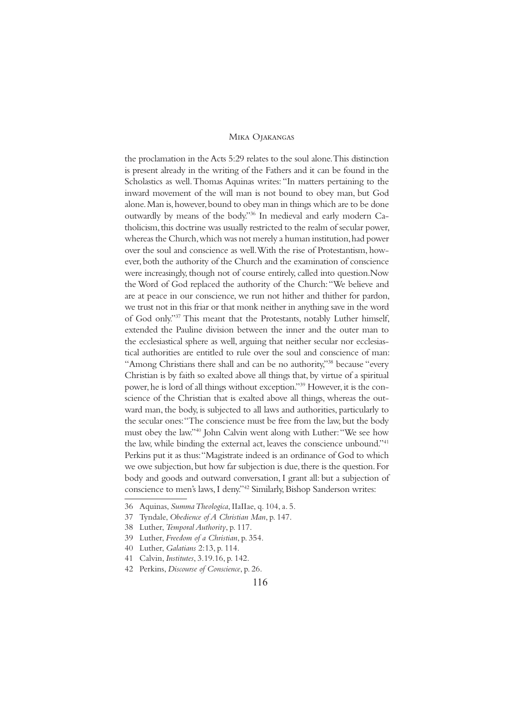the proclamation in the Acts 5:29 relates to the soul alone. This distinction is present already in the writing of the Fathers and it can be found in the Scholastics as well. Thomas Aquinas writes: "In matters pertaining to the inward movement of the will man is not bound to obey man, but God alone. Man is, however, bound to obey man in things which are to be done outwardly by means of the body."36 In medieval and early modern Catholicism, this doctrine was usually restricted to the realm of secular power, whereas the Church, which was not merely a human institution, had power over the soul and conscience as well. With the rise of Protestantism, however, both the authority of the Church and the examination of conscience were increasingly, though not of course entirely, called into question.Now the Word of God replaced the authority of the Church: "We believe and are at peace in our conscience, we run not hither and thither for pardon, we trust not in this friar or that monk neither in anything save in the word of God only."37 This meant that the Protestants, notably Luther himself, extended the Pauline division between the inner and the outer man to the ecclesiastical sphere as well, arguing that neither secular nor ecclesiastical authorities are entitled to rule over the soul and conscience of man: "Among Christians there shall and can be no authority,"38 because "every Christian is by faith so exalted above all things that, by virtue of a spiritual power, he is lord of all things without exception."39 However, it is the conscience of the Christian that is exalted above all things, whereas the outward man, the body, is subjected to all laws and authorities, particularly to the secular ones: "The conscience must be free from the law, but the body must obey the law."40 John Calvin went along with Luther: "We see how the law, while binding the external act, leaves the conscience unbound."41 Perkins put it as thus: "Magistrate indeed is an ordinance of God to which we owe subjection, but how far subjection is due, there is the question. For body and goods and outward conversation, I grant all: but a subjection of conscience to men's laws, I deny."42 Similarly, Bishop Sanderson writes:

- 38 Luther, *Temporal Authority*, p. 117.
- 39 Luther, *Freedom of a Christian*, p. 354.
- 40 Luther, *Galatians* 2:13, p. 114.
- 41 Calvin, *Institutes*, 3.19.16, p. 142.
- 42 Perkins, *Discourse of Conscience*, p. 26.

<sup>36</sup> Aquinas, *Summa Theologica*, IIaIIae, q. 104, a. 5.

<sup>37</sup> Tyndale, *Obedience of A Christian Man*, p. 147.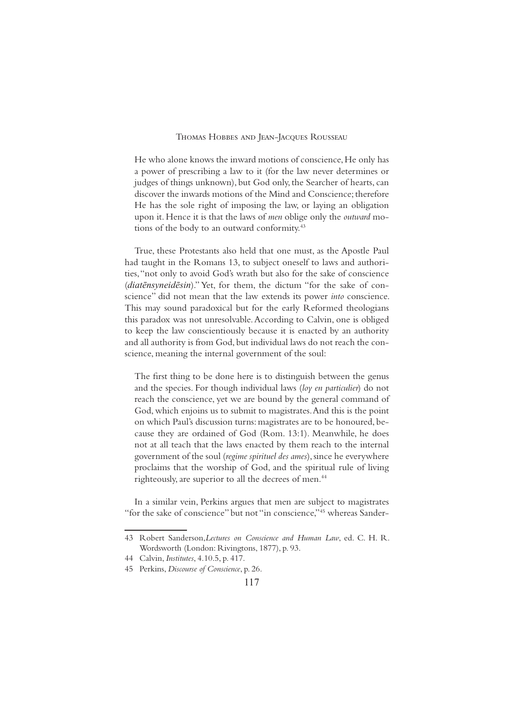He who alone knows the inward motions of conscience, He only has a power of prescribing a law to it (for the law never determines or judges of things unknown), but God only, the Searcher of hearts, can discover the inwards motions of the Mind and Conscience; therefore He has the sole right of imposing the law, or laying an obligation upon it. Hence it is that the laws of *men* oblige only the *outward* motions of the body to an outward conformity.43

True, these Protestants also held that one must, as the Apostle Paul had taught in the Romans 13, to subject oneself to laws and authorities, "not only to avoid God's wrath but also for the sake of conscience (*diatēnsyneidēsin*)." Yet, for them, the dictum "for the sake of conscience" did not mean that the law extends its power *into* conscience. This may sound paradoxical but for the early Reformed theologians this paradox was not unresolvable. According to Calvin, one is obliged to keep the law conscientiously because it is enacted by an authority and all authority is from God, but individual laws do not reach the conscience, meaning the internal government of the soul:

The first thing to be done here is to distinguish between the genus and the species. For though individual laws (*loy en particulier*) do not reach the conscience, yet we are bound by the general command of God, which enjoins us to submit to magistrates. And this is the point on which Paul's discussion turns: magistrates are to be honoured, because they are ordained of God (Rom. 13:1). Meanwhile, he does not at all teach that the laws enacted by them reach to the internal government of the soul (*regime spirituel des ames*), since he everywhere proclaims that the worship of God, and the spiritual rule of living righteously, are superior to all the decrees of men.<sup>44</sup>

In a similar vein, Perkins argues that men are subject to magistrates "for the sake of conscience" but not "in conscience,"45 whereas Sander-

<sup>43</sup> Robert Sanderson,*Lectures on Conscience and Human Law*, ed. C. H. R. Wordsworth (London: Rivingtons, 1877), p. 93.

<sup>44</sup> Calvin, *Institutes*, 4.10.5, p. 417.

<sup>45</sup> Perkins, *Discourse of Conscience*, p. 26.

<sup>117</sup>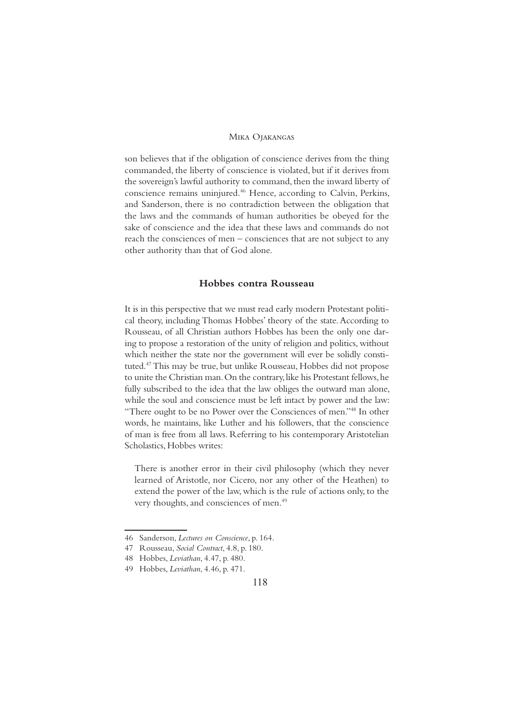son believes that if the obligation of conscience derives from the thing commanded, the liberty of conscience is violated, but if it derives from the sovereign's lawful authority to command, then the inward liberty of conscience remains uninjured.46 Hence, according to Calvin, Perkins, and Sanderson, there is no contradiction between the obligation that the laws and the commands of human authorities be obeyed for the sake of conscience and the idea that these laws and commands do not reach the consciences of men – consciences that are not subject to any other authority than that of God alone.

# **Hobbes contra Rousseau**

It is in this perspective that we must read early modern Protestant political theory, including Thomas Hobbes' theory of the state. According to Rousseau, of all Christian authors Hobbes has been the only one daring to propose a restoration of the unity of religion and politics, without which neither the state nor the government will ever be solidly constituted.47 This may be true, but unlike Rousseau, Hobbes did not propose to unite the Christian man. On the contrary, like his Protestant fellows, he fully subscribed to the idea that the law obliges the outward man alone, while the soul and conscience must be left intact by power and the law: "There ought to be no Power over the Consciences of men."<sup>48</sup> In other words, he maintains, like Luther and his followers, that the conscience of man is free from all laws. Referring to his contemporary Aristotelian Scholastics, Hobbes writes:

There is another error in their civil philosophy (which they never learned of Aristotle, nor Cicero, nor any other of the Heathen) to extend the power of the law, which is the rule of actions only, to the very thoughts, and consciences of men.49

<sup>46</sup> Sanderson, *Lectures on Conscience*, p. 164.

<sup>47</sup> Rousseau, *Social Contract*, 4.8, p. 180.

<sup>48</sup> Hobbes, *Leviathan*, 4.47, p. 480.

<sup>49</sup> Hobbes, *Leviathan*, 4.46, p. 471.

<sup>118</sup>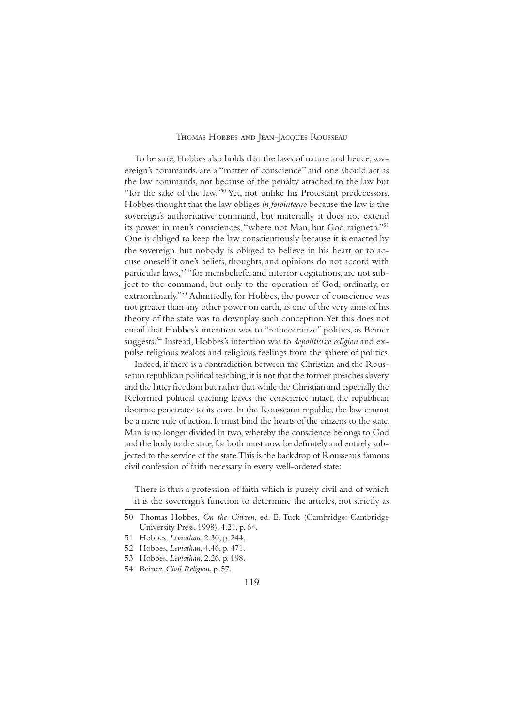To be sure, Hobbes also holds that the laws of nature and hence, sovereign's commands, are a "matter of conscience" and one should act as the law commands, not because of the penalty attached to the law but "for the sake of the law."50 Yet, not unlike his Protestant predecessors, Hobbes thought that the law obliges *in forointerno* because the law is the sovereign's authoritative command, but materially it does not extend its power in men's consciences, "where not Man, but God raigneth."51 One is obliged to keep the law conscientiously because it is enacted by the sovereign, but nobody is obliged to believe in his heart or to accuse oneself if one's beliefs, thoughts, and opinions do not accord with particular laws,<sup>52</sup> "for mensbeliefe, and interior cogitations, are not subject to the command, but only to the operation of God, ordinarly, or extraordinarly."53 Admittedly, for Hobbes, the power of conscience was not greater than any other power on earth, as one of the very aims of his theory of the state was to downplay such conception. Yet this does not entail that Hobbes's intention was to "retheocratize" politics, as Beiner suggests.54 Instead, Hobbes's intention was to *depoliticize religion* and expulse religious zealots and religious feelings from the sphere of politics.

Indeed, if there is a contradiction between the Christian and the Rousseaun republican political teaching, it is not that the former preaches slavery and the latter freedom but rather that while the Christian and especially the Reformed political teaching leaves the conscience intact, the republican doctrine penetrates to its core. In the Rousseaun republic, the law cannot be a mere rule of action. It must bind the hearts of the citizens to the state. Man is no longer divided in two, whereby the conscience belongs to God and the body to the state, for both must now be definitely and entirely subjected to the service of the state. This is the backdrop of Rousseau's famous civil confession of faith necessary in every well-ordered state:

There is thus a profession of faith which is purely civil and of which it is the sovereign's function to determine the articles, not strictly as

54 Beiner, *Civil Religion*, p. 57.

<sup>50</sup> Thomas Hobbes, *On the Citizen*, ed. E. Tuck (Cambridge: Cambridge University Press, 1998), 4.21, p. 64.

<sup>51</sup> Hobbes, *Leviathan*, 2.30, p. 244.

<sup>52</sup> Hobbes, *Leviathan*, 4.46, p. 471.

<sup>53</sup> Hobbes, *Leviathan*, 2.26, p. 198.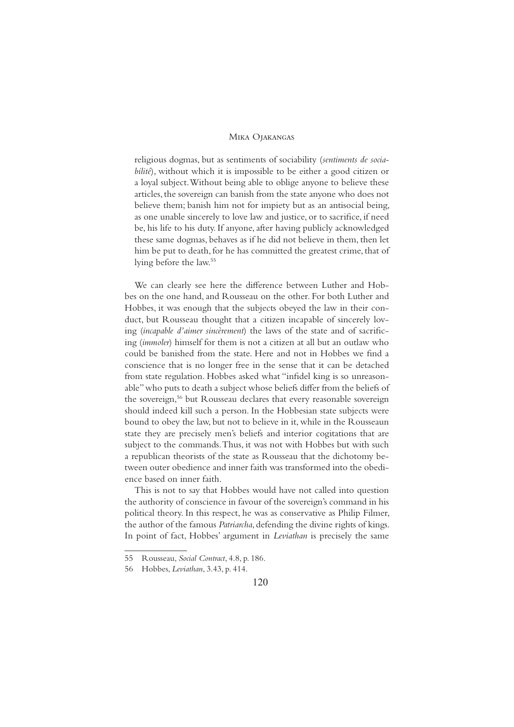religious dogmas, but as sentiments of sociability (*sentiments de sociabilité*), without which it is impossible to be either a good citizen or a loyal subject. Without being able to oblige anyone to believe these articles, the sovereign can banish from the state anyone who does not believe them; banish him not for impiety but as an antisocial being, as one unable sincerely to love law and justice, or to sacrifice, if need be, his life to his duty. If anyone, after having publicly acknowledged these same dogmas, behaves as if he did not believe in them, then let him be put to death, for he has committed the greatest crime, that of lying before the law.55

We can clearly see here the difference between Luther and Hobbes on the one hand, and Rousseau on the other. For both Luther and Hobbes, it was enough that the subjects obeyed the law in their conduct, but Rousseau thought that a citizen incapable of sincerely loving (*incapable d'aimer sincèrement*) the laws of the state and of sacrificing (*immoler*) himself for them is not a citizen at all but an outlaw who could be banished from the state. Here and not in Hobbes we find a conscience that is no longer free in the sense that it can be detached from state regulation. Hobbes asked what "infidel king is so unreasonable" who puts to death a subject whose beliefs differ from the beliefs of the sovereign,<sup>56</sup> but Rousseau declares that every reasonable sovereign should indeed kill such a person. In the Hobbesian state subjects were bound to obey the law, but not to believe in it, while in the Rousseaun state they are precisely men's beliefs and interior cogitations that are subject to the commands. Thus, it was not with Hobbes but with such a republican theorists of the state as Rousseau that the dichotomy between outer obedience and inner faith was transformed into the obedience based on inner faith.

This is not to say that Hobbes would have not called into question the authority of conscience in favour of the sovereign's command in his political theory. In this respect, he was as conservative as Philip Filmer, the author of the famous *Patriarcha*, defending the divine rights of kings. In point of fact, Hobbes' argument in *Leviathan* is precisely the same

<sup>55</sup> Rousseau, *Social Contract*, 4.8, p. 186.

<sup>56</sup> Hobbes, *Leviathan*, 3.43, p. 414.

<sup>120</sup>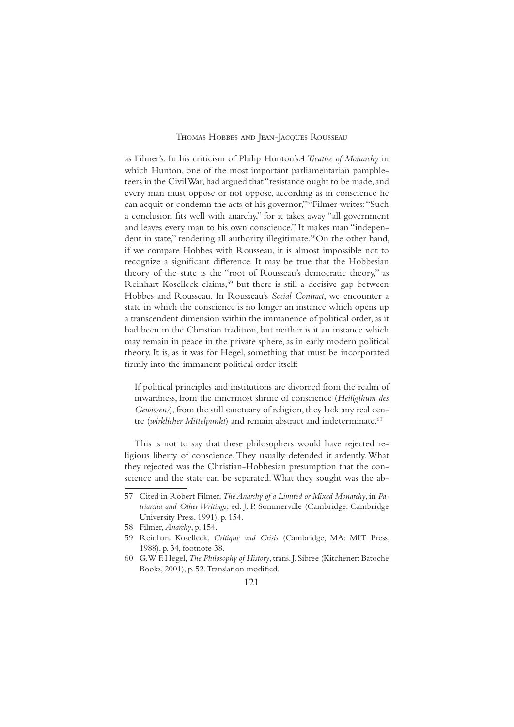as Filmer's. In his criticism of Philip Hunton's*A Treatise of Monarchy* in which Hunton, one of the most important parliamentarian pamphleteers in the Civil War, had argued that "resistance ought to be made, and every man must oppose or not oppose, according as in conscience he can acquit or condemn the acts of his governor,"57Filmer writes: "Such a conclusion fits well with anarchy," for it takes away "all government and leaves every man to his own conscience." It makes man "independent in state," rendering all authority illegitimate.<sup>58</sup>On the other hand, if we compare Hobbes with Rousseau, it is almost impossible not to recognize a significant difference. It may be true that the Hobbesian theory of the state is the "root of Rousseau's democratic theory," as Reinhart Koselleck claims,<sup>59</sup> but there is still a decisive gap between Hobbes and Rousseau. In Rousseau's *Social Contract*, we encounter a state in which the conscience is no longer an instance which opens up a transcendent dimension within the immanence of political order, as it had been in the Christian tradition, but neither is it an instance which may remain in peace in the private sphere, as in early modern political theory. It is, as it was for Hegel, something that must be incorporated firmly into the immanent political order itself:

If political principles and institutions are divorced from the realm of inwardness, from the innermost shrine of conscience (*Heiligthum des Gewissens*), from the still sanctuary of religion, they lack any real centre (*wirklicher Mittelpunkt*) and remain abstract and indeterminate.<sup>60</sup>

This is not to say that these philosophers would have rejected religious liberty of conscience. They usually defended it ardently. What they rejected was the Christian-Hobbesian presumption that the conscience and the state can be separated. What they sought was the ab-

<sup>57</sup> Cited in Robert Filmer, *The Anarchy of a Limited or Mixed Monarchy*, in *Patriarcha and Other Writings*, ed. J. P. Sommerville (Cambridge: Cambridge University Press, 1991), p. 154.

<sup>58</sup> Filmer, *Anarchy*, p. 154.

<sup>59</sup> Reinhart Koselleck, *Critique and Crisis* (Cambridge, MA: MIT Press, 1988), p. 34, footnote 38.

<sup>60</sup> G. W. F. Hegel, *The Philosophy of History*, trans. J. Sibree (Kitchener: Batoche Books, 2001), p. 52. Translation modified.

<sup>121</sup>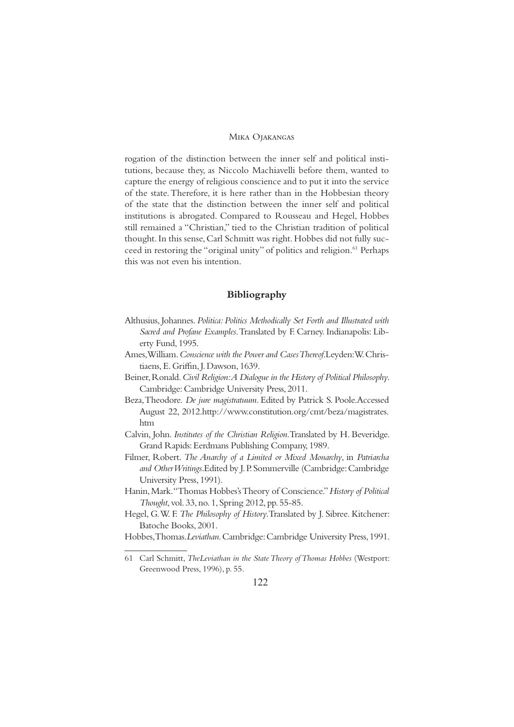rogation of the distinction between the inner self and political institutions, because they, as Niccolo Machiavelli before them, wanted to capture the energy of religious conscience and to put it into the service of the state. Therefore, it is here rather than in the Hobbesian theory of the state that the distinction between the inner self and political institutions is abrogated. Compared to Rousseau and Hegel, Hobbes still remained a "Christian," tied to the Christian tradition of political thought. In this sense, Carl Schmitt was right. Hobbes did not fully succeed in restoring the "original unity" of politics and religion.61 Perhaps this was not even his intention.

## **Bibliography**

- Althusius, Johannes. *Politica: Politics Methodically Set Forth and Illustrated with Sacred and Profane Examples*. Translated by F. Carney. Indianapolis: Liberty Fund, 1995.
- Ames, William. *Conscience with the Power and Cases Thereof*.Leyden: W. Christiaens, E. Griffin, J. Dawson, 1639.
- Beiner, Ronald. *Civil Religion: A Dialogue in the History of Political Philosophy*. Cambridge: Cambridge University Press, 2011.
- Beza, Theodore. *De jure magistratuum*. Edited by Patrick S. Poole.Accessed August 22, 2012.http://www.constitution.org/cmt/beza/magistrates. htm
- Calvin, John. *Institutes of the Christian Religion*.Translated by H. Beveridge. Grand Rapids: Eerdmans Publishing Company, 1989.
- Filmer, Robert. *The Anarchy of a Limited or Mixed Monarchy*, in *Patriarcha and Other Writings*.Edited by J. P. Sommerville (Cambridge: Cambridge University Press, 1991).
- Hanin, Mark. "Thomas Hobbes's Theory of Conscience." *History of Political Thought*, vol. 33, no. 1, Spring 2012, pp. 55-85.
- Hegel, G. W. F. *The Philosophy of History*.Translated by J. Sibree. Kitchener: Batoche Books, 2001.

Hobbes, Thomas.*Leviathan*. Cambridge: Cambridge University Press, 1991.

<sup>61</sup> Carl Schmitt, *TheLeviathan in the State Theory of Thomas Hobbes* (Westport: Greenwood Press, 1996), p. 55.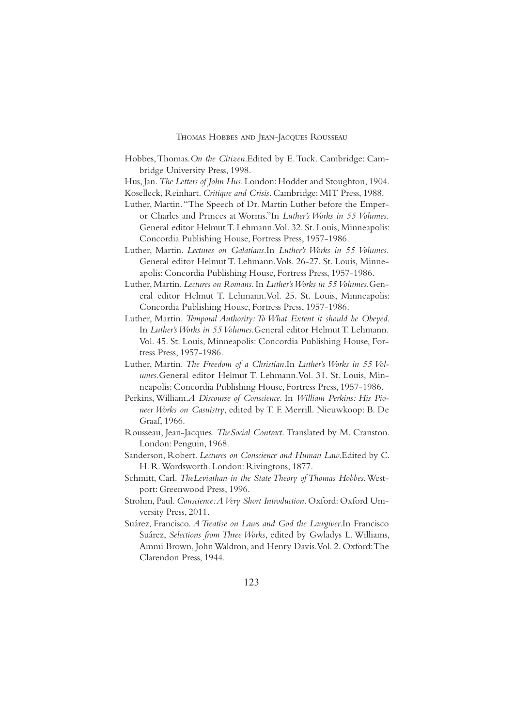- Hobbes, Thomas.*On the Citizen*.Edited by E. Tuck. Cambridge: Cambridge University Press, 1998.
- Hus, Jan. *The Letters of John Hus*. London: Hodder and Stoughton, 1904. Koselleck, Reinhart. *Critique and Crisis*. Cambridge: MIT Press, 1988.
- Luther, Martin. "The Speech of Dr. Martin Luther before the Emperor Charles and Princes at Worms."In *Luther's Works in 55 Volumes*. General editor Helmut T. Lehmann.Vol. 32. St. Louis, Minneapolis: Concordia Publishing House, Fortress Press, 1957-1986.
- Luther, Martin. *Lectures on Galatians*.In *Luther's Works in 55 Volumes*. General editor Helmut T. Lehmann. Vols. 26-27. St. Louis, Minneapolis: Concordia Publishing House, Fortress Press, 1957-1986.
- Luther, Martin. *Lectures on Romans*. In *Luther's Works in 55 Volumes*.General editor Helmut T. Lehmann.Vol. 25. St. Louis, Minneapolis: Concordia Publishing House, Fortress Press, 1957-1986.
- Luther, Martin. *Temporal Authority: To What Extent it should be Obeyed*. In *Luther's Works in 55 Volumes*.General editor Helmut T. Lehmann. Vol. 45. St. Louis, Minneapolis: Concordia Publishing House, Fortress Press, 1957-1986.
- Luther, Martin. *The Freedom of a Christian*.In *Luther's Works in 55 Volumes*.General editor Helmut T. Lehmann.Vol. 31. St. Louis, Minneapolis: Concordia Publishing House, Fortress Press, 1957-1986.
- Perkins, William.*A Discourse of Conscience*. In *William Perkins: His Pioneer Works on Casuistry*, edited by T. F. Merrill. Nieuwkoop: B. De Graaf, 1966.
- Rousseau, Jean-Jacques. *TheSocial Contract*. Translated by M. Cranston. London: Penguin, 1968.
- Sanderson, Robert. *Lectures on Conscience and Human Law*.Edited by C. H. R. Wordsworth. London: Rivingtons, 1877.
- Schmitt, Carl. *TheLeviathan in the State Theory of Thomas Hobbes*. Westport: Greenwood Press, 1996.
- Strohm, Paul. *Conscience: A Very Short Introduction*. Oxford: Oxford University Press, 2011.
- Suárez, Francisco. *A Treatise on Laws and God the Lawgiver*.In Francisco Suárez, *Selections from Three Works*, edited by Gwladys L. Williams, Ammi Brown, John Waldron, and Henry Davis.Vol. 2. Oxford: The Clarendon Press, 1944.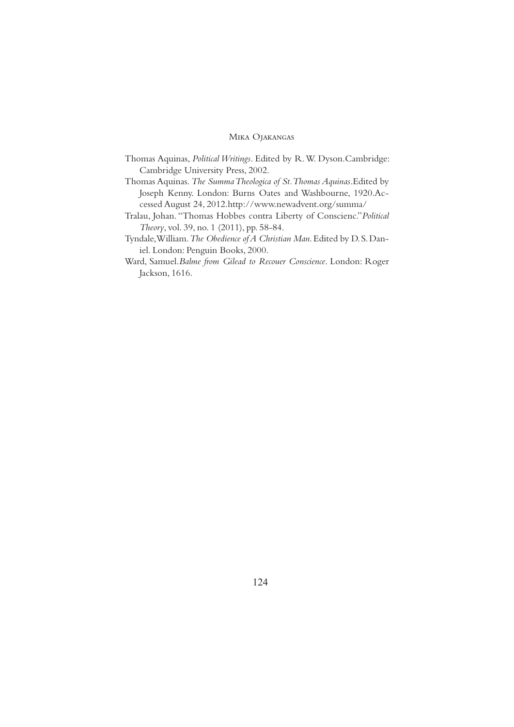- Thomas Aquinas, *Political Writings*. Edited by R. W. Dyson.Cambridge: Cambridge University Press, 2002.
- Thomas Aquinas. *The Summa Theologica of St. Thomas Aquinas*.Edited by Joseph Kenny. London: Burns Oates and Washbourne, 1920.Accessed August 24, 2012.http://www.newadvent.org/summa/
- Tralau, Johan. "Thomas Hobbes contra Liberty of Conscienc."*Political Theory*, vol. 39, no. 1 (2011), pp. 58-84.
- Tyndale, William. *The Obedience of A Christian Man*. Edited by D. S. Daniel. London: Penguin Books, 2000.
- Ward, Samuel.*Balme from Gilead to Recouer Conscience*. London: Roger Jackson, 1616.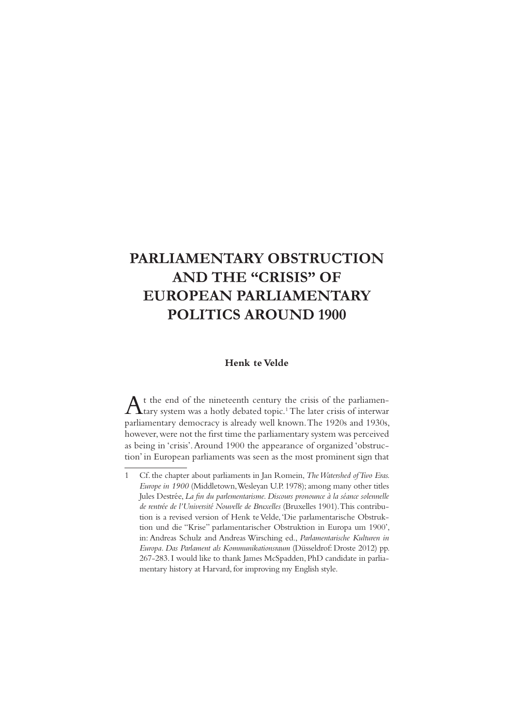# **PARLIAMENTARY OBSTRUCTION AND THE "CRISIS" OF EUROPEAN PARLIAMENTARY POLITICS AROUND 1900**

# **Henk te Velde**

At the end of the nineteenth century the crisis of the parliamentary system was a hotly debated topic.<sup>1</sup> The later crisis of interwar parliamentary democracy is already well known. The 1920s and 1930s, however, were not the first time the parliamentary system was perceived as being in 'crisis'. Around 1900 the appearance of organized 'obstruction' in European parliaments was seen as the most prominent sign that

<sup>1</sup> Cf. the chapter about parliaments in Jan Romein, *The Watershed of Two Eras. Europe in 1900* (Middletown, Wesleyan U.P. 1978); among many other titles Jules Destrée, *La fin du parlementarisme. Discours pronounce à la séance solennelle de rentrée de l'Université Nouvelle de Bruxelles* (Bruxelles 1901). This contribution is a revised version of Henk te Velde, 'Die parlamentarische Obstruktion und die "Krise" parlamentarischer Obstruktion in Europa um 1900', in: Andreas Schulz and Andreas Wirsching ed., *Parlamentarische Kulturen in Europa. Das Parlament als Kommunikationsraum* (Düsseldrof: Droste 2012) pp. 267-283. I would like to thank James McSpadden, PhD candidate in parliamentary history at Harvard, for improving my English style.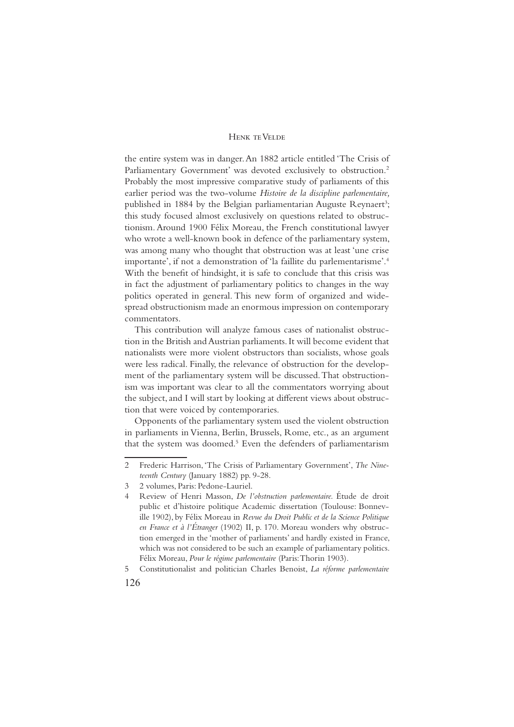# Henk te Velde

the entire system was in danger. An 1882 article entitled 'The Crisis of Parliamentary Government' was devoted exclusively to obstruction.<sup>2</sup> Probably the most impressive comparative study of parliaments of this earlier period was the two-volume *Histoire de la discipline parlementaire,*  published in 1884 by the Belgian parliamentarian Auguste Reynaert<sup>3</sup>; this study focused almost exclusively on questions related to obstructionism. Around 1900 Félix Moreau, the French constitutional lawyer who wrote a well-known book in defence of the parliamentary system, was among many who thought that obstruction was at least 'une crise importante', if not a demonstration of 'la faillite du parlementarisme'.4 With the benefit of hindsight, it is safe to conclude that this crisis was in fact the adjustment of parliamentary politics to changes in the way politics operated in general. This new form of organized and widespread obstructionism made an enormous impression on contemporary commentators.

This contribution will analyze famous cases of nationalist obstruction in the British and Austrian parliaments. It will become evident that nationalists were more violent obstructors than socialists, whose goals were less radical. Finally, the relevance of obstruction for the development of the parliamentary system will be discussed. That obstructionism was important was clear to all the commentators worrying about the subject, and I will start by looking at different views about obstruction that were voiced by contemporaries.

Opponents of the parliamentary system used the violent obstruction in parliaments in Vienna, Berlin, Brussels, Rome, etc., as an argument that the system was doomed.<sup>5</sup> Even the defenders of parliamentarism

<sup>2</sup> Frederic Harrison, 'The Crisis of Parliamentary Government', *The Nineteenth Century* (January 1882) pp. 9-28.

<sup>3 2</sup> volumes, Paris: Pedone-Lauriel.

<sup>4</sup> Review of Henri Masson, *De l'obstruction parlementaire.* Étude de droit public et d'histoire politique Academic dissertation (Toulouse: Bonneville 1902), by Félix Moreau in *Revue du Droit Public et de la Science Politique en France et à l'Étranger* (1902) II, p. 170. Moreau wonders why obstruction emerged in the 'mother of parliaments' and hardly existed in France, which was not considered to be such an example of parliamentary politics. Félix Moreau, *Pour le régime parlementaire* (Paris: Thorin 1903).

<sup>126</sup> 5 Constitutionalist and politician Charles Benoist, *La réforme parlementaire*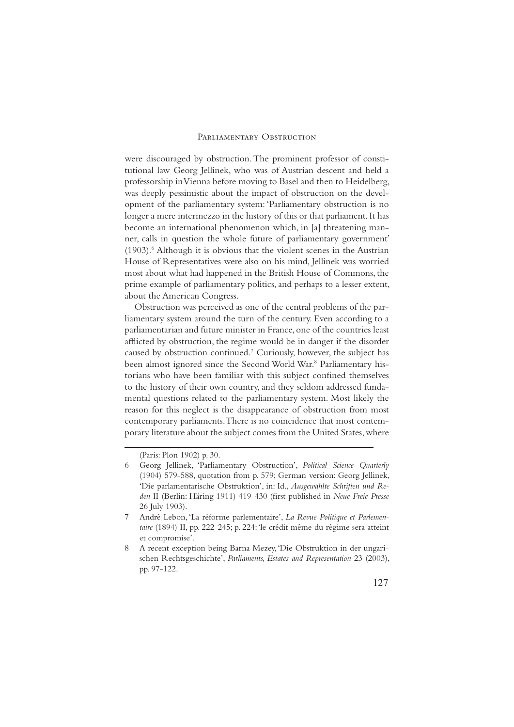were discouraged by obstruction. The prominent professor of constitutional law Georg Jellinek, who was of Austrian descent and held a professorship in Vienna before moving to Basel and then to Heidelberg, was deeply pessimistic about the impact of obstruction on the development of the parliamentary system: 'Parliamentary obstruction is no longer a mere intermezzo in the history of this or that parliament. It has become an international phenomenon which, in [a] threatening manner, calls in question the whole future of parliamentary government' (1903).<sup>6</sup> Although it is obvious that the violent scenes in the Austrian House of Representatives were also on his mind, Jellinek was worried most about what had happened in the British House of Commons, the prime example of parliamentary politics, and perhaps to a lesser extent, about the American Congress.

Obstruction was perceived as one of the central problems of the parliamentary system around the turn of the century. Even according to a parliamentarian and future minister in France, one of the countries least afflicted by obstruction, the regime would be in danger if the disorder caused by obstruction continued.7 Curiously, however, the subject has been almost ignored since the Second World War.<sup>8</sup> Parliamentary historians who have been familiar with this subject confined themselves to the history of their own country, and they seldom addressed fundamental questions related to the parliamentary system. Most likely the reason for this neglect is the disappearance of obstruction from most contemporary parliaments. There is no coincidence that most contemporary literature about the subject comes from the United States, where

<sup>(</sup>Paris: Plon 1902) p. 30.

<sup>6</sup> Georg Jellinek, 'Parliamentary Obstruction', *Political Science Quarterly*  (1904) 579-588, quotation from p. 579; German version: Georg Jellinek, 'Die parlamentarische Obstruktion', in: Id., *Ausgewählte Schriften und Re*den II (Berlin: Häring 1911) 419-430 (first published in *Neue Freie Presse* 26 July 1903).

<sup>7</sup> André Lebon, 'La réforme parlementaire', *La Revue Politique et Parlementaire* (1894) II, pp. 222-245; p. 224: 'le crédit même du régime sera atteint et compromise'.

<sup>8</sup> A recent exception being Barna Mezey, 'Die Obstruktion in der ungarischen Rechtsgeschichte', *Parliaments, Estates and Representation* 23 (2003), pp. 97-122.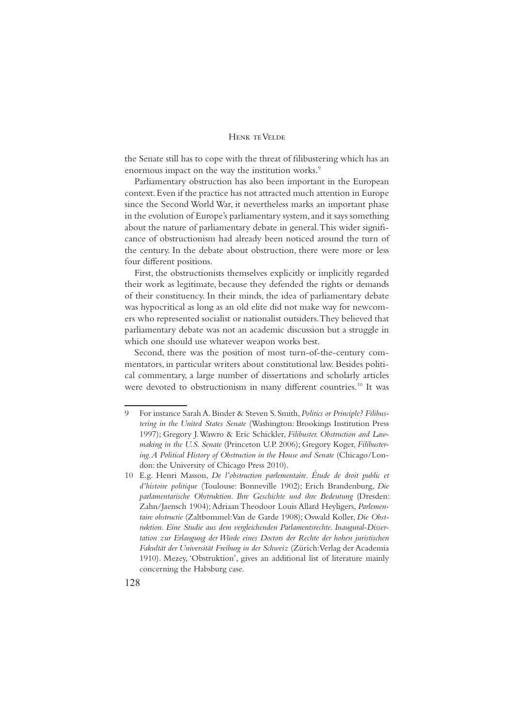## Henk te Velde

the Senate still has to cope with the threat of filibustering which has an enormous impact on the way the institution works.<sup>9</sup>

Parliamentary obstruction has also been important in the European context. Even if the practice has not attracted much attention in Europe since the Second World War, it nevertheless marks an important phase in the evolution of Europe's parliamentary system, and it says something about the nature of parliamentary debate in general. This wider significance of obstructionism had already been noticed around the turn of the century. In the debate about obstruction, there were more or less four different positions.

First, the obstructionists themselves explicitly or implicitly regarded their work as legitimate, because they defended the rights or demands of their constituency. In their minds, the idea of parliamentary debate was hypocritical as long as an old elite did not make way for newcomers who represented socialist or nationalist outsiders. They believed that parliamentary debate was not an academic discussion but a struggle in which one should use whatever weapon works best.

Second, there was the position of most turn-of-the-century commentators, in particular writers about constitutional law. Besides political commentary, a large number of dissertations and scholarly articles were devoted to obstructionism in many different countries.<sup>10</sup> It was

<sup>9</sup> For instance Sarah A. Binder & Steven S. Smith, *Politics or Principle? Filibustering in the United States Senate* (Washington: Brookings Institution Press 1997); Gregory J. Wawro & Eric Schickler, *Filibuster. Obstruction and Lawmaking in the U.S. Senate* (Princeton U.P. 2006); Gregory Koger, *Filibustering. A Political History of Obstruction in the House and Senate* (Chicago/London: the University of Chicago Press 2010).

<sup>10</sup> E.g. Henri Masson, *De l'obstruction parlementaire. Étude de droit public et d'histoire politique* (Toulouse: Bonneville 1902); Erich Brandenburg, *Die parlamentarische Obstruktion. Ihre Geschichte und ihre Bedeutung* (Dresden: Zahn/Jaensch 1904); Adriaan Theodoor Louis Allard Heyligers, *Parlementaire obstructie* (Zaltbommel: Van de Garde 1908); Oswald Koller, *Die Obstruktion. Eine Studie aus dem vergleichenden Parlamentsrechte. Inaugural-Dissertation zur Erlangung der Würde eines Doctors der Rechte der hohen juristischen Fakultät der Universität Freiburg in der Schweiz* (Zürich: Verlag der Academia 1910). Mezey, 'Obstruktion', gives an additional list of literature mainly concerning the Habsburg case.

<sup>128</sup>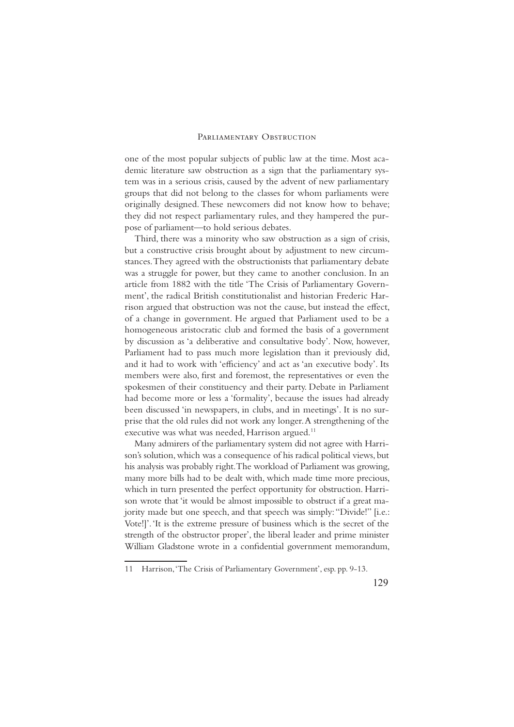one of the most popular subjects of public law at the time. Most academic literature saw obstruction as a sign that the parliamentary system was in a serious crisis, caused by the advent of new parliamentary groups that did not belong to the classes for whom parliaments were originally designed. These newcomers did not know how to behave; they did not respect parliamentary rules, and they hampered the purpose of parliament—to hold serious debates.

Third, there was a minority who saw obstruction as a sign of crisis, but a constructive crisis brought about by adjustment to new circumstances. They agreed with the obstructionists that parliamentary debate was a struggle for power, but they came to another conclusion. In an article from 1882 with the title 'The Crisis of Parliamentary Government', the radical British constitutionalist and historian Frederic Harrison argued that obstruction was not the cause, but instead the effect, of a change in government. He argued that Parliament used to be a homogeneous aristocratic club and formed the basis of a government by discussion as 'a deliberative and consultative body'. Now, however, Parliament had to pass much more legislation than it previously did, and it had to work with 'efficiency' and act as 'an executive body'. Its members were also, first and foremost, the representatives or even the spokesmen of their constituency and their party. Debate in Parliament had become more or less a 'formality', because the issues had already been discussed 'in newspapers, in clubs, and in meetings'. It is no surprise that the old rules did not work any longer. A strengthening of the executive was what was needed, Harrison argued.<sup>11</sup>

Many admirers of the parliamentary system did not agree with Harrison's solution, which was a consequence of his radical political views, but his analysis was probably right. The workload of Parliament was growing, many more bills had to be dealt with, which made time more precious, which in turn presented the perfect opportunity for obstruction. Harrison wrote that 'it would be almost impossible to obstruct if a great majority made but one speech, and that speech was simply: "Divide!" [i.e.: Vote!]'. 'It is the extreme pressure of business which is the secret of the strength of the obstructor proper', the liberal leader and prime minister William Gladstone wrote in a confidential government memorandum,

<sup>11</sup> Harrison, 'The Crisis of Parliamentary Government', esp. pp. 9-13.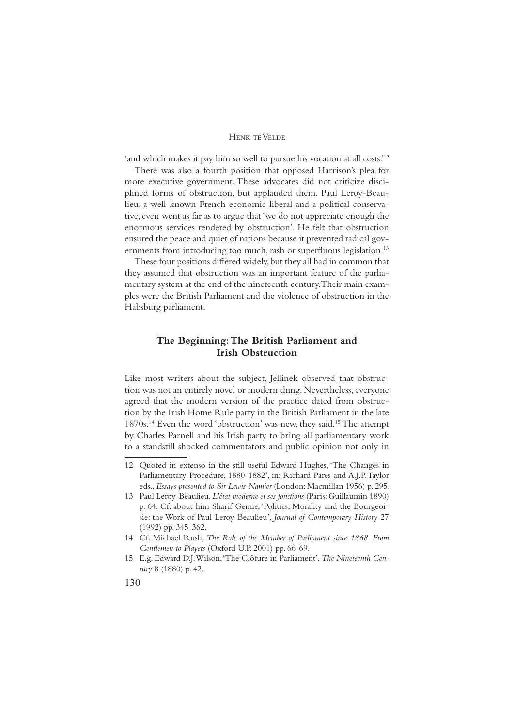## Henk te Velde

'and which makes it pay him so well to pursue his vocation at all costs.'<sup>12</sup>

There was also a fourth position that opposed Harrison's plea for more executive government. These advocates did not criticize disciplined forms of obstruction, but applauded them. Paul Leroy-Beaulieu, a well-known French economic liberal and a political conservative, even went as far as to argue that 'we do not appreciate enough the enormous services rendered by obstruction'. He felt that obstruction ensured the peace and quiet of nations because it prevented radical governments from introducing too much, rash or superfluous legislation.<sup>13</sup>

These four positions differed widely, but they all had in common that they assumed that obstruction was an important feature of the parliamentary system at the end of the nineteenth century. Their main examples were the British Parliament and the violence of obstruction in the Habsburg parliament.

# **The Beginning: The British Parliament and Irish Obstruction**

Like most writers about the subject, Jellinek observed that obstruction was not an entirely novel or modern thing. Nevertheless, everyone agreed that the modern version of the practice dated from obstruction by the Irish Home Rule party in the British Parliament in the late 1870s.14 Even the word 'obstruction' was new, they said.15 The attempt by Charles Parnell and his Irish party to bring all parliamentary work to a standstill shocked commentators and public opinion not only in

<sup>12</sup> Quoted in extenso in the still useful Edward Hughes, 'The Changes in Parliamentary Procedure, 1880-1882', in: Richard Pares and A.J.P. Taylor eds., *Essays presented to Sir Lewis Namier* (London: Macmillan 1956) p. 295.

<sup>13</sup> Paul Leroy-Beaulieu, *L'état moderne et ses fonctions* (Paris: Guillaumin 1890) p. 64. Cf. about him Sharif Gemie, 'Politics, Morality and the Bourgeoisie: the Work of Paul Leroy-Beaulieu', *Journal of Contemporary History* 27 (1992) pp. 345-362.

<sup>14</sup> Cf. Michael Rush, *The Role of the Member of Parliament since 1868. From Gentlemen to Players* (Oxford U.P. 2001) pp. 66-69.

<sup>15</sup> E.g. Edward D.J. Wilson, 'The Clôture in Parliament', *The Nineteenth Century* 8 (1880) p. 42.

<sup>130</sup>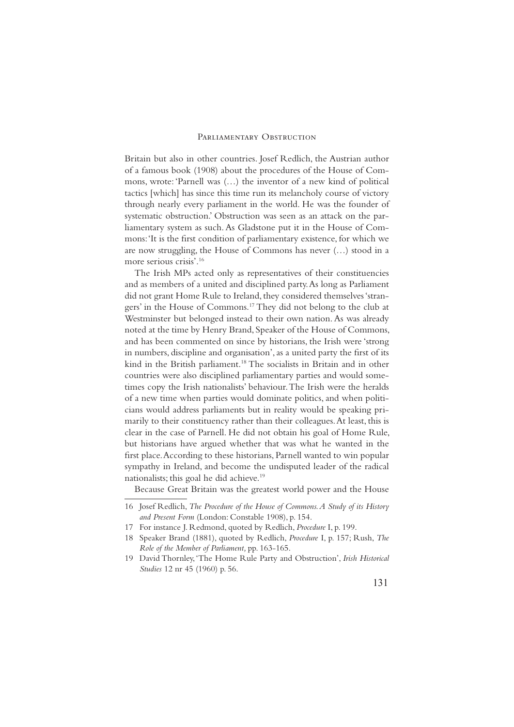Britain but also in other countries. Josef Redlich, the Austrian author of a famous book (1908) about the procedures of the House of Commons, wrote: 'Parnell was (…) the inventor of a new kind of political tactics [which] has since this time run its melancholy course of victory through nearly every parliament in the world. He was the founder of systematic obstruction.' Obstruction was seen as an attack on the parliamentary system as such. As Gladstone put it in the House of Commons: 'It is the first condition of parliamentary existence, for which we are now struggling, the House of Commons has never (…) stood in a more serious crisis'.16

The Irish MPs acted only as representatives of their constituencies and as members of a united and disciplined party. As long as Parliament did not grant Home Rule to Ireland, they considered themselves 'strangers' in the House of Commons.17 They did not belong to the club at Westminster but belonged instead to their own nation. As was already noted at the time by Henry Brand, Speaker of the House of Commons, and has been commented on since by historians, the Irish were 'strong in numbers, discipline and organisation', as a united party the first of its kind in the British parliament.18 The socialists in Britain and in other countries were also disciplined parliamentary parties and would sometimes copy the Irish nationalists' behaviour. The Irish were the heralds of a new time when parties would dominate politics, and when politicians would address parliaments but in reality would be speaking primarily to their constituency rather than their colleagues. At least, this is clear in the case of Parnell. He did not obtain his goal of Home Rule, but historians have argued whether that was what he wanted in the first place. According to these historians, Parnell wanted to win popular sympathy in Ireland, and become the undisputed leader of the radical nationalists; this goal he did achieve.<sup>19</sup>

Because Great Britain was the greatest world power and the House

17 For instance J. Redmond, quoted by Redlich, *Procedure* I, p. 199.

<sup>16</sup> Josef Redlich, *The Procedure of the House of Commons. A Study of its History and Present Form* (London: Constable 1908), p. 154.

<sup>18</sup> Speaker Brand (1881), quoted by Redlich, *Procedure* I, p. 157; Rush, *The Role of the Member of Parliament,* pp. 163-165.

<sup>19</sup> David Thornley, 'The Home Rule Party and Obstruction', *Irish Historical Studies* 12 nr 45 (1960) p. 56.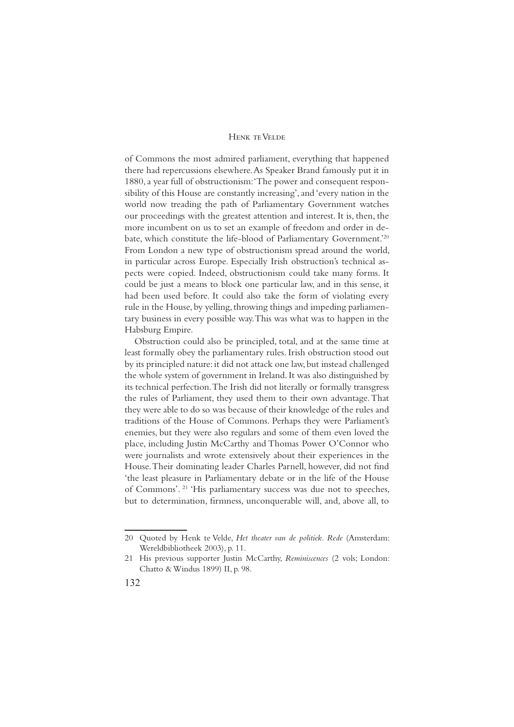## Henk te Velde

of Commons the most admired parliament, everything that happened there had repercussions elsewhere. As Speaker Brand famously put it in 1880, a year full of obstructionism: 'The power and consequent responsibility of this House are constantly increasing', and 'every nation in the world now treading the path of Parliamentary Government watches our proceedings with the greatest attention and interest. It is, then, the more incumbent on us to set an example of freedom and order in debate, which constitute the life-blood of Parliamentary Government.'20 From London a new type of obstructionism spread around the world, in particular across Europe. Especially Irish obstruction's technical aspects were copied. Indeed, obstructionism could take many forms. It could be just a means to block one particular law, and in this sense, it had been used before. It could also take the form of violating every rule in the House, by yelling, throwing things and impeding parliamentary business in every possible way. This was what was to happen in the Habsburg Empire.

Obstruction could also be principled, total, and at the same time at least formally obey the parliamentary rules. Irish obstruction stood out by its principled nature: it did not attack one law, but instead challenged the whole system of government in Ireland. It was also distinguished by its technical perfection. The Irish did not literally or formally transgress the rules of Parliament, they used them to their own advantage. That they were able to do so was because of their knowledge of the rules and traditions of the House of Commons. Perhaps they were Parliament's enemies, but they were also regulars and some of them even loved the place, including Justin McCarthy and Thomas Power O'Connor who were journalists and wrote extensively about their experiences in the House. Their dominating leader Charles Parnell, however, did not find 'the least pleasure in Parliamentary debate or in the life of the House of Commons'. 21 'His parliamentary success was due not to speeches, but to determination, firmness, unconquerable will, and, above all, to

<sup>20</sup> Quoted by Henk te Velde, *Het theater van de politiek. Rede* (Amsterdam: Wereldbibliotheek 2003), p. 11.

<sup>21</sup> His previous supporter Justin McCarthy, *Reminiscences* (2 vols; London: Chatto & Windus 1899) II, p. 98.

<sup>132</sup>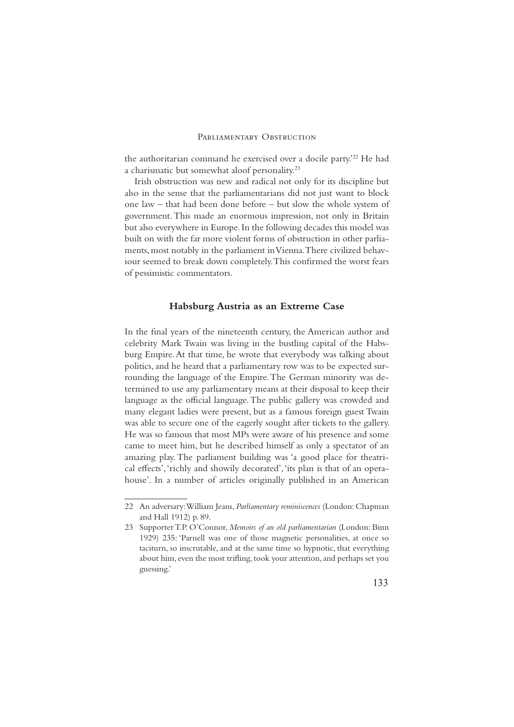the authoritarian command he exercised over a docile party.<sup>22</sup> He had a charismatic but somewhat aloof personality.<sup>23</sup>

Irish obstruction was new and radical not only for its discipline but also in the sense that the parliamentarians did not just want to block one law – that had been done before – but slow the whole system of government. This made an enormous impression, not only in Britain but also everywhere in Europe. In the following decades this model was built on with the far more violent forms of obstruction in other parliaments, most notably in the parliament in Vienna. There civilized behaviour seemed to break down completely. This confirmed the worst fears of pessimistic commentators.

# **Habsburg Austria as an Extreme Case**

In the final years of the nineteenth century, the American author and celebrity Mark Twain was living in the bustling capital of the Habsburg Empire. At that time, he wrote that everybody was talking about politics, and he heard that a parliamentary row was to be expected surrounding the language of the Empire. The German minority was determined to use any parliamentary means at their disposal to keep their language as the official language. The public gallery was crowded and many elegant ladies were present, but as a famous foreign guest Twain was able to secure one of the eagerly sought after tickets to the gallery. He was so famous that most MPs were aware of his presence and some came to meet him, but he described himself as only a spectator of an amazing play. The parliament building was 'a good place for theatrical effects', 'richly and showily decorated', 'its plan is that of an operahouse'. In a number of articles originally published in an American

<sup>22</sup> An adversary: William Jeans, *Parliamentary reminiscences* (London: Chapman and Hall 1912) p. 89.

<sup>23</sup> Supporter T.P. O'Connor, *Memoirs of an old parliamentarian* (London: Binn 1929) 235: 'Parnell was one of those magnetic personalities, at once so taciturn, so inscrutable, and at the same time so hypnotic, that everything about him, even the most trifling, took your attention, and perhaps set you guessing.'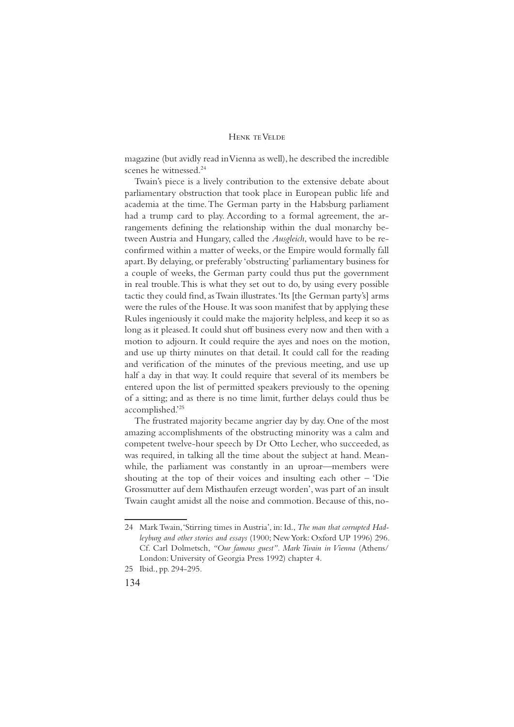# Henk te Velde

magazine (but avidly read in Vienna as well), he described the incredible scenes he witnessed.<sup>24</sup>

Twain's piece is a lively contribution to the extensive debate about parliamentary obstruction that took place in European public life and academia at the time. The German party in the Habsburg parliament had a trump card to play. According to a formal agreement, the arrangements defining the relationship within the dual monarchy between Austria and Hungary, called the *Ausgleich*, would have to be reconfirmed within a matter of weeks, or the Empire would formally fall apart. By delaying, or preferably 'obstructing' parliamentary business for a couple of weeks, the German party could thus put the government in real trouble. This is what they set out to do, by using every possible tactic they could find, as Twain illustrates. 'Its [the German party's] arms were the rules of the House. It was soon manifest that by applying these Rules ingeniously it could make the majority helpless, and keep it so as long as it pleased. It could shut off business every now and then with a motion to adjourn. It could require the ayes and noes on the motion, and use up thirty minutes on that detail. It could call for the reading and verification of the minutes of the previous meeting, and use up half a day in that way. It could require that several of its members be entered upon the list of permitted speakers previously to the opening of a sitting; and as there is no time limit, further delays could thus be accomplished.'25

The frustrated majority became angrier day by day. One of the most amazing accomplishments of the obstructing minority was a calm and competent twelve-hour speech by Dr Otto Lecher, who succeeded, as was required, in talking all the time about the subject at hand. Meanwhile, the parliament was constantly in an uproar—members were shouting at the top of their voices and insulting each other – 'Die Grossmutter auf dem Misthaufen erzeugt worden', was part of an insult Twain caught amidst all the noise and commotion. Because of this, no-

<sup>24</sup> Mark Twain, 'Stirring times in Austria', in: Id., *The man that corrupted Hadleyburg and other stories and essays* (1900; New York: Oxford UP 1996) 296. Cf. Carl Dolmetsch, *"Our famous guest". Mark Twain in Vienna* (Athens/ London: University of Georgia Press 1992) chapter 4.

<sup>25</sup> Ibid., pp. 294-295.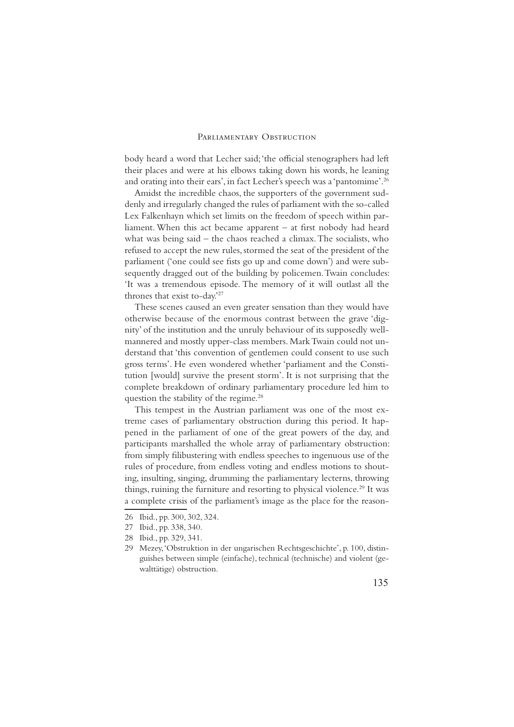body heard a word that Lecher said; 'the official stenographers had left their places and were at his elbows taking down his words, he leaning and orating into their ears', in fact Lecher's speech was a 'pantomime'.<sup>26</sup>

Amidst the incredible chaos, the supporters of the government suddenly and irregularly changed the rules of parliament with the so-called Lex Falkenhayn which set limits on the freedom of speech within parliament. When this act became apparent  $-$  at first nobody had heard what was being said – the chaos reached a climax. The socialists, who refused to accept the new rules, stormed the seat of the president of the parliament ('one could see fists go up and come down') and were subsequently dragged out of the building by policemen. Twain concludes: 'It was a tremendous episode. The memory of it will outlast all the thrones that exist to-day.'27

These scenes caused an even greater sensation than they would have otherwise because of the enormous contrast between the grave 'dignity' of the institution and the unruly behaviour of its supposedly wellmannered and mostly upper-class members. Mark Twain could not understand that 'this convention of gentlemen could consent to use such gross terms'. He even wondered whether 'parliament and the Constitution [would] survive the present storm'. It is not surprising that the complete breakdown of ordinary parliamentary procedure led him to question the stability of the regime.<sup>28</sup>

This tempest in the Austrian parliament was one of the most extreme cases of parliamentary obstruction during this period. It happened in the parliament of one of the great powers of the day, and participants marshalled the whole array of parliamentary obstruction: from simply filibustering with endless speeches to ingenuous use of the rules of procedure, from endless voting and endless motions to shouting, insulting, singing, drumming the parliamentary lecterns, throwing things, ruining the furniture and resorting to physical violence.<sup>29</sup> It was a complete crisis of the parliament's image as the place for the reason-

<sup>26</sup> Ibid., pp. 300, 302, 324.

<sup>27</sup> Ibid., pp. 338, 340.

<sup>28</sup> Ibid., pp. 329, 341.

<sup>29</sup> Mezey, 'Obstruktion in der ungarischen Rechtsgeschichte', p. 100, distinguishes between simple (einfache), technical (technische) and violent (gewalttätige) obstruction.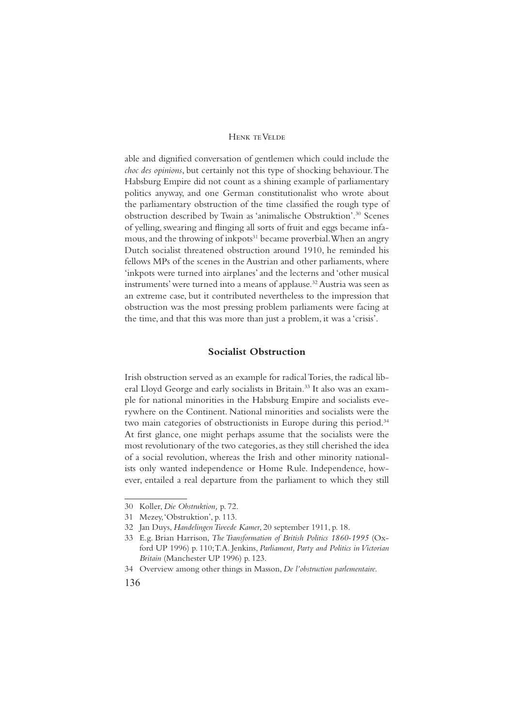## HENK TE VELDE

able and dignified conversation of gentlemen which could include the *choc des opinions*, but certainly not this type of shocking behaviour. The Habsburg Empire did not count as a shining example of parliamentary politics anyway, and one German constitutionalist who wrote about the parliamentary obstruction of the time classified the rough type of obstruction described by Twain as 'animalische Obstruktion'.30 Scenes of yelling, swearing and flinging all sorts of fruit and eggs became infamous, and the throwing of inkpots<sup>31</sup> became proverbial. When an angry Dutch socialist threatened obstruction around 1910, he reminded his fellows MPs of the scenes in the Austrian and other parliaments, where 'inkpots were turned into airplanes' and the lecterns and 'other musical instruments' were turned into a means of applause.<sup>32</sup> Austria was seen as an extreme case, but it contributed nevertheless to the impression that obstruction was the most pressing problem parliaments were facing at the time, and that this was more than just a problem, it was a 'crisis'.

# **Socialist Obstruction**

Irish obstruction served as an example for radical Tories, the radical liberal Lloyd George and early socialists in Britain.<sup>33</sup> It also was an example for national minorities in the Habsburg Empire and socialists everywhere on the Continent. National minorities and socialists were the two main categories of obstructionists in Europe during this period.<sup>34</sup> At first glance, one might perhaps assume that the socialists were the most revolutionary of the two categories, as they still cherished the idea of a social revolution, whereas the Irish and other minority nationalists only wanted independence or Home Rule. Independence, however, entailed a real departure from the parliament to which they still

<sup>30</sup> Koller, *Die Obstruktion,* p. 72.

<sup>31</sup> Mezey, 'Obstruktion', p. 113.

<sup>32</sup> Jan Duys, *Handelingen Tweede Kamer*, 20 september 1911, p. 18.

<sup>33</sup> E.g. Brian Harrison, *The Transformation of British Politics 1860-1995* (Oxford UP 1996) p. 110; T.A. Jenkins, *Parliament, Party and Politics in Victorian Britain* (Manchester UP 1996) p. 123.

<sup>34</sup> Overview among other things in Masson, *De l'obstruction parlementaire.*

<sup>136</sup>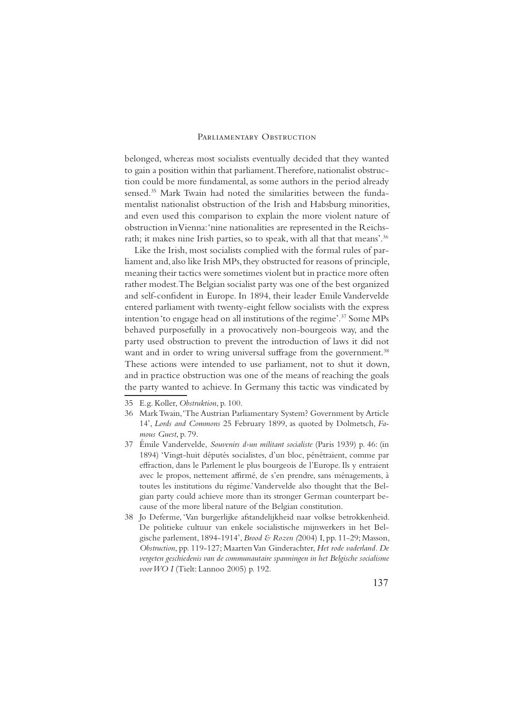belonged, whereas most socialists eventually decided that they wanted to gain a position within that parliament. Therefore, nationalist obstruction could be more fundamental, as some authors in the period already sensed.<sup>35</sup> Mark Twain had noted the similarities between the fundamentalist nationalist obstruction of the Irish and Habsburg minorities, and even used this comparison to explain the more violent nature of obstruction in Vienna: 'nine nationalities are represented in the Reichsrath; it makes nine Irish parties, so to speak, with all that that means'.<sup>36</sup>

Like the Irish, most socialists complied with the formal rules of parliament and, also like Irish MPs, they obstructed for reasons of principle, meaning their tactics were sometimes violent but in practice more often rather modest. The Belgian socialist party was one of the best organized and self-confident in Europe. In 1894, their leader Emile Vandervelde entered parliament with twenty-eight fellow socialists with the express intention 'to engage head on all institutions of the regime'.37 Some MPs behaved purposefully in a provocatively non-bourgeois way, and the party used obstruction to prevent the introduction of laws it did not want and in order to wring universal suffrage from the government.<sup>38</sup> These actions were intended to use parliament, not to shut it down, and in practice obstruction was one of the means of reaching the goals the party wanted to achieve. In Germany this tactic was vindicated by

- 36 Mark Twain, 'The Austrian Parliamentary System? Government by Article 14', *Lords and Commons* 25 February 1899, as quoted by Dolmetsch, *Famous Guest*, p. 79.
- 37 Émile Vandervelde, *Souvenirs d›un militant socialiste* (Paris 1939) p. 46: (in 1894) 'Vingt-huit députés socialistes, d'un bloc, pénétraient, comme par effraction, dans le Parlement le plus bourgeois de l'Europe. Ils y entraient avec le propos, nettement affirmé, de s'en prendre, sans ménagements, à toutes les institutions du régime.' Vandervelde also thought that the Belgian party could achieve more than its stronger German counterpart because of the more liberal nature of the Belgian constitution.
- 38 Jo Deferme, 'Van burgerlijke afstandelijkheid naar volkse betrokkenheid. De politieke cultuur van enkele socialistische mijnwerkers in het Belgische parlement, 1894-1914', *Brood & Rozen (*2004) I, pp. 11-29; Masson, *Obstruction*, pp. 119-127; Maarten Van Ginderachter, *Het rode vaderland. De vergeten geschiedenis van de communautaire spanningen in het Belgische socialisme voor WO I* (Tielt: Lannoo 2005) p. 192.

<sup>35</sup> E.g. Koller, *Obstruktion*, p. 100.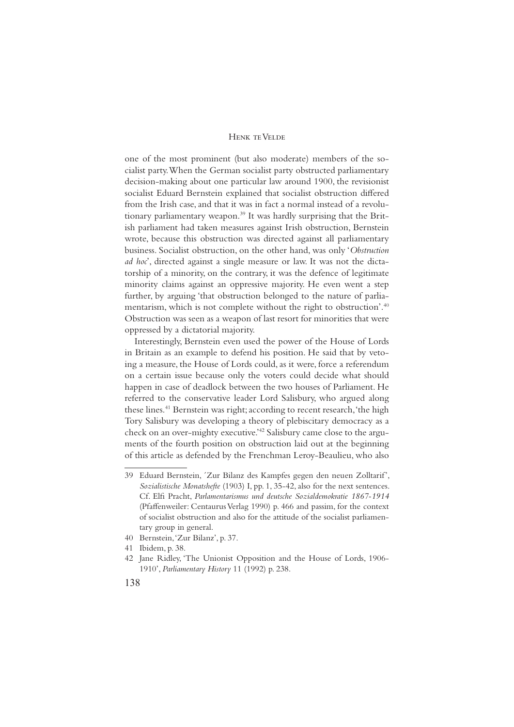# Henk te Velde

one of the most prominent (but also moderate) members of the socialist party. When the German socialist party obstructed parliamentary decision-making about one particular law around 1900, the revisionist socialist Eduard Bernstein explained that socialist obstruction differed from the Irish case, and that it was in fact a normal instead of a revolutionary parliamentary weapon.<sup>39</sup> It was hardly surprising that the British parliament had taken measures against Irish obstruction, Bernstein wrote, because this obstruction was directed against all parliamentary business. Socialist obstruction, on the other hand, was only '*Obstruction ad hoc*', directed against a single measure or law. It was not the dictatorship of a minority, on the contrary, it was the defence of legitimate minority claims against an oppressive majority. He even went a step further, by arguing 'that obstruction belonged to the nature of parliamentarism, which is not complete without the right to obstruction'.40 Obstruction was seen as a weapon of last resort for minorities that were oppressed by a dictatorial majority.

Interestingly, Bernstein even used the power of the House of Lords in Britain as an example to defend his position. He said that by vetoing a measure, the House of Lords could, as it were, force a referendum on a certain issue because only the voters could decide what should happen in case of deadlock between the two houses of Parliament. He referred to the conservative leader Lord Salisbury, who argued along these lines.<sup>41</sup> Bernstein was right; according to recent research, 'the high Tory Salisbury was developing a theory of plebiscitary democracy as a check on an over-mighty executive.<sup>'42</sup> Salisbury came close to the arguments of the fourth position on obstruction laid out at the beginning of this article as defended by the Frenchman Leroy-Beaulieu, who also

- 40 Bernstein, 'Zur Bilanz', p. 37.
- 41 Ibidem, p. 38.
- 42 Jane Ridley, 'The Unionist Opposition and the House of Lords, 1906- 1910', *Parliamentary History* 11 (1992) p. 238.



<sup>39</sup> Eduard Bernstein, ´Zur Bilanz des Kampfes gegen den neuen Zolltarif', *Sozialistische Monatshefte* (1903) I, pp. 1, 35-42, also for the next sentences. Cf. Elfi Pracht, *Parlamentarismus und deutsche Sozialdemokratie 1867-1914*  (Pfaffenweiler: Centaurus Verlag 1990) p. 466 and passim, for the context of socialist obstruction and also for the attitude of the socialist parliamentary group in general.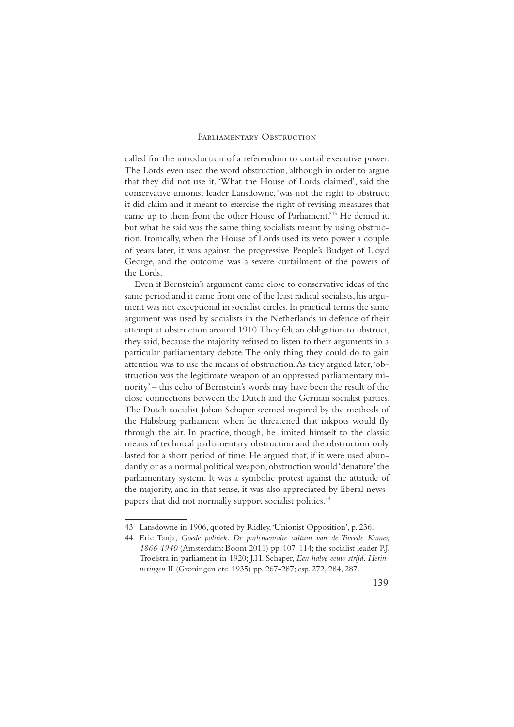called for the introduction of a referendum to curtail executive power. The Lords even used the word obstruction, although in order to argue that they did not use it. 'What the House of Lords claimed', said the conservative unionist leader Lansdowne, 'was not the right to obstruct; it did claim and it meant to exercise the right of revising measures that came up to them from the other House of Parliament.'43 He denied it, but what he said was the same thing socialists meant by using obstruction. Ironically, when the House of Lords used its veto power a couple of years later, it was against the progressive People's Budget of Lloyd George, and the outcome was a severe curtailment of the powers of the Lords.

Even if Bernstein's argument came close to conservative ideas of the same period and it came from one of the least radical socialists, his argument was not exceptional in socialist circles. In practical terms the same argument was used by socialists in the Netherlands in defence of their attempt at obstruction around 1910. They felt an obligation to obstruct, they said, because the majority refused to listen to their arguments in a particular parliamentary debate. The only thing they could do to gain attention was to use the means of obstruction. As they argued later, 'obstruction was the legitimate weapon of an oppressed parliamentary minority' – this echo of Bernstein's words may have been the result of the close connections between the Dutch and the German socialist parties. The Dutch socialist Johan Schaper seemed inspired by the methods of the Habsburg parliament when he threatened that inkpots would fly through the air. In practice, though, he limited himself to the classic means of technical parliamentary obstruction and the obstruction only lasted for a short period of time. He argued that, if it were used abundantly or as a normal political weapon, obstruction would 'denature' the parliamentary system. It was a symbolic protest against the attitude of the majority, and in that sense, it was also appreciated by liberal newspapers that did not normally support socialist politics.44

<sup>43</sup> Lansdowne in 1906, quoted by Ridley, 'Unionist Opposition', p. 236.

<sup>44</sup> Erie Tanja, *Goede politiek. De parlementaire cultuur van de Tweede Kamer, 1866-1940* (Amsterdam: Boom 2011) pp. 107-114; the socialist leader P.J. Troelstra in parliament in 1920; J.H. Schaper, *Een halve eeuw strijd. Herinneringen* II (Groningen etc. 1935) pp. 267-287; esp. 272, 284, 287.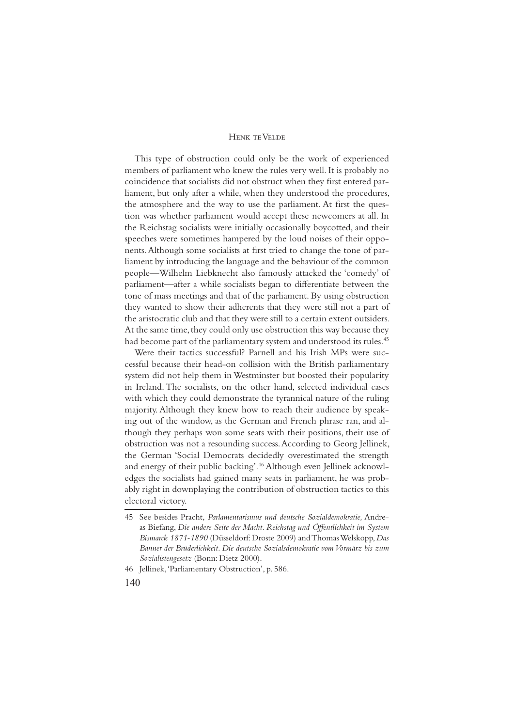# Henk te Velde

This type of obstruction could only be the work of experienced members of parliament who knew the rules very well. It is probably no coincidence that socialists did not obstruct when they first entered parliament, but only after a while, when they understood the procedures, the atmosphere and the way to use the parliament. At first the question was whether parliament would accept these newcomers at all. In the Reichstag socialists were initially occasionally boycotted, and their speeches were sometimes hampered by the loud noises of their opponents. Although some socialists at first tried to change the tone of parliament by introducing the language and the behaviour of the common people—Wilhelm Liebknecht also famously attacked the 'comedy' of parliament—after a while socialists began to differentiate between the tone of mass meetings and that of the parliament. By using obstruction they wanted to show their adherents that they were still not a part of the aristocratic club and that they were still to a certain extent outsiders. At the same time, they could only use obstruction this way because they had become part of the parliamentary system and understood its rules.<sup>45</sup>

Were their tactics successful? Parnell and his Irish MPs were successful because their head-on collision with the British parliamentary system did not help them in Westminster but boosted their popularity in Ireland. The socialists, on the other hand, selected individual cases with which they could demonstrate the tyrannical nature of the ruling majority. Although they knew how to reach their audience by speaking out of the window, as the German and French phrase ran, and although they perhaps won some seats with their positions, their use of obstruction was not a resounding success. According to Georg Jellinek, the German 'Social Democrats decidedly overestimated the strength and energy of their public backing'.<sup>46</sup> Although even Jellinek acknowledges the socialists had gained many seats in parliament, he was probably right in downplaying the contribution of obstruction tactics to this electoral victory.

<sup>45</sup> See besides Pracht, *Parlamentarismus und deutsche Sozialdemokratie,* Andreas Biefang, *Die andere Seite der Macht. Reichstag und Öffentlichkeit im System Bismarck 1871-1890* (Düsseldorf: Droste 2009) and Thomas Welskopp, *Das Banner der Brüderlichkeit. Die deutsche Sozialsdemokratie vom Vormärz bis zum Sozialistengesetz* (Bonn: Dietz 2000).

<sup>46</sup> Jellinek, 'Parliamentary Obstruction', p. 586.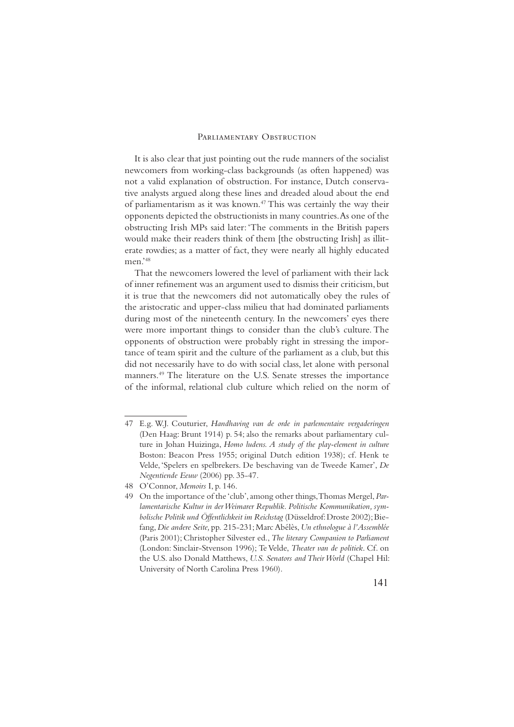It is also clear that just pointing out the rude manners of the socialist newcomers from working-class backgrounds (as often happened) was not a valid explanation of obstruction. For instance, Dutch conservative analysts argued along these lines and dreaded aloud about the end of parliamentarism as it was known.47 This was certainly the way their opponents depicted the obstructionists in many countries. As one of the obstructing Irish MPs said later: 'The comments in the British papers would make their readers think of them [the obstructing Irish] as illiterate rowdies; as a matter of fact, they were nearly all highly educated men.'48

That the newcomers lowered the level of parliament with their lack of inner refinement was an argument used to dismiss their criticism, but it is true that the newcomers did not automatically obey the rules of the aristocratic and upper-class milieu that had dominated parliaments during most of the nineteenth century. In the newcomers' eyes there were more important things to consider than the club's culture. The opponents of obstruction were probably right in stressing the importance of team spirit and the culture of the parliament as a club, but this did not necessarily have to do with social class, let alone with personal manners.49 The literature on the U.S. Senate stresses the importance of the informal, relational club culture which relied on the norm of

<sup>47</sup> E.g. W.J. Couturier, *Handhaving van de orde in parlementaire vergaderingen*  (Den Haag: Brunt 1914) p. 54; also the remarks about parliamentary culture in Johan Huizinga, *Homo ludens. A study of the play-element in culture*  Boston: Beacon Press 1955; original Dutch edition 1938); cf. Henk te Velde, 'Spelers en spelbrekers. De beschaving van de Tweede Kamer', *De Negentiende Eeuw* (2006) pp. 35-47.

<sup>48</sup> O'Connor, *Memoirs* I, p. 146.

<sup>49</sup> On the importance of the 'club', among other things, Thomas Mergel, *Parlamentarische Kultur in der Weimarer Republik. Politische Kommunikation, symbolische Politik und Öffentlichkeit im Reichstag* (Düsseldrof: Droste 2002); Biefang, *Die andere Seite,* pp. 215-231; Marc Abélès, *Un ethnologue à l'Assemblée*  (Paris 2001); Christopher Silvester ed., *The literary Companion to Parliament*  (London: Sinclair-Stvenson 1996); Te Velde, *Theater van de politiek*. Cf. on the U.S. also Donald Matthews, *U.S. Senators and Their World* (Chapel Hil: University of North Carolina Press 1960).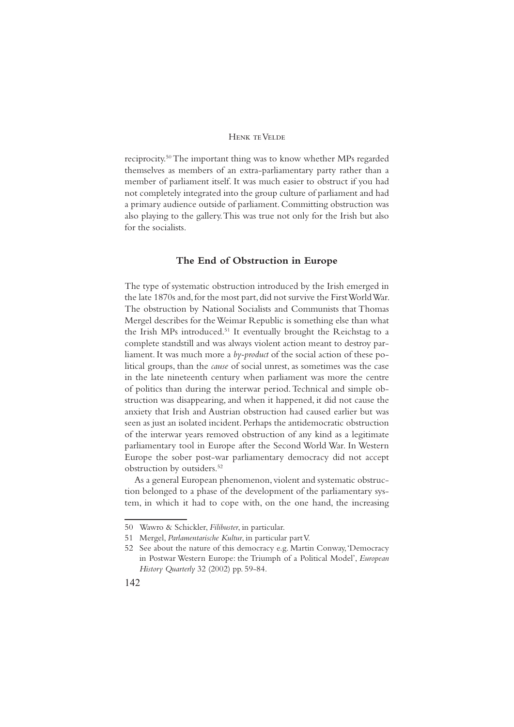## HENK TE VELDE

reciprocity.50 The important thing was to know whether MPs regarded themselves as members of an extra-parliamentary party rather than a member of parliament itself. It was much easier to obstruct if you had not completely integrated into the group culture of parliament and had a primary audience outside of parliament. Committing obstruction was also playing to the gallery. This was true not only for the Irish but also for the socialists.

# **The End of Obstruction in Europe**

The type of systematic obstruction introduced by the Irish emerged in the late 1870s and, for the most part, did not survive the First World War. The obstruction by National Socialists and Communists that Thomas Mergel describes for the Weimar Republic is something else than what the Irish MPs introduced.<sup>51</sup> It eventually brought the Reichstag to a complete standstill and was always violent action meant to destroy parliament. It was much more a *by-product* of the social action of these political groups, than the *cause* of social unrest, as sometimes was the case in the late nineteenth century when parliament was more the centre of politics than during the interwar period. Technical and simple obstruction was disappearing, and when it happened, it did not cause the anxiety that Irish and Austrian obstruction had caused earlier but was seen as just an isolated incident. Perhaps the antidemocratic obstruction of the interwar years removed obstruction of any kind as a legitimate parliamentary tool in Europe after the Second World War. In Western Europe the sober post-war parliamentary democracy did not accept obstruction by outsiders.52

As a general European phenomenon, violent and systematic obstruction belonged to a phase of the development of the parliamentary system, in which it had to cope with, on the one hand, the increasing

<sup>50</sup> Wawro & Schickler, *Filibuster*, in particular.

<sup>51</sup> Mergel, *Parlamentarische Kultur*, in particular part V.

<sup>52</sup> See about the nature of this democracy e.g. Martin Conway, 'Democracy in Postwar Western Europe: the Triumph of a Political Model', *European History Quarterly* 32 (2002) pp. 59-84.

<sup>142</sup>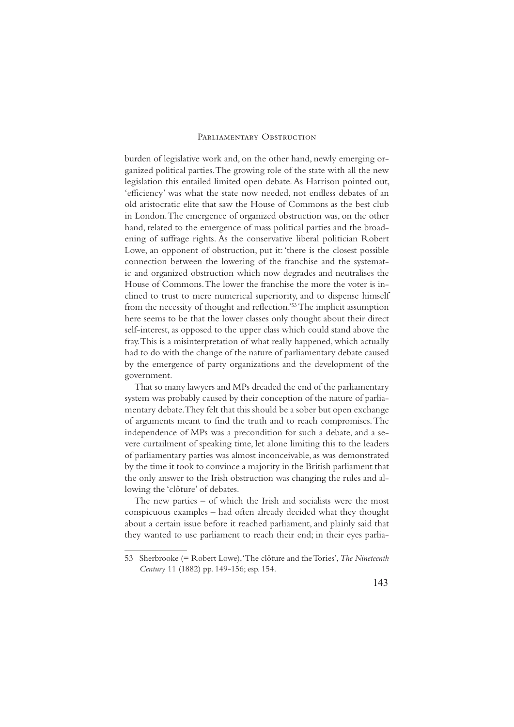#### Parliamentary Obstruction

burden of legislative work and, on the other hand, newly emerging organized political parties. The growing role of the state with all the new legislation this entailed limited open debate. As Harrison pointed out, 'efficiency' was what the state now needed, not endless debates of an old aristocratic elite that saw the House of Commons as the best club in London. The emergence of organized obstruction was, on the other hand, related to the emergence of mass political parties and the broadening of suffrage rights. As the conservative liberal politician Robert Lowe, an opponent of obstruction, put it: 'there is the closest possible connection between the lowering of the franchise and the systematic and organized obstruction which now degrades and neutralises the House of Commons. The lower the franchise the more the voter is inclined to trust to mere numerical superiority, and to dispense himself from the necessity of thought and reflection.'<sup>53</sup> The implicit assumption here seems to be that the lower classes only thought about their direct self-interest, as opposed to the upper class which could stand above the fray. This is a misinterpretation of what really happened, which actually had to do with the change of the nature of parliamentary debate caused by the emergence of party organizations and the development of the government.

That so many lawyers and MPs dreaded the end of the parliamentary system was probably caused by their conception of the nature of parliamentary debate. They felt that this should be a sober but open exchange of arguments meant to find the truth and to reach compromises. The independence of MPs was a precondition for such a debate, and a severe curtailment of speaking time, let alone limiting this to the leaders of parliamentary parties was almost inconceivable, as was demonstrated by the time it took to convince a majority in the British parliament that the only answer to the Irish obstruction was changing the rules and allowing the 'clôture' of debates.

The new parties – of which the Irish and socialists were the most conspicuous examples – had often already decided what they thought about a certain issue before it reached parliament, and plainly said that they wanted to use parliament to reach their end; in their eyes parlia-

<sup>53</sup> Sherbrooke (= Robert Lowe), 'The clôture and the Tories', *The Nineteenth Century* 11 (1882) pp. 149-156; esp. 154.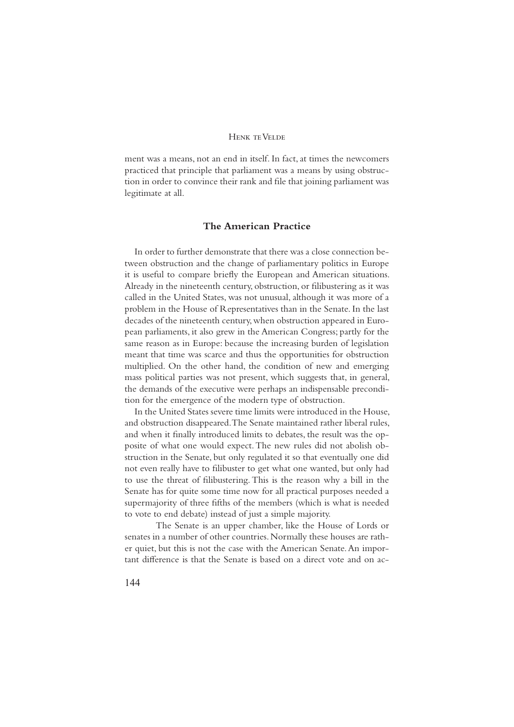#### Henk te Velde

ment was a means, not an end in itself. In fact, at times the newcomers practiced that principle that parliament was a means by using obstruction in order to convince their rank and file that joining parliament was legitimate at all.

# **The American Practice**

In order to further demonstrate that there was a close connection between obstruction and the change of parliamentary politics in Europe it is useful to compare briefly the European and American situations. Already in the nineteenth century, obstruction, or filibustering as it was called in the United States, was not unusual, although it was more of a problem in the House of Representatives than in the Senate. In the last decades of the nineteenth century, when obstruction appeared in European parliaments, it also grew in the American Congress; partly for the same reason as in Europe: because the increasing burden of legislation meant that time was scarce and thus the opportunities for obstruction multiplied. On the other hand, the condition of new and emerging mass political parties was not present, which suggests that, in general, the demands of the executive were perhaps an indispensable precondition for the emergence of the modern type of obstruction.

In the United States severe time limits were introduced in the House, and obstruction disappeared. The Senate maintained rather liberal rules, and when it finally introduced limits to debates, the result was the opposite of what one would expect. The new rules did not abolish obstruction in the Senate, but only regulated it so that eventually one did not even really have to filibuster to get what one wanted, but only had to use the threat of filibustering. This is the reason why a bill in the Senate has for quite some time now for all practical purposes needed a supermajority of three fifths of the members (which is what is needed to vote to end debate) instead of just a simple majority.

 The Senate is an upper chamber, like the House of Lords or senates in a number of other countries. Normally these houses are rather quiet, but this is not the case with the American Senate. An important difference is that the Senate is based on a direct vote and on ac-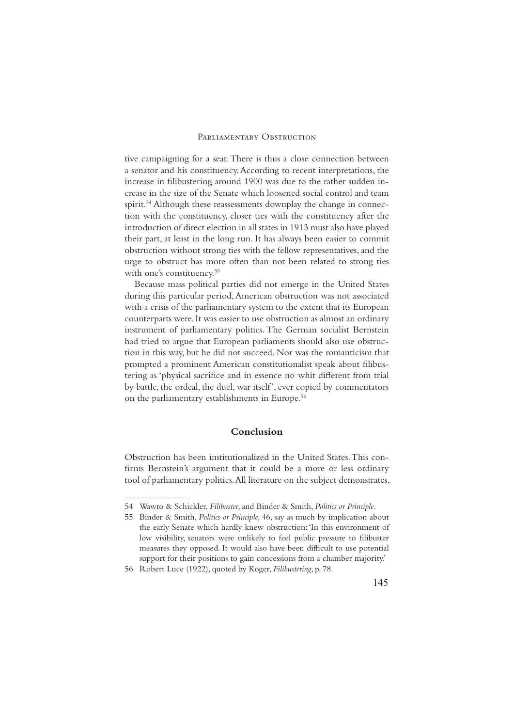#### Parliamentary Obstruction

tive campaigning for a seat. There is thus a close connection between a senator and his constituency. According to recent interpretations, the increase in filibustering around 1900 was due to the rather sudden increase in the size of the Senate which loosened social control and team spirit.<sup>54</sup> Although these reassessments downplay the change in connection with the constituency, closer ties with the constituency after the introduction of direct election in all states in 1913 must also have played their part, at least in the long run. It has always been easier to commit obstruction without strong ties with the fellow representatives, and the urge to obstruct has more often than not been related to strong ties with one's constituency.<sup>55</sup>

Because mass political parties did not emerge in the United States during this particular period, American obstruction was not associated with a crisis of the parliamentary system to the extent that its European counterparts were. It was easier to use obstruction as almost an ordinary instrument of parliamentary politics. The German socialist Bernstein had tried to argue that European parliaments should also use obstruction in this way, but he did not succeed. Nor was the romanticism that prompted a prominent American constitutionalist speak about filibustering as 'physical sacrifice and in essence no whit different from trial by battle, the ordeal, the duel, war itself', ever copied by commentators on the parliamentary establishments in Europe.<sup>56</sup>

# **Conclusion**

Obstruction has been institutionalized in the United States. This confirms Bernstein's argument that it could be a more or less ordinary tool of parliamentary politics. All literature on the subject demonstrates,

<sup>54</sup> Wawro & Schickler, *Filibuster*, and Binder & Smith, *Politics or Principle.*

<sup>55</sup> Binder & Smith, *Politics or Principle,* 46, say as much by implication about the early Senate which hardly knew obstruction: 'In this environment of low visibility, senators were unlikely to feel public pressure to filibuster measures they opposed. It would also have been difficult to use potential support for their positions to gain concessions from a chamber majority.'

<sup>56</sup> Robert Luce (1922), quoted by Koger, *Filibustering*, p. 78.

<sup>145</sup>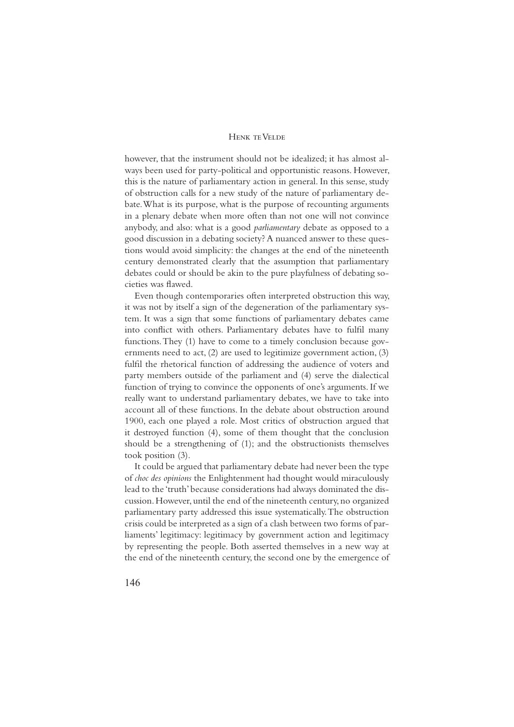#### Henk te Velde

however, that the instrument should not be idealized; it has almost always been used for party-political and opportunistic reasons. However, this is the nature of parliamentary action in general. In this sense, study of obstruction calls for a new study of the nature of parliamentary debate. What is its purpose, what is the purpose of recounting arguments in a plenary debate when more often than not one will not convince anybody, and also: what is a good *parliamentary* debate as opposed to a good discussion in a debating society? A nuanced answer to these questions would avoid simplicity: the changes at the end of the nineteenth century demonstrated clearly that the assumption that parliamentary debates could or should be akin to the pure playfulness of debating societies was flawed.

Even though contemporaries often interpreted obstruction this way, it was not by itself a sign of the degeneration of the parliamentary system. It was a sign that some functions of parliamentary debates came into conflict with others. Parliamentary debates have to fulfil many functions. They (1) have to come to a timely conclusion because governments need to act, (2) are used to legitimize government action, (3) fulfil the rhetorical function of addressing the audience of voters and party members outside of the parliament and (4) serve the dialectical function of trying to convince the opponents of one's arguments. If we really want to understand parliamentary debates, we have to take into account all of these functions. In the debate about obstruction around 1900, each one played a role. Most critics of obstruction argued that it destroyed function (4), some of them thought that the conclusion should be a strengthening of (1); and the obstructionists themselves took position (3).

It could be argued that parliamentary debate had never been the type of *choc des opinions* the Enlightenment had thought would miraculously lead to the 'truth' because considerations had always dominated the discussion. However, until the end of the nineteenth century, no organized parliamentary party addressed this issue systematically. The obstruction crisis could be interpreted as a sign of a clash between two forms of parliaments' legitimacy: legitimacy by government action and legitimacy by representing the people. Both asserted themselves in a new way at the end of the nineteenth century, the second one by the emergence of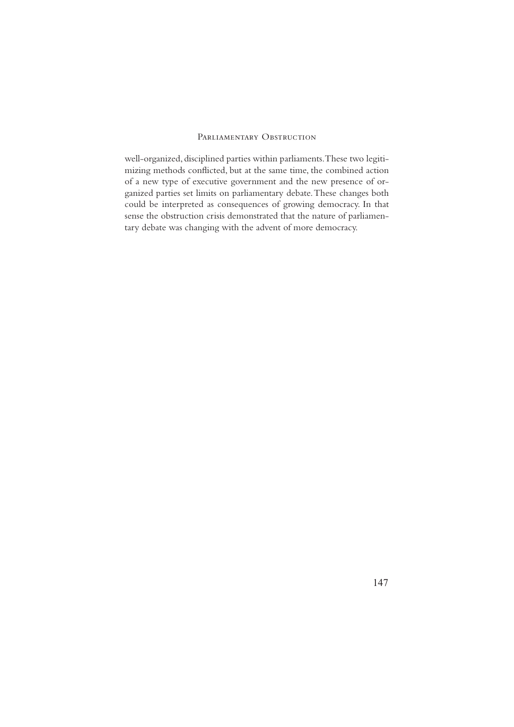# PARLIAMENTARY OBSTRUCTION

well-organized, disciplined parties within parliaments. These two legitimizing methods conflicted, but at the same time, the combined action of a new type of executive government and the new presence of organized parties set limits on parliamentary debate. These changes both could be interpreted as consequences of growing democracy. In that sense the obstruction crisis demonstrated that the nature of parliamentary debate was changing with the advent of more democracy.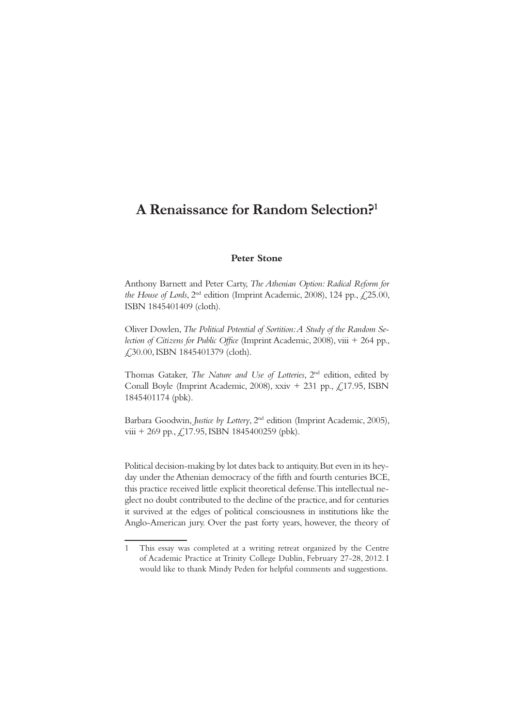# **A Renaissance for Random Selection?1**

#### **Peter Stone**

Anthony Barnett and Peter Carty, *The Athenian Option: Radical Reform for the House of Lords*, 2<sup>nd</sup> edition (Imprint Academic, 2008), 124 pp., £, 25.00, ISBN 1845401409 (cloth).

Oliver Dowlen, *The Political Potential of Sortition: A Study of the Random Selection of Citizens for Public Office* (Imprint Academic, 2008), viii + 264 pp., £30.00, ISBN 1845401379 (cloth).

Thomas Gataker, *The Nature and Use of Lotteries*, 2nd edition, edited by Conall Boyle (Imprint Academic, 2008), xxiv + 231 pp.,  $\zeta$ , 17.95, ISBN 1845401174 (pbk).

Barbara Goodwin, *Justice by Lottery*, 2<sup>nd</sup> edition (Imprint Academic, 2005), viii + 269 pp.,  $f(17.95, ISBN 1845400259$  (pbk).

Political decision-making by lot dates back to antiquity. But even in its heyday under the Athenian democracy of the fifth and fourth centuries BCE, this practice received little explicit theoretical defense. This intellectual neglect no doubt contributed to the decline of the practice, and for centuries it survived at the edges of political consciousness in institutions like the Anglo-American jury. Over the past forty years, however, the theory of

<sup>1</sup> This essay was completed at a writing retreat organized by the Centre of Academic Practice at Trinity College Dublin, February 27-28, 2012. I would like to thank Mindy Peden for helpful comments and suggestions.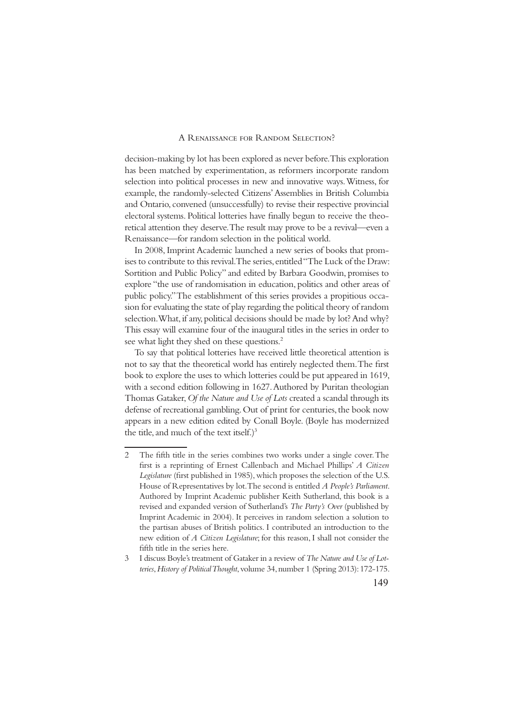#### A Renaissance for Random Selection?

decision-making by lot has been explored as never before. This exploration has been matched by experimentation, as reformers incorporate random selection into political processes in new and innovative ways. Witness, for example, the randomly-selected Citizens' Assemblies in British Columbia and Ontario, convened (unsuccessfully) to revise their respective provincial electoral systems. Political lotteries have finally begun to receive the theoretical attention they deserve. The result may prove to be a revival—even a Renaissance—for random selection in the political world.

In 2008, Imprint Academic launched a new series of books that promises to contribute to this revival. The series, entitled "The Luck of the Draw: Sortition and Public Policy" and edited by Barbara Goodwin, promises to explore "the use of randomisation in education, politics and other areas of public policy." The establishment of this series provides a propitious occasion for evaluating the state of play regarding the political theory of random selection. What, if any, political decisions should be made by lot? And why? This essay will examine four of the inaugural titles in the series in order to see what light they shed on these questions.<sup>2</sup>

To say that political lotteries have received little theoretical attention is not to say that the theoretical world has entirely neglected them. The first book to explore the uses to which lotteries could be put appeared in 1619, with a second edition following in 1627. Authored by Puritan theologian Thomas Gataker, *Of the Nature and Use of Lots* created a scandal through its defense of recreational gambling. Out of print for centuries, the book now appears in a new edition edited by Conall Boyle. (Boyle has modernized the title, and much of the text itself.)<sup>3</sup>

<sup>2</sup> The fifth title in the series combines two works under a single cover. The first is a reprinting of Ernest Callenbach and Michael Phillips' *A Citizen* Legislature (first published in 1985), which proposes the selection of the U.S. House of Representatives by lot. The second is entitled *A People's Parliament*. Authored by Imprint Academic publisher Keith Sutherland, this book is a revised and expanded version of Sutherland's *The Party's Over* (published by Imprint Academic in 2004). It perceives in random selection a solution to the partisan abuses of British politics. I contributed an introduction to the new edition of *A Citizen Legislature*; for this reason, I shall not consider the fifth title in the series here.

<sup>3</sup> I discuss Boyle's treatment of Gataker in a review of *The Nature and Use of Lotteries*, *History of Political Thought*, volume 34, number 1 (Spring 2013): 172-175.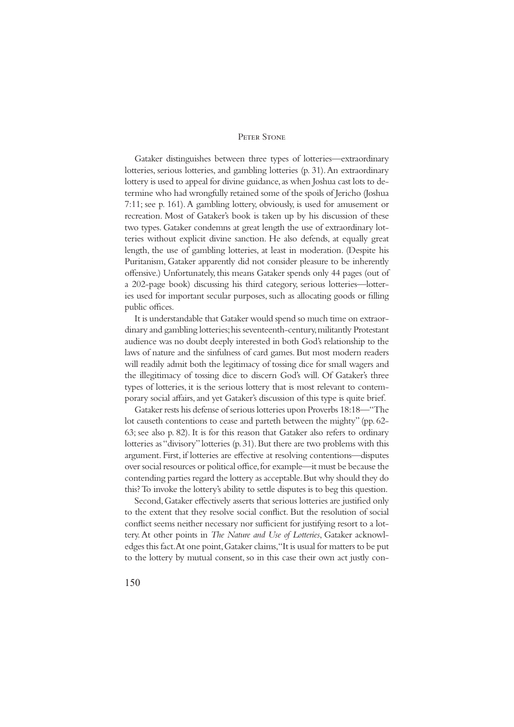#### Peter Stone

Gataker distinguishes between three types of lotteries—extraordinary lotteries, serious lotteries, and gambling lotteries (p. 31). An extraordinary lottery is used to appeal for divine guidance, as when Joshua cast lots to determine who had wrongfully retained some of the spoils of Jericho (Joshua 7:11; see p. 161). A gambling lottery, obviously, is used for amusement or recreation. Most of Gataker's book is taken up by his discussion of these two types. Gataker condemns at great length the use of extraordinary lotteries without explicit divine sanction. He also defends, at equally great length, the use of gambling lotteries, at least in moderation. (Despite his Puritanism, Gataker apparently did not consider pleasure to be inherently offensive.) Unfortunately, this means Gataker spends only 44 pages (out of a 202-page book) discussing his third category, serious lotteries—lotteries used for important secular purposes, such as allocating goods or filling public offices.

It is understandable that Gataker would spend so much time on extraordinary and gambling lotteries; his seventeenth-century, militantly Protestant audience was no doubt deeply interested in both God's relationship to the laws of nature and the sinfulness of card games. But most modern readers will readily admit both the legitimacy of tossing dice for small wagers and the illegitimacy of tossing dice to discern God's will. Of Gataker's three types of lotteries, it is the serious lottery that is most relevant to contemporary social affairs, and yet Gataker's discussion of this type is quite brief.

Gataker rests his defense of serious lotteries upon Proverbs 18:18—"The lot causeth contentions to cease and parteth between the mighty" (pp. 62- 63; see also p. 82). It is for this reason that Gataker also refers to ordinary lotteries as "divisory" lotteries (p. 31). But there are two problems with this argument. First, if lotteries are effective at resolving contentions—disputes over social resources or political office, for example—it must be because the contending parties regard the lottery as acceptable. But why should they do this? To invoke the lottery's ability to settle disputes is to beg this question.

Second, Gataker effectively asserts that serious lotteries are justified only to the extent that they resolve social conflict. But the resolution of social conflict seems neither necessary nor sufficient for justifying resort to a lottery. At other points in *The Nature and Use of Lotteries*, Gataker acknowledges this fact. At one point, Gataker claims, "It is usual for matters to be put to the lottery by mutual consent, so in this case their own act justly con-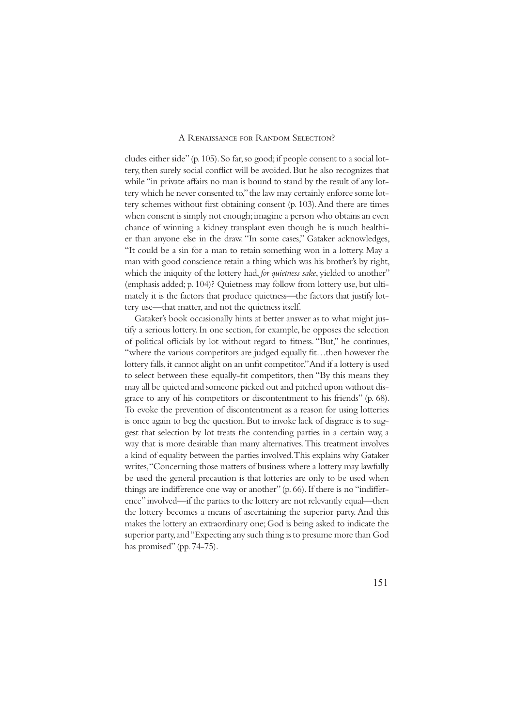#### A Renaissance for Random Selection?

cludes either side" (p. 105). So far, so good; if people consent to a social lottery, then surely social conflict will be avoided. But he also recognizes that while "in private affairs no man is bound to stand by the result of any lottery which he never consented to," the law may certainly enforce some lottery schemes without first obtaining consent  $(p. 103)$ . And there are times when consent is simply not enough; imagine a person who obtains an even chance of winning a kidney transplant even though he is much healthier than anyone else in the draw. "In some cases," Gataker acknowledges, "It could be a sin for a man to retain something won in a lottery. May a man with good conscience retain a thing which was his brother's by right, which the iniquity of the lottery had, *for quietness sake*, yielded to another" (emphasis added; p. 104)? Quietness may follow from lottery use, but ultimately it is the factors that produce quietness—the factors that justify lottery use—that matter, and not the quietness itself.

Gataker's book occasionally hints at better answer as to what might justify a serious lottery. In one section, for example, he opposes the selection of political officials by lot without regard to fitness. "But," he continues, "where the various competitors are judged equally fit...then however the lottery falls, it cannot alight on an unfit competitor." And if a lottery is used to select between these equally-fit competitors, then "By this means they may all be quieted and someone picked out and pitched upon without disgrace to any of his competitors or discontentment to his friends" (p. 68). To evoke the prevention of discontentment as a reason for using lotteries is once again to beg the question. But to invoke lack of disgrace is to suggest that selection by lot treats the contending parties in a certain way, a way that is more desirable than many alternatives. This treatment involves a kind of equality between the parties involved. This explains why Gataker writes, "Concerning those matters of business where a lottery may lawfully be used the general precaution is that lotteries are only to be used when things are indifference one way or another" (p. 66). If there is no "indifference" involved—if the parties to the lottery are not relevantly equal—then the lottery becomes a means of ascertaining the superior party. And this makes the lottery an extraordinary one; God is being asked to indicate the superior party, and "Expecting any such thing is to presume more than God has promised" (pp. 74-75).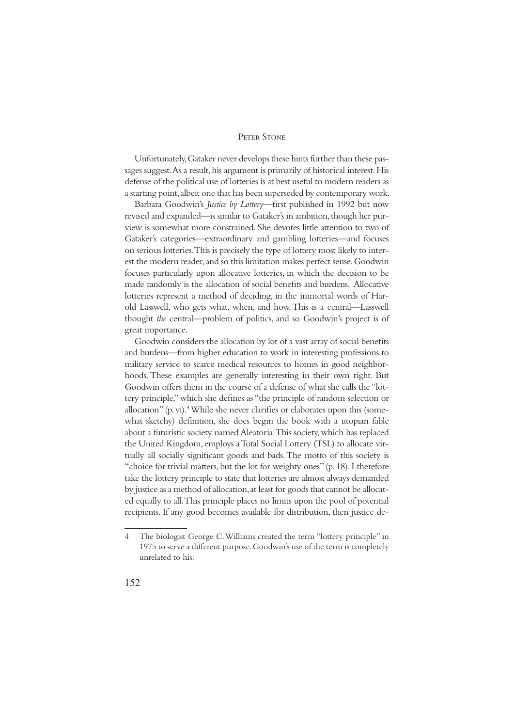#### Peter Stone

Unfortunately, Gataker never develops these hints further than these passages suggest. As a result, his argument is primarily of historical interest. His defense of the political use of lotteries is at best useful to modern readers as a starting point, albeit one that has been superseded by contemporary work.

Barbara Goodwin's *Justice by Lottery*—first published in 1992 but now revised and expanded—is similar to Gataker's in ambition, though her purview is somewhat more constrained. She devotes little attention to two of Gataker's categories—extraordinary and gambling lotteries—and focuses on serious lotteries. This is precisely the type of lottery most likely to interest the modern reader, and so this limitation makes perfect sense. Goodwin focuses particularly upon allocative lotteries, in which the decision to be made randomly is the allocation of social benefits and burdens. Allocative lotteries represent a method of deciding, in the immortal words of Harold Lasswell, who gets what, when, and how. This is a central—Lasswell thought *the* central—problem of politics, and so Goodwin's project is of great importance.

Goodwin considers the allocation by lot of a vast array of social benefits and burdens—from higher education to work in interesting professions to military service to scarce medical resources to homes in good neighborhoods. These examples are generally interesting in their own right. But Goodwin offers them in the course of a defense of what she calls the "lottery principle," which she defines as "the principle of random selection or allocation" (p. vi).<sup>4</sup> While she never clarifies or elaborates upon this (somewhat sketchy) definition, she does begin the book with a utopian fable about a futuristic society named Aleatoria. This society, which has replaced the United Kingdom, employs a Total Social Lottery (TSL) to allocate virtually all socially significant goods and bads. The motto of this society is "choice for trivial matters, but the lot for weighty ones" (p. 18). I therefore take the lottery principle to state that lotteries are almost always demanded by justice as a method of allocation, at least for goods that cannot be allocated equally to all. This principle places no limits upon the pool of potential recipients. If any good becomes available for distribution, then justice de-

<sup>4</sup> The biologist George C. Williams created the term "lottery principle" in 1975 to serve a different purpose. Goodwin's use of the term is completely unrelated to his.

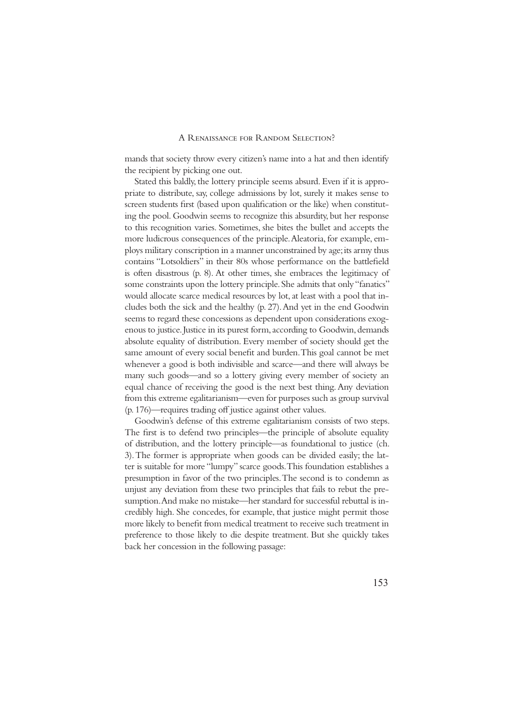#### A Renaissance for Random Selection?

mands that society throw every citizen's name into a hat and then identify the recipient by picking one out.

Stated this baldly, the lottery principle seems absurd. Even if it is appropriate to distribute, say, college admissions by lot, surely it makes sense to screen students first (based upon qualification or the like) when constituting the pool. Goodwin seems to recognize this absurdity, but her response to this recognition varies. Sometimes, she bites the bullet and accepts the more ludicrous consequences of the principle. Aleatoria, for example, employs military conscription in a manner unconstrained by age; its army thus contains "Lotsoldiers" in their 80s whose performance on the battlefield is often disastrous (p. 8). At other times, she embraces the legitimacy of some constraints upon the lottery principle. She admits that only "fanatics" would allocate scarce medical resources by lot, at least with a pool that includes both the sick and the healthy (p. 27). And yet in the end Goodwin seems to regard these concessions as dependent upon considerations exogenous to justice. Justice in its purest form, according to Goodwin, demands absolute equality of distribution. Every member of society should get the same amount of every social benefit and burden. This goal cannot be met whenever a good is both indivisible and scarce—and there will always be many such goods—and so a lottery giving every member of society an equal chance of receiving the good is the next best thing. Any deviation from this extreme egalitarianism—even for purposes such as group survival (p. 176)—requires trading off justice against other values.

Goodwin's defense of this extreme egalitarianism consists of two steps. The first is to defend two principles—the principle of absolute equality of distribution, and the lottery principle—as foundational to justice (ch. 3). The former is appropriate when goods can be divided easily; the latter is suitable for more "lumpy" scarce goods. This foundation establishes a presumption in favor of the two principles. The second is to condemn as unjust any deviation from these two principles that fails to rebut the presumption. And make no mistake—her standard for successful rebuttal is incredibly high. She concedes, for example, that justice might permit those more likely to benefit from medical treatment to receive such treatment in preference to those likely to die despite treatment. But she quickly takes back her concession in the following passage: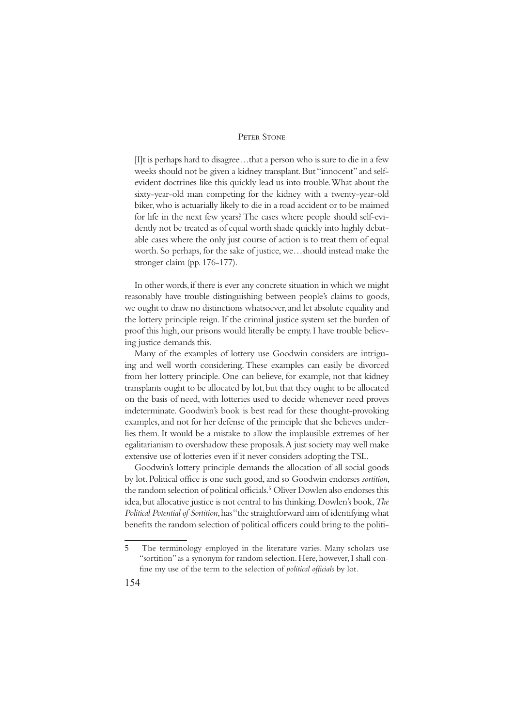#### Peter Stone

[I]t is perhaps hard to disagree…that a person who is sure to die in a few weeks should not be given a kidney transplant. But "innocent" and selfevident doctrines like this quickly lead us into trouble. What about the sixty-year-old man competing for the kidney with a twenty-year-old biker, who is actuarially likely to die in a road accident or to be maimed for life in the next few years? The cases where people should self-evidently not be treated as of equal worth shade quickly into highly debatable cases where the only just course of action is to treat them of equal worth. So perhaps, for the sake of justice, we…should instead make the stronger claim (pp. 176-177).

In other words, if there is ever any concrete situation in which we might reasonably have trouble distinguishing between people's claims to goods, we ought to draw no distinctions whatsoever, and let absolute equality and the lottery principle reign. If the criminal justice system set the burden of proof this high, our prisons would literally be empty. I have trouble believing justice demands this.

Many of the examples of lottery use Goodwin considers are intriguing and well worth considering. These examples can easily be divorced from her lottery principle. One can believe, for example, not that kidney transplants ought to be allocated by lot, but that they ought to be allocated on the basis of need, with lotteries used to decide whenever need proves indeterminate. Goodwin's book is best read for these thought-provoking examples, and not for her defense of the principle that she believes underlies them. It would be a mistake to allow the implausible extremes of her egalitarianism to overshadow these proposals. A just society may well make extensive use of lotteries even if it never considers adopting the TSL.

Goodwin's lottery principle demands the allocation of all social goods by lot. Political office is one such good, and so Goodwin endorses *sortition*, the random selection of political officials.<sup>5</sup> Oliver Dowlen also endorses this idea, but allocative justice is not central to his thinking. Dowlen's book, *The Political Potential of Sortition*, has "the straightforward aim of identifying what benefits the random selection of political officers could bring to the politi-

<sup>5</sup> The terminology employed in the literature varies. Many scholars use "sortition" as a synonym for random selection. Here, however, I shall confine my use of the term to the selection of *political officials* by lot.

<sup>154</sup>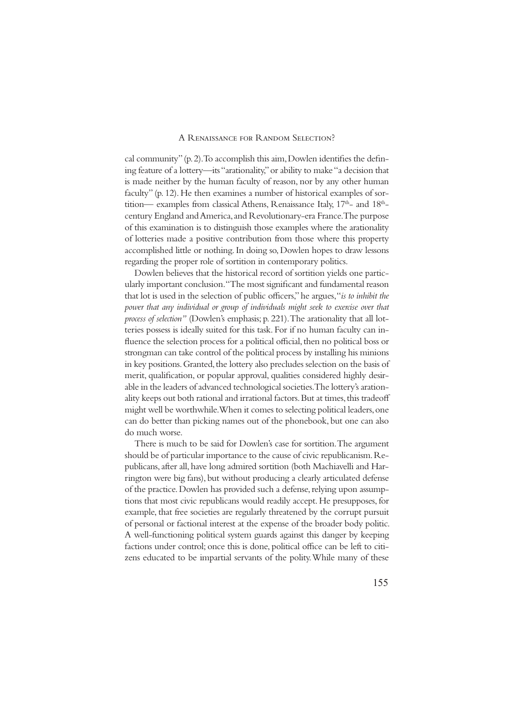#### A Renaissance for Random Selection?

cal community"  $(p, 2)$ . To accomplish this aim, Dowlen identifies the defining feature of a lottery—its "arationality," or ability to make "a decision that is made neither by the human faculty of reason, nor by any other human faculty" (p. 12). He then examines a number of historical examples of sortition— examples from classical Athens, Renaissance Italy, 17<sup>th</sup>- and 18<sup>th</sup>century England and America, and Revolutionary-era France. The purpose of this examination is to distinguish those examples where the arationality of lotteries made a positive contribution from those where this property accomplished little or nothing. In doing so, Dowlen hopes to draw lessons regarding the proper role of sortition in contemporary politics.

Dowlen believes that the historical record of sortition yields one particularly important conclusion. "The most significant and fundamental reason that lot is used in the selection of public officers," he argues, "*is to inhibit the power that any individual or group of individuals might seek to exercise over that process of selection"* (Dowlen's emphasis; p. 221). The arationality that all lotteries possess is ideally suited for this task. For if no human faculty can influence the selection process for a political official, then no political boss or strongman can take control of the political process by installing his minions in key positions. Granted, the lottery also precludes selection on the basis of merit, qualification, or popular approval, qualities considered highly desirable in the leaders of advanced technological societies. The lottery's arationality keeps out both rational and irrational factors. But at times, this tradeoff might well be worthwhile. When it comes to selecting political leaders, one can do better than picking names out of the phonebook, but one can also do much worse.

There is much to be said for Dowlen's case for sortition. The argument should be of particular importance to the cause of civic republicanism. Republicans, after all, have long admired sortition (both Machiavelli and Harrington were big fans), but without producing a clearly articulated defense of the practice. Dowlen has provided such a defense, relying upon assumptions that most civic republicans would readily accept. He presupposes, for example, that free societies are regularly threatened by the corrupt pursuit of personal or factional interest at the expense of the broader body politic. A well-functioning political system guards against this danger by keeping factions under control; once this is done, political office can be left to citizens educated to be impartial servants of the polity. While many of these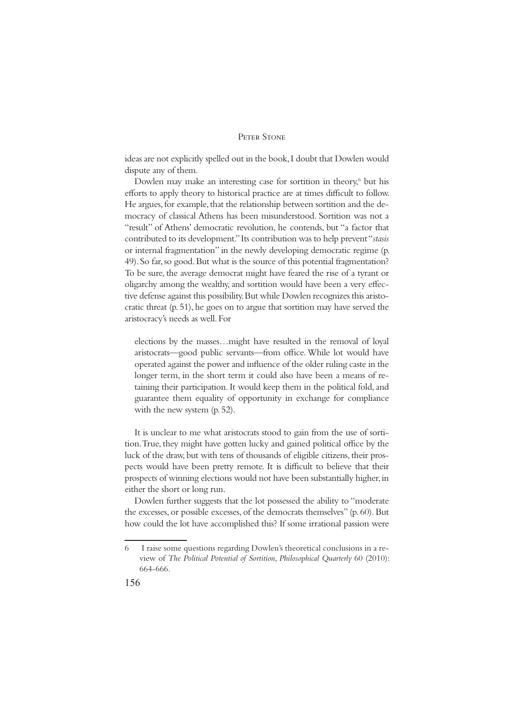# Peter Stone

ideas are not explicitly spelled out in the book, I doubt that Dowlen would dispute any of them.

Dowlen may make an interesting case for sortition in theory,<sup>6</sup> but his efforts to apply theory to historical practice are at times difficult to follow. He argues, for example, that the relationship between sortition and the democracy of classical Athens has been misunderstood. Sortition was not a "result" of Athens' democratic revolution, he contends, but "a factor that contributed to its development." Its contribution was to help prevent "*stasis* or internal fragmentation" in the newly developing democratic regime (p. 49). So far, so good. But what is the source of this potential fragmentation? To be sure, the average democrat might have feared the rise of a tyrant or oligarchy among the wealthy, and sortition would have been a very effective defense against this possibility. But while Dowlen recognizes this aristocratic threat (p. 51), he goes on to argue that sortition may have served the aristocracy's needs as well. For

elections by the masses…might have resulted in the removal of loyal aristocrats—good public servants—from office. While lot would have operated against the power and influence of the older ruling caste in the longer term, in the short term it could also have been a means of retaining their participation. It would keep them in the political fold, and guarantee them equality of opportunity in exchange for compliance with the new system (p. 52).

It is unclear to me what aristocrats stood to gain from the use of sortition. True, they might have gotten lucky and gained political office by the luck of the draw, but with tens of thousands of eligible citizens, their prospects would have been pretty remote. It is difficult to believe that their prospects of winning elections would not have been substantially higher, in either the short or long run.

Dowlen further suggests that the lot possessed the ability to "moderate the excesses, or possible excesses, of the democrats themselves" (p. 60). But how could the lot have accomplished this? If some irrational passion were

<sup>6</sup> I raise some questions regarding Dowlen's theoretical conclusions in a review of *The Political Potential of Sortition*, *Philosophical Quarterly* 60 (2010): 664-666.

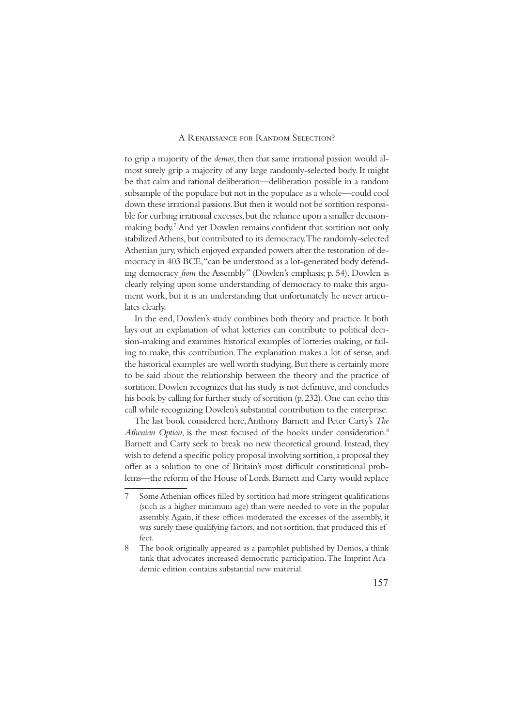#### A Renaissance for Random Selection?

to grip a majority of the *demos*, then that same irrational passion would almost surely grip a majority of any large randomly-selected body. It might be that calm and rational deliberation—deliberation possible in a random subsample of the populace but not in the populace as a whole—could cool down these irrational passions. But then it would not be sortition responsible for curbing irrational excesses, but the reliance upon a smaller decisionmaking body.<sup>7</sup> And yet Dowlen remains confident that sortition not only stabilized Athens, but contributed to its democracy. The randomly-selected Athenian jury, which enjoyed expanded powers after the restoration of democracy in 403 BCE, "can be understood as a lot-generated body defending democracy *from* the Assembly" (Dowlen's emphasis; p. 54). Dowlen is clearly relying upon some understanding of democracy to make this argument work, but it is an understanding that unfortunately he never articulates clearly.

In the end, Dowlen's study combines both theory and practice. It both lays out an explanation of what lotteries can contribute to political decision-making and examines historical examples of lotteries making, or failing to make, this contribution. The explanation makes a lot of sense, and the historical examples are well worth studying. But there is certainly more to be said about the relationship between the theory and the practice of sortition. Dowlen recognizes that his study is not definitive, and concludes his book by calling for further study of sortition (p. 232). One can echo this call while recognizing Dowlen's substantial contribution to the enterprise.

The last book considered here, Anthony Barnett and Peter Carty's *The Athenian Option*, is the most focused of the books under consideration.8 Barnett and Carty seek to break no new theoretical ground. Instead, they wish to defend a specific policy proposal involving sortition, a proposal they offer as a solution to one of Britain's most difficult constitutional problems—the reform of the House of Lords. Barnett and Carty would replace

<sup>7</sup> Some Athenian offices filled by sortition had more stringent qualifications (such as a higher minimum age) than were needed to vote in the popular assembly. Again, if these offices moderated the excesses of the assembly, it was surely these qualifying factors, and not sortition, that produced this effect.

<sup>8</sup> The book originally appeared as a pamphlet published by Demos, a think tank that advocates increased democratic participation. The Imprint Academic edition contains substantial new material.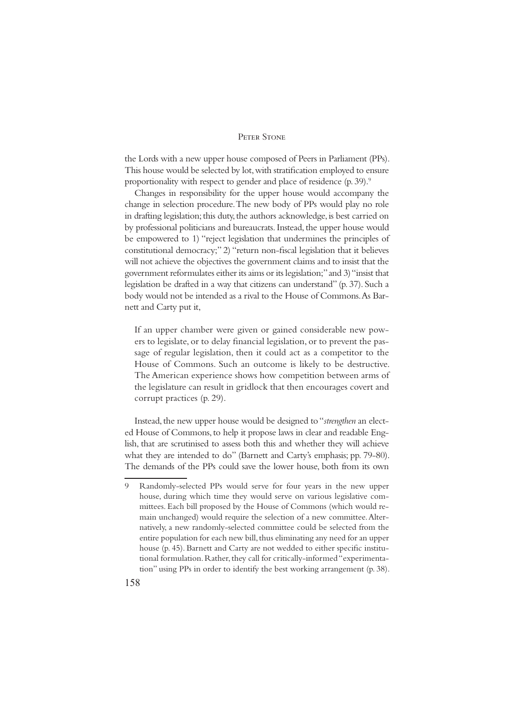#### Peter Stone

the Lords with a new upper house composed of Peers in Parliament (PPs). This house would be selected by lot, with stratification employed to ensure proportionality with respect to gender and place of residence (p. 39).<sup>9</sup>

Changes in responsibility for the upper house would accompany the change in selection procedure. The new body of PPs would play no role in drafting legislation; this duty, the authors acknowledge, is best carried on by professional politicians and bureaucrats. Instead, the upper house would be empowered to 1) "reject legislation that undermines the principles of constitutional democracy;" 2) "return non-fiscal legislation that it believes will not achieve the objectives the government claims and to insist that the government reformulates either its aims or its legislation;" and 3) "insist that legislation be drafted in a way that citizens can understand" (p. 37). Such a body would not be intended as a rival to the House of Commons. As Barnett and Carty put it,

If an upper chamber were given or gained considerable new powers to legislate, or to delay financial legislation, or to prevent the passage of regular legislation, then it could act as a competitor to the House of Commons. Such an outcome is likely to be destructive. The American experience shows how competition between arms of the legislature can result in gridlock that then encourages covert and corrupt practices (p. 29).

Instead, the new upper house would be designed to "*strengthen* an elected House of Commons, to help it propose laws in clear and readable English, that are scrutinised to assess both this and whether they will achieve what they are intended to do" (Barnett and Carty's emphasis; pp. 79-80). The demands of the PPs could save the lower house, both from its own

<sup>9</sup> Randomly-selected PPs would serve for four years in the new upper house, during which time they would serve on various legislative committees. Each bill proposed by the House of Commons (which would remain unchanged) would require the selection of a new committee. Alternatively, a new randomly-selected committee could be selected from the entire population for each new bill, thus eliminating any need for an upper house (p. 45). Barnett and Carty are not wedded to either specific institutional formulation. Rather, they call for critically-informed "experimentation" using PPs in order to identify the best working arrangement (p. 38).

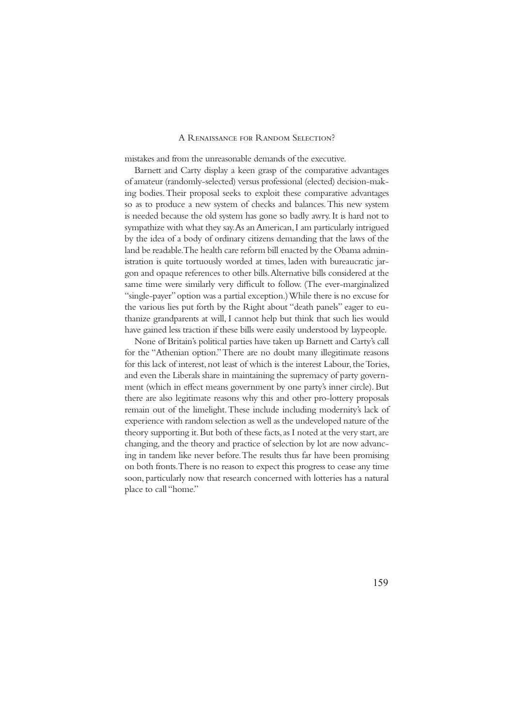#### A Renaissance for Random Selection?

mistakes and from the unreasonable demands of the executive.

Barnett and Carty display a keen grasp of the comparative advantages of amateur (randomly-selected) versus professional (elected) decision-making bodies. Their proposal seeks to exploit these comparative advantages so as to produce a new system of checks and balances. This new system is needed because the old system has gone so badly awry. It is hard not to sympathize with what they say. As an American, I am particularly intrigued by the idea of a body of ordinary citizens demanding that the laws of the land be readable. The health care reform bill enacted by the Obama administration is quite tortuously worded at times, laden with bureaucratic jargon and opaque references to other bills. Alternative bills considered at the same time were similarly very difficult to follow. (The ever-marginalized "single-payer" option was a partial exception.) While there is no excuse for the various lies put forth by the Right about "death panels" eager to euthanize grandparents at will, I cannot help but think that such lies would have gained less traction if these bills were easily understood by laypeople.

None of Britain's political parties have taken up Barnett and Carty's call for the "Athenian option." There are no doubt many illegitimate reasons for this lack of interest, not least of which is the interest Labour, the Tories, and even the Liberals share in maintaining the supremacy of party government (which in effect means government by one party's inner circle). But there are also legitimate reasons why this and other pro-lottery proposals remain out of the limelight. These include including modernity's lack of experience with random selection as well as the undeveloped nature of the theory supporting it. But both of these facts, as I noted at the very start, are changing, and the theory and practice of selection by lot are now advancing in tandem like never before. The results thus far have been promising on both fronts. There is no reason to expect this progress to cease any time soon, particularly now that research concerned with lotteries has a natural place to call "home."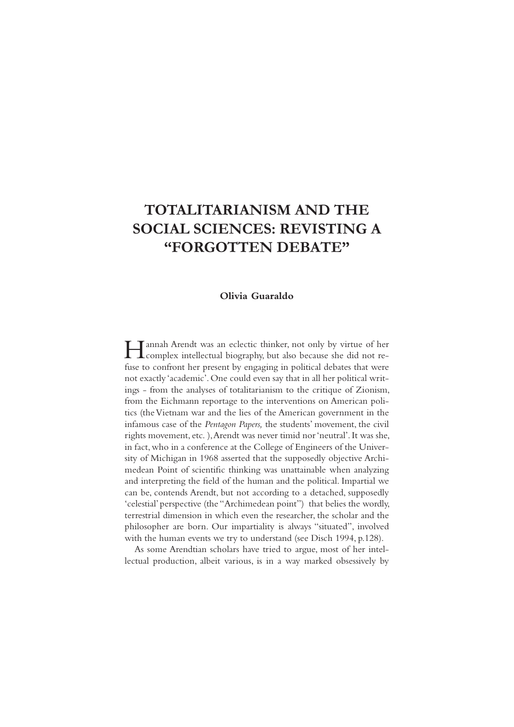# **TOTALITARIANISM AND THE SOCIAL SCIENCES: REVISTING A "FORGOTTEN DEBATE"**

#### **Olivia Guaraldo**

Hannah Arendt was an eclectic thinker, not only by virtue of her  $\mathbf 1$  complex intellectual biography, but also because she did not refuse to confront her present by engaging in political debates that were not exactly 'academic'. One could even say that in all her political writings - from the analyses of totalitarianism to the critique of Zionism, from the Eichmann reportage to the interventions on American politics (the Vietnam war and the lies of the American government in the infamous case of the *Pentagon Papers,* the students' movement, the civil rights movement, etc. ), Arendt was never timid nor 'neutral'. It was she, in fact, who in a conference at the College of Engineers of the University of Michigan in 1968 asserted that the supposedly objective Archimedean Point of scientific thinking was unattainable when analyzing and interpreting the field of the human and the political. Impartial we can be, contends Arendt, but not according to a detached, supposedly 'celestial' perspective (the "Archimedean point") that belies the wordly, terrestrial dimension in which even the researcher, the scholar and the philosopher are born. Our impartiality is always "situated", involved with the human events we try to understand (see Disch 1994, p.128).

As some Arendtian scholars have tried to argue, most of her intellectual production, albeit various, is in a way marked obsessively by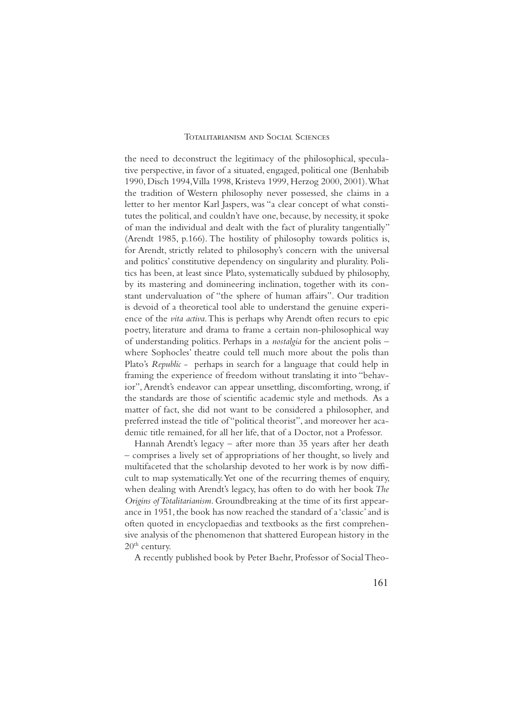#### Totalitarianism and Social Sciences

the need to deconstruct the legitimacy of the philosophical, speculative perspective, in favor of a situated, engaged, political one (Benhabib 1990, Disch 1994, Villa 1998, Kristeva 1999, Herzog 2000, 2001). What the tradition of Western philosophy never possessed, she claims in a letter to her mentor Karl Jaspers, was "a clear concept of what constitutes the political, and couldn't have one, because, by necessity, it spoke of man the individual and dealt with the fact of plurality tangentially" (Arendt 1985, p.166). The hostility of philosophy towards politics is, for Arendt, strictly related to philosophy's concern with the universal and politics' constitutive dependency on singularity and plurality. Politics has been, at least since Plato, systematically subdued by philosophy, by its mastering and domineering inclination, together with its constant undervaluation of "the sphere of human affairs". Our tradition is devoid of a theoretical tool able to understand the genuine experience of the *vita activa*. This is perhaps why Arendt often recurs to epic poetry, literature and drama to frame a certain non-philosophical way of understanding politics. Perhaps in a *nostalgia* for the ancient polis – where Sophocles' theatre could tell much more about the polis than Plato's *Republic* - perhaps in search for a language that could help in framing the experience of freedom without translating it into "behavior", Arendt's endeavor can appear unsettling, discomforting, wrong, if the standards are those of scientific academic style and methods. As a matter of fact, she did not want to be considered a philosopher, and preferred instead the title of "political theorist", and moreover her academic title remained, for all her life, that of a Doctor, not a Professor.

Hannah Arendt's legacy – after more than 35 years after her death – comprises a lively set of appropriations of her thought, so lively and multifaceted that the scholarship devoted to her work is by now difficult to map systematically. Yet one of the recurring themes of enquiry, when dealing with Arendt's legacy, has often to do with her book *The Origins of Totalitarianism*. Groundbreaking at the time of its first appearance in 1951, the book has now reached the standard of a 'classic' and is often quoted in encyclopaedias and textbooks as the first comprehensive analysis of the phenomenon that shattered European history in the  $20<sup>th</sup>$  century.

A recently published book by Peter Baehr, Professor of Social Theo-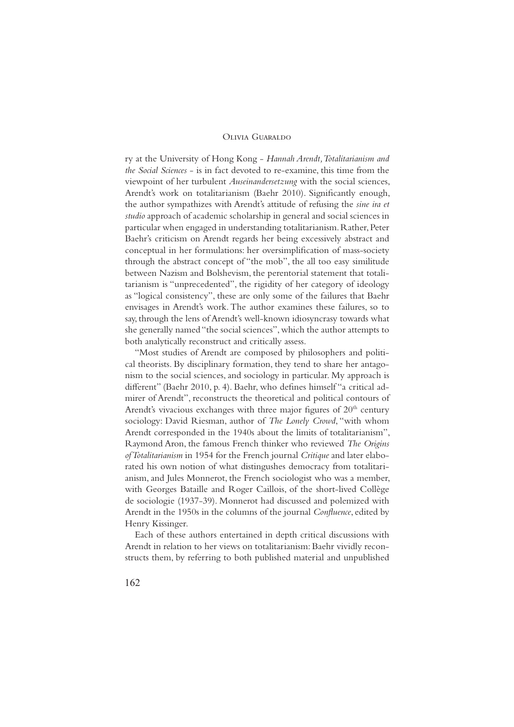#### Olivia Guaraldo

ry at the University of Hong Kong - *Hannah Arendt, Totalitarianism and the Social Sciences* - is in fact devoted to re-examine, this time from the viewpoint of her turbulent *Auseinandersetzung* with the social sciences, Arendt's work on totalitarianism (Baehr 2010). Significantly enough, the author sympathizes with Arendt's attitude of refusing the *sine ira et studio* approach of academic scholarship in general and social sciences in particular when engaged in understanding totalitarianism. Rather, Peter Baehr's criticism on Arendt regards her being excessively abstract and conceptual in her formulations: her oversimplification of mass-society through the abstract concept of "the mob", the all too easy similitude between Nazism and Bolshevism, the perentorial statement that totalitarianism is "unprecedented", the rigidity of her category of ideology as "logical consistency", these are only some of the failures that Baehr envisages in Arendt's work. The author examines these failures, so to say, through the lens of Arendt's well-known idiosyncrasy towards what she generally named "the social sciences", which the author attempts to both analytically reconstruct and critically assess.

"Most studies of Arendt are composed by philosophers and political theorists. By disciplinary formation, they tend to share her antagonism to the social sciences, and sociology in particular. My approach is different" (Baehr 2010, p. 4). Baehr, who defines himself "a critical admirer of Arendt", reconstructs the theoretical and political contours of Arendt's vivacious exchanges with three major figures of  $20<sup>th</sup>$  century sociology: David Riesman, author of *The Lonely Crowd*, "with whom Arendt corresponded in the 1940s about the limits of totalitarianism", Raymond Aron, the famous French thinker who reviewed *The Origins of Totalitarianism* in 1954 for the French journal *Critique* and later elaborated his own notion of what distingushes democracy from totalitarianism, and Jules Monnerot, the French sociologist who was a member, with Georges Bataille and Roger Caillois, of the short-lived Collège de sociologie (1937-39). Monnerot had discussed and polemized with Arendt in the 1950s in the columns of the journal *Confluence*, edited by Henry Kissinger.

Each of these authors entertained in depth critical discussions with Arendt in relation to her views on totalitarianism: Baehr vividly reconstructs them, by referring to both published material and unpublished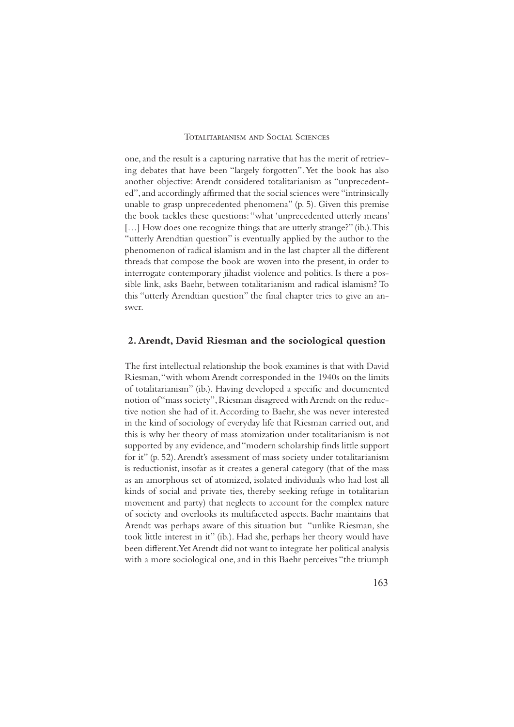#### Totalitarianism and Social Sciences

one, and the result is a capturing narrative that has the merit of retrieving debates that have been "largely forgotten". Yet the book has also another objective: Arendt considered totalitarianism as "unprecedented", and accordingly affirmed that the social sciences were "intrinsically unable to grasp unprecedented phenomena" (p. 5). Given this premise the book tackles these questions: "what 'unprecedented utterly means' [...] How does one recognize things that are utterly strange?" (ib.). This "utterly Arendtian question" is eventually applied by the author to the phenomenon of radical islamism and in the last chapter all the different threads that compose the book are woven into the present, in order to interrogate contemporary jihadist violence and politics. Is there a possible link, asks Baehr, between totalitarianism and radical islamism? To this "utterly Arendtian question" the final chapter tries to give an answer.

#### **2. Arendt, David Riesman and the sociological question**

The first intellectual relationship the book examines is that with David Riesman, "with whom Arendt corresponded in the 1940s on the limits of totalitarianism" (ib.). Having developed a specific and documented notion of "mass society", Riesman disagreed with Arendt on the reductive notion she had of it. According to Baehr, she was never interested in the kind of sociology of everyday life that Riesman carried out, and this is why her theory of mass atomization under totalitarianism is not supported by any evidence, and "modern scholarship finds little support for it" (p. 52). Arendt's assessment of mass society under totalitarianism is reductionist, insofar as it creates a general category (that of the mass as an amorphous set of atomized, isolated individuals who had lost all kinds of social and private ties, thereby seeking refuge in totalitarian movement and party) that neglects to account for the complex nature of society and overlooks its multifaceted aspects. Baehr maintains that Arendt was perhaps aware of this situation but "unlike Riesman, she took little interest in it" (ib.). Had she, perhaps her theory would have been different. Yet Arendt did not want to integrate her political analysis with a more sociological one, and in this Baehr perceives "the triumph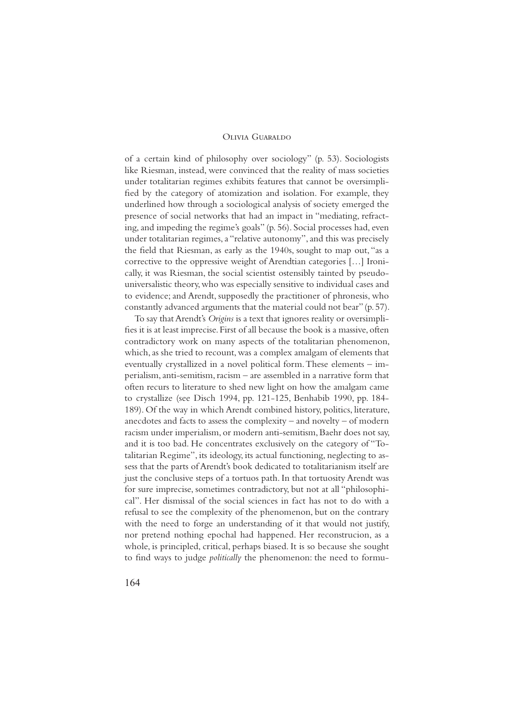#### Olivia Guaraldo

of a certain kind of philosophy over sociology" (p. 53). Sociologists like Riesman, instead, were convinced that the reality of mass societies under totalitarian regimes exhibits features that cannot be oversimplified by the category of atomization and isolation. For example, they underlined how through a sociological analysis of society emerged the presence of social networks that had an impact in "mediating, refracting, and impeding the regime's goals" (p. 56). Social processes had, even under totalitarian regimes, a "relative autonomy", and this was precisely the field that Riesman, as early as the 1940s, sought to map out, "as a corrective to the oppressive weight of Arendtian categories […] Ironically, it was Riesman, the social scientist ostensibly tainted by pseudouniversalistic theory, who was especially sensitive to individual cases and to evidence; and Arendt, supposedly the practitioner of phronesis, who constantly advanced arguments that the material could not bear" (p. 57).

To say that Arendt's *Origins* is a text that ignores reality or oversimplifies it is at least imprecise. First of all because the book is a massive, often contradictory work on many aspects of the totalitarian phenomenon, which, as she tried to recount, was a complex amalgam of elements that eventually crystallized in a novel political form. These elements – imperialism, anti-semitism, racism – are assembled in a narrative form that often recurs to literature to shed new light on how the amalgam came to crystallize (see Disch 1994, pp. 121-125, Benhabib 1990, pp. 184- 189). Of the way in which Arendt combined history, politics, literature, anecdotes and facts to assess the complexity – and novelty – of modern racism under imperialism, or modern anti-semitism, Baehr does not say, and it is too bad. He concentrates exclusively on the category of "Totalitarian Regime", its ideology, its actual functioning, neglecting to assess that the parts of Arendt's book dedicated to totalitarianism itself are just the conclusive steps of a tortuos path. In that tortuosity Arendt was for sure imprecise, sometimes contradictory, but not at all "philosophical". Her dismissal of the social sciences in fact has not to do with a refusal to see the complexity of the phenomenon, but on the contrary with the need to forge an understanding of it that would not justify, nor pretend nothing epochal had happened. Her reconstrucion, as a whole, is principled, critical, perhaps biased. It is so because she sought to find ways to judge *politically* the phenomenon: the need to formu-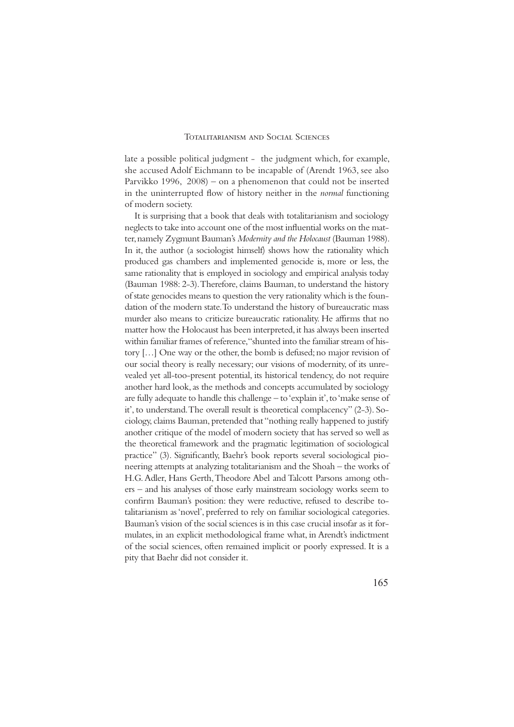#### Totalitarianism and Social Sciences

late a possible political judgment - the judgment which, for example, she accused Adolf Eichmann to be incapable of (Arendt 1963, see also Parvikko 1996, 2008) – on a phenomenon that could not be inserted in the uninterrupted flow of history neither in the *normal* functioning of modern society.

It is surprising that a book that deals with totalitarianism and sociology neglects to take into account one of the most influential works on the matter, namely Zygmunt Bauman's *Modernity and the Holocaust* (Bauman 1988). In it, the author (a sociologist himself) shows how the rationality which produced gas chambers and implemented genocide is, more or less, the same rationality that is employed in sociology and empirical analysis today (Bauman 1988: 2-3). Therefore, claims Bauman, to understand the history of state genocides means to question the very rationality which is the foundation of the modern state. To understand the history of bureaucratic mass murder also means to criticize bureaucratic rationality. He affirms that no matter how the Holocaust has been interpreted, it has always been inserted within familiar frames of reference, "shunted into the familiar stream of history […] One way or the other, the bomb is defused; no major revision of our social theory is really necessary; our visions of modernity, of its unrevealed yet all-too-present potential, its historical tendency, do not require another hard look, as the methods and concepts accumulated by sociology are fully adequate to handle this challenge – to 'explain it', to 'make sense of it', to understand. The overall result is theoretical complacency" (2-3). Sociology, claims Bauman, pretended that "nothing really happened to justify another critique of the model of modern society that has served so well as the theoretical framework and the pragmatic legitimation of sociological practice" (3). Significantly, Baehr's book reports several sociological pioneering attempts at analyzing totalitarianism and the Shoah – the works of H.G. Adler, Hans Gerth, Theodore Abel and Talcott Parsons among others – and his analyses of those early mainstream sociology works seem to confirm Bauman's position: they were reductive, refused to describe totalitarianism as 'novel', preferred to rely on familiar sociological categories. Bauman's vision of the social sciences is in this case crucial insofar as it formulates, in an explicit methodological frame what, in Arendt's indictment of the social sciences, often remained implicit or poorly expressed. It is a pity that Baehr did not consider it.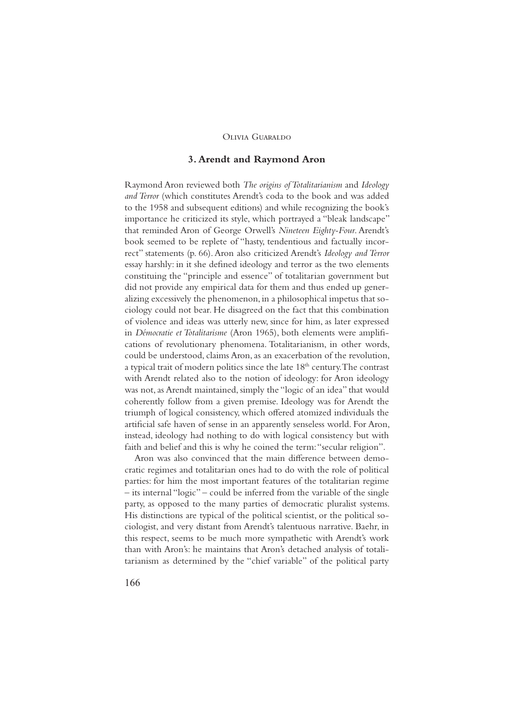### Olivia Guaraldo

## **3. Arendt and Raymond Aron**

Raymond Aron reviewed both *The origins of Totalitarianism* and *Ideology and Terror* (which constitutes Arendt's coda to the book and was added to the 1958 and subsequent editions) and while recognizing the book's importance he criticized its style, which portrayed a "bleak landscape" that reminded Aron of George Orwell's *Nineteen Eighty-Four*. Arendt's book seemed to be replete of "hasty, tendentious and factually incorrect" statements (p. 66). Aron also criticized Arendt's *Ideology and Terror* essay harshly: in it she defined ideology and terror as the two elements constituing the "principle and essence" of totalitarian government but did not provide any empirical data for them and thus ended up generalizing excessively the phenomenon, in a philosophical impetus that sociology could not bear. He disagreed on the fact that this combination of violence and ideas was utterly new, since for him, as later expressed in *Démocratie et Totalitarisme* (Aron 1965), both elements were amplifications of revolutionary phenomena. Totalitarianism, in other words, could be understood, claims Aron, as an exacerbation of the revolution, a typical trait of modern politics since the late 18<sup>th</sup> century. The contrast with Arendt related also to the notion of ideology: for Aron ideology was not, as Arendt maintained, simply the "logic of an idea" that would coherently follow from a given premise. Ideology was for Arendt the triumph of logical consistency, which offered atomized individuals the artificial safe haven of sense in an apparently senseless world. For Aron, instead, ideology had nothing to do with logical consistency but with faith and belief and this is why he coined the term: "secular religion".

Aron was also convinced that the main difference between democratic regimes and totalitarian ones had to do with the role of political parties: for him the most important features of the totalitarian regime – its internal "logic" – could be inferred from the variable of the single party, as opposed to the many parties of democratic pluralist systems. His distinctions are typical of the political scientist, or the political sociologist, and very distant from Arendt's talentuous narrative. Baehr, in this respect, seems to be much more sympathetic with Arendt's work than with Aron's: he maintains that Aron's detached analysis of totalitarianism as determined by the "chief variable" of the political party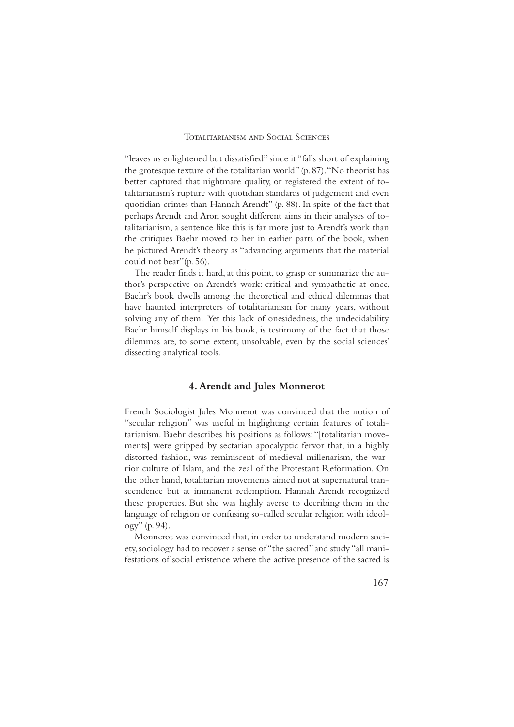#### Totalitarianism and Social Sciences

"leaves us enlightened but dissatisfied" since it "falls short of explaining the grotesque texture of the totalitarian world" (p. 87). "No theorist has better captured that nightmare quality, or registered the extent of totalitarianism's rupture with quotidian standards of judgement and even quotidian crimes than Hannah Arendt" (p. 88). In spite of the fact that perhaps Arendt and Aron sought different aims in their analyses of totalitarianism, a sentence like this is far more just to Arendt's work than the critiques Baehr moved to her in earlier parts of the book, when he pictured Arendt's theory as "advancing arguments that the material could not bear"(p. 56).

The reader finds it hard, at this point, to grasp or summarize the author's perspective on Arendt's work: critical and sympathetic at once, Baehr's book dwells among the theoretical and ethical dilemmas that have haunted interpreters of totalitarianism for many years, without solving any of them. Yet this lack of onesidedness, the undecidability Baehr himself displays in his book, is testimony of the fact that those dilemmas are, to some extent, unsolvable, even by the social sciences' dissecting analytical tools.

#### **4. Arendt and Jules Monnerot**

French Sociologist Jules Monnerot was convinced that the notion of "secular religion" was useful in higlighting certain features of totalitarianism. Baehr describes his positions as follows: "[totalitarian movements] were gripped by sectarian apocalyptic fervor that, in a highly distorted fashion, was reminiscent of medieval millenarism, the warrior culture of Islam, and the zeal of the Protestant Reformation. On the other hand, totalitarian movements aimed not at supernatural transcendence but at immanent redemption. Hannah Arendt recognized these properties. But she was highly averse to decribing them in the language of religion or confusing so-called secular religion with ideology" (p. 94).

Monnerot was convinced that, in order to understand modern society, sociology had to recover a sense of "the sacred" and study "all manifestations of social existence where the active presence of the sacred is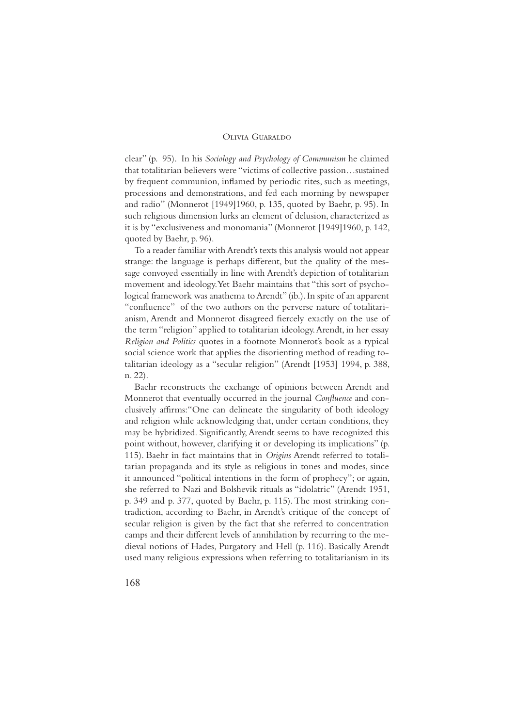#### Olivia Guaraldo

clear" (p. 95). In his *Sociology and Psychology of Communism* he claimed that totalitarian believers were "victims of collective passion…sustained by frequent communion, inflamed by periodic rites, such as meetings, processions and demonstrations, and fed each morning by newspaper and radio" (Monnerot [1949]1960, p. 135, quoted by Baehr, p. 95). In such religious dimension lurks an element of delusion, characterized as it is by "exclusiveness and monomania" (Monnerot [1949]1960, p. 142, quoted by Baehr, p. 96).

To a reader familiar with Arendt's texts this analysis would not appear strange: the language is perhaps different, but the quality of the message convoyed essentially in line with Arendt's depiction of totalitarian movement and ideology. Yet Baehr maintains that "this sort of psychological framework was anathema to Arendt" (ib.). In spite of an apparent "confluence" of the two authors on the perverse nature of totalitarianism, Arendt and Monnerot disagreed fiercely exactly on the use of the term "religion" applied to totalitarian ideology. Arendt, in her essay *Religion and Politics* quotes in a footnote Monnerot's book as a typical social science work that applies the disorienting method of reading totalitarian ideology as a "secular religion" (Arendt [1953] 1994, p. 388, n. 22).

Baehr reconstructs the exchange of opinions between Arendt and Monnerot that eventually occurred in the journal *Confluence* and conclusively affirms: "One can delineate the singularity of both ideology and religion while acknowledging that, under certain conditions, they may be hybridized. Significantly, Arendt seems to have recognized this point without, however, clarifying it or developing its implications" (p. 115). Baehr in fact maintains that in *Origins* Arendt referred to totalitarian propaganda and its style as religious in tones and modes, since it announced "political intentions in the form of prophecy"; or again, she referred to Nazi and Bolshevik rituals as "idolatric" (Arendt 1951, p. 349 and p. 377, quoted by Baehr, p. 115). The most strinking contradiction, according to Baehr, in Arendt's critique of the concept of secular religion is given by the fact that she referred to concentration camps and their different levels of annihilation by recurring to the medieval notions of Hades, Purgatory and Hell (p. 116). Basically Arendt used many religious expressions when referring to totalitarianism in its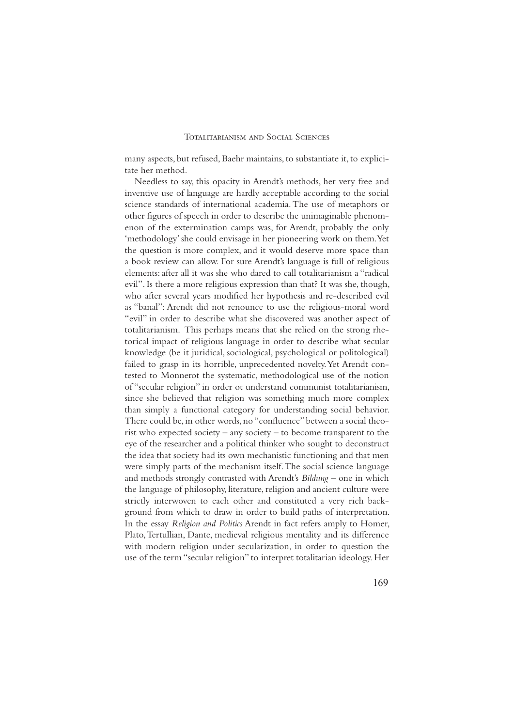#### Totalitarianism and Social Sciences

many aspects, but refused, Baehr maintains, to substantiate it, to explicitate her method.

Needless to say, this opacity in Arendt's methods, her very free and inventive use of language are hardly acceptable according to the social science standards of international academia. The use of metaphors or other figures of speech in order to describe the unimaginable phenomenon of the extermination camps was, for Arendt, probably the only 'methodology' she could envisage in her pioneering work on them. Yet the question is more complex, and it would deserve more space than a book review can allow. For sure Arendt's language is full of religious elements: after all it was she who dared to call totalitarianism a "radical evil". Is there a more religious expression than that? It was she, though, who after several years modified her hypothesis and re-described evil as "banal": Arendt did not renounce to use the religious-moral word "evil" in order to describe what she discovered was another aspect of totalitarianism. This perhaps means that she relied on the strong rhetorical impact of religious language in order to describe what secular knowledge (be it juridical, sociological, psychological or politological) failed to grasp in its horrible, unprecedented novelty. Yet Arendt contested to Monnerot the systematic, methodological use of the notion of "secular religion" in order ot understand communist totalitarianism, since she believed that religion was something much more complex than simply a functional category for understanding social behavior. There could be, in other words, no "confluence" between a social theorist who expected society – any society – to become transparent to the eye of the researcher and a political thinker who sought to deconstruct the idea that society had its own mechanistic functioning and that men were simply parts of the mechanism itself. The social science language and methods strongly contrasted with Arendt's *Bildung* – one in which the language of philosophy, literature, religion and ancient culture were strictly interwoven to each other and constituted a very rich background from which to draw in order to build paths of interpretation. In the essay *Religion and Politics* Arendt in fact refers amply to Homer, Plato, Tertullian, Dante, medieval religious mentality and its difference with modern religion under secularization, in order to question the use of the term "secular religion" to interpret totalitarian ideology. Her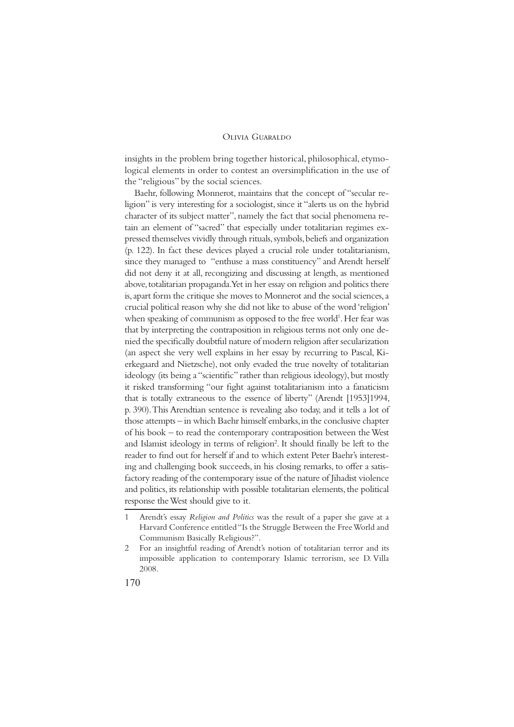### Olivia Guaraldo

insights in the problem bring together historical, philosophical, etymological elements in order to contest an oversimplification in the use of the "religious" by the social sciences.

Baehr, following Monnerot, maintains that the concept of "secular religion" is very interesting for a sociologist, since it "alerts us on the hybrid character of its subject matter", namely the fact that social phenomena retain an element of "sacred" that especially under totalitarian regimes expressed themselves vividly through rituals, symbols, beliefs and organization (p. 122). In fact these devices played a crucial role under totalitarianism, since they managed to "enthuse a mass constituency" and Arendt herself did not deny it at all, recongizing and discussing at length, as mentioned above, totalitarian propaganda. Yet in her essay on religion and politics there is, apart form the critique she moves to Monnerot and the social sciences, a crucial political reason why she did not like to abuse of the word 'religion' when speaking of communism as opposed to the free world<sup>1</sup>. Her fear was that by interpreting the contraposition in religious terms not only one denied the specifically doubtful nature of modern religion after secularization (an aspect she very well explains in her essay by recurring to Pascal, Kierkegaard and Nietzsche), not only evaded the true novelty of totalitarian ideology (its being a "scientific" rather than religious ideology), but mostly it risked transforming "our fight against totalitarianism into a fanaticism that is totally extraneous to the essence of liberty" (Arendt [1953]1994, p. 390). This Arendtian sentence is revealing also today, and it tells a lot of those attempts – in which Baehr himself embarks, in the conclusive chapter of his book – to read the contemporary contraposition between the West and Islamist ideology in terms of religion<sup>2</sup>. It should finally be left to the reader to find out for herself if and to which extent Peter Baehr's interesting and challenging book succeeds, in his closing remarks, to offer a satisfactory reading of the contemporary issue of the nature of Jihadist violence and politics, its relationship with possible totalitarian elements, the political response the West should give to it.

<sup>1</sup> Arendt's essay *Religion and Politics* was the result of a paper she gave at a Harvard Conference entitled "Is the Struggle Between the Free World and Communism Basically Religious?".

<sup>2</sup> For an insightful reading of Arendt's notion of totalitarian terror and its impossible application to contemporary Islamic terrorism, see D. Villa 2008.

<sup>170</sup>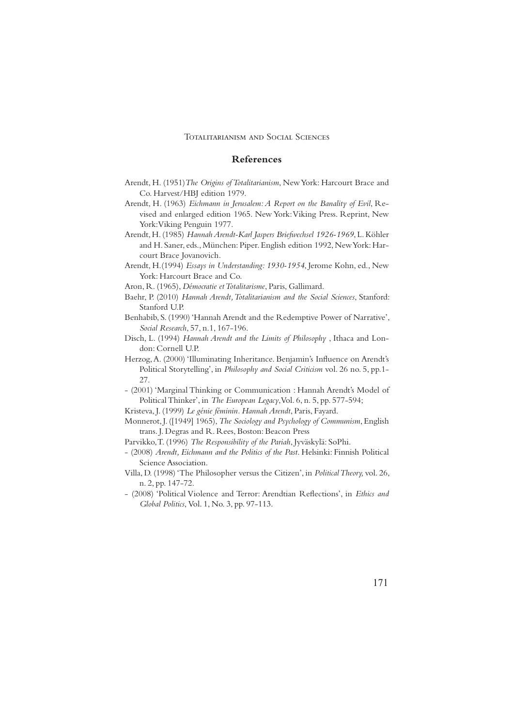#### Totalitarianism and Social Sciences

#### **References**

- Arendt, H. (1951)*The Origins of Totalitarianism*, New York: Harcourt Brace and Co. Harvest/HBJ edition 1979.
- Arendt, H. (1963) *Eichmann in Jerusalem: A Report on the Banality of Evil*, Revised and enlarged edition 1965. New York: Viking Press. Reprint, New York: Viking Penguin 1977.
- Arendt, H. (1985) *Hannah Arendt-Karl Jaspers Briefwechsel 1926-1969*, L. Köhler and H. Saner, eds., München: Piper. English edition 1992, New York: Harcourt Brace Jovanovich.
- Arendt, H.(1994) *Essays in Understanding: 1930-1954*, Jerome Kohn, ed., New York: Harcourt Brace and Co.
- Aron, R. (1965), *Démocratie et Totalitarisme*, Paris, Gallimard.
- Baehr, P. (2010) *Hannah Arendt, Totalitarianism and the Social Sciences*, Stanford: Stanford U.P.
- Benhabib, S. (1990) 'Hannah Arendt and the Redemptive Power of Narrative', *Social Research*, 57, n.1, 167-196.
- Disch, L. (1994) *Hannah Arendt and the Limits of Philosophy* , Ithaca and London: Cornell U.P.
- Herzog, A. (2000) 'Illuminating Inheritance. Benjamin's Influence on Arendt's Political Storytelling', in *Philosophy and Social Criticism* vol. 26 no. 5, pp.1- 27.
- (2001) 'Marginal Thinking or Communication : Hannah Arendt's Model of Political Thinker', in *The European Legacy*, Vol. 6, n. 5, pp. 577-594;
- Kristeva, J. (1999) *Le génie féminin. Hannah Arendt*, Paris, Fayard.
- Monnerot, J. ([1949] 1965), *The Sociology and Psychology of Communism*, English trans. J. Degras and R. Rees, Boston: Beacon Press

Parvikko, T. (1996) *The Responsibility of the Pariah*, Jyväskylä: SoPhi.

- (2008) *Arendt, Eichmann and the Politics of the Past*. Helsinki: Finnish Political Science Association.
- Villa, D. (1998) 'The Philosopher versus the Citizen', in *Political Theory,* vol. 26, n. 2, pp. 147-72.
- (2008) 'Political Violence and Terror: Arendtian Reflections', in *Ethics and Global Politics*, Vol. 1, No. 3, pp. 97-113.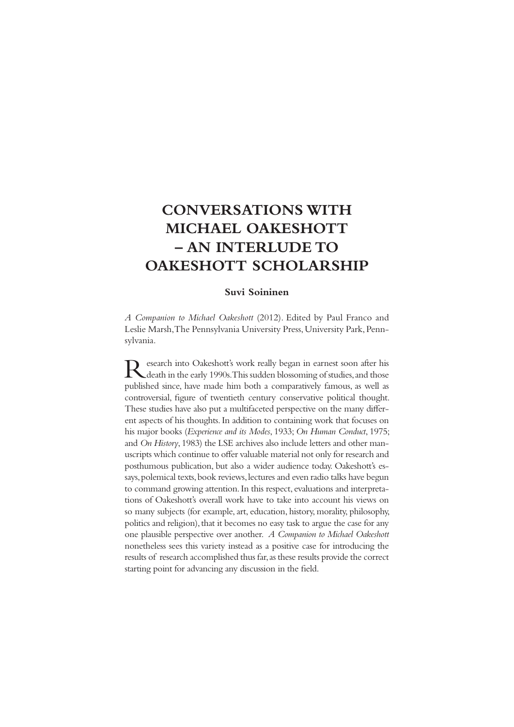# **CONVERSATIONS WITH MICHAEL OAKESHOTT – AN INTERLUDE TO OAKESHOTT SCHOLARSHIP**

# **Suvi Soininen**

*A Companion to Michael Oakeshott* (2012). Edited by Paul Franco and Leslie Marsh, The Pennsylvania University Press, University Park, Pennsylvania.

Research into Oakeshott's work really began in earnest soon after his death in the early 1990s. This sudden blossoming of studies, and those published since, have made him both a comparatively famous, as well as controversial, figure of twentieth century conservative political thought. These studies have also put a multifaceted perspective on the many different aspects of his thoughts. In addition to containing work that focuses on his major books (*Experience and its Modes*, 1933; *On Human Conduct*, 1975; and *On History*, 1983) the LSE archives also include letters and other manuscripts which continue to offer valuable material not only for research and posthumous publication, but also a wider audience today. Oakeshott's essays, polemical texts, book reviews, lectures and even radio talks have begun to command growing attention. In this respect, evaluations and interpretations of Oakeshott's overall work have to take into account his views on so many subjects (for example, art, education, history, morality, philosophy, politics and religion), that it becomes no easy task to argue the case for any one plausible perspective over another. *A Companion to Michael Oakeshott* nonetheless sees this variety instead as a positive case for introducing the results of research accomplished thus far, as these results provide the correct starting point for advancing any discussion in the field.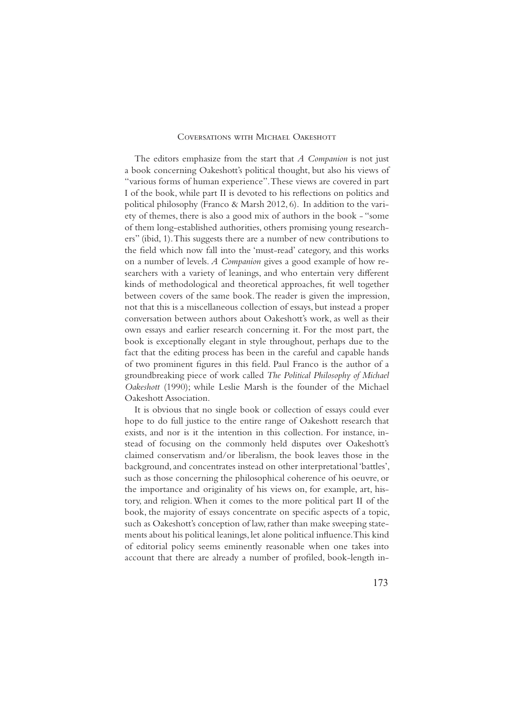#### Coversations with Michael Oakeshott

The editors emphasize from the start that *A Companion* is not just a book concerning Oakeshott's political thought, but also his views of "various forms of human experience". These views are covered in part I of the book, while part II is devoted to his reflections on politics and political philosophy (Franco & Marsh 2012, 6). In addition to the variety of themes, there is also a good mix of authors in the book - "some of them long-established authorities, others promising young researchers" (ibid, 1). This suggests there are a number of new contributions to the field which now fall into the 'must-read' category, and this works on a number of levels. *A Companion* gives a good example of how researchers with a variety of leanings, and who entertain very different kinds of methodological and theoretical approaches, fit well together between covers of the same book. The reader is given the impression, not that this is a miscellaneous collection of essays, but instead a proper conversation between authors about Oakeshott's work, as well as their own essays and earlier research concerning it. For the most part, the book is exceptionally elegant in style throughout, perhaps due to the fact that the editing process has been in the careful and capable hands of two prominent figures in this field. Paul Franco is the author of a groundbreaking piece of work called *The Political Philosophy of Michael Oakeshott* (1990); while Leslie Marsh is the founder of the Michael Oakeshott Association.

It is obvious that no single book or collection of essays could ever hope to do full justice to the entire range of Oakeshott research that exists, and nor is it the intention in this collection. For instance, instead of focusing on the commonly held disputes over Oakeshott's claimed conservatism and/or liberalism, the book leaves those in the background, and concentrates instead on other interpretational 'battles', such as those concerning the philosophical coherence of his oeuvre, or the importance and originality of his views on, for example, art, history, and religion. When it comes to the more political part II of the book, the majority of essays concentrate on specific aspects of a topic, such as Oakeshott's conception of law, rather than make sweeping statements about his political leanings, let alone political influence. This kind of editorial policy seems eminently reasonable when one takes into account that there are already a number of profiled, book-length in-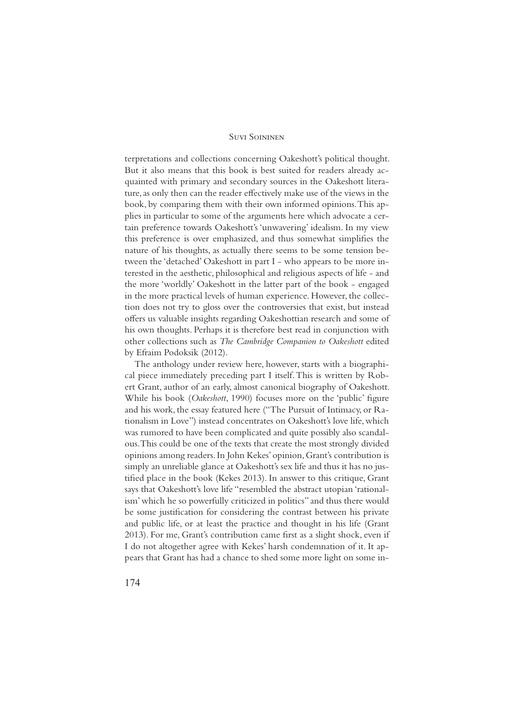#### Suvi Soininen

terpretations and collections concerning Oakeshott's political thought. But it also means that this book is best suited for readers already acquainted with primary and secondary sources in the Oakeshott literature, as only then can the reader effectively make use of the views in the book, by comparing them with their own informed opinions. This applies in particular to some of the arguments here which advocate a certain preference towards Oakeshott's 'unwavering' idealism. In my view this preference is over emphasized, and thus somewhat simplifies the nature of his thoughts, as actually there seems to be some tension between the 'detached' Oakeshott in part I - who appears to be more interested in the aesthetic, philosophical and religious aspects of life - and the more 'worldly' Oakeshott in the latter part of the book - engaged in the more practical levels of human experience. However, the collection does not try to gloss over the controversies that exist, but instead offers us valuable insights regarding Oakeshottian research and some of his own thoughts. Perhaps it is therefore best read in conjunction with other collections such as *The Cambridge Companion to Oakeshott* edited by Efraim Podoksik (2012).

The anthology under review here, however, starts with a biographical piece immediately preceding part I itself. This is written by Robert Grant, author of an early, almost canonical biography of Oakeshott. While his book (Oakeshott, 1990) focuses more on the 'public' figure and his work, the essay featured here ("The Pursuit of Intimacy, or Rationalism in Love") instead concentrates on Oakeshott's love life, which was rumored to have been complicated and quite possibly also scandalous. This could be one of the texts that create the most strongly divided opinions among readers. In John Kekes' opinion, Grant's contribution is simply an unreliable glance at Oakeshott's sex life and thus it has no justified place in the book (Kekes 2013). In answer to this critique, Grant says that Oakeshott's love life "resembled the abstract utopian 'rationalism' which he so powerfully criticized in politics" and thus there would be some justification for considering the contrast between his private and public life, or at least the practice and thought in his life (Grant 2013). For me, Grant's contribution came first as a slight shock, even if I do not altogether agree with Kekes' harsh condemnation of it. It appears that Grant has had a chance to shed some more light on some in-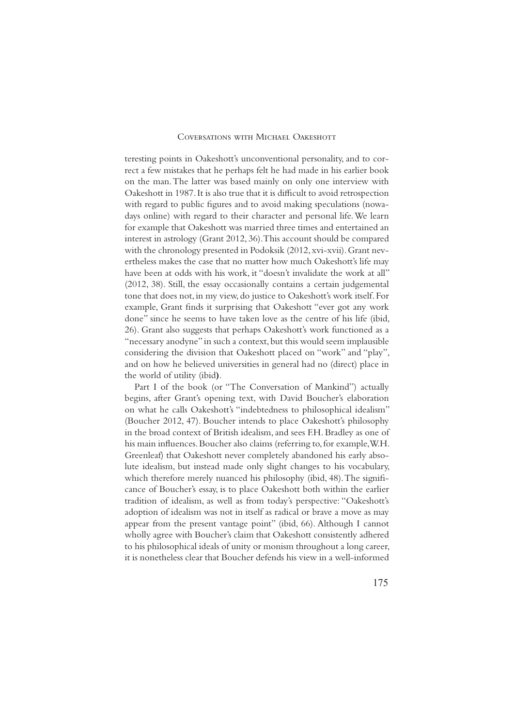#### Coversations with Michael Oakeshott

teresting points in Oakeshott's unconventional personality, and to correct a few mistakes that he perhaps felt he had made in his earlier book on the man. The latter was based mainly on only one interview with Oakeshott in 1987. It is also true that it is difficult to avoid retrospection with regard to public figures and to avoid making speculations (nowadays online) with regard to their character and personal life. We learn for example that Oakeshott was married three times and entertained an interest in astrology (Grant 2012, 36). This account should be compared with the chronology presented in Podoksik (2012, xvi-xvii). Grant nevertheless makes the case that no matter how much Oakeshott's life may have been at odds with his work, it "doesn't invalidate the work at all" (2012, 38). Still, the essay occasionally contains a certain judgemental tone that does not, in my view, do justice to Oakeshott's work itself. For example, Grant finds it surprising that Oakeshott "ever got any work done" since he seems to have taken love as the centre of his life (ibid, 26). Grant also suggests that perhaps Oakeshott's work functioned as a "necessary anodyne" in such a context, but this would seem implausible considering the division that Oakeshott placed on "work" and "play", and on how he believed universities in general had no (direct) place in the world of utility (ibid**)**.

Part I of the book (or "The Conversation of Mankind") actually begins, after Grant's opening text, with David Boucher's elaboration on what he calls Oakeshott's "indebtedness to philosophical idealism" (Boucher 2012, 47). Boucher intends to place Oakeshott's philosophy in the broad context of British idealism, and sees F.H. Bradley as one of his main influences. Boucher also claims (referring to, for example, W.H. Greenleaf) that Oakeshott never completely abandoned his early absolute idealism, but instead made only slight changes to his vocabulary, which therefore merely nuanced his philosophy (ibid, 48). The significance of Boucher's essay, is to place Oakeshott both within the earlier tradition of idealism, as well as from today's perspective: "Oakeshott's adoption of idealism was not in itself as radical or brave a move as may appear from the present vantage point" (ibid, 66). Although I cannot wholly agree with Boucher's claim that Oakeshott consistently adhered to his philosophical ideals of unity or monism throughout a long career, it is nonetheless clear that Boucher defends his view in a well-informed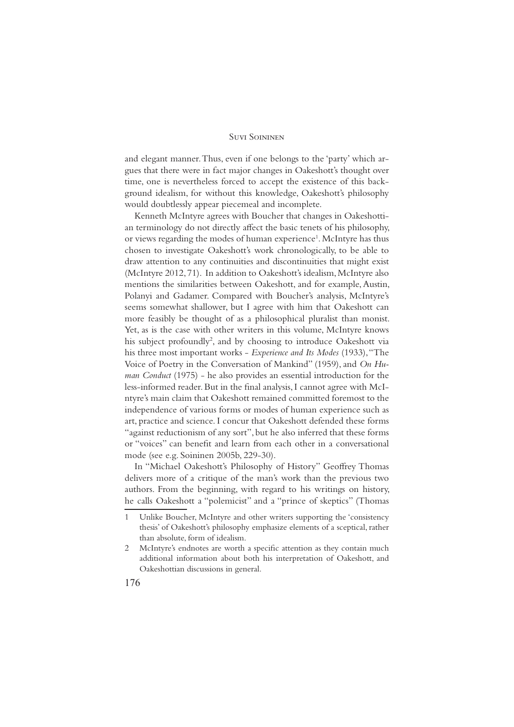#### Suvi Soininen

and elegant manner. Thus, even if one belongs to the 'party' which argues that there were in fact major changes in Oakeshott's thought over time, one is nevertheless forced to accept the existence of this background idealism, for without this knowledge, Oakeshott's philosophy would doubtlessly appear piecemeal and incomplete.

Kenneth McIntyre agrees with Boucher that changes in Oakeshottian terminology do not directly affect the basic tenets of his philosophy, or views regarding the modes of human experience<sup>1</sup>. McIntyre has thus chosen to investigate Oakeshott's work chronologically, to be able to draw attention to any continuities and discontinuities that might exist (McIntyre 2012, 71). In addition to Oakeshott's idealism, McIntyre also mentions the similarities between Oakeshott, and for example, Austin, Polanyi and Gadamer. Compared with Boucher's analysis, McIntyre's seems somewhat shallower, but I agree with him that Oakeshott can more feasibly be thought of as a philosophical pluralist than monist. Yet, as is the case with other writers in this volume, McIntyre knows his subject profoundly<sup>2</sup>, and by choosing to introduce Oakeshott via his three most important works - *Experience and Its Modes* (1933), "The Voice of Poetry in the Conversation of Mankind" (1959), and *On Human Conduct* (1975) - he also provides an essential introduction for the less-informed reader. But in the final analysis, I cannot agree with McIntyre's main claim that Oakeshott remained committed foremost to the independence of various forms or modes of human experience such as art, practice and science. I concur that Oakeshott defended these forms "against reductionism of any sort", but he also inferred that these forms or "voices" can benefit and learn from each other in a conversational mode (see e.g. Soininen 2005b, 229-30).

In "Michael Oakeshott's Philosophy of History" Geoffrey Thomas delivers more of a critique of the man's work than the previous two authors. From the beginning, with regard to his writings on history, he calls Oakeshott a "polemicist" and a "prince of skeptics" (Thomas

<sup>1</sup> Unlike Boucher, McIntyre and other writers supporting the 'consistency thesis' of Oakeshott's philosophy emphasize elements of a sceptical, rather than absolute, form of idealism.

<sup>2</sup> McIntyre's endnotes are worth a specific attention as they contain much additional information about both his interpretation of Oakeshott, and Oakeshottian discussions in general.

<sup>176</sup>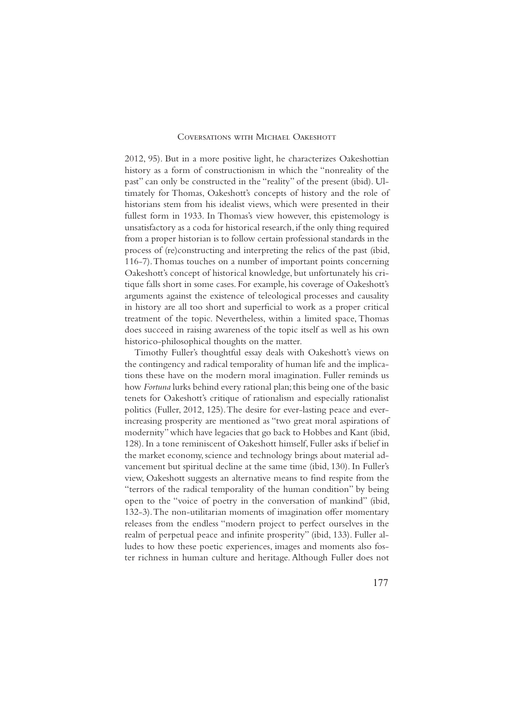#### Coversations with Michael Oakeshott

2012, 95). But in a more positive light, he characterizes Oakeshottian history as a form of constructionism in which the "nonreality of the past" can only be constructed in the "reality" of the present (ibid). Ultimately for Thomas, Oakeshott's concepts of history and the role of historians stem from his idealist views, which were presented in their fullest form in 1933. In Thomas's view however, this epistemology is unsatisfactory as a coda for historical research, if the only thing required from a proper historian is to follow certain professional standards in the process of (re)constructing and interpreting the relics of the past (ibid, 116-7). Thomas touches on a number of important points concerning Oakeshott's concept of historical knowledge, but unfortunately his critique falls short in some cases. For example, his coverage of Oakeshott's arguments against the existence of teleological processes and causality in history are all too short and superficial to work as a proper critical treatment of the topic. Nevertheless, within a limited space, Thomas does succeed in raising awareness of the topic itself as well as his own historico-philosophical thoughts on the matter.

Timothy Fuller's thoughtful essay deals with Oakeshott's views on the contingency and radical temporality of human life and the implications these have on the modern moral imagination. Fuller reminds us how *Fortuna* lurks behind every rational plan; this being one of the basic tenets for Oakeshott's critique of rationalism and especially rationalist politics (Fuller, 2012, 125). The desire for ever-lasting peace and everincreasing prosperity are mentioned as "two great moral aspirations of modernity" which have legacies that go back to Hobbes and Kant (ibid, 128). In a tone reminiscent of Oakeshott himself, Fuller asks if belief in the market economy, science and technology brings about material advancement but spiritual decline at the same time (ibid, 130). In Fuller's view, Oakeshott suggests an alternative means to find respite from the "terrors of the radical temporality of the human condition" by being open to the "voice of poetry in the conversation of mankind" (ibid, 132-3). The non-utilitarian moments of imagination offer momentary releases from the endless "modern project to perfect ourselves in the realm of perpetual peace and infinite prosperity" (ibid, 133). Fuller alludes to how these poetic experiences, images and moments also foster richness in human culture and heritage. Although Fuller does not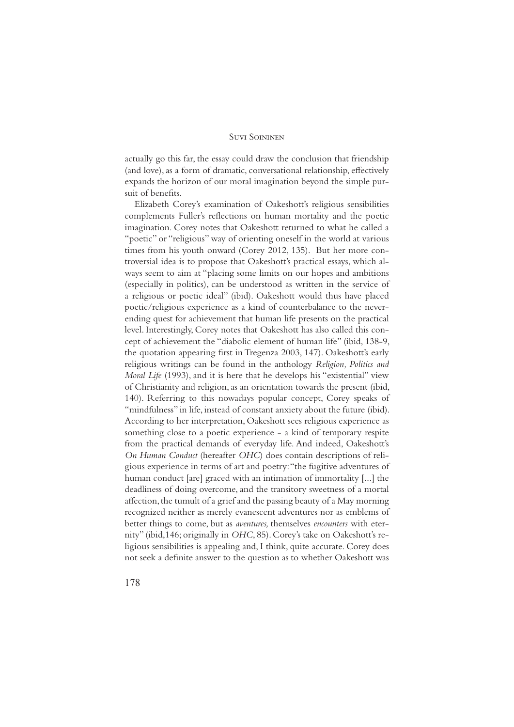#### Suvi Soininen

actually go this far, the essay could draw the conclusion that friendship (and love), as a form of dramatic, conversational relationship, effectively expands the horizon of our moral imagination beyond the simple pursuit of benefits.

Elizabeth Corey's examination of Oakeshott's religious sensibilities complements Fuller's reflections on human mortality and the poetic imagination. Corey notes that Oakeshott returned to what he called a "poetic" or "religious" way of orienting oneself in the world at various times from his youth onward (Corey 2012, 135). But her more controversial idea is to propose that Oakeshott's practical essays, which always seem to aim at "placing some limits on our hopes and ambitions (especially in politics), can be understood as written in the service of a religious or poetic ideal" (ibid). Oakeshott would thus have placed poetic/religious experience as a kind of counterbalance to the neverending quest for achievement that human life presents on the practical level. Interestingly, Corey notes that Oakeshott has also called this concept of achievement the "diabolic element of human life" (ibid, 138-9, the quotation appearing first in Tregenza 2003, 147). Oakeshott's early religious writings can be found in the anthology *Religion, Politics and Moral Life* (1993), and it is here that he develops his "existential" view of Christianity and religion, as an orientation towards the present (ibid, 140). Referring to this nowadays popular concept, Corey speaks of "mindfulness" in life, instead of constant anxiety about the future (ibid). According to her interpretation, Oakeshott sees religious experience as something close to a poetic experience - a kind of temporary respite from the practical demands of everyday life. And indeed, Oakeshott's *On Human Conduct* (hereafter *OHC*) does contain descriptions of religious experience in terms of art and poetry: "the fugitive adventures of human conduct [are] graced with an intimation of immortality [...] the deadliness of doing overcome, and the transitory sweetness of a mortal affection, the tumult of a grief and the passing beauty of a May morning recognized neither as merely evanescent adventures nor as emblems of better things to come, but as *aventures,* themselves *encounters* with eternity" (ibid,146; originally in *OHC*, 85). Corey's take on Oakeshott's religious sensibilities is appealing and, I think, quite accurate. Corey does not seek a definite answer to the question as to whether Oakeshott was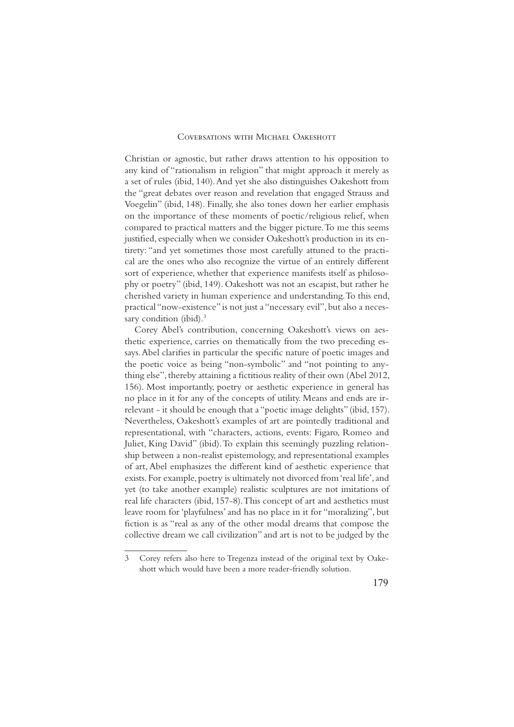# Coversations with Michael Oakeshott

Christian or agnostic, but rather draws attention to his opposition to any kind of "rationalism in religion" that might approach it merely as a set of rules (ibid, 140). And yet she also distinguishes Oakeshott from the "great debates over reason and revelation that engaged Strauss and Voegelin" (ibid, 148). Finally, she also tones down her earlier emphasis on the importance of these moments of poetic/religious relief, when compared to practical matters and the bigger picture. To me this seems justified, especially when we consider Oakeshott's production in its entirety: "and yet sometimes those most carefully attuned to the practical are the ones who also recognize the virtue of an entirely different sort of experience, whether that experience manifests itself as philosophy or poetry" (ibid, 149). Oakeshott was not an escapist, but rather he cherished variety in human experience and understanding. To this end, practical "now-existence" is not just a "necessary evil", but also a necessary condition (ibid).<sup>3</sup>

Corey Abel's contribution, concerning Oakeshott's views on aesthetic experience, carries on thematically from the two preceding essays. Abel clarifies in particular the specific nature of poetic images and the poetic voice as being "non-symbolic" and "not pointing to anything else", thereby attaining a fictitious reality of their own (Abel 2012, 156). Most importantly, poetry or aesthetic experience in general has no place in it for any of the concepts of utility. Means and ends are irrelevant - it should be enough that a "poetic image delights" (ibid, 157). Nevertheless, Oakeshott's examples of art are pointedly traditional and representational, with "characters, actions, events: Figaro, Romeo and Juliet, King David" (ibid). To explain this seemingly puzzling relationship between a non-realist epistemology, and representational examples of art, Abel emphasizes the different kind of aesthetic experience that exists. For example, poetry is ultimately not divorced from 'real life', and yet (to take another example) realistic sculptures are not imitations of real life characters (ibid, 157-8). This concept of art and aesthetics must leave room for 'playfulness' and has no place in it for "moralizing", but fiction is as "real as any of the other modal dreams that compose the collective dream we call civilization" and art is not to be judged by the

<sup>3</sup> Corey refers also here to Tregenza instead of the original text by Oakeshott which would have been a more reader-friendly solution.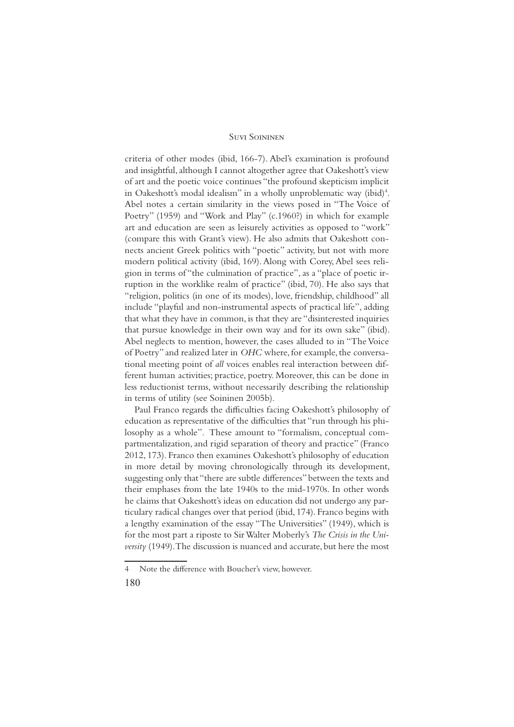# Suvi Soininen

criteria of other modes (ibid, 166-7). Abel's examination is profound and insightful, although I cannot altogether agree that Oakeshott's view of art and the poetic voice continues "the profound skepticism implicit in Oakeshott's modal idealism" in a wholly unproblematic way (ibid)<sup>4</sup>. Abel notes a certain similarity in the views posed in "The Voice of Poetry" (1959) and "Work and Play" (c.1960?) in which for example art and education are seen as leisurely activities as opposed to "work" (compare this with Grant's view). He also admits that Oakeshott connects ancient Greek politics with "poetic" activity, but not with more modern political activity (ibid, 169). Along with Corey, Abel sees religion in terms of "the culmination of practice", as a "place of poetic irruption in the worklike realm of practice" (ibid, 70). He also says that "religion, politics (in one of its modes), love, friendship, childhood" all include "playful and non-instrumental aspects of practical life", adding that what they have in common, is that they are "disinterested inquiries that pursue knowledge in their own way and for its own sake" (ibid). Abel neglects to mention, however, the cases alluded to in "The Voice of Poetry" and realized later in *OHC* where, for example, the conversational meeting point of *all* voices enables real interaction between different human activities; practice, poetry. Moreover, this can be done in less reductionist terms, without necessarily describing the relationship in terms of utility (see Soininen 2005b).

Paul Franco regards the difficulties facing Oakeshott's philosophy of education as representative of the difficulties that "run through his philosophy as a whole". These amount to "formalism, conceptual compartmentalization, and rigid separation of theory and practice" (Franco 2012, 173). Franco then examines Oakeshott's philosophy of education in more detail by moving chronologically through its development, suggesting only that "there are subtle differences" between the texts and their emphases from the late 1940s to the mid-1970s. In other words he claims that Oakeshott's ideas on education did not undergo any particulary radical changes over that period (ibid, 174). Franco begins with a lengthy examination of the essay "The Universities" (1949), which is for the most part a riposte to Sir Walter Moberly's *The Crisis in the University* (1949). The discussion is nuanced and accurate, but here the most

<sup>4</sup> Note the difference with Boucher's view, however.

<sup>180</sup>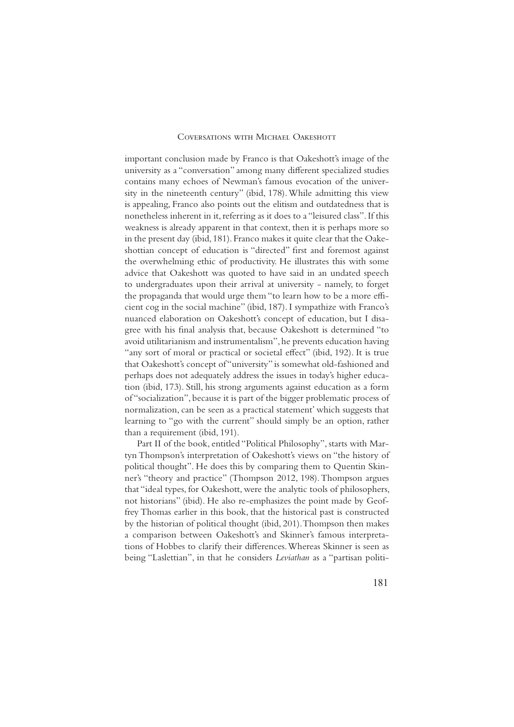# Coversations with Michael Oakeshott

important conclusion made by Franco is that Oakeshott's image of the university as a "conversation" among many different specialized studies contains many echoes of Newman's famous evocation of the university in the nineteenth century" (ibid, 178). While admitting this view is appealing, Franco also points out the elitism and outdatedness that is nonetheless inherent in it, referring as it does to a "leisured class". If this weakness is already apparent in that context, then it is perhaps more so in the present day (ibid, 181). Franco makes it quite clear that the Oakeshottian concept of education is "directed" first and foremost against the overwhelming ethic of productivity. He illustrates this with some advice that Oakeshott was quoted to have said in an undated speech to undergraduates upon their arrival at university - namely, to forget the propaganda that would urge them "to learn how to be a more efficient cog in the social machine" (ibid, 187). I sympathize with Franco's nuanced elaboration on Oakeshott's concept of education, but I disagree with his final analysis that, because Oakeshott is determined "to avoid utilitarianism and instrumentalism", he prevents education having "any sort of moral or practical or societal effect" (ibid, 192). It is true that Oakeshott's concept of "university" is somewhat old-fashioned and perhaps does not adequately address the issues in today's higher education (ibid, 173). Still, his strong arguments against education as a form of "socialization", because it is part of the bigger problematic process of normalization, can be seen as a practical statement' which suggests that learning to "go with the current" should simply be an option, rather than a requirement (ibid, 191).

 Part II of the book, entitled "Political Philosophy", starts with Martyn Thompson's interpretation of Oakeshott's views on "the history of political thought". He does this by comparing them to Quentin Skinner's "theory and practice" (Thompson 2012, 198). Thompson argues that "ideal types, for Oakeshott, were the analytic tools of philosophers, not historians" (ibid). He also re-emphasizes the point made by Geoffrey Thomas earlier in this book, that the historical past is constructed by the historian of political thought (ibid, 201). Thompson then makes a comparison between Oakeshott's and Skinner's famous interpretations of Hobbes to clarify their differences. Whereas Skinner is seen as being "Laslettian", in that he considers *Leviathan* as a "partisan politi-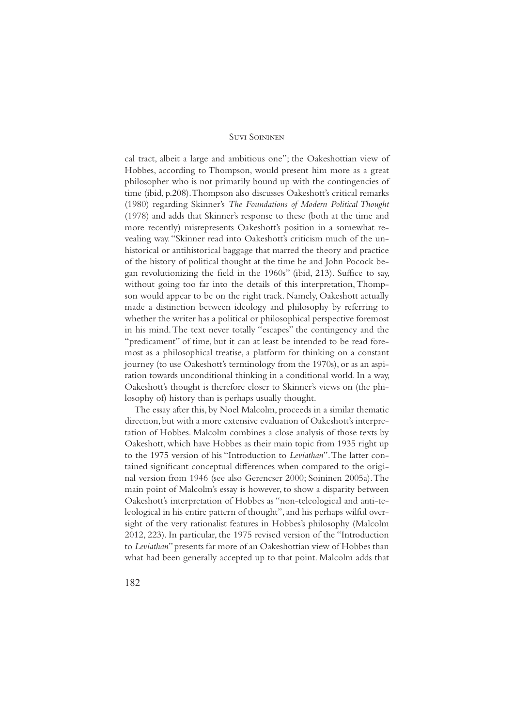# Suvi Soininen

cal tract, albeit a large and ambitious one"; the Oakeshottian view of Hobbes, according to Thompson, would present him more as a great philosopher who is not primarily bound up with the contingencies of time (ibid, p.208). Thompson also discusses Oakeshott's critical remarks (1980) regarding Skinner's *The Foundations of Modern Political Thought* (1978) and adds that Skinner's response to these (both at the time and more recently) misrepresents Oakeshott's position in a somewhat revealing way. "Skinner read into Oakeshott's criticism much of the unhistorical or antihistorical baggage that marred the theory and practice of the history of political thought at the time he and John Pocock began revolutionizing the field in the 1960s" (ibid, 213). Suffice to say, without going too far into the details of this interpretation, Thompson would appear to be on the right track. Namely, Oakeshott actually made a distinction between ideology and philosophy by referring to whether the writer has a political or philosophical perspective foremost in his mind. The text never totally "escapes" the contingency and the "predicament" of time, but it can at least be intended to be read foremost as a philosophical treatise, a platform for thinking on a constant journey (to use Oakeshott's terminology from the 1970s), or as an aspiration towards unconditional thinking in a conditional world. In a way, Oakeshott's thought is therefore closer to Skinner's views on (the philosophy of) history than is perhaps usually thought.

The essay after this, by Noel Malcolm, proceeds in a similar thematic direction, but with a more extensive evaluation of Oakeshott's interpretation of Hobbes. Malcolm combines a close analysis of those texts by Oakeshott, which have Hobbes as their main topic from 1935 right up to the 1975 version of his "Introduction to *Leviathan*". The latter contained significant conceptual differences when compared to the original version from 1946 (see also Gerencser 2000; Soininen 2005a). The main point of Malcolm's essay is however, to show a disparity between Oakeshott's interpretation of Hobbes as "non-teleological and anti-teleological in his entire pattern of thought", and his perhaps wilful oversight of the very rationalist features in Hobbes's philosophy (Malcolm 2012, 223). In particular, the 1975 revised version of the "Introduction to *Leviathan*" presents far more of an Oakeshottian view of Hobbes than what had been generally accepted up to that point. Malcolm adds that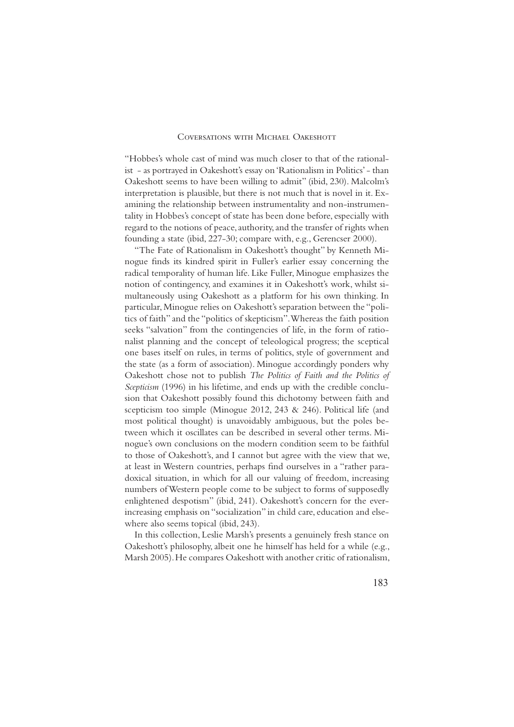### Coversations with Michael Oakeshott

"Hobbes's whole cast of mind was much closer to that of the rationalist - as portrayed in Oakeshott's essay on 'Rationalism in Politics' - than Oakeshott seems to have been willing to admit" (ibid, 230). Malcolm's interpretation is plausible, but there is not much that is novel in it. Examining the relationship between instrumentality and non-instrumentality in Hobbes's concept of state has been done before, especially with regard to the notions of peace, authority, and the transfer of rights when founding a state (ibid, 227-30; compare with, e.g., Gerencser 2000).

"The Fate of Rationalism in Oakeshott's thought" by Kenneth Minogue finds its kindred spirit in Fuller's earlier essay concerning the radical temporality of human life. Like Fuller, Minogue emphasizes the notion of contingency, and examines it in Oakeshott's work, whilst simultaneously using Oakeshott as a platform for his own thinking. In particular, Minogue relies on Oakeshott's separation between the "politics of faith" and the "politics of skepticism". Whereas the faith position seeks "salvation" from the contingencies of life, in the form of rationalist planning and the concept of teleological progress; the sceptical one bases itself on rules, in terms of politics, style of government and the state (as a form of association). Minogue accordingly ponders why Oakeshott chose not to publish *The Politics of Faith and the Politics of Scepticism* (1996) in his lifetime, and ends up with the credible conclusion that Oakeshott possibly found this dichotomy between faith and scepticism too simple (Minogue 2012, 243 & 246). Political life (and most political thought) is unavoidably ambiguous, but the poles between which it oscillates can be described in several other terms. Minogue's own conclusions on the modern condition seem to be faithful to those of Oakeshott's, and I cannot but agree with the view that we, at least in Western countries, perhaps find ourselves in a "rather paradoxical situation, in which for all our valuing of freedom, increasing numbers of Western people come to be subject to forms of supposedly enlightened despotism" (ibid, 241). Oakeshott's concern for the everincreasing emphasis on "socialization" in child care, education and elsewhere also seems topical (ibid, 243).

In this collection, Leslie Marsh's presents a genuinely fresh stance on Oakeshott's philosophy, albeit one he himself has held for a while (e.g., Marsh 2005). He compares Oakeshott with another critic of rationalism,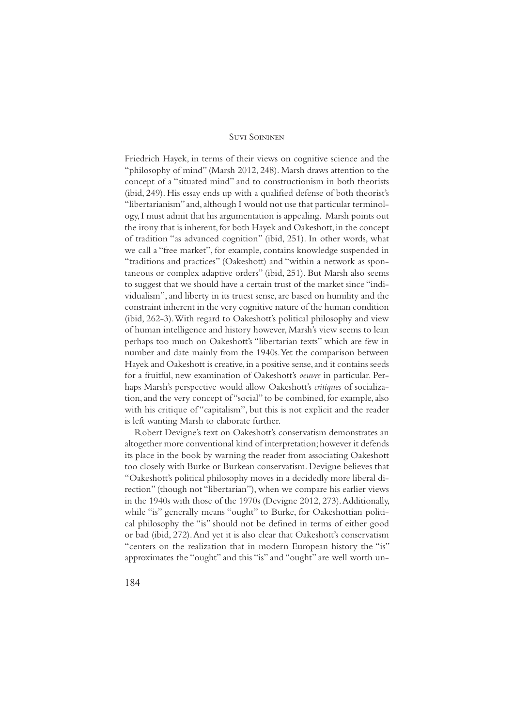# Suvi Soininen

Friedrich Hayek, in terms of their views on cognitive science and the "philosophy of mind" (Marsh 2012, 248). Marsh draws attention to the concept of a "situated mind" and to constructionism in both theorists (ibid,  $249$ ). His essay ends up with a qualified defense of both theorist's "libertarianism" and, although I would not use that particular terminology, I must admit that his argumentation is appealing. Marsh points out the irony that is inherent, for both Hayek and Oakeshott, in the concept of tradition "as advanced cognition" (ibid, 251). In other words, what we call a "free market", for example, contains knowledge suspended in "traditions and practices" (Oakeshott) and "within a network as spontaneous or complex adaptive orders" (ibid, 251). But Marsh also seems to suggest that we should have a certain trust of the market since "individualism", and liberty in its truest sense, are based on humility and the constraint inherent in the very cognitive nature of the human condition (ibid, 262-3). With regard to Oakeshott's political philosophy and view of human intelligence and history however, Marsh's view seems to lean perhaps too much on Oakeshott's "libertarian texts" which are few in number and date mainly from the 1940s. Yet the comparison between Hayek and Oakeshott is creative, in a positive sense, and it contains seeds for a fruitful, new examination of Oakeshott's *oeuvre* in particular. Perhaps Marsh's perspective would allow Oakeshott's *critiques* of socialization, and the very concept of "social" to be combined, for example, also with his critique of "capitalism", but this is not explicit and the reader is left wanting Marsh to elaborate further.

Robert Devigne's text on Oakeshott's conservatism demonstrates an altogether more conventional kind of interpretation; however it defends its place in the book by warning the reader from associating Oakeshott too closely with Burke or Burkean conservatism. Devigne believes that "Oakeshott's political philosophy moves in a decidedly more liberal direction" (though not "libertarian"), when we compare his earlier views in the 1940s with those of the 1970s (Devigne 2012, 273). Additionally, while "is" generally means "ought" to Burke, for Oakeshottian political philosophy the "is" should not be defined in terms of either good or bad (ibid, 272). And yet it is also clear that Oakeshott's conservatism "centers on the realization that in modern European history the "is" approximates the "ought" and this "is" and "ought" are well worth un-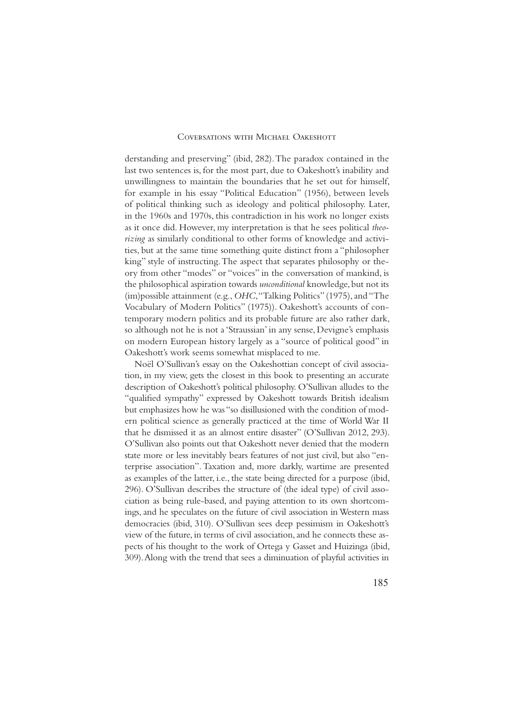#### Coversations with Michael Oakeshott

derstanding and preserving" (ibid, 282). The paradox contained in the last two sentences is, for the most part, due to Oakeshott's inability and unwillingness to maintain the boundaries that he set out for himself, for example in his essay "Political Education" (1956), between levels of political thinking such as ideology and political philosophy. Later, in the 1960s and 1970s, this contradiction in his work no longer exists as it once did. However, my interpretation is that he sees political *theorizing* as similarly conditional to other forms of knowledge and activities, but at the same time something quite distinct from a "philosopher king" style of instructing. The aspect that separates philosophy or theory from other "modes" or "voices" in the conversation of mankind, is the philosophical aspiration towards *unconditional* knowledge, but not its (im)possible attainment (e.g., *OHC*, "Talking Politics" (1975), and "The Vocabulary of Modern Politics" (1975)). Oakeshott's accounts of contemporary modern politics and its probable future are also rather dark, so although not he is not a 'Straussian' in any sense, Devigne's emphasis on modern European history largely as a "source of political good" in Oakeshott's work seems somewhat misplaced to me.

Noël O'Sullivan's essay on the Oakeshottian concept of civil association, in my view, gets the closest in this book to presenting an accurate description of Oakeshott's political philosophy. O'Sullivan alludes to the "qualified sympathy" expressed by Oakeshott towards British idealism but emphasizes how he was "so disillusioned with the condition of modern political science as generally practiced at the time of World War II that he dismissed it as an almost entire disaster" (O'Sullivan 2012, 293). O'Sullivan also points out that Oakeshott never denied that the modern state more or less inevitably bears features of not just civil, but also "enterprise association". Taxation and, more darkly, wartime are presented as examples of the latter, i.e., the state being directed for a purpose (ibid, 296). O'Sullivan describes the structure of (the ideal type) of civil association as being rule-based, and paying attention to its own shortcomings, and he speculates on the future of civil association in Western mass democracies (ibid, 310). O'Sullivan sees deep pessimism in Oakeshott's view of the future, in terms of civil association, and he connects these aspects of his thought to the work of Ortega y Gasset and Huizinga (ibid, 309). Along with the trend that sees a diminuation of playful activities in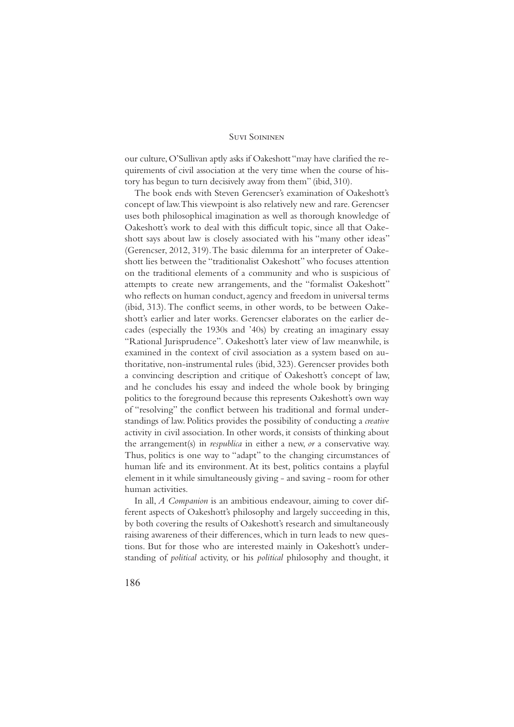# Suvi Soininen

our culture, O'Sullivan aptly asks if Oakeshott "may have clarified the requirements of civil association at the very time when the course of history has begun to turn decisively away from them" (ibid, 310).

The book ends with Steven Gerencser's examination of Oakeshott's concept of law. This viewpoint is also relatively new and rare. Gerencser uses both philosophical imagination as well as thorough knowledge of Oakeshott's work to deal with this difficult topic, since all that Oakeshott says about law is closely associated with his "many other ideas" (Gerencser, 2012, 319). The basic dilemma for an interpreter of Oakeshott lies between the "traditionalist Oakeshott" who focuses attention on the traditional elements of a community and who is suspicious of attempts to create new arrangements, and the "formalist Oakeshott" who reflects on human conduct, agency and freedom in universal terms (ibid,  $313$ ). The conflict seems, in other words, to be between Oakeshott's earlier and later works. Gerencser elaborates on the earlier decades (especially the 1930s and '40s) by creating an imaginary essay "Rational Jurisprudence". Oakeshott's later view of law meanwhile, is examined in the context of civil association as a system based on authoritative, non-instrumental rules (ibid, 323). Gerencser provides both a convincing description and critique of Oakeshott's concept of law, and he concludes his essay and indeed the whole book by bringing politics to the foreground because this represents Oakeshott's own way of "resolving" the conflict between his traditional and formal understandings of law. Politics provides the possibility of conducting a *creative* activity in civil association. In other words, it consists of thinking about the arrangement(s) in *respublica* in either a new, *or* a conservative way. Thus, politics is one way to "adapt" to the changing circumstances of human life and its environment. At its best, politics contains a playful element in it while simultaneously giving - and saving - room for other human activities.

In all, *A Companion* is an ambitious endeavour, aiming to cover different aspects of Oakeshott's philosophy and largely succeeding in this, by both covering the results of Oakeshott's research and simultaneously raising awareness of their differences, which in turn leads to new questions. But for those who are interested mainly in Oakeshott's understanding of *political* activity, or his *political* philosophy and thought, it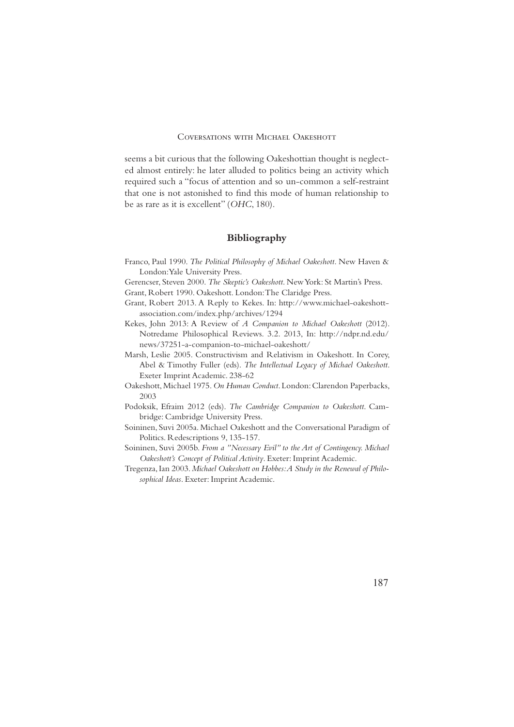### Coversations with Michael Oakeshott

seems a bit curious that the following Oakeshottian thought is neglected almost entirely: he later alluded to politics being an activity which required such a "focus of attention and so un-common a self-restraint that one is not astonished to find this mode of human relationship to be as rare as it is excellent" (*OHC*, 180).

# **Bibliography**

- Franco, Paul 1990. *The Political Philosophy of Michael Oakeshott.* New Haven & London: Yale University Press.
- Gerencser, Steven 2000. *The Skeptic's Oakeshott*. New York: St Martin's Press.

Grant, Robert 1990. Oakeshott. London: The Claridge Press.

- Grant, Robert 2013. A Reply to Kekes. In: http://www.michael-oakeshottassociation.com/index.php/archives/1294
- Kekes, John 2013: A Review of *A Companion to Michael Oakeshott* (2012). Notredame Philosophical Reviews. 3.2. 2013, In: http://ndpr.nd.edu/ news/37251-a-companion-to-michael-oakeshott/
- Marsh, Leslie 2005. Constructivism and Relativism in Oakeshott. In Corey, Abel & Timothy Fuller (eds). *The Intellectual Legacy of Michael Oakeshott*. Exeter Imprint Academic. 238-62
- Oakeshott, Michael 1975. *On Human Conduct*. London: Clarendon Paperbacks, 2003
- Podoksik, Efraim 2012 (eds). *The Cambridge Companion to Oakeshott*. Cambridge: Cambridge University Press.
- Soininen, Suvi 2005a. Michael Oakeshott and the Conversational Paradigm of Politics. Redescriptions 9, 135-157.
- Soininen, Suvi 2005b. *From a "Necessary Evil" to the Art of Contingency. Michael Oakeshott's Concept of Political Activity*. Exeter: Imprint Academic.
- Tregenza, Ian 2003. *Michael Oakeshott on Hobbes: A Study in the Renewal of Philosophical Ideas*. Exeter: Imprint Academic.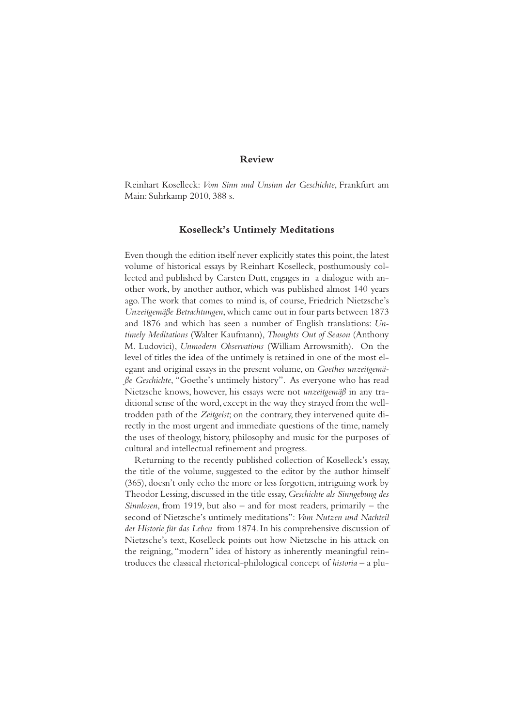# **Review**

Reinhart Koselleck: *Vom Sinn und Unsinn der Geschichte*, Frankfurt am Main: Suhrkamp 2010, 388 s.

#### **Koselleck's Untimely Meditations**

Even though the edition itself never explicitly states this point, the latest volume of historical essays by Reinhart Koselleck, posthumously collected and published by Carsten Dutt, engages in a dialogue with another work, by another author, which was published almost 140 years ago. The work that comes to mind is, of course, Friedrich Nietzsche's *Unzeitgemäße Betrachtungen*, which came out in four parts between 1873 and 1876 and which has seen a number of English translations: *Untimely Meditations* (Walter Kaufmann), *Thoughts Out of Season* (Anthony M. Ludovici), *Unmodern Observations* (William Arrowsmith). On the level of titles the idea of the untimely is retained in one of the most elegant and original essays in the present volume, on *Goethes unzeitgemäße Geschichte*, "Goethe's untimely history". As everyone who has read Nietzsche knows, however, his essays were not *unzeitgemäß* in any traditional sense of the word, except in the way they strayed from the welltrodden path of the *Zeitgeist*; on the contrary, they intervened quite directly in the most urgent and immediate questions of the time, namely the uses of theology, history, philosophy and music for the purposes of cultural and intellectual refinement and progress.

Returning to the recently published collection of Koselleck's essay, the title of the volume, suggested to the editor by the author himself (365), doesn't only echo the more or less forgotten, intriguing work by Theodor Lessing, discussed in the title essay, *Geschichte als Sinngebung des Sinnlosen*, from 1919, but also – and for most readers, primarily – the second of Nietzsche's untimely meditations": *Vom Nutzen und Nachteil der Historie für das Leben* from 1874. In his comprehensive discussion of Nietzsche's text, Koselleck points out how Nietzsche in his attack on the reigning, "modern" idea of history as inherently meaningful reintroduces the classical rhetorical-philological concept of *historia* – a plu-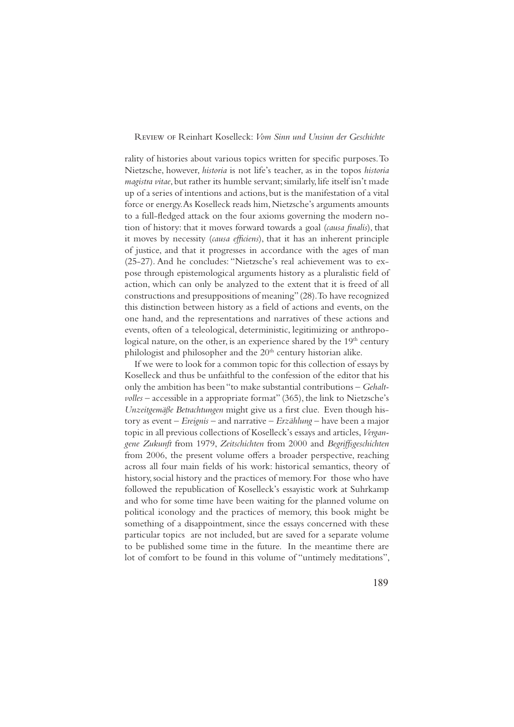# Review of Reinhart Koselleck: *Vom Sinn und Unsinn der Geschichte*

rality of histories about various topics written for specific purposes. To Nietzsche, however, *historia* is not life's teacher, as in the topos *historia magistra vitae*, but rather its humble servant; similarly, life itself isn't made up of a series of intentions and actions, but is the manifestation of a vital force or energy. As Koselleck reads him, Nietzsche's arguments amounts to a full-fledged attack on the four axioms governing the modern notion of history: that it moves forward towards a goal *(causa finalis)*, that it moves by necessity *(causa efficiens)*, that it has an inherent principle of justice, and that it progresses in accordance with the ages of man (25-27). And he concludes: "Nietzsche's real achievement was to expose through epistemological arguments history as a pluralistic field of action, which can only be analyzed to the extent that it is freed of all constructions and presuppositions of meaning" (28). To have recognized this distinction between history as a field of actions and events, on the one hand, and the representations and narratives of these actions and events, often of a teleological, deterministic, legitimizing or anthropological nature, on the other, is an experience shared by the  $19<sup>th</sup>$  century philologist and philosopher and the 20<sup>th</sup> century historian alike.

If we were to look for a common topic for this collection of essays by Koselleck and thus be unfaithful to the confession of the editor that his only the ambition has been "to make substantial contributions – *Gehaltvolles* – accessible in a appropriate format" (365), the link to Nietzsche's *Unzeitgemäße Betrachtungen* might give us a first clue. Even though history as event – *Ereignis –* and narrative – *Erzählung* – have been a major topic in all previous collections of Koselleck's essays and articles, *Vergangene Zukunft* from 1979, *Zeitschichten* from 2000 and *Begriff sgeschichten*  from 2006, the present volume offers a broader perspective, reaching across all four main fields of his work: historical semantics, theory of history, social history and the practices of memory. For those who have followed the republication of Koselleck's essayistic work at Suhrkamp and who for some time have been waiting for the planned volume on political iconology and the practices of memory, this book might be something of a disappointment, since the essays concerned with these particular topics are not included, but are saved for a separate volume to be published some time in the future. In the meantime there are lot of comfort to be found in this volume of "untimely meditations",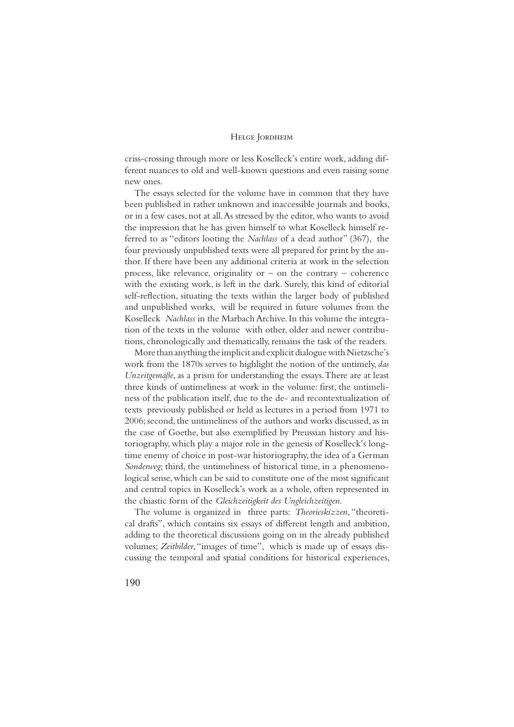# HELGE JORDHEIM

criss-crossing through more or less Koselleck's entire work, adding different nuances to old and well-known questions and even raising some new ones.

The essays selected for the volume have in common that they have been published in rather unknown and inaccessible journals and books, or in a few cases, not at all. As stressed by the editor, who wants to avoid the impression that he has given himself to what Koselleck himself referred to as "editors looting the *Nachlass* of a dead author" (367), the four previously unpublished texts were all prepared for print by the author. If there have been any additional criteria at work in the selection process, like relevance, originality or  $-$  on the contrary  $-$  coherence with the existing work, is left in the dark. Surely, this kind of editorial self-reflection, situating the texts within the larger body of published and unpublished works, will be required in future volumes from the Koselleck *Nachlass* in the Marbach Archive. In this volume the integration of the texts in the volume with other, older and newer contributions, chronologically and thematically, remains the task of the readers.

More than anything the implicit and explicit dialogue with Nietzsche's work from the 1870s serves to highlight the notion of the untimely, *das Unzeitgemäße*, as a prism for understanding the essays. There are at least three kinds of untimeliness at work in the volume: first, the untimeliness of the publication itself, due to the de- and recontextualization of texts previously published or held as lectures in a period from 1971 to 2006; second, the untimeliness of the authors and works discussed, as in the case of Goethe, but also exemplified by Preussian history and historiography, which play a major role in the genesis of Koselleck's longtime enemy of choice in post-war historiography, the idea of a German *Sonderweg*; third, the untimeliness of historical time, in a phenomenological sense, which can be said to constitute one of the most significant and central topics in Koselleck's work as a whole, often represented in the chiastic form of the *Gleichzeitigkeit des Ungleichzeitigen*.

The volume is organized in three parts: *Theorieskizzen*, "theoretical drafts", which contains six essays of different length and ambition, adding to the theoretical discussions going on in the already published volumes; *Zeitbilder*, "images of time", which is made up of essays discussing the temporal and spatial conditions for historical experiences,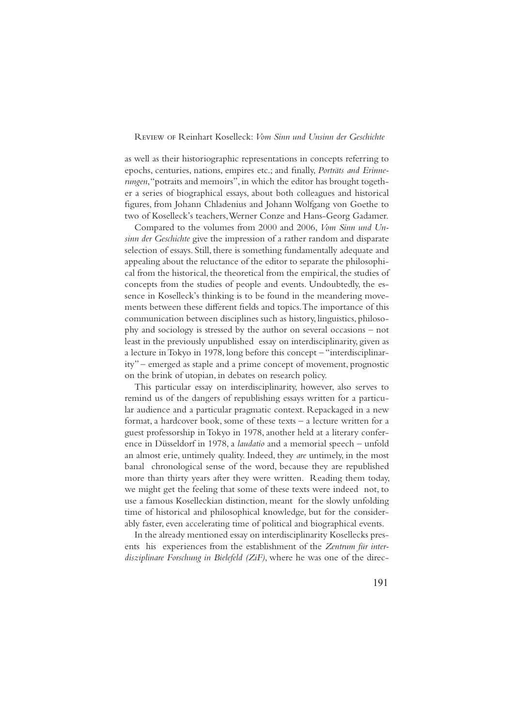# Review of Reinhart Koselleck: *Vom Sinn und Unsinn der Geschichte*

as well as their historiographic representations in concepts referring to epochs, centuries, nations, empires etc.; and finally, *Porträts and Erinnerungen*, "potraits and memoirs", in which the editor has brought together a series of biographical essays, about both colleagues and historical figures, from Johann Chladenius and Johann Wolfgang von Goethe to two of Koselleck's teachers, Werner Conze and Hans-Georg Gadamer.

Compared to the volumes from 2000 and 2006, *Vom Sinn und Unsinn der Geschichte* give the impression of a rather random and disparate selection of essays. Still, there is something fundamentally adequate and appealing about the reluctance of the editor to separate the philosophical from the historical, the theoretical from the empirical, the studies of concepts from the studies of people and events. Undoubtedly, the essence in Koselleck's thinking is to be found in the meandering movements between these different fields and topics. The importance of this communication between disciplines such as history, linguistics, philosophy and sociology is stressed by the author on several occasions – not least in the previously unpublished essay on interdisciplinarity, given as a lecture in Tokyo in 1978, long before this concept – "interdisciplinarity" – emerged as staple and a prime concept of movement, prognostic on the brink of utopian, in debates on research policy.

This particular essay on interdisciplinarity, however, also serves to remind us of the dangers of republishing essays written for a particular audience and a particular pragmatic context. Repackaged in a new format, a hardcover book, some of these texts – a lecture written for a guest professorship in Tokyo in 1978, another held at a literary conference in Düsseldorf in 1978, a *laudatio* and a memorial speech – unfold an almost erie, untimely quality. Indeed, they *are* untimely, in the most banal chronological sense of the word, because they are republished more than thirty years after they were written. Reading them today, we might get the feeling that some of these texts were indeed not, to use a famous Koselleckian distinction, meant for the slowly unfolding time of historical and philosophical knowledge, but for the considerably faster, even accelerating time of political and biographical events.

In the already mentioned essay on interdisciplinarity Kosellecks presents his experiences from the establishment of the *Zentrum für interdisziplinare Forschung in Bielefeld (ZiF)*, where he was one of the direc-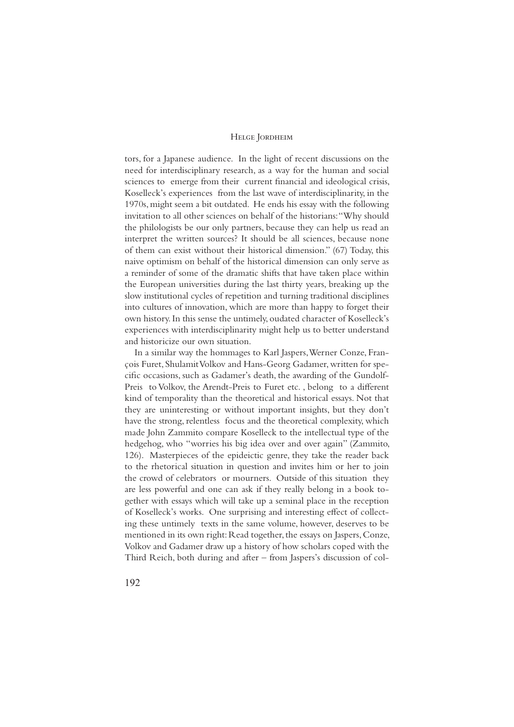# HELGE JORDHEIM

tors, for a Japanese audience. In the light of recent discussions on the need for interdisciplinary research, as a way for the human and social sciences to emerge from their current financial and ideological crisis, Koselleck's experiences from the last wave of interdisciplinarity, in the 1970s, might seem a bit outdated. He ends his essay with the following invitation to all other sciences on behalf of the historians: "Why should the philologists be our only partners, because they can help us read an interpret the written sources? It should be all sciences, because none of them can exist without their historical dimension." (67) Today, this naive optimism on behalf of the historical dimension can only serve as a reminder of some of the dramatic shifts that have taken place within the European universities during the last thirty years, breaking up the slow institutional cycles of repetition and turning traditional disciplines into cultures of innovation, which are more than happy to forget their own history. In this sense the untimely, oudated character of Koselleck's experiences with interdisciplinarity might help us to better understand and historicize our own situation.

In a similar way the hommages to Karl Jaspers, Werner Conze, François Furet, Shulamit Volkov and Hans-Georg Gadamer, written for specific occasions, such as Gadamer's death, the awarding of the Gundolf-Preis to Volkov, the Arendt-Preis to Furet etc., belong to a different kind of temporality than the theoretical and historical essays. Not that they are uninteresting or without important insights, but they don't have the strong, relentless focus and the theoretical complexity, which made John Zammito compare Koselleck to the intellectual type of the hedgehog, who "worries his big idea over and over again" (Zammito, 126). Masterpieces of the epideictic genre, they take the reader back to the rhetorical situation in question and invites him or her to join the crowd of celebrators or mourners. Outside of this situation they are less powerful and one can ask if they really belong in a book together with essays which will take up a seminal place in the reception of Koselleck's works. One surprising and interesting effect of collecting these untimely texts in the same volume, however, deserves to be mentioned in its own right: Read together, the essays on Jaspers, Conze, Volkov and Gadamer draw up a history of how scholars coped with the Third Reich, both during and after – from Jaspers's discussion of col-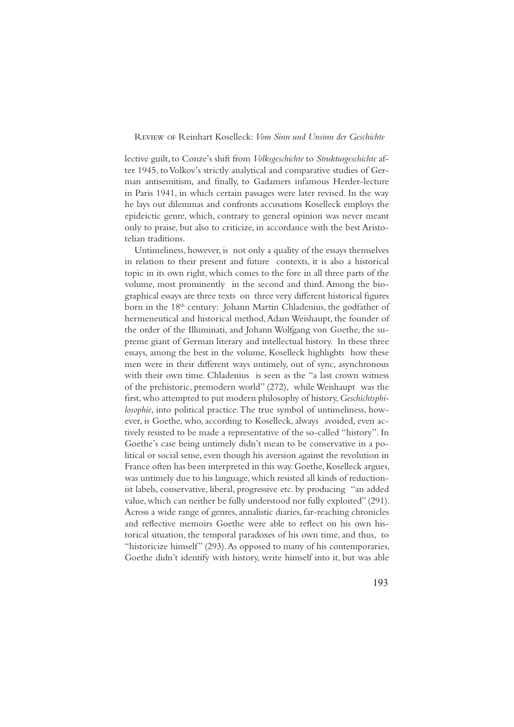# Review of Reinhart Koselleck: *Vom Sinn und Unsinn der Geschichte*

lective guilt, to Conze's shift from *Volksgeschichte* to *Strukturgeschichte* after 1945, to Volkov's strictly analytical and comparative studies of German antisemitism, and finally, to Gadamers infamous Herder-lecture in Paris 1941, in which certain passages were later revised. In the way he lays out dilemmas and confronts accusations Koselleck employs the epideictic genre, which, contrary to general opinion was never meant only to praise, but also to criticize, in accordance with the best Aristotelian traditions.

Untimeliness, however, is not only a quality of the essays themselves in relation to their present and future contexts, it is also a historical topic in its own right, which comes to the fore in all three parts of the volume, most prominently in the second and third. Among the biographical essays are three texts on three very different historical figures born in the 18<sup>th</sup> century: Johann Martin Chladenius, the godfather of hermeneutical and historical method, Adam Weishaupt, the founder of the order of the Illuminati, and Johann Wolfgang von Goethe, the supreme giant of German literary and intellectual history. In these three essays, among the best in the volume, Koselleck highlights how these men were in their different ways untimely, out of sync, asynchronous with their own time. Chladenius is seen as the "a last crown witness of the prehistoric, premodern world" (272), while Weishaupt was the first, who attempted to put modern philosophy of history, *Geschichtsphilosophie*, into political practice. The true symbol of untimeliness, however, is Goethe, who, according to Koselleck, always avoided, even actively resisted to be made a representative of the so-called "history". In Goethe's case being untimely didn't mean to be conservative in a political or social sense, even though his aversion against the revolution in France often has been interpreted in this way. Goethe, Koselleck argues, was untimely due to his language, which resisted all kinds of reductionist labels, conservative, liberal, progressive etc. by producing "an added value, which can neither be fully understood nor fully exploited" (291). Across a wide range of genres, annalistic diaries, far-reaching chronicles and reflective memoirs Goethe were able to reflect on his own historical situation, the temporal paradoxes of his own time, and thus, to "historicize himself" (293). As opposed to many of his contemporaries, Goethe didn't identify with history, write himself into it, but was able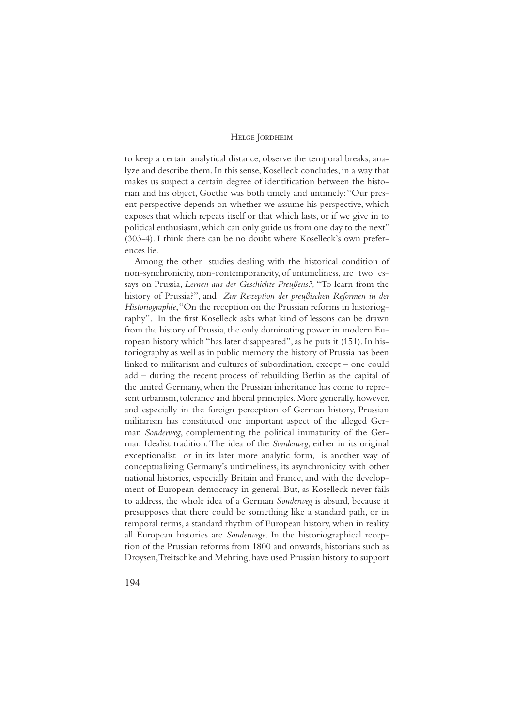# HELGE JORDHEIM

to keep a certain analytical distance, observe the temporal breaks, analyze and describe them. In this sense, Koselleck concludes, in a way that makes us suspect a certain degree of identification between the historian and his object, Goethe was both timely and untimely: "Our present perspective depends on whether we assume his perspective, which exposes that which repeats itself or that which lasts, or if we give in to political enthusiasm, which can only guide us from one day to the next" (303-4). I think there can be no doubt where Koselleck's own preferences lie.

Among the other studies dealing with the historical condition of non-synchronicity, non-contemporaneity, of untimeliness, are two essays on Prussia, *Lernen aus der Geschichte Preußens?,* "To learn from the history of Prussia?", and *Zur Rezeption der preußischen Reformen in der Historiographie*, "On the reception on the Prussian reforms in historiography". In the first Koselleck asks what kind of lessons can be drawn from the history of Prussia, the only dominating power in modern European history which "has later disappeared", as he puts it (151). In historiography as well as in public memory the history of Prussia has been linked to militarism and cultures of subordination, except – one could add – during the recent process of rebuilding Berlin as the capital of the united Germany, when the Prussian inheritance has come to represent urbanism, tolerance and liberal principles. More generally, however, and especially in the foreign perception of German history, Prussian militarism has constituted one important aspect of the alleged German *Sonderweg*, complementing the political immaturity of the German Idealist tradition. The idea of the *Sonderweg*, either in its original exceptionalist or in its later more analytic form, is another way of conceptualizing Germany's untimeliness, its asynchronicity with other national histories, especially Britain and France, and with the development of European democracy in general. But, as Koselleck never fails to address, the whole idea of a German *Sonderweg* is absurd, because it presupposes that there could be something like a standard path, or in temporal terms, a standard rhythm of European history, when in reality all European histories are *Sonderwege*. In the historiographical reception of the Prussian reforms from 1800 and onwards, historians such as Droysen, Treitschke and Mehring, have used Prussian history to support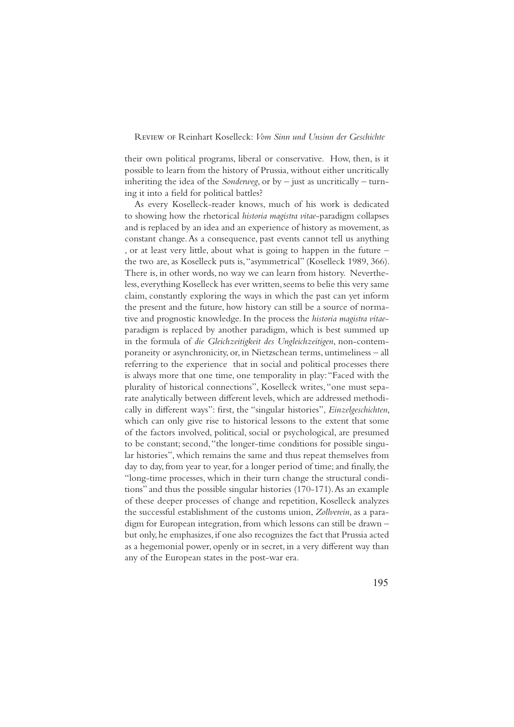# Review of Reinhart Koselleck: *Vom Sinn und Unsinn der Geschichte*

their own political programs, liberal or conservative. How, then, is it possible to learn from the history of Prussia, without either uncritically inheriting the idea of the *Sonderweg*, or by – just as uncritically – turning it into a field for political battles?

As every Koselleck-reader knows, much of his work is dedicated to showing how the rhetorical *historia magistra vitae*-paradigm collapses and is replaced by an idea and an experience of history as movement, as constant change. As a consequence, past events cannot tell us anything , or at least very little, about what is going to happen in the future – the two are, as Koselleck puts is, "asymmetrical" (Koselleck 1989, 366). There is, in other words, no way we can learn from history. Nevertheless, everything Koselleck has ever written, seems to belie this very same claim, constantly exploring the ways in which the past can yet inform the present and the future, how history can still be a source of normative and prognostic knowledge. In the process the *historia magistra vitae*paradigm is replaced by another paradigm, which is best summed up in the formula of *die Gleichzeitigkeit des Ungleichzeitigen*, non-contemporaneity or asynchronicity, or, in Nietzschean terms, untimeliness – all referring to the experience that in social and political processes there is always more that one time, one temporality in play: "Faced with the plurality of historical connections", Koselleck writes, "one must separate analytically between different levels, which are addressed methodically in different ways": first, the "singular histories", *Einzelgeschichten*, which can only give rise to historical lessons to the extent that some of the factors involved, political, social or psychological, are presumed to be constant; second, "the longer-time conditions for possible singular histories", which remains the same and thus repeat themselves from day to day, from year to year, for a longer period of time; and finally, the "long-time processes, which in their turn change the structural conditions" and thus the possible singular histories (170-171). As an example of these deeper processes of change and repetition, Koselleck analyzes the successful establishment of the customs union, *Zollverein*, as a paradigm for European integration, from which lessons can still be drawn – but only, he emphasizes, if one also recognizes the fact that Prussia acted as a hegemonial power, openly or in secret, in a very different way than any of the European states in the post-war era.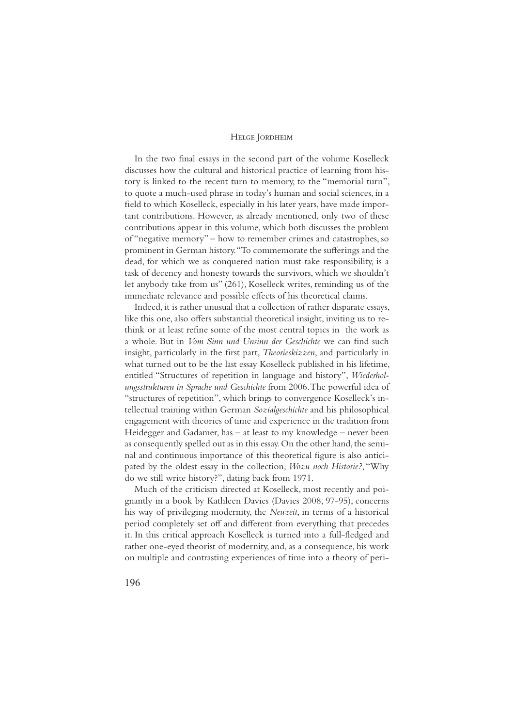# HELGE JORDHEIM

In the two final essays in the second part of the volume Koselleck discusses how the cultural and historical practice of learning from history is linked to the recent turn to memory, to the "memorial turn", to quote a much-used phrase in today's human and social sciences, in a field to which Koselleck, especially in his later years, have made important contributions. However, as already mentioned, only two of these contributions appear in this volume, which both discusses the problem of "negative memory" – how to remember crimes and catastrophes, so prominent in German history. "To commemorate the sufferings and the dead, for which we as conquered nation must take responsibility, is a task of decency and honesty towards the survivors, which we shouldn't let anybody take from us" (261), Koselleck writes, reminding us of the immediate relevance and possible effects of his theoretical claims.

Indeed, it is rather unusual that a collection of rather disparate essays, like this one, also offers substantial theoretical insight, inviting us to rethink or at least refine some of the most central topics in the work as a whole. But in *Vom Sinn und Unsinn der Geschichte* we can find such insight, particularly in the first part, *Theorieskizzen*, and particularly in what turned out to be the last essay Koselleck published in his lifetime, entitled "Structures of repetition in language and history", *Wiederholungsstrukturen in Sprache und Geschichte* from 2006. The powerful idea of "structures of repetition", which brings to convergence Koselleck's intellectual training within German *Sozialgeschichte* and his philosophical engagement with theories of time and experience in the tradition from Heidegger and Gadamer, has – at least to my knowledge – never been as consequently spelled out as in this essay. On the other hand, the seminal and continuous importance of this theoretical figure is also anticipated by the oldest essay in the collection, *Wozu noch Historie?*, "Why do we still write history?", dating back from 1971.

Much of the criticism directed at Koselleck, most recently and poignantly in a book by Kathleen Davies (Davies 2008, 97-95), concerns his way of privileging modernity, the *Neuzeit*, in terms of a historical period completely set off and different from everything that precedes it. In this critical approach Koselleck is turned into a full-fledged and rather one-eyed theorist of modernity, and, as a consequence, his work on multiple and contrasting experiences of time into a theory of peri-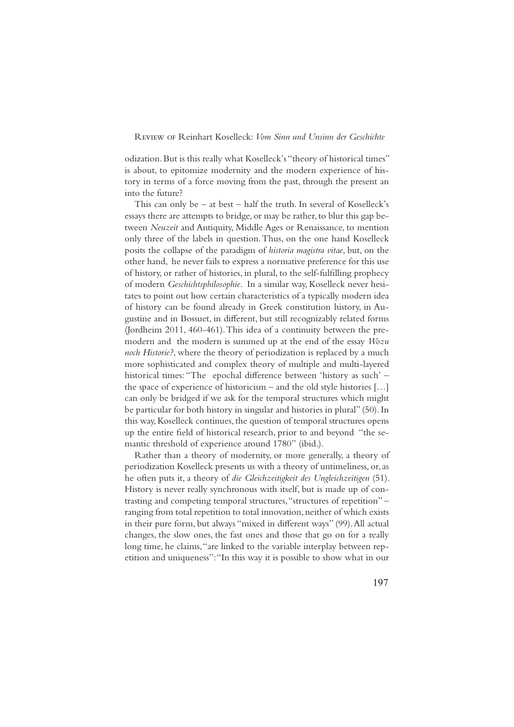# Review of Reinhart Koselleck: *Vom Sinn und Unsinn der Geschichte*

odization. But is this really what Koselleck's "theory of historical times" is about, to epitomize modernity and the modern experience of history in terms of a force moving from the past, through the present an into the future?

This can only be – at best – half the truth. In several of Koselleck's essays there are attempts to bridge, or may be rather, to blur this gap between *Neuzeit* and Antiquity, Middle Ages or Renaissance, to mention only three of the labels in question. Thus, on the one hand Koselleck posits the collapse of the paradigm of *historia magistra vitae*, but, on the other hand, he never fails to express a normative preference for this use of history, or rather of histories, in plural, to the self-fulfilling prophecy of modern *Geschichtsphilosophie*. In a similar way, Koselleck never hesitates to point out how certain characteristics of a typically modern idea of history can be found already in Greek constitution history, in Augustine and in Bossuet, in different, but still recognizably related forms (Jordheim 2011, 460-461). This idea of a continuity between the premodern and the modern is summed up at the end of the essay *Wozu noch Historie?*, where the theory of periodization is replaced by a much more sophisticated and complex theory of multiple and multi-layered historical times: "The epochal difference between 'history as such' – the space of experience of historicism – and the old style histories […] can only be bridged if we ask for the temporal structures which might be particular for both history in singular and histories in plural" (50). In this way, Koselleck continues, the question of temporal structures opens up the entire field of historical research, prior to and beyond "the semantic threshold of experience around 1780" (ibid.).

Rather than a theory of modernity, or more generally, a theory of periodization Koselleck presents us with a theory of untimeliness, or, as he often puts it, a theory of *die Gleichzeitigkeit des Ungleichzeitigen* (51). History is never really synchronous with itself, but is made up of contrasting and competing temporal structures, "structures of repetition" – ranging from total repetition to total innovation, neither of which exists in their pure form, but always "mixed in different ways" (99). All actual changes, the slow ones, the fast ones and those that go on for a really long time, he claims, "are linked to the variable interplay between repetition and uniqueness": "In this way it is possible to show what in our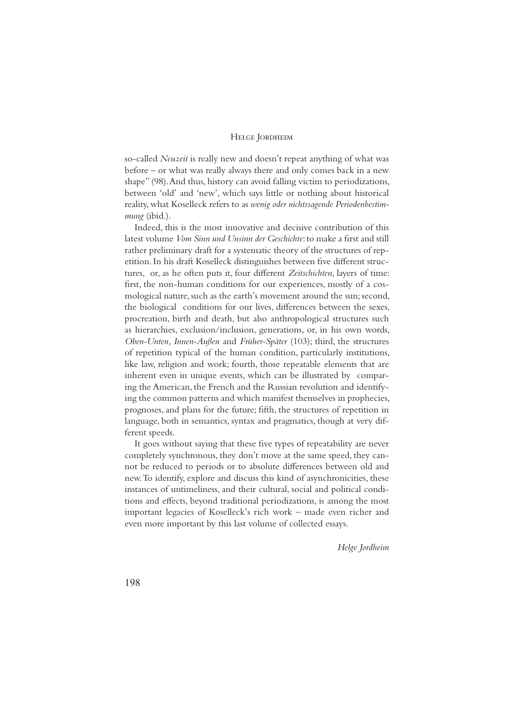# HELGE JORDHEIM

so-called *Neuzeit* is really new and doesn't repeat anything of what was before – or what was really always there and only comes back in a new shape" (98). And thus, history can avoid falling victim to periodizations, between 'old' and 'new', which says little or nothing about historical reality, what Koselleck refers to as *wenig oder nichtssagende Periodenbestimmung* (ibid.).

Indeed, this is the most innovative and decisive contribution of this latest volume *Vom Sinn und Unsinn der Geschichte*: to make a first and still rather preliminary draft for a systematic theory of the structures of repetition. In his draft Koselleck distinguishes between five different structures, or, as he often puts it, four different *Zeitschichten*, layers of time: first, the non-human conditions for our experiences, mostly of a cosmological nature, such as the earth's movement around the sun; second, the biological conditions for our lives, differences between the sexes, procreation, birth and death, but also anthropological structures such as hierarchies, exclusion/inclusion, generations, or, in his own words, *Oben-Unten, Innen-Außen* and *Früher-Später* (103); third, the structures of repetition typical of the human condition, particularly institutions, like law, religion and work; fourth, those repeatable elements that are inherent even in unique events, which can be illustrated by comparing the American, the French and the Russian revolution and identifying the common patterns and which manifest themselves in prophecies, prognoses, and plans for the future; fifth, the structures of repetition in language, both in semantics, syntax and pragmatics, though at very different speeds.

It goes without saying that these five types of repeatability are never completely synchronous, they don't move at the same speed, they cannot be reduced to periods or to absolute differences between old and new. To identify, explore and discuss this kind of asynchronicities, these instances of untimeliness, and their cultural, social and political conditions and effects, beyond traditional periodizations, is among the most important legacies of Koselleck's rich work – made even richer and even more important by this last volume of collected essays.

*Helge Jordheim*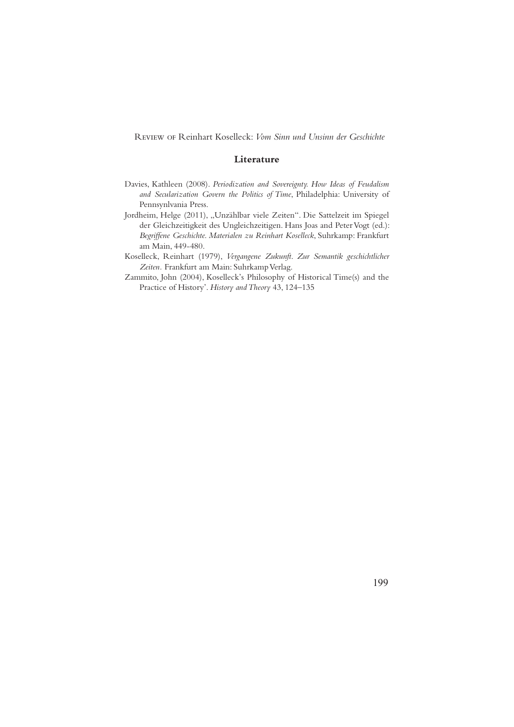Review of Reinhart Koselleck: *Vom Sinn und Unsinn der Geschichte*

# **Literature**

- Davies, Kathleen (2008). *Periodization and Sovereignty. How Ideas of Feudalism and Secularization Govern the Politics of Time*, Philadelphia: University of Pennsynlvania Press.
- Jordheim, Helge (2011), "Unzählbar viele Zeiten". Die Sattelzeit im Spiegel der Gleichzeitigkeit des Ungleichzeitigen. Hans Joas and Peter Vogt (ed.): *Begriff ene Geschichte. Materialen zu Reinhart Koselleck*, Suhrkamp: Frankfurt am Main, 449-480.
- Koselleck, Reinhart (1979), *Vergangene Zukunft*. *Zur Semantik geschichtlicher Zeiten.* Frankfurt am Main: Suhrkamp Verlag.
- Zammito, John (2004), Koselleck's Philosophy of Historical Time(s) and the Practice of History'. *History and Theory* 43, 124–135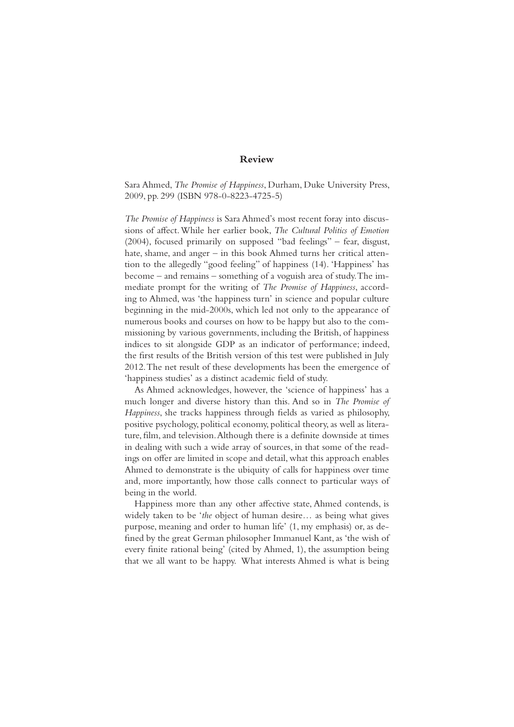# **Review**

Sara Ahmed, *The Promise of Happiness*, Durham, Duke University Press, 2009, pp. 299 (ISBN 978-0-8223-4725-5)

*The Promise of Happiness* is Sara Ahmed's most recent foray into discussions of aff ect. While her earlier book, *The Cultural Politics of Emotion* (2004), focused primarily on supposed "bad feelings" – fear, disgust, hate, shame, and anger – in this book Ahmed turns her critical attention to the allegedly "good feeling" of happiness (14). 'Happiness' has become – and remains – something of a voguish area of study. The immediate prompt for the writing of *The Promise of Happiness*, according to Ahmed, was 'the happiness turn' in science and popular culture beginning in the mid-2000s, which led not only to the appearance of numerous books and courses on how to be happy but also to the commissioning by various governments, including the British, of happiness indices to sit alongside GDP as an indicator of performance; indeed, the first results of the British version of this test were published in July 2012. The net result of these developments has been the emergence of 'happiness studies' as a distinct academic field of study.

As Ahmed acknowledges, however, the 'science of happiness' has a much longer and diverse history than this. And so in *The Promise of Happiness*, she tracks happiness through fields as varied as philosophy, positive psychology, political economy, political theory, as well as literature, film, and television. Although there is a definite downside at times in dealing with such a wide array of sources, in that some of the readings on offer are limited in scope and detail, what this approach enables Ahmed to demonstrate is the ubiquity of calls for happiness over time and, more importantly, how those calls connect to particular ways of being in the world.

Happiness more than any other affective state, Ahmed contends, is widely taken to be '*the* object of human desire… as being what gives purpose, meaning and order to human life' (1, my emphasis) or, as defined by the great German philosopher Immanuel Kant, as 'the wish of every finite rational being' (cited by Ahmed, 1), the assumption being that we all want to be happy. What interests Ahmed is what is being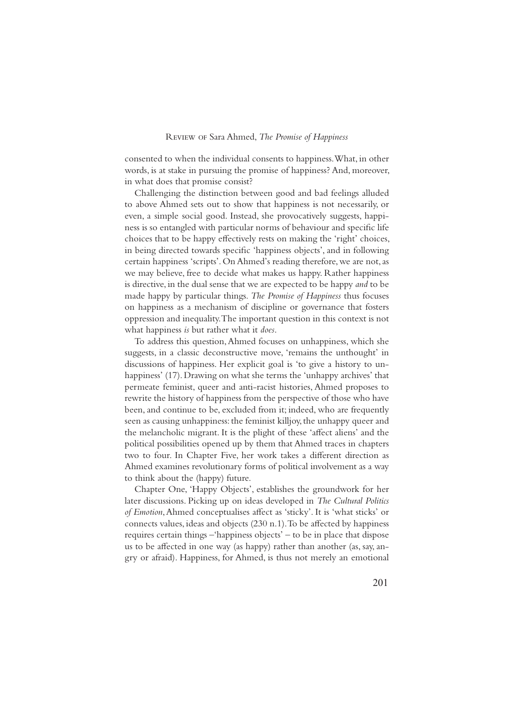consented to when the individual consents to happiness. What, in other words, is at stake in pursuing the promise of happiness? And, moreover, in what does that promise consist?

Challenging the distinction between good and bad feelings alluded to above Ahmed sets out to show that happiness is not necessarily, or even, a simple social good. Instead, she provocatively suggests, happiness is so entangled with particular norms of behaviour and specific life choices that to be happy effectively rests on making the 'right' choices, in being directed towards specific 'happiness objects', and in following certain happiness 'scripts'. On Ahmed's reading therefore, we are not, as we may believe, free to decide what makes us happy. Rather happiness is directive, in the dual sense that we are expected to be happy *and* to be made happy by particular things. *The Promise of Happiness* thus focuses on happiness as a mechanism of discipline or governance that fosters oppression and inequality. The important question in this context is not what happiness *is* but rather what it *does*.

To address this question, Ahmed focuses on unhappiness, which she suggests, in a classic deconstructive move, 'remains the unthought' in discussions of happiness. Her explicit goal is 'to give a history to unhappiness' (17). Drawing on what she terms the 'unhappy archives' that permeate feminist, queer and anti-racist histories, Ahmed proposes to rewrite the history of happiness from the perspective of those who have been, and continue to be, excluded from it; indeed, who are frequently seen as causing unhappiness: the feminist killjoy, the unhappy queer and the melancholic migrant. It is the plight of these 'affect aliens' and the political possibilities opened up by them that Ahmed traces in chapters two to four. In Chapter Five, her work takes a different direction as Ahmed examines revolutionary forms of political involvement as a way to think about the (happy) future.

Chapter One, 'Happy Objects', establishes the groundwork for her later discussions. Picking up on ideas developed in *The Cultural Politics of Emotion*, Ahmed conceptualises affect as 'sticky'. It is 'what sticks' or connects values, ideas and objects (230 n.1). To be affected by happiness requires certain things –'happiness objects' – to be in place that dispose us to be affected in one way (as happy) rather than another (as, say, angry or afraid). Happiness, for Ahmed, is thus not merely an emotional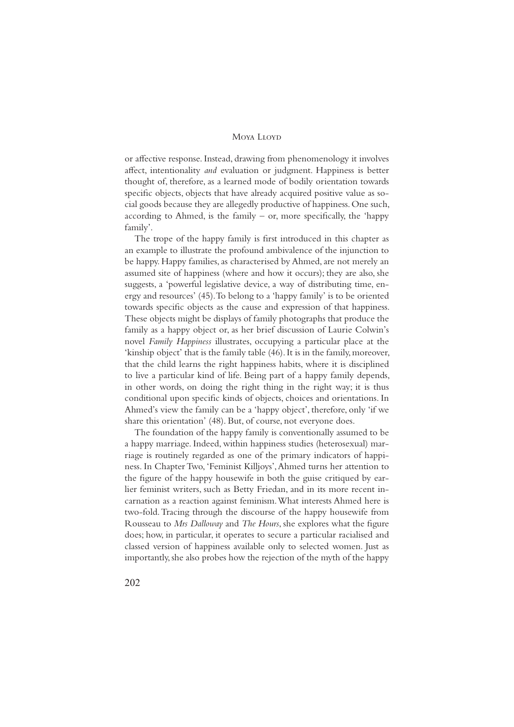# Moya Lloyd

or affective response. Instead, drawing from phenomenology it involves affect, intentionality *and* evaluation or judgment. Happiness is better thought of, therefore, as a learned mode of bodily orientation towards specific objects, objects that have already acquired positive value as social goods because they are allegedly productive of happiness. One such, according to Ahmed, is the family  $-$  or, more specifically, the 'happy family'.

The trope of the happy family is first introduced in this chapter as an example to illustrate the profound ambivalence of the injunction to be happy. Happy families, as characterised by Ahmed, are not merely an assumed site of happiness (where and how it occurs); they are also, she suggests, a 'powerful legislative device, a way of distributing time, energy and resources' (45). To belong to a 'happy family' is to be oriented towards specific objects as the cause and expression of that happiness. These objects might be displays of family photographs that produce the family as a happy object or, as her brief discussion of Laurie Colwin's novel *Family Happiness* illustrates, occupying a particular place at the 'kinship object' that is the family table (46). It is in the family, moreover, that the child learns the right happiness habits, where it is disciplined to live a particular kind of life. Being part of a happy family depends, in other words, on doing the right thing in the right way; it is thus conditional upon specific kinds of objects, choices and orientations. In Ahmed's view the family can be a 'happy object', therefore, only 'if we share this orientation' (48). But, of course, not everyone does.

The foundation of the happy family is conventionally assumed to be a happy marriage. Indeed, within happiness studies (heterosexual) marriage is routinely regarded as one of the primary indicators of happiness. In Chapter Two, 'Feminist Killjoys', Ahmed turns her attention to the figure of the happy housewife in both the guise critiqued by earlier feminist writers, such as Betty Friedan, and in its more recent incarnation as a reaction against feminism. What interests Ahmed here is two-fold. Tracing through the discourse of the happy housewife from Rousseau to *Mrs Dalloway* and *The Hours*, she explores what the figure does; how, in particular, it operates to secure a particular racialised and classed version of happiness available only to selected women. Just as importantly, she also probes how the rejection of the myth of the happy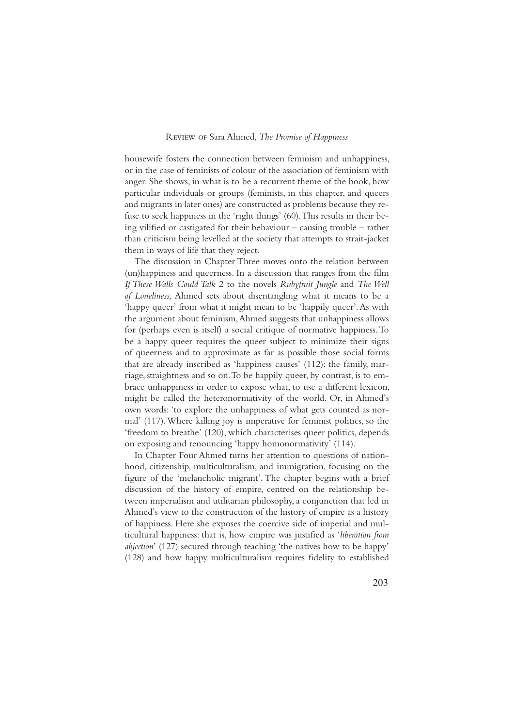#### Review of Sara Ahmed, *The Promise of Happiness*

housewife fosters the connection between feminism and unhappiness, or in the case of feminists of colour of the association of feminism with anger. She shows, in what is to be a recurrent theme of the book, how particular individuals or groups (feminists, in this chapter, and queers and migrants in later ones) are constructed as problems because they refuse to seek happiness in the 'right things' (60). This results in their being vilified or castigated for their behaviour – causing trouble – rather than criticism being levelled at the society that attempts to strait-jacket them in ways of life that they reject.

The discussion in Chapter Three moves onto the relation between (un)happiness and queerness. In a discussion that ranges from the film *If These Walls Could Talk* 2 to the novels *Rubyfruit Jungle* and *The Well of Loneliness,* Ahmed sets about disentangling what it means to be a 'happy queer' from what it might mean to be 'happily queer'. As with the argument about feminism, Ahmed suggests that unhappiness allows for (perhaps even is itself) a social critique of normative happiness. To be a happy queer requires the queer subject to minimize their signs of queerness and to approximate as far as possible those social forms that are already inscribed as 'happiness causes' (112): the family, marriage, straightness and so on. To be happily queer, by contrast, is to embrace unhappiness in order to expose what, to use a different lexicon, might be called the heteronormativity of the world. Or, in Ahmed's own words: 'to explore the unhappiness of what gets counted as normal' (117). Where killing joy is imperative for feminist politics, so the 'freedom to breathe' (120), which characterises queer politics, depends on exposing and renouncing 'happy homonormativity' (114).

In Chapter Four Ahmed turns her attention to questions of nationhood, citizenship, multiculturalism, and immigration, focusing on the figure of the 'melancholic migrant'. The chapter begins with a brief discussion of the history of empire, centred on the relationship between imperialism and utilitarian philosophy, a conjunction that led in Ahmed's view to the construction of the history of empire as a history of happiness. Here she exposes the coercive side of imperial and multicultural happiness: that is, how empire was justified as *'liberation from abjection*' (127) secured through teaching 'the natives how to be happy' (128) and how happy multiculturalism requires fidelity to established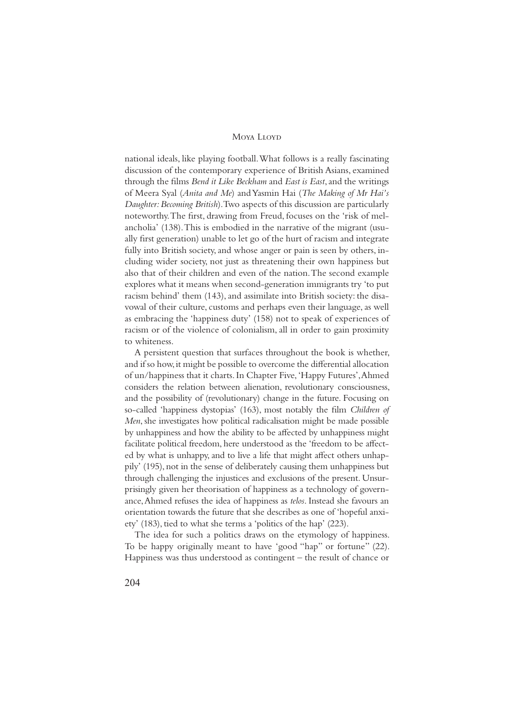# Moya Lloyd

national ideals, like playing football. What follows is a really fascinating discussion of the contemporary experience of British Asians, examined through the films *Bend it Like Beckham* and *East is East*, and the writings of Meera Syal (*Anita and Me*) and Yasmin Hai (*The Making of Mr Hai's Daughter: Becoming British*). Two aspects of this discussion are particularly noteworthy. The first, drawing from Freud, focuses on the 'risk of melancholia' (138). This is embodied in the narrative of the migrant (usually first generation) unable to let go of the hurt of racism and integrate fully into British society, and whose anger or pain is seen by others, including wider society, not just as threatening their own happiness but also that of their children and even of the nation. The second example explores what it means when second-generation immigrants try 'to put racism behind' them (143), and assimilate into British society: the disavowal of their culture, customs and perhaps even their language, as well as embracing the 'happiness duty' (158) not to speak of experiences of racism or of the violence of colonialism, all in order to gain proximity to whiteness.

A persistent question that surfaces throughout the book is whether, and if so how, it might be possible to overcome the differential allocation of un/happiness that it charts. In Chapter Five, 'Happy Futures', Ahmed considers the relation between alienation, revolutionary consciousness, and the possibility of (revolutionary) change in the future. Focusing on so-called 'happiness dystopias' (163), most notably the film *Children of Men*, she investigates how political radicalisation might be made possible by unhappiness and how the ability to be affected by unhappiness might facilitate political freedom, here understood as the 'freedom to be affected by what is unhappy, and to live a life that might affect others unhappily' (195), not in the sense of deliberately causing them unhappiness but through challenging the injustices and exclusions of the present. Unsurprisingly given her theorisation of happiness as a technology of governance, Ahmed refuses the idea of happiness as *telos*. Instead she favours an orientation towards the future that she describes as one of 'hopeful anxiety' (183), tied to what she terms a 'politics of the hap' (223).

The idea for such a politics draws on the etymology of happiness. To be happy originally meant to have 'good "hap" or fortune" (22). Happiness was thus understood as contingent – the result of chance or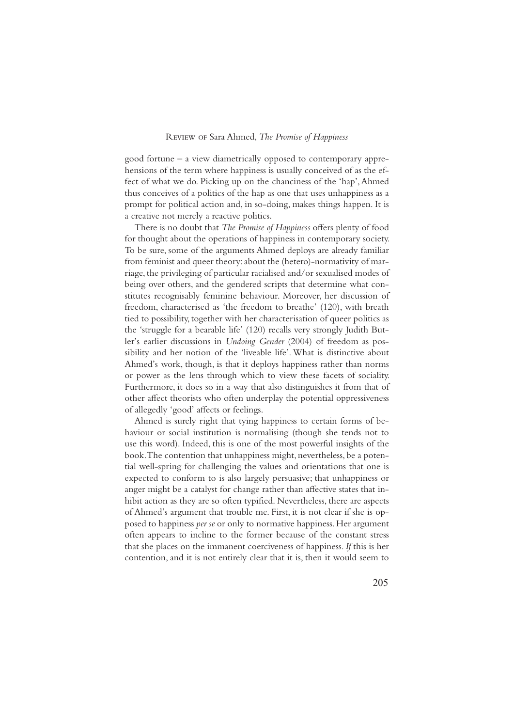# Review of Sara Ahmed, *The Promise of Happiness*

good fortune – a view diametrically opposed to contemporary apprehensions of the term where happiness is usually conceived of as the effect of what we do. Picking up on the chanciness of the 'hap', Ahmed thus conceives of a politics of the hap as one that uses unhappiness as a prompt for political action and, in so-doing, makes things happen. It is a creative not merely a reactive politics.

There is no doubt that *The Promise of Happiness* offers plenty of food for thought about the operations of happiness in contemporary society. To be sure, some of the arguments Ahmed deploys are already familiar from feminist and queer theory: about the (hetero)-normativity of marriage, the privileging of particular racialised and/or sexualised modes of being over others, and the gendered scripts that determine what constitutes recognisably feminine behaviour. Moreover, her discussion of freedom, characterised as 'the freedom to breathe' (120), with breath tied to possibility, together with her characterisation of queer politics as the 'struggle for a bearable life' (120) recalls very strongly Judith Butler's earlier discussions in *Undoing Gender* (2004) of freedom as possibility and her notion of the 'liveable life'. What is distinctive about Ahmed's work, though, is that it deploys happiness rather than norms or power as the lens through which to view these facets of sociality. Furthermore, it does so in a way that also distinguishes it from that of other affect theorists who often underplay the potential oppressiveness of allegedly 'good' affects or feelings.

Ahmed is surely right that tying happiness to certain forms of behaviour or social institution is normalising (though she tends not to use this word). Indeed, this is one of the most powerful insights of the book. The contention that unhappiness might, nevertheless, be a potential well-spring for challenging the values and orientations that one is expected to conform to is also largely persuasive; that unhappiness or anger might be a catalyst for change rather than affective states that inhibit action as they are so often typified. Nevertheless, there are aspects of Ahmed's argument that trouble me. First, it is not clear if she is opposed to happiness *per se* or only to normative happiness. Her argument often appears to incline to the former because of the constant stress that she places on the immanent coerciveness of happiness. *If* this is her contention, and it is not entirely clear that it is, then it would seem to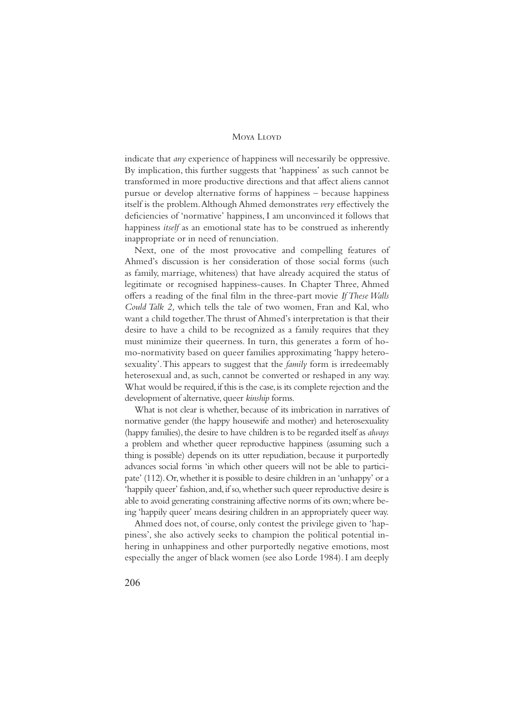# Moya Lloyd

indicate that *any* experience of happiness will necessarily be oppressive. By implication, this further suggests that 'happiness' as such cannot be transformed in more productive directions and that affect aliens cannot pursue or develop alternative forms of happiness – because happiness itself is the problem. Although Ahmed demonstrates *very* effectively the deficiencies of 'normative' happiness, I am unconvinced it follows that happiness *itself* as an emotional state has to be construed as inherently inappropriate or in need of renunciation.

Next, one of the most provocative and compelling features of Ahmed's discussion is her consideration of those social forms (such as family, marriage, whiteness) that have already acquired the status of legitimate or recognised happiness-causes. In Chapter Three, Ahmed offers a reading of the final film in the three-part movie If These Walls *Could Talk 2,* which tells the tale of two women, Fran and Kal, who want a child together. The thrust of Ahmed's interpretation is that their desire to have a child to be recognized as a family requires that they must minimize their queerness. In turn, this generates a form of homo-normativity based on queer families approximating 'happy heterosexuality'. This appears to suggest that the *family* form is irredeemably heterosexual and, as such, cannot be converted or reshaped in any way. What would be required, if this is the case, is its complete rejection and the development of alternative, queer *kinship* forms.

What is not clear is whether, because of its imbrication in narratives of normative gender (the happy housewife and mother) and heterosexuality (happy families), the desire to have children is to be regarded itself as *always* a problem and whether queer reproductive happiness (assuming such a thing is possible) depends on its utter repudiation, because it purportedly advances social forms 'in which other queers will not be able to participate' (112). Or, whether it is possible to desire children in an 'unhappy' or a 'happily queer' fashion, and, if so, whether such queer reproductive desire is able to avoid generating constraining affective norms of its own; where being 'happily queer' means desiring children in an appropriately queer way.

Ahmed does not, of course, only contest the privilege given to 'happiness', she also actively seeks to champion the political potential inhering in unhappiness and other purportedly negative emotions, most especially the anger of black women (see also Lorde 1984). I am deeply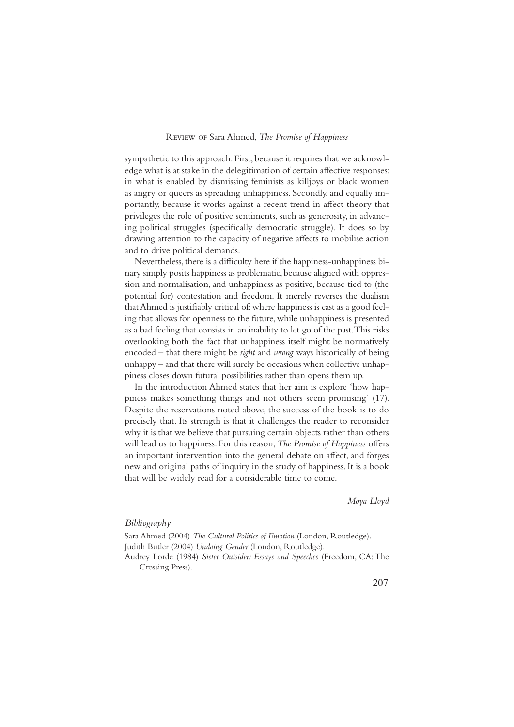#### Review of Sara Ahmed, *The Promise of Happiness*

sympathetic to this approach. First, because it requires that we acknowledge what is at stake in the delegitimation of certain affective responses: in what is enabled by dismissing feminists as killjoys or black women as angry or queers as spreading unhappiness. Secondly, and equally importantly, because it works against a recent trend in affect theory that privileges the role of positive sentiments, such as generosity, in advancing political struggles (specifically democratic struggle). It does so by drawing attention to the capacity of negative affects to mobilise action and to drive political demands.

Nevertheless, there is a difficulty here if the happiness-unhappiness binary simply posits happiness as problematic, because aligned with oppression and normalisation, and unhappiness as positive, because tied to (the potential for) contestation and freedom. It merely reverses the dualism that Ahmed is justifiably critical of: where happiness is cast as a good feeling that allows for openness to the future, while unhappiness is presented as a bad feeling that consists in an inability to let go of the past. This risks overlooking both the fact that unhappiness itself might be normatively encoded – that there might be *right* and *wrong* ways historically of being unhappy – and that there will surely be occasions when collective unhappiness closes down futural possibilities rather than opens them up.

In the introduction Ahmed states that her aim is explore 'how happiness makes something things and not others seem promising' (17). Despite the reservations noted above, the success of the book is to do precisely that. Its strength is that it challenges the reader to reconsider why it is that we believe that pursuing certain objects rather than others will lead us to happiness. For this reason, *The Promise of Happiness* offers an important intervention into the general debate on affect, and forges new and original paths of inquiry in the study of happiness. It is a book that will be widely read for a considerable time to come.

*Moya Lloyd*

#### *Bibliography*

Sara Ahmed (2004) *The Cultural Politics of Emotion* (London, Routledge). Judith Butler (2004) *Undoing Gender* (London, Routledge). Audrey Lorde (1984) *Sister Outsider: Essays and Speeches* (Freedom, CA: The

Crossing Press).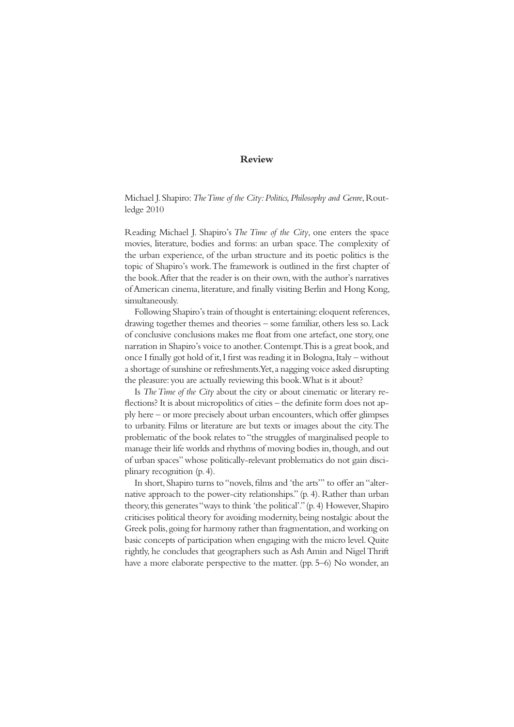# **Review**

Michael J. Shapiro: *The Time of the City: Politics, Philosophy and Genre*, Routledge 2010

Reading Michael J. Shapiro's *The Time of the City*, one enters the space movies, literature, bodies and forms: an urban space. The complexity of the urban experience, of the urban structure and its poetic politics is the topic of Shapiro's work. The framework is outlined in the first chapter of the book. After that the reader is on their own, with the author's narratives of American cinema, literature, and finally visiting Berlin and Hong Kong, simultaneously.

Following Shapiro's train of thought is entertaining: eloquent references, drawing together themes and theories – some familiar, others less so. Lack of conclusive conclusions makes me float from one artefact, one story, one narration in Shapiro's voice to another. Contempt. This is a great book, and once I finally got hold of it, I first was reading it in Bologna, Italy – without a shortage of sunshine or refreshments. Yet, a nagging voice asked disrupting the pleasure: you are actually reviewing this book. What is it about?

Is *The Time of the City* about the city or about cinematic or literary reflections? It is about micropolitics of cities – the definite form does not ap $p$ ly here – or more precisely about urban encounters, which offer glimpses to urbanity. Films or literature are but texts or images about the city. The problematic of the book relates to "the struggles of marginalised people to manage their life worlds and rhythms of moving bodies in, though, and out of urban spaces" whose politically-relevant problematics do not gain disciplinary recognition (p. 4).

In short, Shapiro turns to "novels, films and 'the arts" to offer an "alternative approach to the power-city relationships." (p. 4). Rather than urban theory, this generates "ways to think 'the political'." (p. 4) However, Shapiro criticises political theory for avoiding modernity, being nostalgic about the Greek polis, going for harmony rather than fragmentation, and working on basic concepts of participation when engaging with the micro level. Quite rightly, he concludes that geographers such as Ash Amin and Nigel Thrift have a more elaborate perspective to the matter. (pp. 5–6) No wonder, an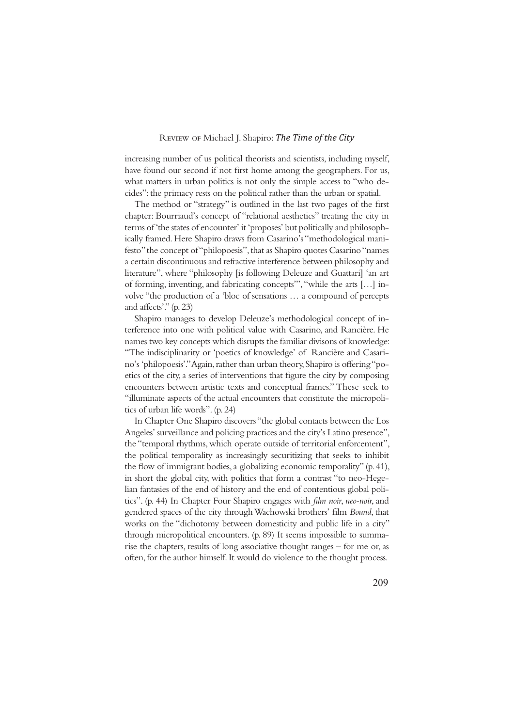# Review of Michael J. Shapiro: *The Time of the City*

increasing number of us political theorists and scientists, including myself, have found our second if not first home among the geographers. For us, what matters in urban politics is not only the simple access to "who decides": the primacy rests on the political rather than the urban or spatial.

The method or "strategy" is outlined in the last two pages of the first chapter: Bourriaud's concept of "relational aesthetics" treating the city in terms of 'the states of encounter' it 'proposes' but politically and philosophically framed. Here Shapiro draws from Casarino's "methodological manifesto" the concept of "philopoesis", that as Shapiro quotes Casarino "names a certain discontinuous and refractive interference between philosophy and literature", where "philosophy [is following Deleuze and Guattari] 'an art of forming, inventing, and fabricating concepts'", "while the arts […] involve "the production of a 'bloc of sensations … a compound of percepts and affects'."  $(p. 23)$ 

Shapiro manages to develop Deleuze's methodological concept of interference into one with political value with Casarino, and Rancière. He names two key concepts which disrupts the familiar divisons of knowledge: "The indisciplinarity or 'poetics of knowledge' of Rancière and Casarino's 'philopoesis'." Again, rather than urban theory, Shapiro is offering "poetics of the city, a series of interventions that figure the city by composing encounters between artistic texts and conceptual frames." These seek to "illuminate aspects of the actual encounters that constitute the micropolitics of urban life words". (p. 24)

In Chapter One Shapiro discovers "the global contacts between the Los Angeles' surveillance and policing practices and the city's Latino presence", the "temporal rhythms, which operate outside of territorial enforcement", the political temporality as increasingly securitizing that seeks to inhibit the flow of immigrant bodies, a globalizing economic temporality" (p. 41), in short the global city, with politics that form a contrast "to neo-Hegelian fantasies of the end of history and the end of contentious global politics". (p. 44) In Chapter Four Shapiro engages with *film noir*, *neo-noir*, and gendered spaces of the city through Wachowski brothers' film *Bound*, that works on the "dichotomy between domesticity and public life in a city" through micropolitical encounters. (p. 89) It seems impossible to summarise the chapters, results of long associative thought ranges – for me or, as often, for the author himself. It would do violence to the thought process.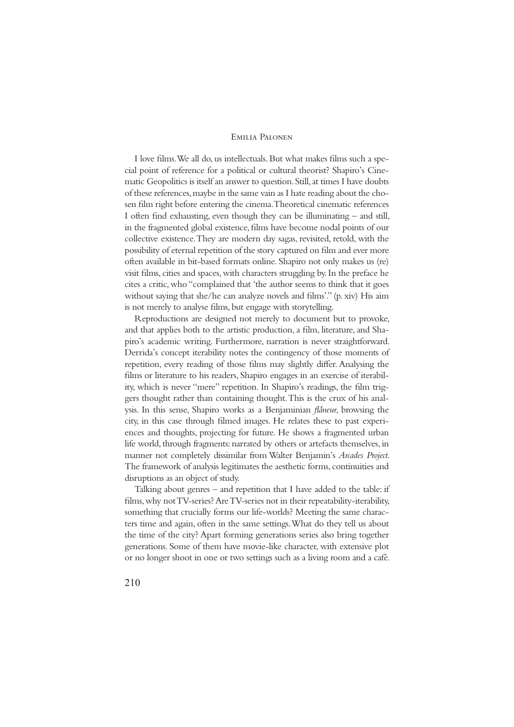# Emilia Palonen

I love films. We all do, us intellectuals. But what makes films such a special point of reference for a political or cultural theorist? Shapiro's Cinematic Geopolitics is itself an answer to question. Still, at times I have doubts of these references, maybe in the same vain as I hate reading about the chosen film right before entering the cinema. Theoretical cinematic references I often find exhausting, even though they can be illuminating  $-$  and still, in the fragmented global existence, films have become nodal points of our collective existence. They are modern day sagas, revisited, retold, with the possibility of eternal repetition of the story captured on film and ever more often available in bit-based formats online. Shapiro not only makes us (re) visit films, cities and spaces, with characters struggling by. In the preface he cites a critic, who "complained that 'the author seems to think that it goes without saying that she/he can analyze novels and films'." (p. xiv) His aim is not merely to analyse films, but engage with storytelling.

Reproductions are designed not merely to document but to provoke, and that applies both to the artistic production, a film, literature, and Shapiro's academic writing. Furthermore, narration is never straightforward. Derrida's concept iterability notes the contingency of those moments of repetition, every reading of those films may slightly differ. Analysing the films or literature to his readers, Shapiro engages in an exercise of iterability, which is never "mere" repetition. In Shapiro's readings, the film triggers thought rather than containing thought. This is the crux of his analysis. In this sense, Shapiro works as a Benjaminian *flâneur*, browsing the city, in this case through filmed images. He relates these to past experiences and thoughts, projecting for future. He shows a fragmented urban life world, through fragments: narrated by others or artefacts themselves, in manner not completely dissimilar from Walter Benjamin's *Arcades Project*. The framework of analysis legitimates the aesthetic forms, continuities and disruptions as an object of study.

Talking about genres – and repetition that I have added to the table: if films, why not TV-series? Are TV-series not in their repeatability-iterability, something that crucially forms our life-worlds? Meeting the same characters time and again, often in the same settings. What do they tell us about the time of the city? Apart forming generations series also bring together generations. Some of them have movie-like character, with extensive plot or no longer shoot in one or two settings such as a living room and a café.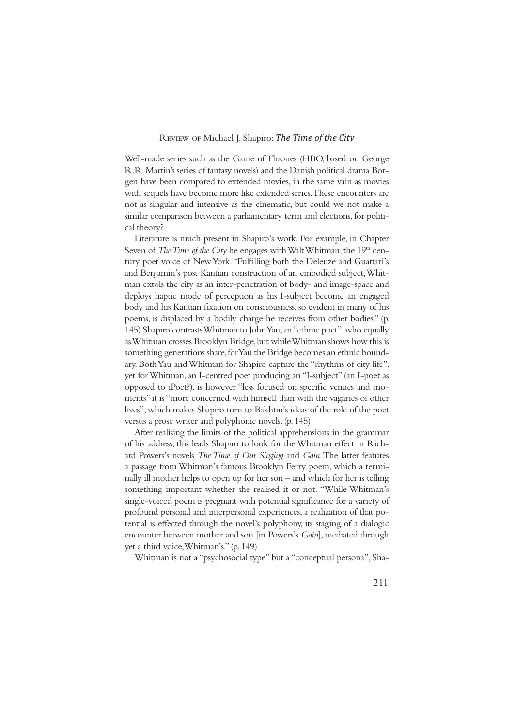## Review of Michael J. Shapiro: *The Time of the City*

Well-made series such as the Game of Thrones (HBO, based on George R.R. Martin's series of fantasy novels) and the Danish political drama Borgen have been compared to extended movies, in the same vain as movies with sequels have become more like extended series. These encounters are not as singular and intensive as the cinematic, but could we not make a similar comparison between a parliamentary term and elections, for political theory?

Literature is much present in Shapiro's work. For example, in Chapter Seven of *The Time of the City* he engages with Walt Whitman, the 19<sup>th</sup> century poet voice of New York. "Fulfilling both the Deleuze and Guattari's and Benjamin's post Kantian construction of an embodied subject, Whitman extols the city as an inter-penetration of body- and image-space and deploys haptic mode of perception as his I-subject become an engaged body and his Kantian fixation on consciousness, so evident in many of his poems, is displaced by a bodily charge he receives from other bodies." (p. 145) Shapiro contrasts Whitman to John Yau, an "ethnic poet", who equally as Whitman crosses Brooklyn Bridge, but while Whitman shows how this is something generations share, for Yau the Bridge becomes an ethnic boundary. Both Yau and Whitman for Shapiro capture the "rhythms of city life", yet for Whitman, an I-centred poet producing an "I-subject" (an I-poet as opposed to iPoet?), is however "less focused on specific venues and moments" it is "more concerned with himself than with the vagaries of other lives", which makes Shapiro turn to Bakhtin's ideas of the role of the poet versus a prose writer and polyphonic novels. (p. 145)

After realising the limits of the political apprehensions in the grammar of his address, this leads Shapiro to look for the Whitman effect in Richard Powers's novels *The Time of Our Singing* and *Gain*. The latter features a passage from Whitman's famous Brooklyn Ferry poem, which a terminally ill mother helps to open up for her son – and which for her is telling something important whether she realised it or not. "While Whitman's single-voiced poem is pregnant with potential significance for a variety of profound personal and interpersonal experiences, a realization of that potential is effected through the novel's polyphony, its staging of a dialogic encounter between mother and son [in Powers's *Gain*], mediated through yet a third voice, Whitman's." (p. 149)

Whitman is not a "psychosocial type" but a "conceptual persona", Sha-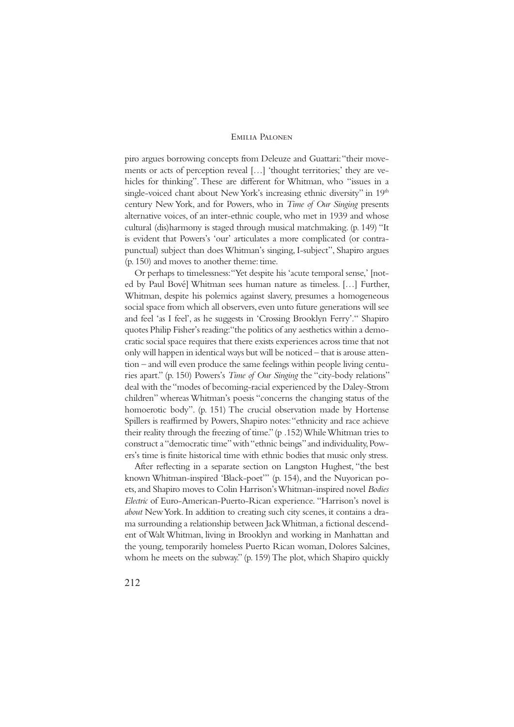# Emilia Palonen

piro argues borrowing concepts from Deleuze and Guattari: "their movements or acts of perception reveal […] 'thought territories;' they are vehicles for thinking". These are different for Whitman, who "issues in a single-voiced chant about New York's increasing ethnic diversity" in 19th century New York, and for Powers, who in *Time of Our Singing* presents alternative voices, of an inter-ethnic couple, who met in 1939 and whose cultural (dis)harmony is staged through musical matchmaking. (p. 149) "It is evident that Powers's 'our' articulates a more complicated (or contrapunctual) subject than does Whitman's singing, I-subject", Shapiro argues (p. 150) and moves to another theme: time.

Or perhaps to timelessness: "Yet despite his 'acute temporal sense,' [noted by Paul Bové] Whitman sees human nature as timeless. […] Further, Whitman, despite his polemics against slavery, presumes a homogeneous social space from which all observers, even unto future generations will see and feel 'as I feel', as he suggests in 'Crossing Brooklyn Ferry'." Shapiro quotes Philip Fisher's reading: "the politics of any aesthetics within a democratic social space requires that there exists experiences across time that not only will happen in identical ways but will be noticed – that is arouse attention – and will even produce the same feelings within people living centuries apart." (p. 150) Powers's *Time of Our Singing* the "city-body relations" deal with the "modes of becoming-racial experienced by the Daley-Strom children" whereas Whitman's poesis "concerns the changing status of the homoerotic body". (p. 151) The crucial observation made by Hortense Spillers is reaffirmed by Powers, Shapiro notes: "ethnicity and race achieve their reality through the freezing of time." (p .152) While Whitman tries to construct a "democratic time" with "ethnic beings" and individuality, Powers's time is finite historical time with ethnic bodies that music only stress.

After reflecting in a separate section on Langston Hughest, "the best known Whitman-inspired 'Black-poet'" (p. 154), and the Nuyorican poets, and Shapiro moves to Colin Harrison's Whitman-inspired novel *Bodies Electric* of Euro-American-Puerto-Rican experience. "Harrison's novel is *about* New York. In addition to creating such city scenes, it contains a drama surrounding a relationship between Jack Whitman, a fictional descendent of Walt Whitman, living in Brooklyn and working in Manhattan and the young, temporarily homeless Puerto Rican woman, Dolores Salcines, whom he meets on the subway." (p. 159) The plot, which Shapiro quickly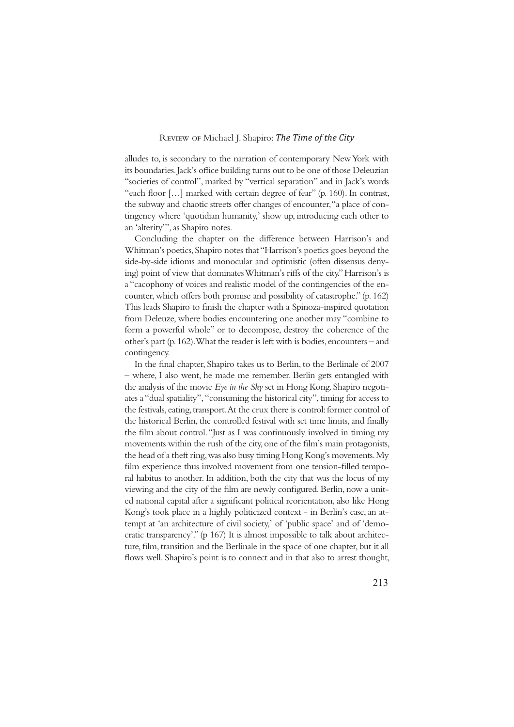# Review of Michael J. Shapiro: *The Time of the City*

alludes to, is secondary to the narration of contemporary New York with its boundaries. Jack's office building turns out to be one of those Deleuzian "societies of control", marked by "vertical separation" and in Jack's words "each floor [...] marked with certain degree of fear" (p. 160). In contrast, the subway and chaotic streets offer changes of encounter, "a place of contingency where 'quotidian humanity,' show up, introducing each other to an 'alterity'", as Shapiro notes.

Concluding the chapter on the difference between Harrison's and Whitman's poetics, Shapiro notes that "Harrison's poetics goes beyond the side-by-side idioms and monocular and optimistic (often dissensus denying) point of view that dominates Whitman's riffs of the city." Harrison's is a "cacophony of voices and realistic model of the contingencies of the encounter, which offers both promise and possibility of catastrophe." (p. 162) This leads Shapiro to finish the chapter with a Spinoza-inspired quotation from Deleuze, where bodies encountering one another may "combine to form a powerful whole" or to decompose, destroy the coherence of the other's part (p. 162). What the reader is left with is bodies, encounters – and contingency.

In the final chapter, Shapiro takes us to Berlin, to the Berlinale of 2007 – where, I also went, he made me remember. Berlin gets entangled with the analysis of the movie *Eye in the Sky* set in Hong Kong. Shapiro negotiates a "dual spatiality", "consuming the historical city", timing for access to the festivals, eating, transport. At the crux there is control: former control of the historical Berlin, the controlled festival with set time limits, and finally the film about control. "Just as I was continuously involved in timing my movements within the rush of the city, one of the film's main protagonists, the head of a theft ring, was also busy timing Hong Kong's movements. My film experience thus involved movement from one tension-filled temporal habitus to another. In addition, both the city that was the locus of my viewing and the city of the film are newly configured. Berlin, now a united national capital after a significant political reorientation, also like Hong Kong's took place in a highly politicized context - in Berlin's case, an attempt at 'an architecture of civil society,' of 'public space' and of 'democratic transparency'." (p 167) It is almost impossible to talk about architecture, film, transition and the Berlinale in the space of one chapter, but it all flows well. Shapiro's point is to connect and in that also to arrest thought,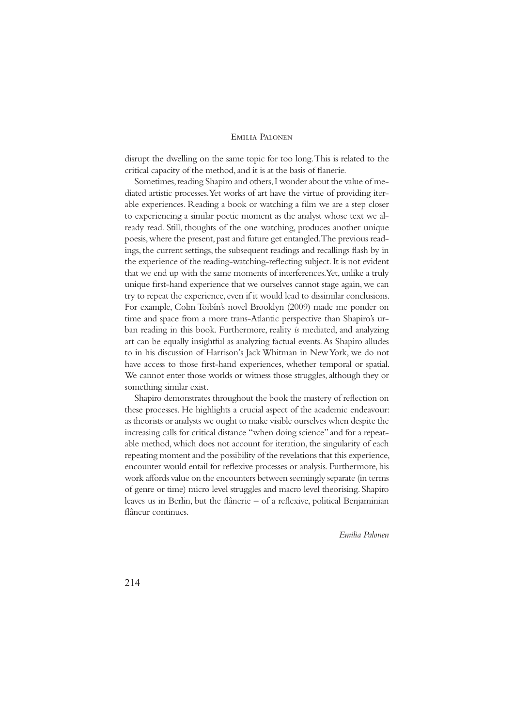# Emilia Palonen

disrupt the dwelling on the same topic for too long. This is related to the critical capacity of the method, and it is at the basis of flanerie.

Sometimes, reading Shapiro and others, I wonder about the value of mediated artistic processes. Yet works of art have the virtue of providing iterable experiences. Reading a book or watching a film we are a step closer to experiencing a similar poetic moment as the analyst whose text we already read. Still, thoughts of the one watching, produces another unique poesis, where the present, past and future get entangled. The previous readings, the current settings, the subsequent readings and recallings flash by in the experience of the reading-watching-reflecting subject. It is not evident that we end up with the same moments of interferences. Yet, unlike a truly unique first-hand experience that we ourselves cannot stage again, we can try to repeat the experience, even if it would lead to dissimilar conclusions. For example, Colm Toibín's novel Brooklyn (2009) made me ponder on time and space from a more trans-Atlantic perspective than Shapiro's urban reading in this book. Furthermore, reality *is* mediated, and analyzing art can be equally insightful as analyzing factual events. As Shapiro alludes to in his discussion of Harrison's Jack Whitman in New York, we do not have access to those first-hand experiences, whether temporal or spatial. We cannot enter those worlds or witness those struggles, although they or something similar exist.

Shapiro demonstrates throughout the book the mastery of reflection on these processes. He highlights a crucial aspect of the academic endeavour: as theorists or analysts we ought to make visible ourselves when despite the increasing calls for critical distance "when doing science" and for a repeatable method, which does not account for iteration, the singularity of each repeating moment and the possibility of the revelations that this experience, encounter would entail for reflexive processes or analysis. Furthermore, his work affords value on the encounters between seemingly separate (in terms of genre or time) micro level struggles and macro level theorising. Shapiro leaves us in Berlin, but the flânerie  $-$  of a reflexive, political Benjaminian flâneur continues.

*Emilia Palonen*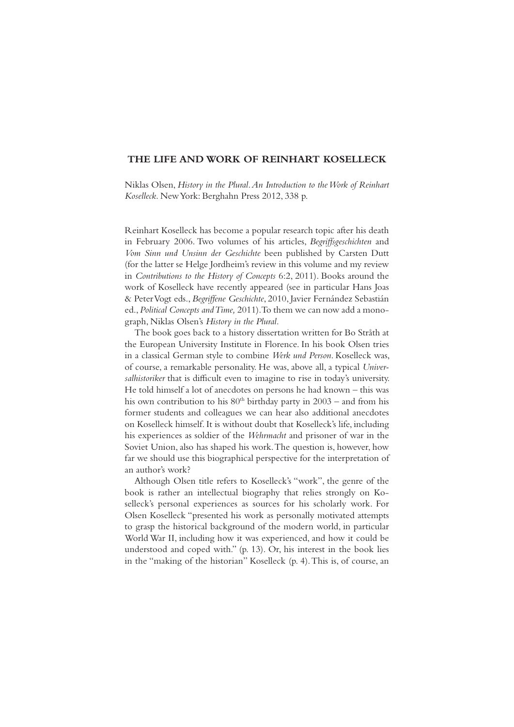# **THE LIFE AND WORK OF REINHART KOSELLECK**

Niklas Olsen, *History in the Plural. An Introduction to the Work of Reinhart Koselleck*. New York: Berghahn Press 2012, 338 p.

Reinhart Koselleck has become a popular research topic after his death in February 2006. Two volumes of his articles, *Begriffsgeschichten* and *Vom Sinn und Unsinn der Geschichte* been published by Carsten Dutt (for the latter se Helge Jordheim's review in this volume and my review in *Contributions to the History of Concepts* 6:2, 2011). Books around the work of Koselleck have recently appeared (see in particular Hans Joas & Peter Vogt eds., *Begriffene Geschichte*, 2010, Javier Fernández Sebastián ed., *Political Concepts and Time,* 2011). To them we can now add a monograph, Niklas Olsen's *History in the Plural.*

The book goes back to a history dissertation written for Bo Stråth at the European University Institute in Florence. In his book Olsen tries in a classical German style to combine *Werk und Person*. Koselleck was, of course, a remarkable personality. He was, above all, a typical *Universalhistoriker* that is difficult even to imagine to rise in today's university. He told himself a lot of anecdotes on persons he had known – this was his own contribution to his  $80<sup>th</sup>$  birthday party in  $2003$  – and from his former students and colleagues we can hear also additional anecdotes on Koselleck himself. It is without doubt that Koselleck's life, including his experiences as soldier of the *Wehrmacht* and prisoner of war in the Soviet Union, also has shaped his work. The question is, however, how far we should use this biographical perspective for the interpretation of an author's work?

Although Olsen title refers to Koselleck's "work", the genre of the book is rather an intellectual biography that relies strongly on Koselleck's personal experiences as sources for his scholarly work. For Olsen Koselleck "presented his work as personally motivated attempts to grasp the historical background of the modern world, in particular World War II, including how it was experienced, and how it could be understood and coped with." (p. 13). Or, his interest in the book lies in the "making of the historian" Koselleck (p. 4). This is, of course, an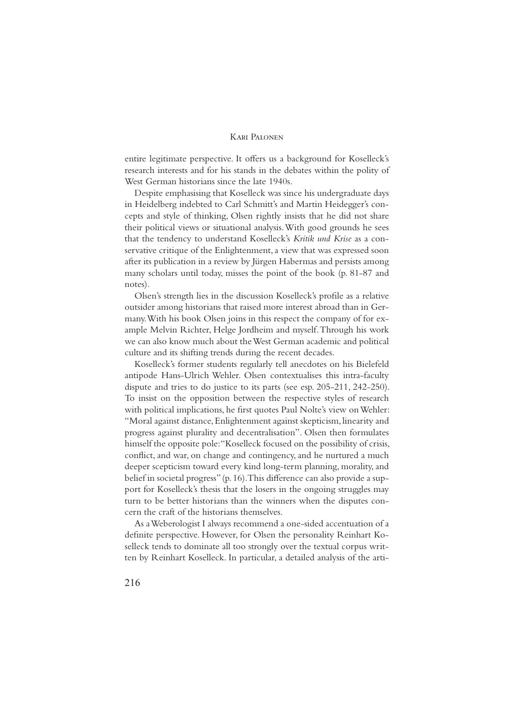## Kari Palonen

entire legitimate perspective. It offers us a background for Koselleck's research interests and for his stands in the debates within the polity of West German historians since the late 1940s.

Despite emphasising that Koselleck was since his undergraduate days in Heidelberg indebted to Carl Schmitt's and Martin Heidegger's concepts and style of thinking, Olsen rightly insists that he did not share their political views or situational analysis. With good grounds he sees that the tendency to understand Koselleck's *Kritik und Krise* as a conservative critique of the Enlightenment, a view that was expressed soon after its publication in a review by Jürgen Habermas and persists among many scholars until today, misses the point of the book (p. 81-87 and notes).

Olsen's strength lies in the discussion Koselleck's profile as a relative outsider among historians that raised more interest abroad than in Germany. With his book Olsen joins in this respect the company of for example Melvin Richter, Helge Jordheim and myself. Through his work we can also know much about the West German academic and political culture and its shifting trends during the recent decades.

Koselleck's former students regularly tell anecdotes on his Bielefeld antipode Hans-Ulrich Wehler. Olsen contextualises this intra-faculty dispute and tries to do justice to its parts (see esp. 205-211, 242-250). To insist on the opposition between the respective styles of research with political implications, he first quotes Paul Nolte's view on Wehler: "Moral against distance, Enlightenment against skepticism, linearity and progress against plurality and decentralisation". Olsen then formulates himself the opposite pole: "Koselleck focused on the possibility of crisis, conflict, and war, on change and contingency, and he nurtured a much deeper scepticism toward every kind long-term planning, morality, and belief in societal progress" (p. 16). This difference can also provide a support for Koselleck's thesis that the losers in the ongoing struggles may turn to be better historians than the winners when the disputes concern the craft of the historians themselves.

As a Weberologist I always recommend a one-sided accentuation of a definite perspective. However, for Olsen the personality Reinhart Koselleck tends to dominate all too strongly over the textual corpus written by Reinhart Koselleck. In particular, a detailed analysis of the arti-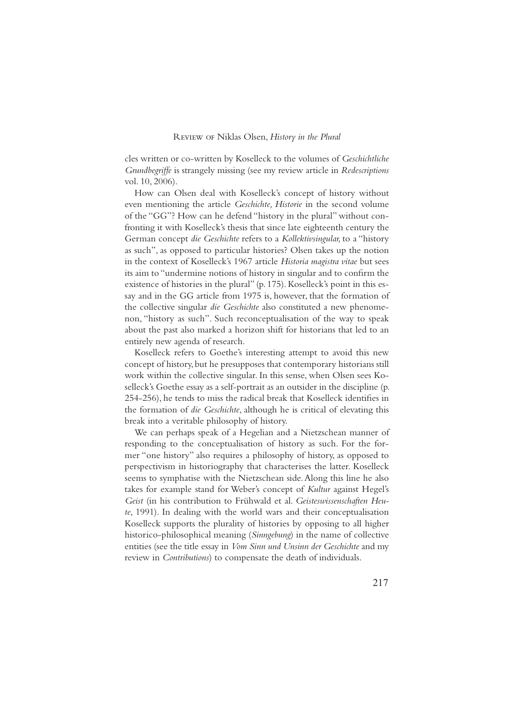#### Review of Niklas Olsen, *History in the Plural*

cles written or co-written by Koselleck to the volumes of *Geschichtliche Grundbegriffe* is strangely missing (see my review article in *Redescriptions* vol. 10, 2006).

How can Olsen deal with Koselleck's concept of history without even mentioning the article *Geschichte, Historie* in the second volume of the "GG"? How can he defend "history in the plural" without confronting it with Koselleck's thesis that since late eighteenth century the German concept *die Geschichte* refers to a *Kollektivsingular,* to a "history as such", as opposed to particular histories? Olsen takes up the notion in the context of Koselleck's 1967 article *Historia magistra vitae* but sees its aim to "undermine notions of history in singular and to confirm the existence of histories in the plural" (p. 175). Koselleck's point in this essay and in the GG article from 1975 is, however, that the formation of the collective singular *die Geschichte* also constituted a new phenomenon, "history as such". Such reconceptualisation of the way to speak about the past also marked a horizon shift for historians that led to an entirely new agenda of research.

Koselleck refers to Goethe's interesting attempt to avoid this new concept of history, but he presupposes that contemporary historians still work within the collective singular. In this sense, when Olsen sees Koselleck's Goethe essay as a self-portrait as an outsider in the discipline (p. 254-256), he tends to miss the radical break that Koselleck identifies in the formation of *die Geschichte*, although he is critical of elevating this break into a veritable philosophy of history.

We can perhaps speak of a Hegelian and a Nietzschean manner of responding to the conceptualisation of history as such. For the former "one history" also requires a philosophy of history, as opposed to perspectivism in historiography that characterises the latter. Koselleck seems to symphatise with the Nietzschean side. Along this line he also takes for example stand for Weber's concept of *Kultur* against Hegel's *Geist* (in his contribution to Frühwald et al. *Geisteswissenschaften Heute*, 1991). In dealing with the world wars and their conceptualisation Koselleck supports the plurality of histories by opposing to all higher historico-philosophical meaning (*Sinngebung*) in the name of collective entities (see the title essay in *Vom Sinn und Unsinn der Geschichte* and my review in *Contributions*) to compensate the death of individuals.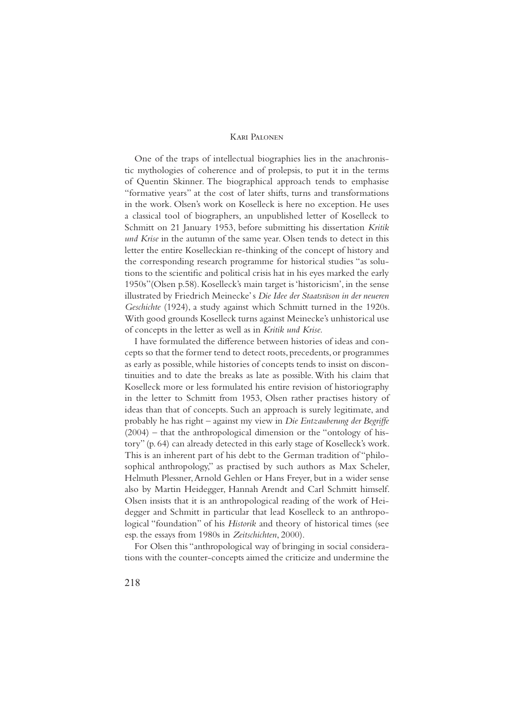## Kari Palonen

One of the traps of intellectual biographies lies in the anachronistic mythologies of coherence and of prolepsis, to put it in the terms of Quentin Skinner. The biographical approach tends to emphasise "formative years" at the cost of later shifts, turns and transformations in the work. Olsen's work on Koselleck is here no exception. He uses a classical tool of biographers, an unpublished letter of Koselleck to Schmitt on 21 January 1953, before submitting his dissertation *Kritik und Krise* in the autumn of the same year. Olsen tends to detect in this letter the entire Koselleckian re-thinking of the concept of history and the corresponding research programme for historical studies "as solutions to the scientific and political crisis hat in his eyes marked the early 1950s"(Olsen p.58). Koselleck's main target is 'historicism', in the sense illustrated by Friedrich Meinecke' s *Die Idee der Staatsräson in der neueren Geschichte* (1924), a study against which Schmitt turned in the 1920s. With good grounds Koselleck turns against Meinecke's unhistorical use of concepts in the letter as well as in *Kritik und Krise.* 

I have formulated the difference between histories of ideas and concepts so that the former tend to detect roots, precedents, or programmes as early as possible, while histories of concepts tends to insist on discontinuities and to date the breaks as late as possible. With his claim that Koselleck more or less formulated his entire revision of historiography in the letter to Schmitt from 1953, Olsen rather practises history of ideas than that of concepts. Such an approach is surely legitimate, and probably he has right – against my view in *Die Entzauberung der Begriff e* (2004) – that the anthropological dimension or the "ontology of history" (p. 64) can already detected in this early stage of Koselleck's work. This is an inherent part of his debt to the German tradition of "philosophical anthropology," as practised by such authors as Max Scheler, Helmuth Plessner, Arnold Gehlen or Hans Freyer, but in a wider sense also by Martin Heidegger, Hannah Arendt and Carl Schmitt himself. Olsen insists that it is an anthropological reading of the work of Heidegger and Schmitt in particular that lead Koselleck to an anthropological "foundation" of his *Historik* and theory of historical times (see esp. the essays from 1980s in *Zeitschichten*, 2000).

For Olsen this "anthropological way of bringing in social considerations with the counter-concepts aimed the criticize and undermine the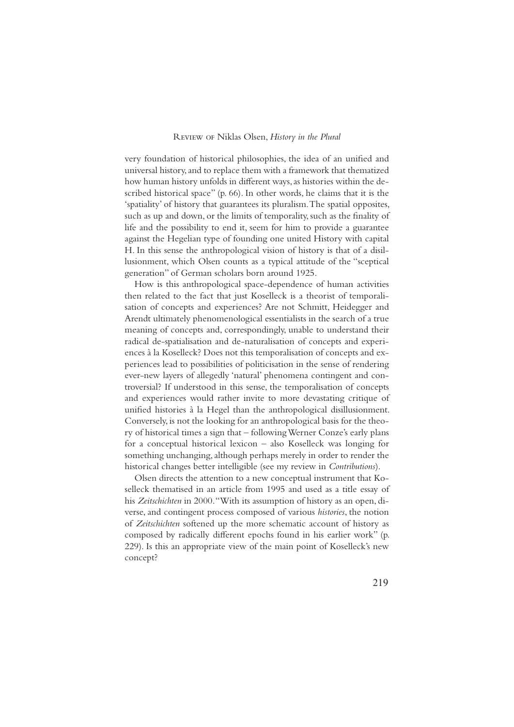## Review of Niklas Olsen, *History in the Plural*

very foundation of historical philosophies, the idea of an unified and universal history, and to replace them with a framework that thematized how human history unfolds in different ways, as histories within the described historical space" (p. 66). In other words, he claims that it is the 'spatiality' of history that guarantees its pluralism. The spatial opposites, such as up and down, or the limits of temporality, such as the finality of life and the possibility to end it, seem for him to provide a guarantee against the Hegelian type of founding one united History with capital H. In this sense the anthropological vision of history is that of a disillusionment, which Olsen counts as a typical attitude of the "sceptical generation" of German scholars born around 1925.

How is this anthropological space-dependence of human activities then related to the fact that just Koselleck is a theorist of temporalisation of concepts and experiences? Are not Schmitt, Heidegger and Arendt ultimately phenomenological essentialists in the search of a true meaning of concepts and, correspondingly, unable to understand their radical de-spatialisation and de-naturalisation of concepts and experiences à la Koselleck? Does not this temporalisation of concepts and experiences lead to possibilities of politicisation in the sense of rendering ever-new layers of allegedly 'natural' phenomena contingent and controversial? If understood in this sense, the temporalisation of concepts and experiences would rather invite to more devastating critique of unified histories à la Hegel than the anthropological disillusionment. Conversely, is not the looking for an anthropological basis for the theory of historical times a sign that – following Werner Conze's early plans for a conceptual historical lexicon – also Koselleck was longing for something unchanging, although perhaps merely in order to render the historical changes better intelligible (see my review in *Contributions*).

Olsen directs the attention to a new conceptual instrument that Koselleck thematised in an article from 1995 and used as a title essay of his *Zeitschichten* in 2000. "With its assumption of history as an open, diverse, and contingent process composed of various *histories*, the notion of *Zeitschichten* softened up the more schematic account of history as composed by radically different epochs found in his earlier work" (p. 229). Is this an appropriate view of the main point of Koselleck's new concept?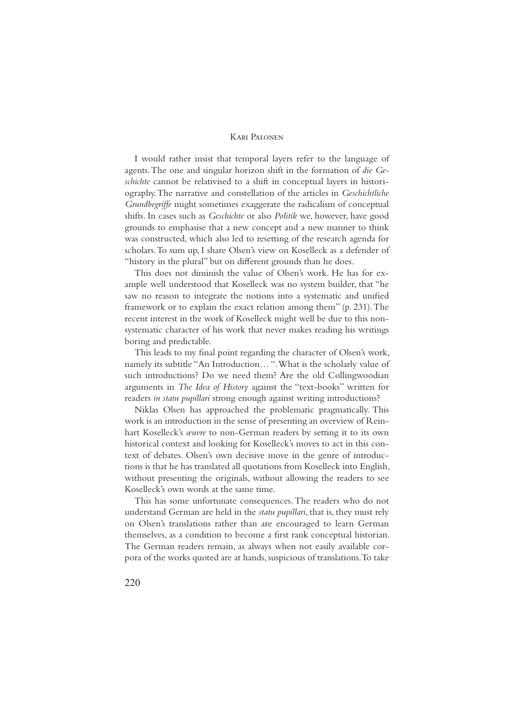#### Kari Palonen

I would rather insist that temporal layers refer to the language of agents. The one and singular horizon shift in the formation of *die Geschichte* cannot be relativised to a shift in conceptual layers in historiography. The narrative and constellation of the articles in *Geschichtliche Grundbegriffe* might sometimes exaggerate the radicalism of conceptual shifts. In cases such as *Geschichte* or also *Politik* we, however, have good grounds to emphasise that a new concept and a new manner to think was constructed, which also led to resetting of the research agenda for scholars. To sum up, I share Olsen's view on Koselleck as a defender of "history in the plural" but on different grounds than he does.

This does not diminish the value of Olsen's work. He has for example well understood that Koselleck was no system builder, that "he saw no reason to integrate the notions into a systematic and unified framework or to explain the exact relation among them" (p. 231). The recent interest in the work of Koselleck might well be due to this nonsystematic character of his work that never makes reading his writings boring and predictable.

This leads to my final point regarding the character of Olsen's work, namely its subtitle "An Introduction… ". What is the scholarly value of such introductions? Do we need them? Are the old Collingwoodian arguments in *The Idea of History* against the "text-books" written for readers *in statu pupillari* strong enough against writing introductions?

Niklas Olsen has approached the problematic pragmatically. This work is an introduction in the sense of presenting an overview of Reinhart Koselleck's *œuvre* to non-German readers by setting it to its own historical context and looking for Koselleck's moves to act in this context of debates. Olsen's own decisive move in the genre of introductions is that he has translated all quotations from Koselleck into English, without presenting the originals, without allowing the readers to see Koselleck's own words at the same time.

This has some unfortunate consequences. The readers who do not understand German are held in the *statu pupillari*, that is, they must rely on Olsen's translations rather than are encouraged to learn German themselves, as a condition to become a first rank conceptual historian. The German readers remain, as always when not easily available corpora of the works quoted are at hands, suspicious of translations. To take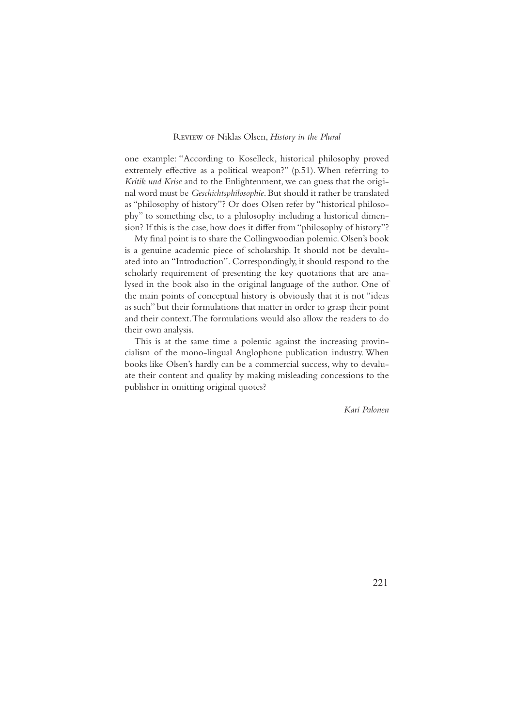#### Review of Niklas Olsen, *History in the Plural*

one example: "According to Koselleck, historical philosophy proved extremely effective as a political weapon?" (p.51). When referring to *Kritik und Krise* and to the Enlightenment, we can guess that the original word must be *Geschichtsphilosophie*. But should it rather be translated as "philosophy of history"? Or does Olsen refer by "historical philosophy" to something else, to a philosophy including a historical dimension? If this is the case, how does it differ from "philosophy of history"?

My final point is to share the Collingwoodian polemic. Olsen's book is a genuine academic piece of scholarship. It should not be devaluated into an "Introduction". Correspondingly, it should respond to the scholarly requirement of presenting the key quotations that are analysed in the book also in the original language of the author. One of the main points of conceptual history is obviously that it is not "ideas as such" but their formulations that matter in order to grasp their point and their context. The formulations would also allow the readers to do their own analysis.

This is at the same time a polemic against the increasing provincialism of the mono-lingual Anglophone publication industry. When books like Olsen's hardly can be a commercial success, why to devaluate their content and quality by making misleading concessions to the publisher in omitting original quotes?

*Kari Palonen*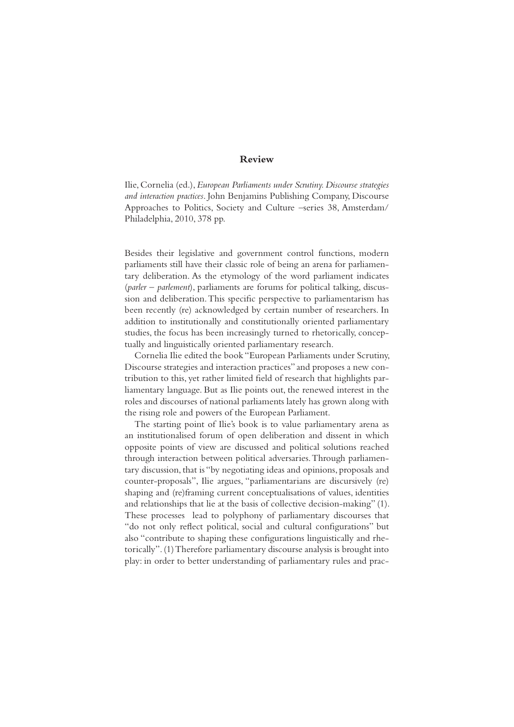# **Review**

Ilie, Cornelia (ed.), *European Parliaments under Scrutiny. Discourse strategies and interaction practices*. John Benjamins Publishing Company, Discourse Approaches to Politics, Society and Culture –series 38, Amsterdam/ Philadelphia, 2010, 378 pp.

Besides their legislative and government control functions, modern parliaments still have their classic role of being an arena for parliamentary deliberation. As the etymology of the word parliament indicates (*parler – parlement*), parliaments are forums for political talking, discussion and deliberation. This specific perspective to parliamentarism has been recently (re) acknowledged by certain number of researchers. In addition to institutionally and constitutionally oriented parliamentary studies, the focus has been increasingly turned to rhetorically, conceptually and linguistically oriented parliamentary research.

Cornelia Ilie edited the book "European Parliaments under Scrutiny, Discourse strategies and interaction practices" and proposes a new contribution to this, yet rather limited field of research that highlights parliamentary language. But as Ilie points out, the renewed interest in the roles and discourses of national parliaments lately has grown along with the rising role and powers of the European Parliament.

The starting point of Ilie's book is to value parliamentary arena as an institutionalised forum of open deliberation and dissent in which opposite points of view are discussed and political solutions reached through interaction between political adversaries. Through parliamentary discussion, that is "by negotiating ideas and opinions, proposals and counter-proposals", Ilie argues, "parliamentarians are discursively (re) shaping and (re)framing current conceptualisations of values, identities and relationships that lie at the basis of collective decision-making" (1). These processes lead to polyphony of parliamentary discourses that "do not only reflect political, social and cultural configurations" but also "contribute to shaping these configurations linguistically and rhetorically". (1) Therefore parliamentary discourse analysis is brought into play: in order to better understanding of parliamentary rules and prac-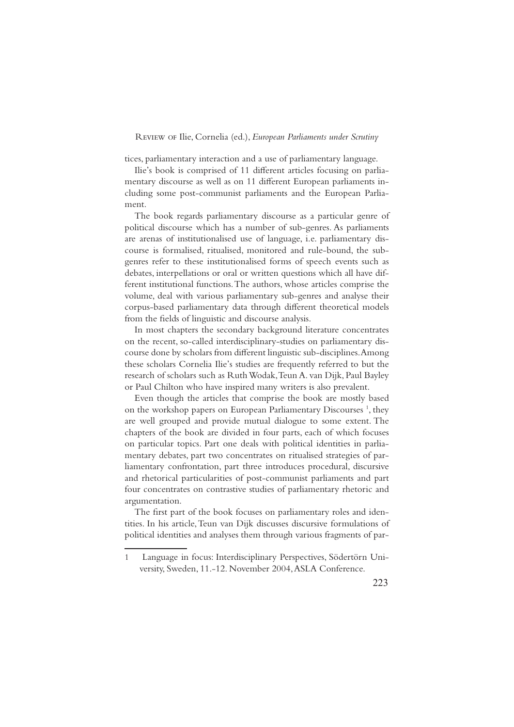tices, parliamentary interaction and a use of parliamentary language.

Ilie's book is comprised of 11 different articles focusing on parliamentary discourse as well as on 11 different European parliaments including some post-communist parliaments and the European Parliament.

The book regards parliamentary discourse as a particular genre of political discourse which has a number of sub-genres. As parliaments are arenas of institutionalised use of language, i.e. parliamentary discourse is formalised, ritualised, monitored and rule-bound, the subgenres refer to these institutionalised forms of speech events such as debates, interpellations or oral or written questions which all have different institutional functions. The authors, whose articles comprise the volume, deal with various parliamentary sub-genres and analyse their corpus-based parliamentary data through different theoretical models from the fields of linguistic and discourse analysis.

In most chapters the secondary background literature concentrates on the recent, so-called interdisciplinary-studies on parliamentary discourse done by scholars from different linguistic sub-disciplines. Among these scholars Cornelia Ilie's studies are frequently referred to but the research of scholars such as Ruth Wodak, Teun A. van Dijk, Paul Bayley or Paul Chilton who have inspired many writers is also prevalent.

Even though the articles that comprise the book are mostly based on the workshop papers on European Parliamentary Discourses<sup>1</sup>, they are well grouped and provide mutual dialogue to some extent. The chapters of the book are divided in four parts, each of which focuses on particular topics. Part one deals with political identities in parliamentary debates, part two concentrates on ritualised strategies of parliamentary confrontation, part three introduces procedural, discursive and rhetorical particularities of post-communist parliaments and part four concentrates on contrastive studies of parliamentary rhetoric and argumentation.

The first part of the book focuses on parliamentary roles and identities. In his article, Teun van Dijk discusses discursive formulations of political identities and analyses them through various fragments of par-

<sup>1</sup> Language in focus: Interdisciplinary Perspectives, Södertörn University, Sweden, 11.-12. November 2004, ASLA Conference.

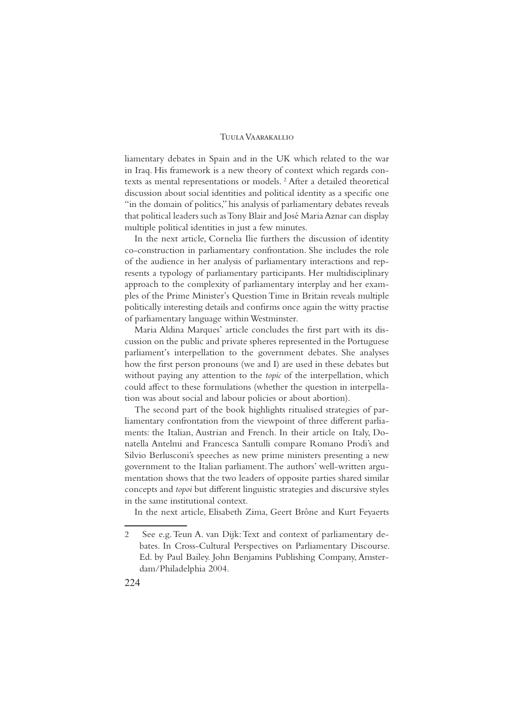## Tuula Vaarakallio

liamentary debates in Spain and in the UK which related to the war in Iraq. His framework is a new theory of context which regards contexts as mental representations or models. 2 After a detailed theoretical discussion about social identities and political identity as a specific one "in the domain of politics," his analysis of parliamentary debates reveals that political leaders such as Tony Blair and José Maria Aznar can display multiple political identities in just a few minutes.

In the next article, Cornelia Ilie furthers the discussion of identity co-construction in parliamentary confrontation. She includes the role of the audience in her analysis of parliamentary interactions and represents a typology of parliamentary participants. Her multidisciplinary approach to the complexity of parliamentary interplay and her examples of the Prime Minister's Question Time in Britain reveals multiple politically interesting details and confirms once again the witty practise of parliamentary language within Westminster.

Maria Aldina Marques' article concludes the first part with its discussion on the public and private spheres represented in the Portuguese parliament's interpellation to the government debates. She analyses how the first person pronouns (we and I) are used in these debates but without paying any attention to the *topic* of the interpellation, which could affect to these formulations (whether the question in interpellation was about social and labour policies or about abortion).

The second part of the book highlights ritualised strategies of parliamentary confrontation from the viewpoint of three different parliaments: the Italian, Austrian and French. In their article on Italy, Donatella Antelmi and Francesca Santulli compare Romano Prodi's and Silvio Berlusconi's speeches as new prime ministers presenting a new government to the Italian parliament. The authors' well-written argumentation shows that the two leaders of opposite parties shared similar concepts and *topoi* but different linguistic strategies and discursive styles in the same institutional context.

In the next article, Elisabeth Zima, Geert Brône and Kurt Feyaerts

<sup>2</sup> See e.g. Teun A. van Dijk: Text and context of parliamentary debates. In Cross-Cultural Perspectives on Parliamentary Discourse. Ed. by Paul Bailey. John Benjamins Publishing Company, Amsterdam/Philadelphia 2004.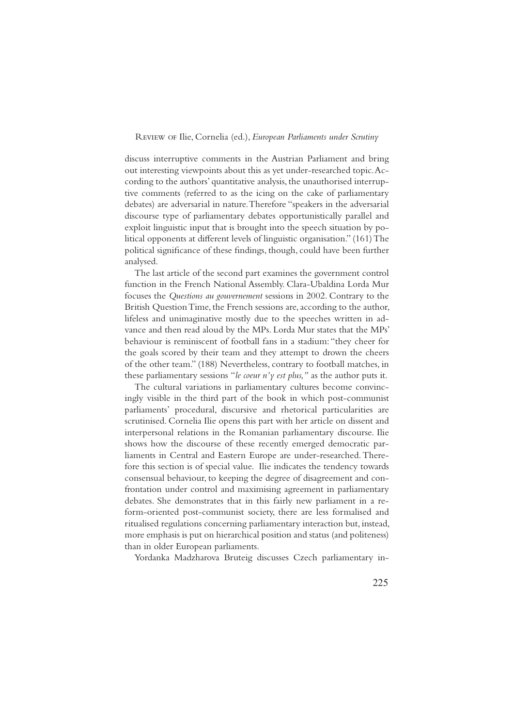discuss interruptive comments in the Austrian Parliament and bring out interesting viewpoints about this as yet under-researched topic. According to the authors' quantitative analysis, the unauthorised interruptive comments (referred to as the icing on the cake of parliamentary debates) are adversarial in nature. Therefore "speakers in the adversarial discourse type of parliamentary debates opportunistically parallel and exploit linguistic input that is brought into the speech situation by political opponents at different levels of linguistic organisation." (161) The political significance of these findings, though, could have been further analysed.

The last article of the second part examines the government control function in the French National Assembly. Clara-Ubaldina Lorda Mur focuses the *Questions au gouvernement* sessions in 2002. Contrary to the British Question Time, the French sessions are, according to the author, lifeless and unimaginative mostly due to the speeches written in advance and then read aloud by the MPs. Lorda Mur states that the MPs' behaviour is reminiscent of football fans in a stadium: "they cheer for the goals scored by their team and they attempt to drown the cheers of the other team." (188) Nevertheless, contrary to football matches, in these parliamentary sessions "*le coeur n'y est plus,"* as the author puts it.

The cultural variations in parliamentary cultures become convincingly visible in the third part of the book in which post-communist parliaments' procedural, discursive and rhetorical particularities are scrutinised. Cornelia Ilie opens this part with her article on dissent and interpersonal relations in the Romanian parliamentary discourse. Ilie shows how the discourse of these recently emerged democratic parliaments in Central and Eastern Europe are under-researched. Therefore this section is of special value. Ilie indicates the tendency towards consensual behaviour, to keeping the degree of disagreement and confrontation under control and maximising agreement in parliamentary debates. She demonstrates that in this fairly new parliament in a reform-oriented post-communist society, there are less formalised and ritualised regulations concerning parliamentary interaction but, instead, more emphasis is put on hierarchical position and status (and politeness) than in older European parliaments.

Yordanka Madzharova Bruteig discusses Czech parliamentary in-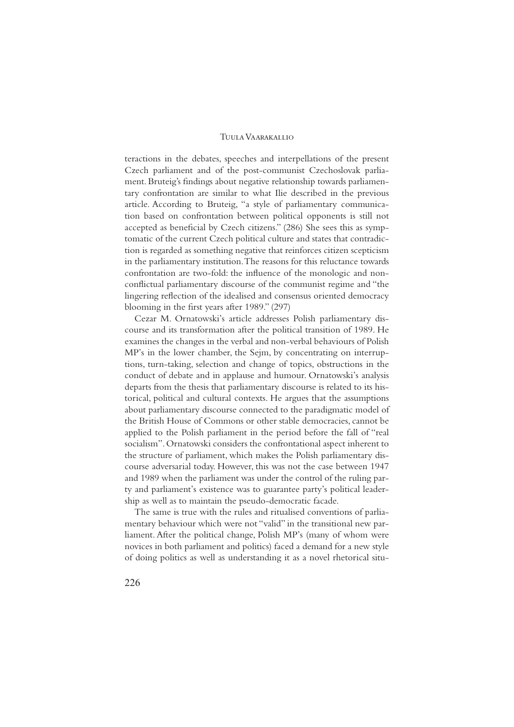# Tuula Vaarakallio

teractions in the debates, speeches and interpellations of the present Czech parliament and of the post-communist Czechoslovak parliament. Bruteig's findings about negative relationship towards parliamentary confrontation are similar to what Ilie described in the previous article. According to Bruteig, "a style of parliamentary communication based on confrontation between political opponents is still not accepted as beneficial by Czech citizens." (286) She sees this as symptomatic of the current Czech political culture and states that contradiction is regarded as something negative that reinforces citizen scepticism in the parliamentary institution. The reasons for this reluctance towards confrontation are two-fold: the influence of the monologic and nonconflictual parliamentary discourse of the communist regime and "the lingering reflection of the idealised and consensus oriented democracy blooming in the first years after 1989." (297)

Cezar M. Ornatowski's article addresses Polish parliamentary discourse and its transformation after the political transition of 1989. He examines the changes in the verbal and non-verbal behaviours of Polish MP's in the lower chamber, the Sejm, by concentrating on interruptions, turn-taking, selection and change of topics, obstructions in the conduct of debate and in applause and humour. Ornatowski's analysis departs from the thesis that parliamentary discourse is related to its historical, political and cultural contexts. He argues that the assumptions about parliamentary discourse connected to the paradigmatic model of the British House of Commons or other stable democracies, cannot be applied to the Polish parliament in the period before the fall of "real socialism". Ornatowski considers the confrontational aspect inherent to the structure of parliament, which makes the Polish parliamentary discourse adversarial today. However, this was not the case between 1947 and 1989 when the parliament was under the control of the ruling party and parliament's existence was to guarantee party's political leadership as well as to maintain the pseudo-democratic facade.

The same is true with the rules and ritualised conventions of parliamentary behaviour which were not "valid" in the transitional new parliament. After the political change, Polish MP's (many of whom were novices in both parliament and politics) faced a demand for a new style of doing politics as well as understanding it as a novel rhetorical situ-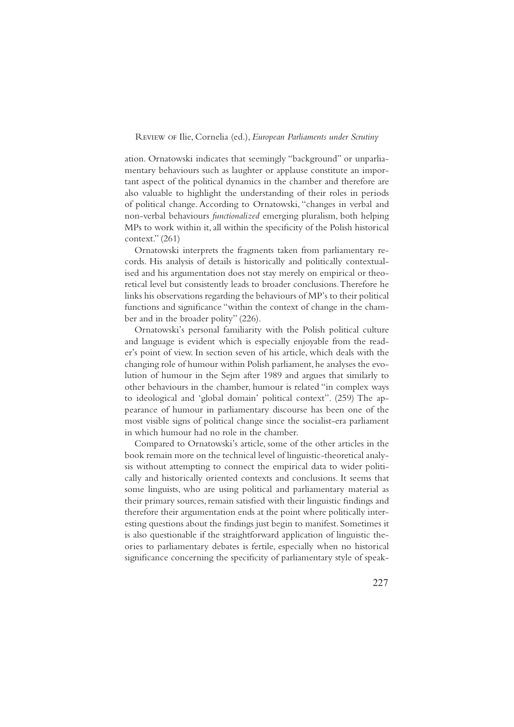ation. Ornatowski indicates that seemingly "background" or unparliamentary behaviours such as laughter or applause constitute an important aspect of the political dynamics in the chamber and therefore are also valuable to highlight the understanding of their roles in periods of political change. According to Ornatowski, "changes in verbal and non-verbal behaviours *functionalized* emerging pluralism, both helping MPs to work within it, all within the specificity of the Polish historical context." (261)

Ornatowski interprets the fragments taken from parliamentary records. His analysis of details is historically and politically contextualised and his argumentation does not stay merely on empirical or theoretical level but consistently leads to broader conclusions. Therefore he links his observations regarding the behaviours of MP's to their political functions and significance "within the context of change in the chamber and in the broader polity" (226).

Ornatowski's personal familiarity with the Polish political culture and language is evident which is especially enjoyable from the reader's point of view. In section seven of his article, which deals with the changing role of humour within Polish parliament, he analyses the evolution of humour in the Sejm after 1989 and argues that similarly to other behaviours in the chamber, humour is related "in complex ways to ideological and 'global domain' political context". (259) The appearance of humour in parliamentary discourse has been one of the most visible signs of political change since the socialist-era parliament in which humour had no role in the chamber.

Compared to Ornatowski's article, some of the other articles in the book remain more on the technical level of linguistic-theoretical analysis without attempting to connect the empirical data to wider politically and historically oriented contexts and conclusions. It seems that some linguists, who are using political and parliamentary material as their primary sources, remain satisfied with their linguistic findings and therefore their argumentation ends at the point where politically interesting questions about the findings just begin to manifest. Sometimes it is also questionable if the straightforward application of linguistic theories to parliamentary debates is fertile, especially when no historical significance concerning the specificity of parliamentary style of speak-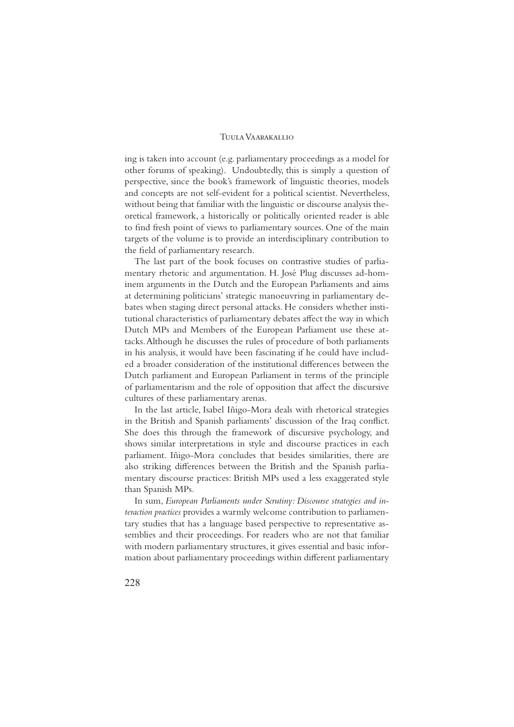#### Tuula Vaarakallio

ing is taken into account (e.g. parliamentary proceedings as a model for other forums of speaking). Undoubtedly, this is simply a question of perspective, since the book's framework of linguistic theories, models and concepts are not self-evident for a political scientist. Nevertheless, without being that familiar with the linguistic or discourse analysis theoretical framework, a historically or politically oriented reader is able to find fresh point of views to parliamentary sources. One of the main targets of the volume is to provide an interdisciplinary contribution to the field of parliamentary research.

The last part of the book focuses on contrastive studies of parliamentary rhetoric and argumentation. H. José Plug discusses ad-hominem arguments in the Dutch and the European Parliaments and aims at determining politicians' strategic manoeuvring in parliamentary debates when staging direct personal attacks. He considers whether institutional characteristics of parliamentary debates affect the way in which Dutch MPs and Members of the European Parliament use these attacks. Although he discusses the rules of procedure of both parliaments in his analysis, it would have been fascinating if he could have included a broader consideration of the institutional differences between the Dutch parliament and European Parliament in terms of the principle of parliamentarism and the role of opposition that affect the discursive cultures of these parliamentary arenas.

In the last article, Isabel Iñigo-Mora deals with rhetorical strategies in the British and Spanish parliaments' discussion of the Iraq conflict. She does this through the framework of discursive psychology, and shows similar interpretations in style and discourse practices in each parliament. Iñigo-Mora concludes that besides similarities, there are also striking differences between the British and the Spanish parliamentary discourse practices: British MPs used a less exaggerated style than Spanish MPs.

In sum, *European Parliaments under Scrutiny: Discourse strategies and interaction practices* provides a warmly welcome contribution to parliamentary studies that has a language based perspective to representative assemblies and their proceedings. For readers who are not that familiar with modern parliamentary structures, it gives essential and basic information about parliamentary proceedings within different parliamentary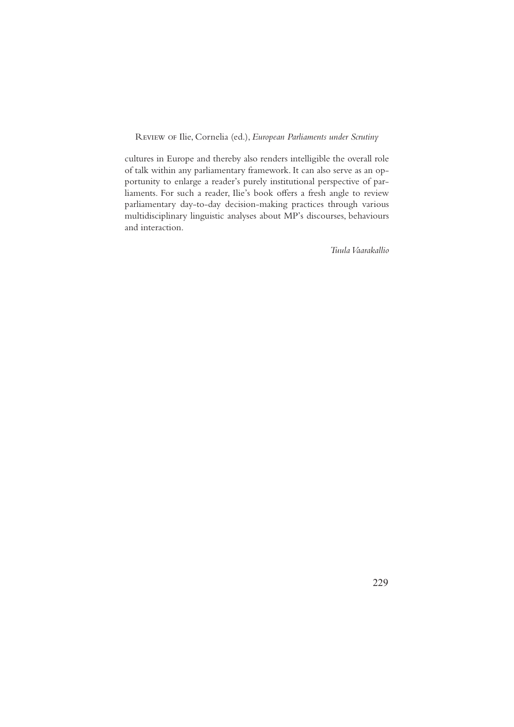cultures in Europe and thereby also renders intelligible the overall role of talk within any parliamentary framework. It can also serve as an opportunity to enlarge a reader's purely institutional perspective of parliaments. For such a reader, Ilie's book offers a fresh angle to review parliamentary day-to-day decision-making practices through various multidisciplinary linguistic analyses about MP's discourses, behaviours and interaction.

*Tuula Vaarakallio*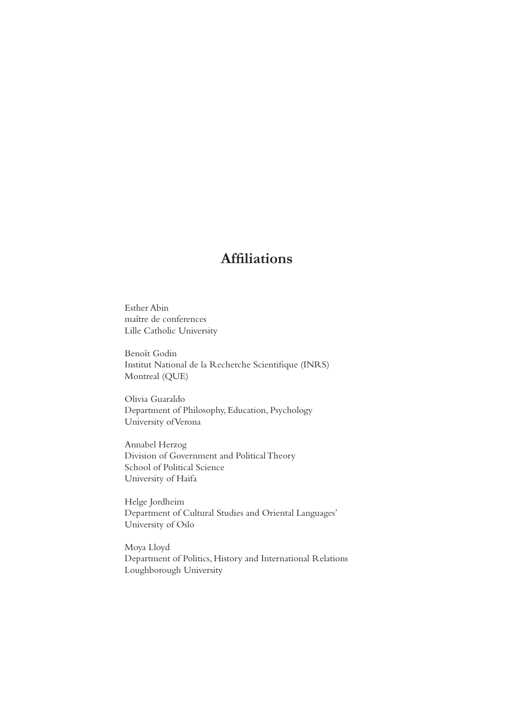# **Affiliations**

Esther Abin maître de conferences Lille Catholic University

Benoît Godin Institut National de la Recherche Scientifique (INRS) Montreal (QUE)

Olivia Guaraldo Department of Philosophy, Education, Psychology University of Verona

Annabel Herzog Division of Government and Political Theory School of Political Science University of Haifa

Helge Jordheim Department of Cultural Studies and Oriental Languages' University of Oslo

Moya Lloyd Department of Politics, History and International Relations Loughborough University